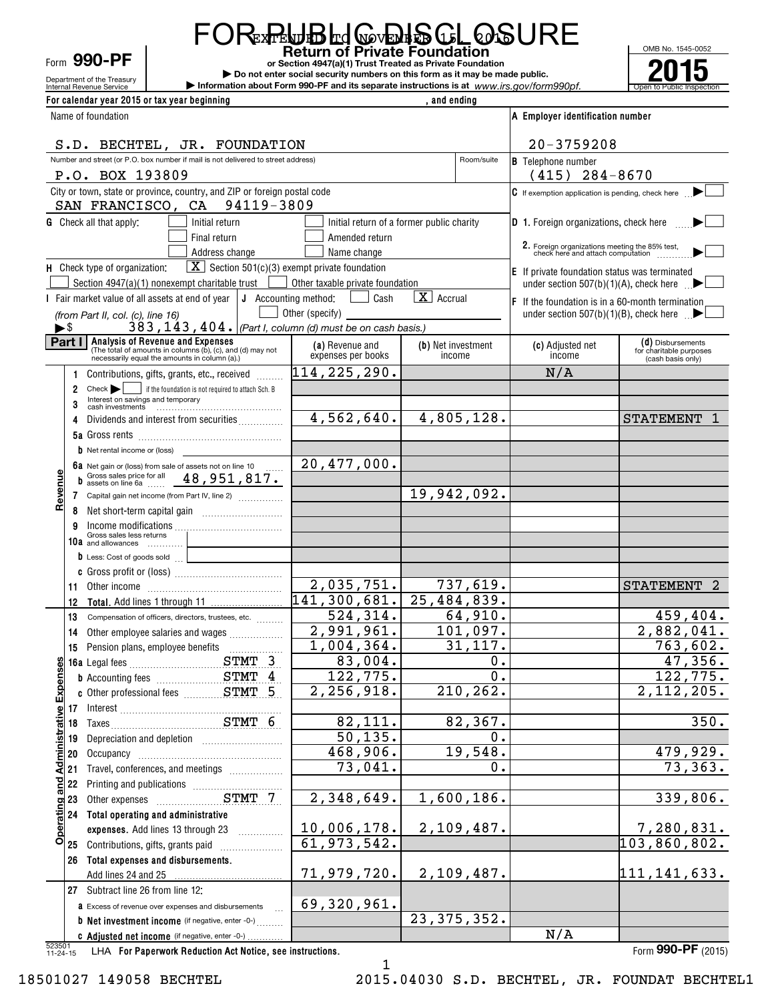Department of the Treasury Form **990-PF**

**FOR PLUBLIQ Private Foundation** EXTENDED TO NOVEMBER 15, 2016

**or Section 4947(a)(1) Trust Treated as Private Foundation | Do not enter social security numbers on this form as it may be made public.**

**Expressive on the Cervice Contract Construction about Form 990-PF and its separate instructions is at www.irs.gov/form990pf.** 



| For calendar year 2015 or tax year beginning                                                                |                                  | and ending                                |                                                                                     |                                              |
|-------------------------------------------------------------------------------------------------------------|----------------------------------|-------------------------------------------|-------------------------------------------------------------------------------------|----------------------------------------------|
| Name of foundation                                                                                          |                                  |                                           | A Employer identification number                                                    |                                              |
| S.D. BECHTEL, JR. FOUNDATION                                                                                |                                  |                                           | $20 - 3759208$                                                                      |                                              |
| Number and street (or P.O. box number if mail is not delivered to street address)                           |                                  | Room/suite                                | <b>B</b> Telephone number                                                           |                                              |
| P.O. BOX 193809                                                                                             |                                  |                                           | $(415)$ 284-8670                                                                    |                                              |
| City or town, state or province, country, and ZIP or foreign postal code                                    |                                  |                                           | $\mathsf C$ If exemption application is pending, check here                         |                                              |
| SAN FRANCISCO, CA 94119-3809                                                                                |                                  |                                           |                                                                                     |                                              |
| <b>G</b> Check all that apply:<br>Initial return                                                            |                                  | Initial return of a former public charity | D 1. Foreign organizations, check here                                              |                                              |
| Final return                                                                                                | Amended return                   |                                           |                                                                                     |                                              |
| Address change                                                                                              | Name change                      |                                           | 2. Foreign organizations meeting the 85% test,<br>check here and attach computation |                                              |
| $\boxed{\mathbf{X}}$ Section 501(c)(3) exempt private foundation<br>H Check type of organization:           |                                  |                                           | <b>E</b> If private foundation status was terminated                                |                                              |
| Section $4947(a)(1)$ nonexempt charitable trust $\Box$                                                      | Other taxable private foundation |                                           | under section $507(b)(1)(A)$ , check here                                           |                                              |
| I Fair market value of all assets at end of year $\vert \mathbf{J} \vert$ Accounting method:                | Cash                             | $\boxed{\mathbf{X}}$ Accrual              | $ F $ If the foundation is in a 60-month termination                                |                                              |
| (from Part II, col. (c), line 16)                                                                           | Other (specify)                  |                                           | under section 507(b)(1)(B), check here $\Box$                                       |                                              |
| 383, $143$ , $404$ . (Part I, column (d) must be on cash basis.)<br>►\$                                     |                                  |                                           |                                                                                     |                                              |
| Part I<br>Analysis of Revenue and Expenses                                                                  | (a) Revenue and                  | (b) Net investment                        | (c) Adjusted net                                                                    | (d) Disbursements                            |
| (The total of amounts in columns (b), (c), and (d) may not<br>necessarily equal the amounts in column (a).) | expenses per books               | income                                    | income                                                                              | for charitable purposes<br>(cash basis only) |
| Contributions, gifts, grants, etc., received<br>1.                                                          | 114, 225, 290.                   |                                           | N/A                                                                                 |                                              |
| if the foundation is not required to attach Sch. B<br>$Check \rightarrow$<br>$\overline{2}$                 |                                  |                                           |                                                                                     |                                              |
| 3                                                                                                           |                                  |                                           |                                                                                     |                                              |
| Dividends and interest from securities<br>4                                                                 | 4,562,640.                       | 4,805,128.                                |                                                                                     | <b>STATEMENT</b><br>1                        |
|                                                                                                             |                                  |                                           |                                                                                     |                                              |
| <b>b</b> Net rental income or (loss)                                                                        |                                  |                                           |                                                                                     |                                              |
| 6a Net gain or (loss) from sale of assets not on line 10                                                    | 20,477,000.                      |                                           |                                                                                     |                                              |
| Gross sales price for all $48,951,817$ .<br>D                                                               |                                  |                                           |                                                                                     |                                              |
| Revenu<br>7 Capital gain net income (from Part IV, line 2)                                                  |                                  | 19,942,092.                               |                                                                                     |                                              |
| 8                                                                                                           |                                  |                                           |                                                                                     |                                              |
| 9                                                                                                           |                                  |                                           |                                                                                     |                                              |
| Gross sales less returns<br>10a and allowances                                                              |                                  |                                           |                                                                                     |                                              |
| <b>b</b> Less: Cost of goods sold                                                                           |                                  |                                           |                                                                                     |                                              |
|                                                                                                             |                                  |                                           |                                                                                     |                                              |
|                                                                                                             | 2,035,751.                       | 737,619.                                  |                                                                                     | STATEMENT 2                                  |
| 12                                                                                                          | $\overline{141,30}$ 0,681.       | 25,484,839.                               |                                                                                     |                                              |
| 13<br>Compensation of officers, directors, trustees, etc.                                                   | 524, 314.                        | 64,910.                                   |                                                                                     | 459, 404.                                    |
| Other employee salaries and wages<br>14                                                                     | 2,991,961.                       | 101,097.                                  |                                                                                     | 2,882,041.                                   |
| 15                                                                                                          | 1,004,364.                       | 31, 117.                                  |                                                                                     | 763,602.                                     |
| 낆                                                                                                           | 83,004                           | 0                                         |                                                                                     | 47,356.                                      |
| Expens<br><b>b</b> Accounting fees <b>ETMT</b> 4                                                            | 122,775.                         | 0.                                        |                                                                                     | 122,775.                                     |
|                                                                                                             | 2,256,918.                       | 210,262.                                  |                                                                                     | 2,112,205.                                   |
|                                                                                                             |                                  |                                           |                                                                                     |                                              |
|                                                                                                             | 82,111.                          | 82, 367.                                  |                                                                                     | 350.                                         |
| 19                                                                                                          | 50, 135.                         | 0.                                        |                                                                                     |                                              |
| Administrative<br>20                                                                                        | 468,906.                         | 19,548.                                   |                                                                                     | 479,929.                                     |
| Travel, conferences, and meetings<br>21                                                                     | 73,041.                          | 0.                                        |                                                                                     | 73,363.                                      |
| and<br>22                                                                                                   | 2,348,649.                       | 1,600,186.                                |                                                                                     | 339,806.                                     |
| 23<br>Operating<br>24 Total operating and administrative                                                    |                                  |                                           |                                                                                     |                                              |
| expenses. Add lines 13 through 23                                                                           | 10,006,178.                      | 2,109,487.                                |                                                                                     | 7,280,831.                                   |
| Contributions, gifts, grants paid<br>25                                                                     | 61,973,542.                      |                                           |                                                                                     | 103,860,802.                                 |
| Total expenses and disbursements.<br>26                                                                     |                                  |                                           |                                                                                     |                                              |
| Add lines 24 and 25                                                                                         | 71,979,720.                      | 2,109,487.                                |                                                                                     | 111,141,633.                                 |
| 27 Subtract line 26 from line 12:                                                                           |                                  |                                           |                                                                                     |                                              |
| a Excess of revenue over expenses and disbursements                                                         | 69,320,961.                      |                                           |                                                                                     |                                              |
| <b>b</b> Net investment income (if negative, enter -0-)                                                     |                                  | 23, 375, 352.                             |                                                                                     |                                              |
| C Adjusted net income (if negative, enter -0-)                                                              |                                  |                                           | N/A                                                                                 |                                              |
|                                                                                                             |                                  |                                           |                                                                                     |                                              |

523501 11-24-15**For Paperwork Reduction Act Notice, see instructions.** LHA Form (2015)

**990-PF**

1

18501027 149058 BECHTEL 2015.04030 S.D. BECHTEL, JR. FOUNDAT BECHTEL1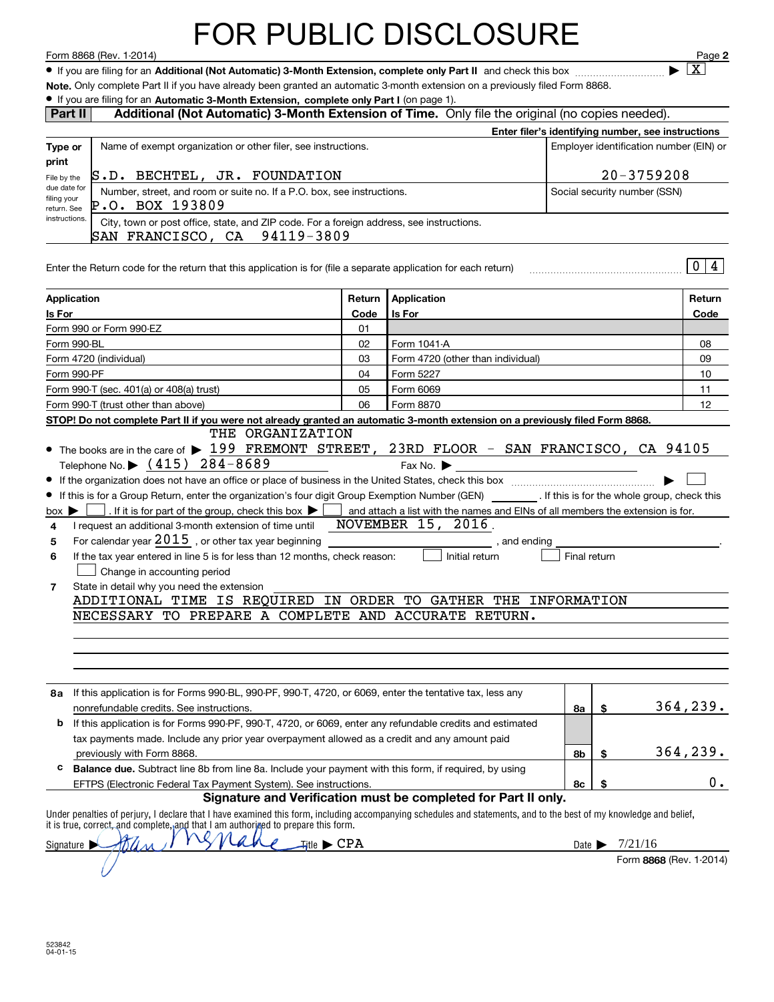#### FOR PUBLIC DISCLOSURE

 **Additional (Not Automatic) 3-Month Extension, complete only Part II** Form 8868 (Rev. 1-2014) Page ¥ If you are filing for an and check this box ~~~~~~~~~~ <sup>|</sup>

**2**  $\blacktriangleright$   $\boxed{\text{X}}$ 

| Note, Only complete Part II if you have already been granted an automatic 3-month extension on a previously filed Form 8868. |  |  |  |  |  |
|------------------------------------------------------------------------------------------------------------------------------|--|--|--|--|--|
|                                                                                                                              |  |  |  |  |  |

#### $\bullet\,$  If you are filing for an Automatic 3-Month Extension, complete only Part I (on page 1).

| Name of exempt organization or other filer, see instructions.<br>Type or<br>print                                                                                                                                                                                                                                                                                                                                                                                                                                                                                                                                                                          |                                             |                                                                |                            | Additional (Not Automatic) 3-Month Extension of Time. Only file the original (no copies needed). |                                                    |           |
|------------------------------------------------------------------------------------------------------------------------------------------------------------------------------------------------------------------------------------------------------------------------------------------------------------------------------------------------------------------------------------------------------------------------------------------------------------------------------------------------------------------------------------------------------------------------------------------------------------------------------------------------------------|---------------------------------------------|----------------------------------------------------------------|----------------------------|--------------------------------------------------------------------------------------------------|----------------------------------------------------|-----------|
|                                                                                                                                                                                                                                                                                                                                                                                                                                                                                                                                                                                                                                                            |                                             |                                                                |                            |                                                                                                  | Enter filer's identifying number, see instructions |           |
|                                                                                                                                                                                                                                                                                                                                                                                                                                                                                                                                                                                                                                                            |                                             |                                                                |                            |                                                                                                  | Employer identification number (EIN) or            |           |
| S.D. BECHTEL, JR. FOUNDATION<br>File by the                                                                                                                                                                                                                                                                                                                                                                                                                                                                                                                                                                                                                |                                             |                                                                |                            |                                                                                                  | $20 - 3759208$                                     |           |
| due date for<br>Number, street, and room or suite no. If a P.O. box, see instructions.                                                                                                                                                                                                                                                                                                                                                                                                                                                                                                                                                                     |                                             |                                                                |                            |                                                                                                  | Social security number (SSN)                       |           |
| filing your<br>P.O. BOX 193809<br>return. See                                                                                                                                                                                                                                                                                                                                                                                                                                                                                                                                                                                                              |                                             |                                                                |                            |                                                                                                  |                                                    |           |
| instructions.<br>City, town or post office, state, and ZIP code. For a foreign address, see instructions.<br>SAN FRANCISCO, CA 94119-3809                                                                                                                                                                                                                                                                                                                                                                                                                                                                                                                  |                                             |                                                                |                            |                                                                                                  |                                                    |           |
| Enter the Return code for the return that this application is for (file a separate application for each return)                                                                                                                                                                                                                                                                                                                                                                                                                                                                                                                                            |                                             |                                                                |                            |                                                                                                  |                                                    | 0 4       |
| Application                                                                                                                                                                                                                                                                                                                                                                                                                                                                                                                                                                                                                                                | Return                                      | Application                                                    |                            |                                                                                                  |                                                    | Return    |
| Is For                                                                                                                                                                                                                                                                                                                                                                                                                                                                                                                                                                                                                                                     | Code                                        | Is For                                                         |                            |                                                                                                  |                                                    | Code      |
| Form 990 or Form 990-EZ                                                                                                                                                                                                                                                                                                                                                                                                                                                                                                                                                                                                                                    | 01                                          |                                                                |                            |                                                                                                  |                                                    |           |
| Form 990-BL                                                                                                                                                                                                                                                                                                                                                                                                                                                                                                                                                                                                                                                | 02                                          | Form 1041-A                                                    |                            |                                                                                                  |                                                    | 08        |
| Form 4720 (individual)                                                                                                                                                                                                                                                                                                                                                                                                                                                                                                                                                                                                                                     | 03                                          | Form 4720 (other than individual)                              |                            |                                                                                                  |                                                    | 09        |
| Form 990-PF                                                                                                                                                                                                                                                                                                                                                                                                                                                                                                                                                                                                                                                | 04                                          | Form 5227                                                      |                            |                                                                                                  |                                                    | 10        |
| Form 990-T (sec. 401(a) or 408(a) trust)                                                                                                                                                                                                                                                                                                                                                                                                                                                                                                                                                                                                                   | 05                                          | Form 6069                                                      |                            |                                                                                                  |                                                    | 11        |
| Form 990-T (trust other than above)<br>STOP! Do not complete Part II if you were not already granted an automatic 3-month extension on a previously filed Form 8868.                                                                                                                                                                                                                                                                                                                                                                                                                                                                                       | 06                                          | Form 8870                                                      |                            |                                                                                                  |                                                    | 12        |
| . If it is for part of the group, check this box $\blacktriangleright$ and attach a list with the names and EINs of all members the extension is for.<br>$box \triangleright$<br>I request an additional 3-month extension of time until NOVEMBER 15, 2016.<br>4<br>For calendar year $2015$ , or other tax year beginning __________________________<br>5<br>If the tax year entered in line 5 is for less than 12 months, check reason:<br>6<br>Change in accounting period<br>State in detail why you need the extension<br>7<br>ADDITIONAL TIME IS REQUIRED IN ORDER TO GATHER THE INFORMATION<br>NECESSARY TO PREPARE A COMPLETE AND ACCURATE RETURN. |                                             | , and ending<br>Initial return                                 | Final return               |                                                                                                  |                                                    |           |
| 8a If this application is for Forms 990-BL, 990-PF, 990-T, 4720, or 6069, enter the tentative tax, less any<br>nonrefundable credits. See instructions.                                                                                                                                                                                                                                                                                                                                                                                                                                                                                                    |                                             |                                                                | 8a                         | \$                                                                                               |                                                    | 364, 239. |
| If this application is for Forms 990-PF, 990-T, 4720, or 6069, enter any refundable credits and estimated<br>b                                                                                                                                                                                                                                                                                                                                                                                                                                                                                                                                             |                                             |                                                                |                            |                                                                                                  |                                                    |           |
| tax payments made. Include any prior year overpayment allowed as a credit and any amount paid                                                                                                                                                                                                                                                                                                                                                                                                                                                                                                                                                              |                                             |                                                                |                            |                                                                                                  |                                                    |           |
|                                                                                                                                                                                                                                                                                                                                                                                                                                                                                                                                                                                                                                                            |                                             |                                                                | 8b                         | \$                                                                                               | 364,239.                                           |           |
| previously with Form 8868.<br>с                                                                                                                                                                                                                                                                                                                                                                                                                                                                                                                                                                                                                            |                                             |                                                                |                            | \$                                                                                               |                                                    |           |
| Balance due. Subtract line 8b from line 8a. Include your payment with this form, if required, by using                                                                                                                                                                                                                                                                                                                                                                                                                                                                                                                                                     |                                             |                                                                | 8с                         |                                                                                                  |                                                    |           |
| EFTPS (Electronic Federal Tax Payment System). See instructions.                                                                                                                                                                                                                                                                                                                                                                                                                                                                                                                                                                                           |                                             | Signature and Verification must be completed for Part II only. |                            |                                                                                                  |                                                    | 0.        |
| Under penalties of perjury, I declare that I have examined this form, including accompanying schedules and statements, and to the best of my knowledge and belief,<br>it is true, correct, and complete, and that I am authorized to prepare this form.                                                                                                                                                                                                                                                                                                                                                                                                    |                                             |                                                                |                            |                                                                                                  |                                                    |           |
| Signature $\blacktriangleright$                                                                                                                                                                                                                                                                                                                                                                                                                                                                                                                                                                                                                            | $\mathcal{H}$ tle $\blacktriangleright$ CPA |                                                                | Date $\blacktriangleright$ |                                                                                                  | 7/21/16                                            |           |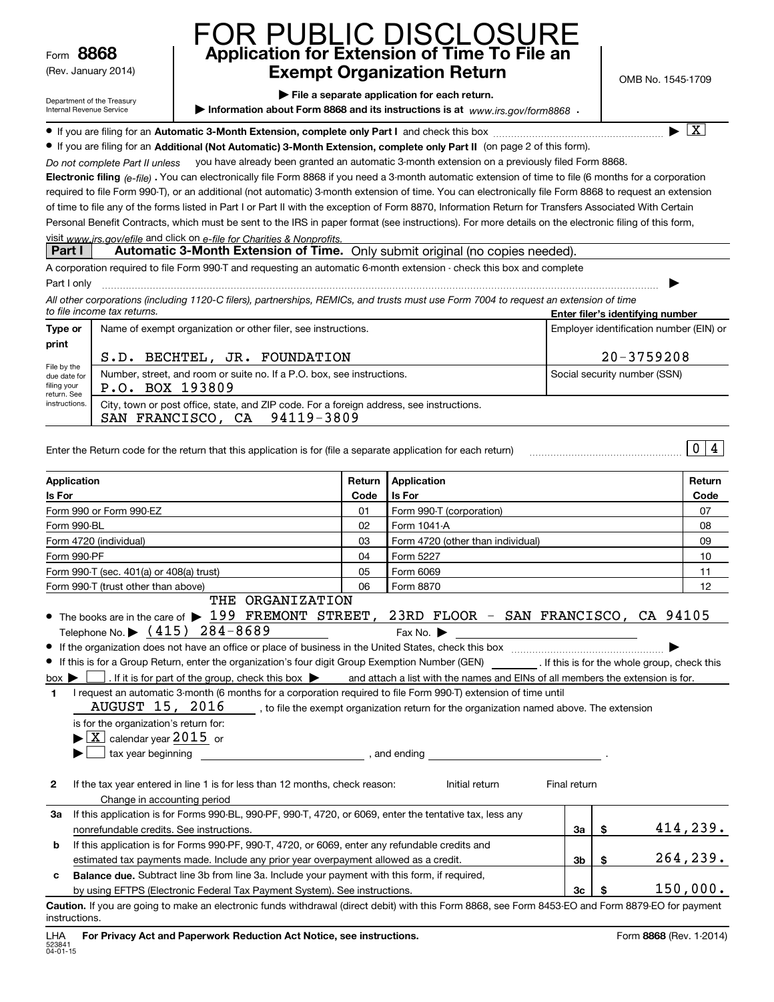Form**8868**

(Rev. January 2014)

#### **Application for Extension of Time To File an Exempt Organization Return** FOR PUBLIC DISCLOSURE

OMB No. 1545-1709

X

| Department of the Treasury |
|----------------------------|
| Internal Revenue Service   |

**| File a separate application for each return.**

▶ Information about Form 8868 and its instructions is at www.irs.gov/form8868 **.** 

**■** If you are filing for an Automatic 3-Month Extension, complete only Part I and check this box  $\ldots$  $\ldots$  $\ldots$  $\ldots$  $\ldots$  $\ldots$  $\ldots$ 

● If you are filing for an **Additional (Not Automatic) 3-Month Extension, complete only Part II** (on page 2 of this form).<br>Recent result to Real the design N9U bave closely been grapted an automatic 3 month extension on a

Do not complete Part II unless you have already been granted an automatic 3-month extension on a previously filed Form 8868.

**Electronic filing** (e-file) . You can electronically file Form 8868 if you need a 3-month automatic extension of time to file (6 months for a corporation<br>required to file Ferm 990 Tues a additional (pot automatic) 3 month required to file Form 990-T), or an additional (not automatic) 3-month extension of time. You can electronically file Form 8868 to request an extension of time to file any of the forms listed in Part I or Part II with the exception of Form 8870, Information Return for Transfers Associated With Certain Personal Benefit Contracts, which must be sent to the IRS in paper format (see instructions). For more details on the electronic filing of this form,

#### visit www.jrs.gov/efile and click on e-file for Charities & Nonprofits.

#### **Part I Automatic 3-Month Extension of Time.** Only submit original (no copies needed).

A corporation required to file Form 990-T and requesting an automatic 6-month extension - check this box and complete

| Part I only                                                                                                                           |                                  |
|---------------------------------------------------------------------------------------------------------------------------------------|----------------------------------|
| All other corporations (including 1120-C filers), partnerships, REMICs, and trusts must use Form 7004 to request an extension of time |                                  |
| to file income tax returns.                                                                                                           | Enter filer's identifying number |

| Type or                                                                    | Name of exempt organization or other filer, see instructions.                                                                  | Employer identification number (EIN) or |  |  |  |  |
|----------------------------------------------------------------------------|--------------------------------------------------------------------------------------------------------------------------------|-----------------------------------------|--|--|--|--|
| print                                                                      | S.D. BECHTEL, JR. FOUNDATION                                                                                                   | $20 - 3759208$                          |  |  |  |  |
| File by the<br>due date for<br>filing your<br>return, See<br>instructions. | Number, street, and room or suite no. If a P.O. box, see instructions.<br>P.O. BOX 193809                                      | Social security number (SSN)            |  |  |  |  |
|                                                                            | City, town or post office, state, and ZIP code. For a foreign address, see instructions.<br>94119-3809<br>SAN FRANCISCO,<br>CA |                                         |  |  |  |  |

| Enter the Return code for the return that this application is for (file a separate application for each return) |  |
|-----------------------------------------------------------------------------------------------------------------|--|
|                                                                                                                 |  |

| Application                     |                                                                                                                                                                                                                                                                                                                                              | Return | Application                                                                                                                                                                                                                                                                                                                                                                                               | Return    |
|---------------------------------|----------------------------------------------------------------------------------------------------------------------------------------------------------------------------------------------------------------------------------------------------------------------------------------------------------------------------------------------|--------|-----------------------------------------------------------------------------------------------------------------------------------------------------------------------------------------------------------------------------------------------------------------------------------------------------------------------------------------------------------------------------------------------------------|-----------|
| Is For                          |                                                                                                                                                                                                                                                                                                                                              | Code   | <b>Is For</b>                                                                                                                                                                                                                                                                                                                                                                                             | Code      |
|                                 | Form 990 or Form 990-EZ                                                                                                                                                                                                                                                                                                                      | 01     | Form 990-T (corporation)                                                                                                                                                                                                                                                                                                                                                                                  | 07        |
| Form 990-BL                     |                                                                                                                                                                                                                                                                                                                                              | 02     | Form 1041-A                                                                                                                                                                                                                                                                                                                                                                                               | 08        |
| Form 4720 (individual)          |                                                                                                                                                                                                                                                                                                                                              | 03     | Form 4720 (other than individual)                                                                                                                                                                                                                                                                                                                                                                         | 09        |
| Form 990-PF                     |                                                                                                                                                                                                                                                                                                                                              | 04     | Form 5227                                                                                                                                                                                                                                                                                                                                                                                                 | 10        |
|                                 | Form 990-T (sec. 401(a) or 408(a) trust)                                                                                                                                                                                                                                                                                                     | 05     | Form 6069                                                                                                                                                                                                                                                                                                                                                                                                 | 11        |
|                                 | Form 990-T (trust other than above)                                                                                                                                                                                                                                                                                                          | 06     | Form 8870                                                                                                                                                                                                                                                                                                                                                                                                 | 12        |
|                                 | THE ORGANIZATION<br>Telephone No. $\triangleright$ $(415)$ 284-8689                                                                                                                                                                                                                                                                          |        | • The books are in the care of $\blacktriangleright$ 199 FREMONT STREET, 23RD FLOOR - SAN FRANCISCO, CA 94105<br>Fax No. $\blacktriangleright$                                                                                                                                                                                                                                                            |           |
| $box \triangleright$<br>1.<br>▶ | I request an automatic 3-month (6 months for a corporation required to file Form 990-T) extension of time until<br>is for the organization's return for:<br>$\blacktriangleright$ $\boxed{\text{X}}$ calendar year 2015 or<br>tax year beginning tax is a set of the set of the set of the set of the set of the set of the set of the set o |        | If this is for a Group Return, enter the organization's four digit Group Exemption Number (GEN) [If this is for the whole group, check this<br>. If it is for part of the group, check this box $\bullet$ and attach a list with the names and EINs of all members the extension is for.<br>AUGUST $15$ , $2016$ , to file the exempt organization return for the organization named above. The extension |           |
| $\mathbf{2}$                    | If the tax year entered in line 1 is for less than 12 months, check reason:<br>Change in accounting period                                                                                                                                                                                                                                   |        | Final return<br>Initial return                                                                                                                                                                                                                                                                                                                                                                            |           |
| За                              | If this application is for Forms 990-BL, 990-PF, 990-T, 4720, or 6069, enter the tentative tax, less any                                                                                                                                                                                                                                     |        |                                                                                                                                                                                                                                                                                                                                                                                                           |           |
|                                 | nonrefundable credits. See instructions.                                                                                                                                                                                                                                                                                                     |        | \$<br>За                                                                                                                                                                                                                                                                                                                                                                                                  | 414, 239. |
| b                               | If this application is for Forms 990-PF, 990-T, 4720, or 6069, enter any refundable credits and                                                                                                                                                                                                                                              |        |                                                                                                                                                                                                                                                                                                                                                                                                           |           |
|                                 | estimated tax payments made. Include any prior year overpayment allowed as a credit.                                                                                                                                                                                                                                                         |        | \$<br>3 <sub>b</sub>                                                                                                                                                                                                                                                                                                                                                                                      | 264,239.  |
| c                               | Balance due. Subtract line 3b from line 3a. Include your payment with this form, if required,                                                                                                                                                                                                                                                |        |                                                                                                                                                                                                                                                                                                                                                                                                           |           |
|                                 | by using EFTPS (Electronic Federal Tax Payment System). See instructions.                                                                                                                                                                                                                                                                    |        | 3 <sub>c</sub><br>\$                                                                                                                                                                                                                                                                                                                                                                                      | 150,000.  |

**Caution.**If you are going to make an electronic funds withdrawal (direct debit) with this Form 8868, see Form 8453-EO and Form 8879-EO for payment instructions.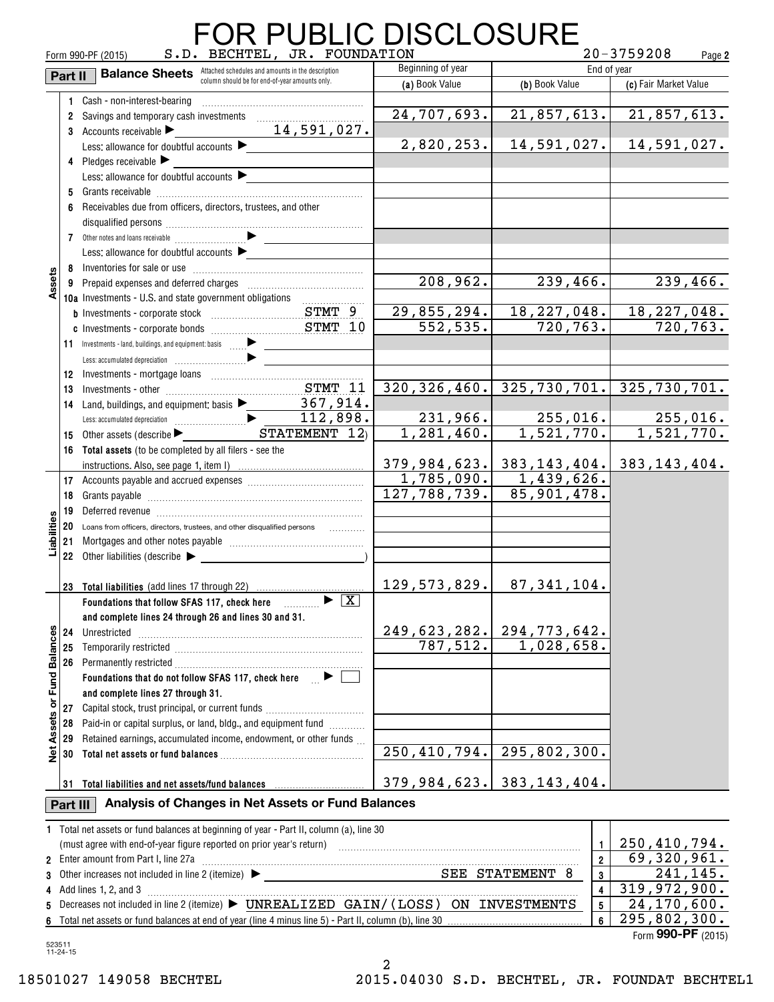|                 | R PUBLIC DISCLOSURE |                                                                                                                                                                                                                                |                                 |                         |                                                |  |  |  |
|-----------------|---------------------|--------------------------------------------------------------------------------------------------------------------------------------------------------------------------------------------------------------------------------|---------------------------------|-------------------------|------------------------------------------------|--|--|--|
|                 |                     | S.D. BECHTEL, JR. FOUNDATION<br>Form 990-PF (2015)                                                                                                                                                                             |                                 |                         | $20 - 3759208$<br>Page 2                       |  |  |  |
|                 | Part II             | <b>Balance Sheets</b> Attached schedules and amounts in the description<br>column should be for end-of-year amounts only.                                                                                                      | Beginning of year               |                         | End of year                                    |  |  |  |
|                 |                     |                                                                                                                                                                                                                                | (a) Book Value                  | (b) Book Value          | (c) Fair Market Value                          |  |  |  |
|                 |                     | 1 Cash - non-interest-bearing                                                                                                                                                                                                  |                                 |                         |                                                |  |  |  |
|                 | $\mathbf{2}$        | Savings and temporary cash investments                                                                                                                                                                                         | 24,707,693.                     |                         | $21,857,613.$ 21,857,613.                      |  |  |  |
|                 |                     | 3 Accounts receivable <b>Constitution</b> 24, 591, 027.                                                                                                                                                                        |                                 |                         |                                                |  |  |  |
|                 |                     | Less: allowance for doubtful accounts                                                                                                                                                                                          | 2,820,253.                      | 14,591,027.             | 14,591,027.                                    |  |  |  |
|                 |                     | 4 Pledges receivable                                                                                                                                                                                                           |                                 |                         |                                                |  |  |  |
|                 |                     | Less: allowance for doubtful accounts                                                                                                                                                                                          |                                 |                         |                                                |  |  |  |
|                 |                     |                                                                                                                                                                                                                                |                                 |                         |                                                |  |  |  |
|                 | 6                   | Receivables due from officers, directors, trustees, and other                                                                                                                                                                  |                                 |                         |                                                |  |  |  |
|                 |                     |                                                                                                                                                                                                                                |                                 |                         |                                                |  |  |  |
|                 |                     |                                                                                                                                                                                                                                |                                 |                         |                                                |  |  |  |
|                 |                     | Less: allowance for doubtful accounts                                                                                                                                                                                          |                                 |                         |                                                |  |  |  |
|                 |                     |                                                                                                                                                                                                                                |                                 |                         |                                                |  |  |  |
| Assets          |                     |                                                                                                                                                                                                                                | 208,962.                        | 239,466.                | 239,466.                                       |  |  |  |
|                 |                     | 10a Investments - U.S. and state government obligations                                                                                                                                                                        |                                 |                         |                                                |  |  |  |
|                 |                     |                                                                                                                                                                                                                                | 29,855,294.                     | 18, 227, 048.           | 18, 227, 048.                                  |  |  |  |
|                 |                     |                                                                                                                                                                                                                                | 552,535.                        | 720,763.                | 720, 763.                                      |  |  |  |
|                 |                     |                                                                                                                                                                                                                                |                                 |                         |                                                |  |  |  |
|                 |                     |                                                                                                                                                                                                                                |                                 |                         |                                                |  |  |  |
|                 |                     |                                                                                                                                                                                                                                |                                 |                         |                                                |  |  |  |
|                 |                     | 12 Investments - mortgage loans<br>13 Investments - other<br>2.11 Investments - other                                                                                                                                          |                                 |                         | $320, 326, 460.$ 325, 730, 701. 325, 730, 701. |  |  |  |
|                 | 14                  |                                                                                                                                                                                                                                |                                 |                         |                                                |  |  |  |
|                 |                     |                                                                                                                                                                                                                                |                                 |                         | $231,966.$ $255,016.$ $255,016.$               |  |  |  |
|                 |                     | 15 Other assets (describe $\blacktriangleright$ $\blacksquare$ STATEMENT $\boxed{12}$ )                                                                                                                                        | 1,281,460.                      | 1,521,770.              | 1,521,770.                                     |  |  |  |
|                 |                     | 16 Total assets (to be completed by all filers - see the                                                                                                                                                                       |                                 |                         |                                                |  |  |  |
|                 |                     |                                                                                                                                                                                                                                |                                 |                         | $379, 984, 623.$ 383, 143, 404. 383, 143, 404. |  |  |  |
|                 |                     |                                                                                                                                                                                                                                |                                 | $1,785,090.$ 1,439,626. |                                                |  |  |  |
|                 | 18                  |                                                                                                                                                                                                                                | 127,788,739.                    | 85,901,478.             |                                                |  |  |  |
|                 | 19                  | Deferred revenue information and contact the contract of the contract of the Deferred revenue in the Deferred R                                                                                                                |                                 |                         |                                                |  |  |  |
| Liabilities     | 20                  | Loans from officers, directors, trustees, and other disqualified persons                                                                                                                                                       |                                 |                         |                                                |  |  |  |
|                 | 21                  |                                                                                                                                                                                                                                |                                 |                         |                                                |  |  |  |
|                 |                     | 22 Other liabilities (describe $\blacktriangleright$                                                                                                                                                                           |                                 |                         |                                                |  |  |  |
|                 |                     |                                                                                                                                                                                                                                |                                 |                         |                                                |  |  |  |
|                 |                     | 23 Total liabilities (add lines 17 through 22)                                                                                                                                                                                 | 129, 573, 829.                  | 87,341,104.             |                                                |  |  |  |
|                 |                     | $\blacktriangleright$ $\boxed{X}$<br>Foundations that follow SFAS 117, check here                                                                                                                                              |                                 |                         |                                                |  |  |  |
|                 |                     | and complete lines 24 through 26 and lines 30 and 31.                                                                                                                                                                          |                                 |                         |                                                |  |  |  |
|                 | 24                  |                                                                                                                                                                                                                                | $249,623,282.$ 294, 773, 642.   |                         |                                                |  |  |  |
|                 | 25                  |                                                                                                                                                                                                                                |                                 | $787,512.$ 1,028,658.   |                                                |  |  |  |
| <b>Balances</b> |                     |                                                                                                                                                                                                                                |                                 |                         |                                                |  |  |  |
|                 |                     | Foundations that do not follow SFAS 117, check here $\Box$ $\blacktriangleright$ [                                                                                                                                             |                                 |                         |                                                |  |  |  |
| Fundl           |                     | and complete lines 27 through 31.                                                                                                                                                                                              |                                 |                         |                                                |  |  |  |
| ৯               | 27                  | Capital stock, trust principal, or current funds                                                                                                                                                                               |                                 |                         |                                                |  |  |  |
|                 | 28                  | Paid-in or capital surplus, or land, bldg., and equipment fund                                                                                                                                                                 |                                 |                         |                                                |  |  |  |
| Assets          | 29                  | Retained earnings, accumulated income, endowment, or other funds                                                                                                                                                               |                                 |                         |                                                |  |  |  |
| $\frac{1}{2}$   | 30                  |                                                                                                                                                                                                                                | 250, 410, 794.   295, 802, 300. |                         |                                                |  |  |  |
|                 |                     |                                                                                                                                                                                                                                |                                 |                         |                                                |  |  |  |
|                 |                     | 31 Total liabilities and net assets/fund balances manufactured and results of the set of the set of the set of the set of the set of the set of the set of the set of the set of the set of the set of the set of the set of t | $379,984,623.$ 383,143,404.     |                         |                                                |  |  |  |
|                 | Part III            | Analysis of Changes in Net Assets or Fund Balances                                                                                                                                                                             |                                 |                         |                                                |  |  |  |
|                 |                     | 1 Total net assets or fund balances at beginning of year - Part II, column (a), line 30                                                                                                                                        |                                 |                         |                                                |  |  |  |
|                 |                     | (must agree with end-of-year figure reported on prior year's return) (mass accommodation and agree with end-of-year figure reported on prior year's return)                                                                    |                                 | 1                       | 250,410,794.                                   |  |  |  |
|                 |                     | 2 Enter amount from Part I, line 27a [11] manufacture manufacture manufacture manufacture manufacture manufacture                                                                                                              |                                 | $\overline{2}$          | 69,320,961.                                    |  |  |  |
| 3               |                     |                                                                                                                                                                                                                                |                                 | 3                       | 241, 145.                                      |  |  |  |
| 4               |                     | Add lines 1, 2, and 3                                                                                                                                                                                                          |                                 | 4                       | 319,972,900.                                   |  |  |  |
| 5               |                     | Decreases not included in line 2 (itemize) ▶ UNREALIZED GAIN/(LOSS) ON INVESTMENTS                                                                                                                                             |                                 | 5                       | 24,170,600.                                    |  |  |  |
|                 |                     |                                                                                                                                                                                                                                |                                 | 6                       | $\overline{295}$ , 802, 300.                   |  |  |  |

#### **4**Add lines 1, 2, and 3 ~~~~~~~~~~~~~~~~~~~~~~~~~~~~~~~~~~~~~~~~~~~~~~~~ $\mathbf s$  Decreases not included in line 2 (itemize)  $\blacktriangleright$   $\textbf{UNREALIZED}$   $\textbf{GAN}/$  (  $\text{LOSS}$  )  $\textbf{ ON}$   $\textbf{ INVESTMENTS}$ **456**Total net assets or fund balances at end of year (line 4 minus line 5) - Part II, column (b), line 30 Other increases not included in line 2 (itemize) 319,972,900. 24,170,600. 295,802,300.

Form (2015) **990-PF**

523511 11-24-15

18501027 149058 BECHTEL 2015.04030 S.D. BECHTEL, JR. FOUNDAT BECHTEL1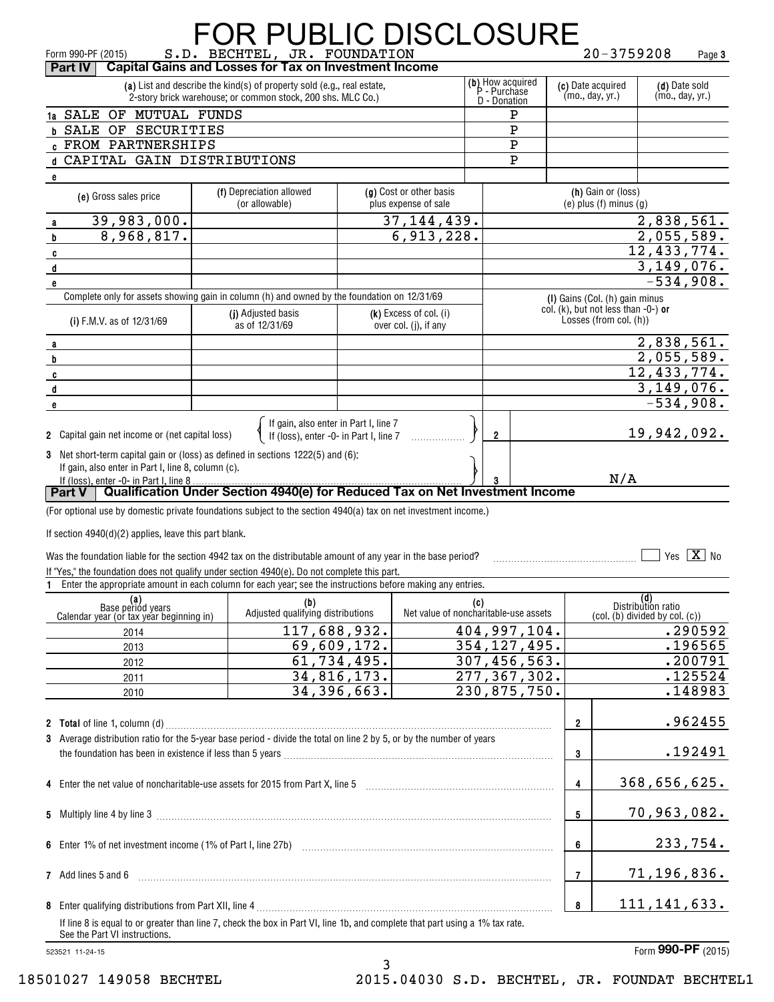|  |                                                                                                                                                                       | <b>FOR PUBLIC DISCLOSURE</b>                                                                                                 |                              |                                       |             |                                                  |                |                                                               |                             |        |
|--|-----------------------------------------------------------------------------------------------------------------------------------------------------------------------|------------------------------------------------------------------------------------------------------------------------------|------------------------------|---------------------------------------|-------------|--------------------------------------------------|----------------|---------------------------------------------------------------|-----------------------------|--------|
|  | Form 990-PF (2015)<br>Part IV                                                                                                                                         | S.D. BECHTEL, JR. FOUNDATION<br><b>Capital Gains and Losses for Tax on Investment Income</b>                                 |                              |                                       |             |                                                  |                | $20 - 3759208$                                                |                             | Page 3 |
|  |                                                                                                                                                                       | (a) List and describe the kind(s) of property sold (e.g., real estate,                                                       |                              |                                       |             |                                                  |                | (c) Date acquired                                             | (d) Date sold               |        |
|  |                                                                                                                                                                       | 2-story brick warehouse; or common stock, 200 shs. MLC Co.)                                                                  |                              |                                       |             | (b) How acquired<br>P - Purchase<br>D - Donation |                | (mo., day, yr.)                                               | (mo., day, yr.)             |        |
|  | 1a SALE OF MUTUAL FUNDS                                                                                                                                               |                                                                                                                              |                              |                                       |             | Р                                                |                |                                                               |                             |        |
|  | <b>b SALE OF SECURITIES</b>                                                                                                                                           |                                                                                                                              |                              |                                       |             | Р                                                |                |                                                               |                             |        |
|  | <b>C FROM PARTNERSHIPS</b>                                                                                                                                            |                                                                                                                              |                              |                                       |             | Ρ                                                |                |                                                               |                             |        |
|  | d CAPITAL GAIN DISTRIBUTIONS                                                                                                                                          |                                                                                                                              |                              |                                       |             | P                                                |                |                                                               |                             |        |
|  | e                                                                                                                                                                     | (f) Depreciation allowed                                                                                                     |                              | (g) Cost or other basis               |             |                                                  |                | (h) Gain or (loss)                                            |                             |        |
|  | (e) Gross sales price                                                                                                                                                 | (or allowable)                                                                                                               |                              | plus expense of sale                  |             |                                                  |                | $(e)$ plus $(f)$ minus $(g)$                                  |                             |        |
|  | 39,983,000.<br>a                                                                                                                                                      |                                                                                                                              |                              | 37, 144, 439.                         |             |                                                  |                |                                                               | 2,838,561.                  |        |
|  | 8,968,817.<br>b                                                                                                                                                       |                                                                                                                              |                              | 6,913,228.                            |             |                                                  |                |                                                               | 2,055,589.                  |        |
|  | C                                                                                                                                                                     |                                                                                                                              |                              |                                       |             |                                                  |                |                                                               | 12,433,774.                 |        |
|  | d                                                                                                                                                                     |                                                                                                                              |                              |                                       |             |                                                  |                |                                                               | 3,149,076.<br>$-534,908.$   |        |
|  | e                                                                                                                                                                     | Complete only for assets showing gain in column (h) and owned by the foundation on 12/31/69                                  |                              |                                       |             |                                                  |                | (I) Gains (Col. (h) gain minus                                |                             |        |
|  |                                                                                                                                                                       | (j) Adjusted basis                                                                                                           |                              | (k) Excess of col. (i)                |             |                                                  |                | col. $(k)$ , but not less than -0-) or                        |                             |        |
|  | (i) F.M.V. as of 12/31/69                                                                                                                                             | as of 12/31/69                                                                                                               |                              | over col. (j), if any                 |             |                                                  |                | Losses (from col. (h))                                        |                             |        |
|  | a                                                                                                                                                                     |                                                                                                                              |                              |                                       |             |                                                  |                |                                                               | 2,838,561.                  |        |
|  | b                                                                                                                                                                     |                                                                                                                              |                              |                                       |             |                                                  |                |                                                               | 2,055,589.                  |        |
|  | C                                                                                                                                                                     |                                                                                                                              |                              |                                       |             |                                                  |                |                                                               | 12,433,774.                 |        |
|  | d                                                                                                                                                                     |                                                                                                                              |                              |                                       |             |                                                  |                |                                                               | 3,149,076.<br>$-534,908.$   |        |
|  | e                                                                                                                                                                     |                                                                                                                              |                              |                                       |             |                                                  |                |                                                               |                             |        |
|  | 2 Capital gain net income or (net capital loss)                                                                                                                       | If gain, also enter in Part I, line 7<br>If (loss), enter -0- in Part I, line 7                                              |                              |                                       |             | 2                                                |                |                                                               | 19,942,092.                 |        |
|  | 3 Net short-term capital gain or (loss) as defined in sections 1222(5) and (6):<br>If gain, also enter in Part I, line 8, column (c).                                 |                                                                                                                              |                              |                                       |             |                                                  |                |                                                               |                             |        |
|  | If (loss), enter -0- in Part I, line 8                                                                                                                                |                                                                                                                              |                              |                                       |             |                                                  |                | N/A                                                           |                             |        |
|  | Part V                                                                                                                                                                | Qualification Under Section 4940(e) for Reduced Tax on Net Investment Income                                                 |                              |                                       |             |                                                  |                |                                                               |                             |        |
|  | (For optional use by domestic private foundations subject to the section 4940(a) tax on net investment income.)                                                       |                                                                                                                              |                              |                                       |             |                                                  |                |                                                               |                             |        |
|  | If section $4940(d)(2)$ applies, leave this part blank.                                                                                                               |                                                                                                                              |                              |                                       |             |                                                  |                |                                                               |                             |        |
|  | Was the foundation liable for the section 4942 tax on the distributable amount of any year in the base period?                                                        |                                                                                                                              |                              |                                       |             |                                                  |                |                                                               | Yes $\boxed{\mathbf{X}}$ No |        |
|  | If "Yes," the foundation does not qualify under section 4940(e). Do not complete this part.                                                                           |                                                                                                                              |                              |                                       |             |                                                  |                |                                                               |                             |        |
|  |                                                                                                                                                                       | Enter the appropriate amount in each column for each year; see the instructions before making any entries.                   |                              |                                       |             |                                                  |                |                                                               |                             |        |
|  | (a)<br>Base period years<br>Calendar year (or tax year beginning in)                                                                                                  | (b)<br>Adjusted qualifying distributions                                                                                     |                              | Net value of noncharitable-use assets | (c)         |                                                  |                | $(d)$<br>Distribution ratio<br>(col. (b) divided by col. (c)) |                             |        |
|  | 2014                                                                                                                                                                  |                                                                                                                              | 117,688,932.                 |                                       |             | 404,997,104.                                     |                |                                                               | .290592                     |        |
|  | 2013                                                                                                                                                                  |                                                                                                                              | 69,609,172.                  |                                       |             | 354, 127, 495.                                   |                |                                                               | .196565                     |        |
|  | 2012                                                                                                                                                                  |                                                                                                                              | 61,734,495.                  |                                       |             | $\overline{307, 456, 563}$ .                     |                |                                                               | .200791                     |        |
|  | 2011                                                                                                                                                                  |                                                                                                                              | 34,816,173.<br>34, 396, 663. |                                       |             | 277, 367, 302.<br>230,875,750.                   |                |                                                               | .125524<br>.148983          |        |
|  | 2010                                                                                                                                                                  |                                                                                                                              |                              |                                       |             |                                                  |                |                                                               |                             |        |
|  |                                                                                                                                                                       |                                                                                                                              |                              |                                       |             |                                                  | $\mathbf{2}$   |                                                               | .962455                     |        |
|  | 3 Average distribution ratio for the 5-year base period - divide the total on line 2 by 5, or by the number of years                                                  |                                                                                                                              |                              |                                       |             |                                                  |                |                                                               |                             |        |
|  |                                                                                                                                                                       | the foundation has been in existence if less than 5 years [11,111] and the foundation has been in existence if               |                              |                                       |             |                                                  | 3              |                                                               | .192491                     |        |
|  | 4 Enter the net value of noncharitable-use assets for 2015 from Part X, line 5 [11] [12] Enter the net value of noncharitable-use assets for 2015 from Part X, line 5 |                                                                                                                              |                              |                                       |             |                                                  | 4              |                                                               | 368,656,625.                |        |
|  |                                                                                                                                                                       |                                                                                                                              |                              |                                       | 70,963,082. |                                                  |                |                                                               |                             |        |
|  |                                                                                                                                                                       |                                                                                                                              | 5                            |                                       |             |                                                  |                |                                                               |                             |        |
|  |                                                                                                                                                                       |                                                                                                                              |                              |                                       |             |                                                  | 6              |                                                               | 233,754.                    |        |
|  | 7 Add lines 5 and 6                                                                                                                                                   |                                                                                                                              |                              |                                       |             |                                                  | $\overline{7}$ |                                                               | 71,196,836.                 |        |
|  |                                                                                                                                                                       |                                                                                                                              |                              |                                       |             |                                                  | 8              |                                                               | 111, 141, 633.              |        |
|  | See the Part VI instructions.                                                                                                                                         | If line 8 is equal to or greater than line 7, check the box in Part VI, line 1b, and complete that part using a 1% tax rate. |                              |                                       |             |                                                  |                |                                                               |                             |        |

523521 11-24-15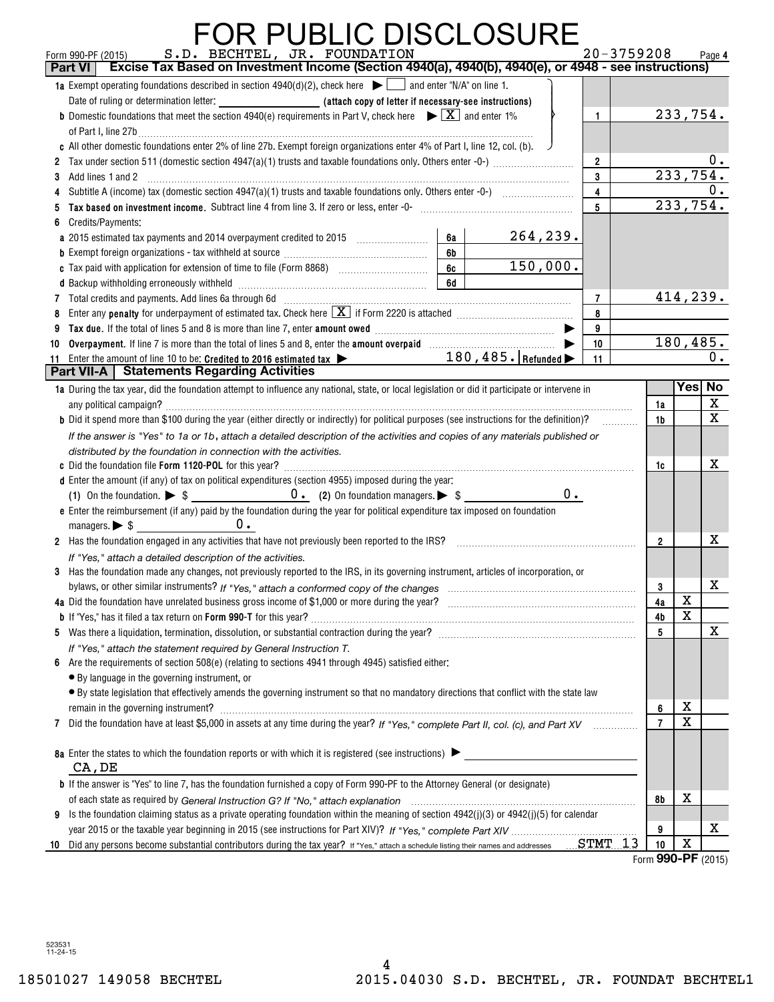#### FOR PUBLIC DISCLOSURE

|    | S.D. BECHTEL, JR. FOUNDATION<br>$20 - 3759208$<br>Form 990-PF (2015)<br>Excise Tax Based on Investment Income (Section 4940(a), 4940(b), 4940(e), or 4948 - see instructions)<br>Part VI |                |                        | Page 4                  |
|----|------------------------------------------------------------------------------------------------------------------------------------------------------------------------------------------|----------------|------------------------|-------------------------|
|    | 1a Exempt operating foundations described in section $4940(d)(2)$ , check here $\blacktriangleright \Box$ and enter "N/A" on line 1.                                                     |                |                        |                         |
|    |                                                                                                                                                                                          |                | 233,754.               |                         |
|    | <b>b</b> Domestic foundations that meet the section 4940(e) requirements in Part V, check here $\blacktriangleright \boxed{X}$ and enter 1%<br>$\mathbf{1}$                              |                |                        |                         |
|    | of Part I, line 27b $\ldots$<br>c All other domestic foundations enter 2% of line 27b. Exempt foreign organizations enter 4% of Part I, line 12, col. (b).                               |                |                        |                         |
|    | $\overline{2}$                                                                                                                                                                           |                |                        | 0.                      |
|    | 3<br>3 Add lines 1 and 2                                                                                                                                                                 |                | $2\overline{33,754}$ . |                         |
|    | $\overline{\mathbf{4}}$                                                                                                                                                                  |                |                        |                         |
| 5  | $5\overline{)}$<br>Tax based on investment income. Subtract line 4 from line 3. If zero or less, enter -0- manufactured contains and contained to a subset of the Massed on investment.  |                | $2\overline{33,754}$ . |                         |
| 6  | Credits/Payments:                                                                                                                                                                        |                |                        |                         |
|    | 264,239.<br>6a                                                                                                                                                                           |                |                        |                         |
|    | 6b                                                                                                                                                                                       |                |                        |                         |
|    | 150,000.<br>6c                                                                                                                                                                           |                |                        |                         |
|    | 6d                                                                                                                                                                                       |                |                        |                         |
|    | 7 Total credits and payments. Add lines 6a through 6d [11] [11] Total Conservation material credits and payments. Add lines 6a through 6d<br>$\overline{7}$                              |                | 414, 239.              |                         |
|    | 8 Enter any penalty for underpayment of estimated tax. Check here $\boxed{\mathbf{X}}$ if Form 2220 is attached $\boxed{\mathbf{X}}$<br>8                                                |                |                        |                         |
| 9  | 9                                                                                                                                                                                        |                |                        |                         |
|    | 10                                                                                                                                                                                       |                | 180, 485.              |                         |
|    | 11 Enter the amount of line 10 to be: Credited to 2016 estimated tax > 180, 485. Refunded<br>11                                                                                          |                |                        | 0.                      |
|    | <b>Part VII-A   Statements Regarding Activities</b>                                                                                                                                      |                |                        |                         |
|    | 1a During the tax year, did the foundation attempt to influence any national, state, or local legislation or did it participate or intervene in                                          |                | Yes No                 |                         |
|    |                                                                                                                                                                                          | 1a             |                        | X                       |
|    | <b>b</b> Did it spend more than \$100 during the year (either directly or indirectly) for political purposes (see instructions for the definition)?                                      | 1b             |                        | $\overline{\mathbf{x}}$ |
|    | If the answer is "Yes" to 1a or 1b, attach a detailed description of the activities and copies of any materials published or                                                             |                |                        |                         |
|    | distributed by the foundation in connection with the activities.                                                                                                                         |                |                        |                         |
|    |                                                                                                                                                                                          | 1c             |                        | X                       |
|    | d Enter the amount (if any) of tax on political expenditures (section 4955) imposed during the year:                                                                                     |                |                        |                         |
|    | $0$ .                                                                                                                                                                                    |                |                        |                         |
|    | e Enter the reimbursement (if any) paid by the foundation during the year for political expenditure tax imposed on foundation                                                            |                |                        |                         |
|    | $0$ .                                                                                                                                                                                    |                |                        |                         |
|    | 2 Has the foundation engaged in any activities that have not previously been reported to the IRS?                                                                                        | $\overline{2}$ |                        | X                       |
|    | If "Yes," attach a detailed description of the activities.                                                                                                                               |                |                        |                         |
|    | 3 Has the foundation made any changes, not previously reported to the IRS, in its governing instrument, articles of incorporation, or                                                    |                |                        | X                       |
|    | bylaws, or other similar instruments? If "Yes," attach a conformed copy of the changes                                                                                                   | 3              | X                      |                         |
|    | 4a Did the foundation have unrelated business gross income of \$1,000 or more during the year?<br>b If "Yes," has it filed a tax return on Form 990-T for this year?                     | 4a             | X                      |                         |
|    |                                                                                                                                                                                          | 4b<br>5        |                        | $\mathbf X$             |
|    |                                                                                                                                                                                          |                |                        |                         |
|    | If "Yes," attach the statement required by General Instruction T.<br>6 Are the requirements of section 508(e) (relating to sections 4941 through 4945) satisfied either:                 |                |                        |                         |
|    | • By language in the governing instrument, or                                                                                                                                            |                |                        |                         |
|    | • By state legislation that effectively amends the governing instrument so that no mandatory directions that conflict with the state law                                                 |                |                        |                         |
|    | remain in the governing instrument?                                                                                                                                                      | 6              | X                      |                         |
|    | 7 Did the foundation have at least \$5,000 in assets at any time during the year? If "Yes," complete Part II, col. (c), and Part XV                                                      | $\overline{7}$ | $\mathbf X$            |                         |
|    |                                                                                                                                                                                          |                |                        |                         |
|    | 8a Enter the states to which the foundation reports or with which it is registered (see instructions)                                                                                    |                |                        |                         |
|    | CA, DE                                                                                                                                                                                   |                |                        |                         |
|    | <b>b</b> If the answer is "Yes" to line 7, has the foundation furnished a copy of Form 990-PF to the Attorney General (or designate)                                                     |                |                        |                         |
|    |                                                                                                                                                                                          | 8b             | х                      |                         |
|    | 9 Is the foundation claiming status as a private operating foundation within the meaning of section $4942(j)(3)$ or $4942(j)(5)$ for calendar                                            |                |                        |                         |
|    |                                                                                                                                                                                          | 9              |                        | X                       |
| 10 | Did any persons become substantial contributors during the tax year? If "Yes," attach a schedule listing their names and addresses  STMT<br>13                                           | 10             | X<br>000 DE            |                         |

Form (2015) **990-PF**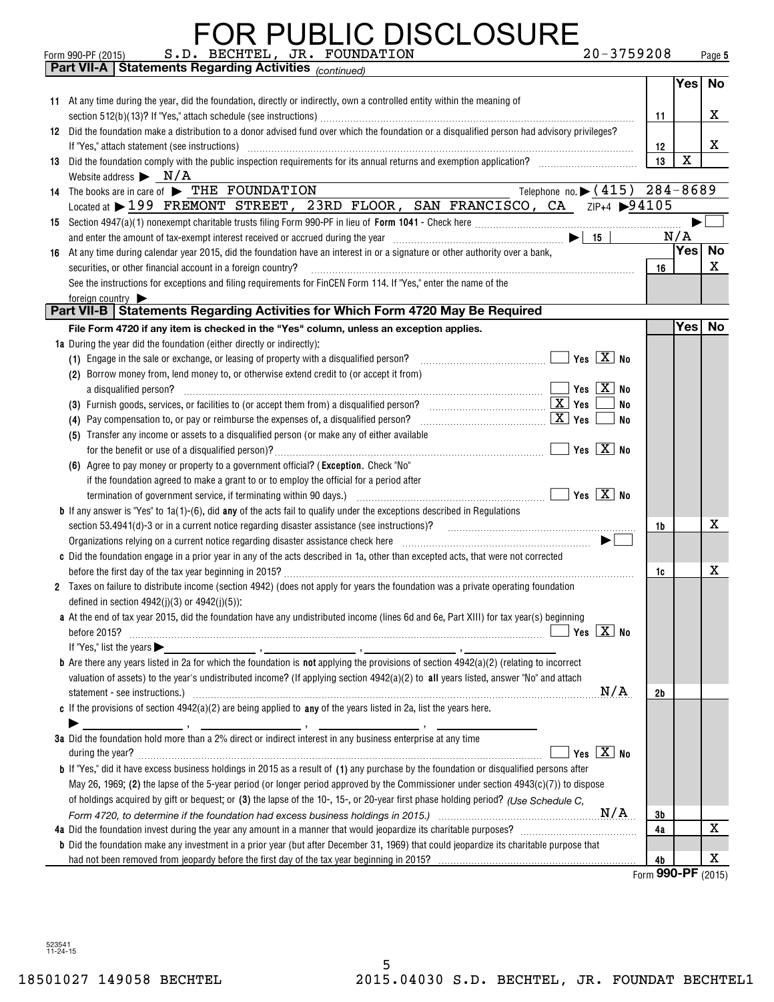|    | <b>FOR PUBLIC DISCLOSURE</b>                                                                                                                                                                                                                               |                    |                  |           |
|----|------------------------------------------------------------------------------------------------------------------------------------------------------------------------------------------------------------------------------------------------------------|--------------------|------------------|-----------|
|    | S.D. BECHTEL, JR. FOUNDATION<br>20-3759208<br>Form 990-PF (2015)<br><b>Part VII-A   Statements Regarding Activities (continued)</b>                                                                                                                        |                    |                  | Page 5    |
|    |                                                                                                                                                                                                                                                            |                    | Yes <sup> </sup> | <b>No</b> |
|    |                                                                                                                                                                                                                                                            |                    |                  |           |
|    | 11 At any time during the year, did the foundation, directly or indirectly, own a controlled entity within the meaning of                                                                                                                                  | 11                 |                  | x         |
|    | 12 Did the foundation make a distribution to a donor advised fund over which the foundation or a disqualified person had advisory privileges?                                                                                                              |                    |                  |           |
|    |                                                                                                                                                                                                                                                            | 12                 |                  | x         |
| 13 | Did the foundation comply with the public inspection requirements for its annual returns and exemption application?                                                                                                                                        | 13                 | X                |           |
|    | Website address $\triangleright$ N/A                                                                                                                                                                                                                       |                    |                  |           |
|    | Telephone no. $\triangleright$ (415) $\overline{284-8689}$<br>14 The books are in care of FIHE FOUNDATION                                                                                                                                                  |                    |                  |           |
|    | Located at > 199 FREMONT STREET, 23RD FLOOR, SAN FRANCISCO, CA ZIP+4 > 94105                                                                                                                                                                               |                    |                  |           |
|    |                                                                                                                                                                                                                                                            |                    |                  |           |
|    | and enter the amount of tax-exempt interest received or accrued during the year $\ldots$ $\ldots$ $\ldots$ $\ldots$ $\ldots$ $\ldots$ $\ldots$ $\ldots$ $\ldots$ $\ldots$ $\ldots$ $\ldots$                                                                |                    | N/A              |           |
| 16 | At any time during calendar year 2015, did the foundation have an interest in or a signature or other authority over a bank,                                                                                                                               |                    | Yes              | <b>No</b> |
|    | securities, or other financial account in a foreign country?                                                                                                                                                                                               | 16                 |                  | х         |
|    | See the instructions for exceptions and filing requirements for FinCEN Form 114. If "Yes," enter the name of the                                                                                                                                           |                    |                  |           |
|    | foreign country                                                                                                                                                                                                                                            |                    |                  |           |
|    | Part VII-B   Statements Regarding Activities for Which Form 4720 May Be Required                                                                                                                                                                           |                    |                  |           |
|    | File Form 4720 if any item is checked in the "Yes" column, unless an exception applies.                                                                                                                                                                    |                    | Yes              | No        |
|    | 1a During the year did the foundation (either directly or indirectly):                                                                                                                                                                                     |                    |                  |           |
|    | (1) Engage in the sale or exchange, or leasing of property with a disqualified person?                                                                                                                                                                     |                    |                  |           |
|    | (2) Borrow money from, lend money to, or otherwise extend credit to (or accept it from)                                                                                                                                                                    |                    |                  |           |
|    | $\blacksquare$ Yes $\lceil$ $\text{X}\rceil$ No<br>a disqualified person?                                                                                                                                                                                  |                    |                  |           |
|    | No                                                                                                                                                                                                                                                         |                    |                  |           |
|    | (4) Pay compensation to, or pay or reimburse the expenses of, a disqualified person? $\ldots$ $\ldots$ $\ldots$ $\ldots$ $\ldots$ $\ldots$ $\ldots$ $\ldots$ $\ldots$ $\ldots$ $\ldots$ $\ldots$ $\ldots$ $\ldots$ $\ldots$<br>No                          |                    |                  |           |
|    | (5) Transfer any income or assets to a disqualified person (or make any of either available                                                                                                                                                                |                    |                  |           |
|    | $\blacksquare$ Yes $\lceil$ $\text{X}\rceil$ No                                                                                                                                                                                                            |                    |                  |           |
|    | (6) Agree to pay money or property to a government official? (Exception. Check "No"                                                                                                                                                                        |                    |                  |           |
|    | if the foundation agreed to make a grant to or to employ the official for a period after                                                                                                                                                                   |                    |                  |           |
|    |                                                                                                                                                                                                                                                            |                    |                  |           |
|    | <b>b</b> If any answer is "Yes" to $1a(1)$ -(6), did any of the acts fail to qualify under the exceptions described in Regulations                                                                                                                         | 1b                 |                  | х         |
|    | Organizations relying on a current notice regarding disaster assistance check here <i>manufactions</i> contained the settlement of $\blacktriangleright$                                                                                                   |                    |                  |           |
|    | c Did the foundation engage in a prior year in any of the acts described in 1a, other than excepted acts, that were not corrected                                                                                                                          |                    |                  |           |
|    |                                                                                                                                                                                                                                                            | 1c                 |                  | х         |
|    | 2 Taxes on failure to distribute income (section 4942) (does not apply for years the foundation was a private operating foundation                                                                                                                         |                    |                  |           |
|    | defined in section $4942(i)(3)$ or $4942(i)(5)$ :                                                                                                                                                                                                          |                    |                  |           |
|    | a At the end of tax year 2015, did the foundation have any undistributed income (lines 6d and 6e, Part XIII) for tax year(s) beginning                                                                                                                     |                    |                  |           |
|    |                                                                                                                                                                                                                                                            |                    |                  |           |
|    |                                                                                                                                                                                                                                                            |                    |                  |           |
|    | <b>b</b> Are there any years listed in 2a for which the foundation is <b>not</b> applying the provisions of section $4942(a)(2)$ (relating to incorrect                                                                                                    |                    |                  |           |
|    | valuation of assets) to the year's undistributed income? (If applying section 4942(a)(2) to all years listed, answer "No" and attach                                                                                                                       |                    |                  |           |
|    | N/A                                                                                                                                                                                                                                                        | 2b                 |                  |           |
|    | c If the provisions of section $4942(a)(2)$ are being applied to any of the years listed in 2a, list the years here.                                                                                                                                       |                    |                  |           |
|    |                                                                                                                                                                                                                                                            |                    |                  |           |
|    | 3a Did the foundation hold more than a 2% direct or indirect interest in any business enterprise at any time                                                                                                                                               |                    |                  |           |
|    | Yes $\boxed{X}$ No<br>during the year? <b>contract the contract of the contract of the contract of the contract of the contract of the contract of the contract of the contract of the contract of the contract of the contract of the contract of the</b> |                    |                  |           |
|    | <b>b</b> If "Yes," did it have excess business holdings in 2015 as a result of (1) any purchase by the foundation or disqualified persons after                                                                                                            |                    |                  |           |
|    | May 26, 1969; (2) the lapse of the 5-year period (or longer period approved by the Commissioner under section $4943(c)(7)$ ) to dispose                                                                                                                    |                    |                  |           |
|    | of holdings acquired by gift or bequest; or (3) the lapse of the 10-, 15-, or 20-year first phase holding period? (Use Schedule C.                                                                                                                         |                    |                  |           |
|    |                                                                                                                                                                                                                                                            | 3b                 |                  |           |
|    |                                                                                                                                                                                                                                                            | 4a                 |                  | X         |
|    | <b>b</b> Did the foundation make any investment in a prior year (but after December 31, 1969) that could jeopardize its charitable purpose that                                                                                                            |                    |                  |           |
|    |                                                                                                                                                                                                                                                            | 4b                 |                  | х         |
|    |                                                                                                                                                                                                                                                            | Form 990-PF (2015) |                  |           |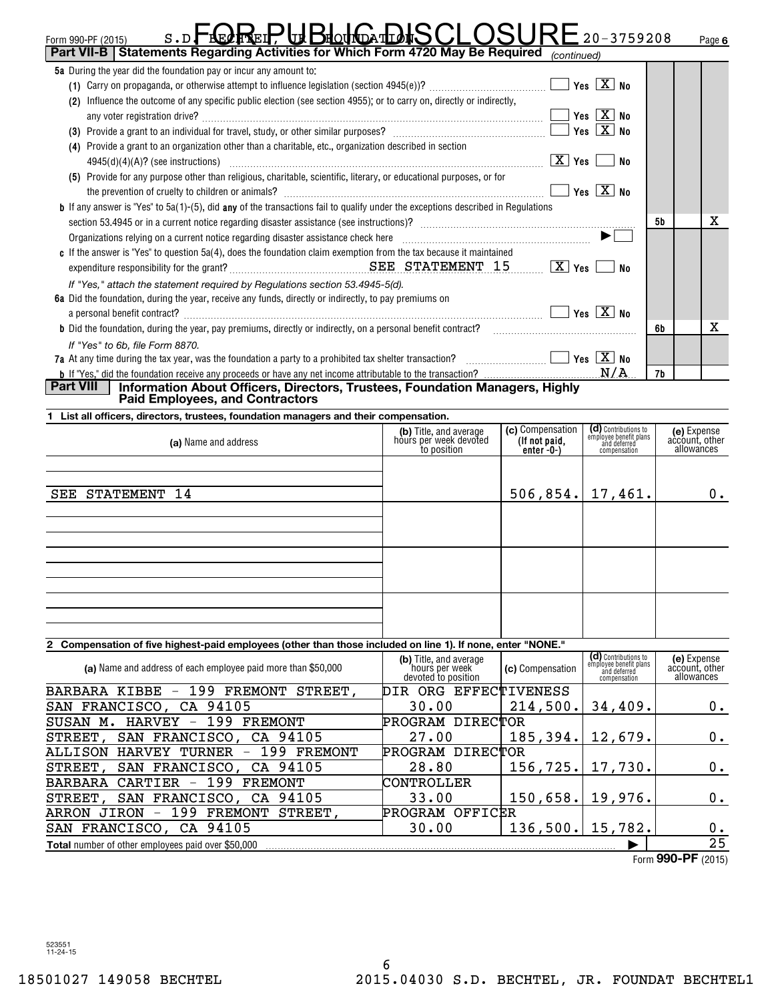| $S$ . D<br><b>DHOUNDATLO</b><br>Form 990-PF (2015)<br>Part VII-B   Statements Regarding Activities for Which Form 4720 May Be Required                |                                                                           |                                   | $20 - 3759208$                                                 | Page 6                                      |  |  |
|-------------------------------------------------------------------------------------------------------------------------------------------------------|---------------------------------------------------------------------------|-----------------------------------|----------------------------------------------------------------|---------------------------------------------|--|--|
| 5a During the year did the foundation pay or incur any amount to:                                                                                     |                                                                           | (continued)                       |                                                                |                                             |  |  |
|                                                                                                                                                       |                                                                           |                                   |                                                                |                                             |  |  |
| (2) Influence the outcome of any specific public election (see section 4955); or to carry on, directly or indirectly,                                 |                                                                           |                                   |                                                                |                                             |  |  |
|                                                                                                                                                       |                                                                           |                                   | Yes $\boxed{X}$ No                                             |                                             |  |  |
|                                                                                                                                                       |                                                                           |                                   |                                                                |                                             |  |  |
|                                                                                                                                                       |                                                                           |                                   |                                                                |                                             |  |  |
| (4) Provide a grant to an organization other than a charitable, etc., organization described in section                                               |                                                                           |                                   |                                                                |                                             |  |  |
|                                                                                                                                                       |                                                                           |                                   | No                                                             |                                             |  |  |
| (5) Provide for any purpose other than religious, charitable, scientific, literary, or educational purposes, or for                                   |                                                                           |                                   |                                                                |                                             |  |  |
|                                                                                                                                                       |                                                                           |                                   | $Yes \n \n  X \n  No$                                          |                                             |  |  |
| <b>b</b> If any answer is "Yes" to 5a(1)-(5), did any of the transactions fail to qualify under the exceptions described in Requlations               |                                                                           |                                   |                                                                |                                             |  |  |
|                                                                                                                                                       |                                                                           |                                   |                                                                | x<br>5b                                     |  |  |
| Organizations relying on a current notice regarding disaster assistance check here manufactured contains and the subsections of $\blacktriangleright$ |                                                                           |                                   |                                                                |                                             |  |  |
| c If the answer is "Yes" to question 5a(4), does the foundation claim exemption from the tax because it maintained                                    |                                                                           |                                   |                                                                |                                             |  |  |
|                                                                                                                                                       |                                                                           |                                   | No                                                             |                                             |  |  |
| If "Yes," attach the statement required by Regulations section 53.4945-5(d).                                                                          |                                                                           |                                   |                                                                |                                             |  |  |
| 6a Did the foundation, during the year, receive any funds, directly or indirectly, to pay premiums on                                                 |                                                                           |                                   |                                                                |                                             |  |  |
| a personal benefit contract? $\ldots$ No                                                                                                              |                                                                           |                                   |                                                                |                                             |  |  |
| <b>b</b> Did the foundation, during the year, pay premiums, directly or indirectly, on a personal benefit contract?                                   |                                                                           |                                   |                                                                | x<br>6b                                     |  |  |
| If "Yes" to 6b, file Form 8870.                                                                                                                       |                                                                           |                                   |                                                                |                                             |  |  |
| 7a At any time during the tax year, was the foundation a party to a prohibited tax shelter transaction? $\ldots$ $\ldots$ $\ldots$                    |                                                                           |                                   |                                                                |                                             |  |  |
|                                                                                                                                                       |                                                                           |                                   |                                                                | 7b                                          |  |  |
| Part VIII<br>Information About Officers, Directors, Trustees, Foundation Managers, Highly<br><b>Paid Employees, and Contractors</b>                   |                                                                           |                                   |                                                                |                                             |  |  |
| List all officers, directors, trustees, foundation managers and their compensation.                                                                   |                                                                           |                                   |                                                                |                                             |  |  |
|                                                                                                                                                       | (b) Title, and average<br>hours per week devoted                          | (c) Compensation<br>(If not paid, | (d) Contributions to<br>employee benefit plans<br>and deferred | (e) Expense<br>account, other               |  |  |
| (a) Name and address                                                                                                                                  | to position                                                               | `enter <sup>'</sup> -0-)          | compensation                                                   | allowances                                  |  |  |
|                                                                                                                                                       |                                                                           |                                   |                                                                |                                             |  |  |
|                                                                                                                                                       |                                                                           |                                   |                                                                |                                             |  |  |
| STATEMENT<br>-14<br>SEE                                                                                                                               |                                                                           | $506, 854.$   17,461.             |                                                                | 0.                                          |  |  |
|                                                                                                                                                       |                                                                           |                                   |                                                                |                                             |  |  |
|                                                                                                                                                       |                                                                           |                                   |                                                                |                                             |  |  |
|                                                                                                                                                       |                                                                           |                                   |                                                                |                                             |  |  |
|                                                                                                                                                       |                                                                           |                                   |                                                                |                                             |  |  |
|                                                                                                                                                       |                                                                           |                                   |                                                                |                                             |  |  |
|                                                                                                                                                       |                                                                           |                                   |                                                                |                                             |  |  |
|                                                                                                                                                       |                                                                           |                                   |                                                                |                                             |  |  |
|                                                                                                                                                       |                                                                           |                                   |                                                                |                                             |  |  |
|                                                                                                                                                       |                                                                           |                                   |                                                                |                                             |  |  |
| 2 Compensation of five highest-paid employees (other than those included on line 1). If none, enter "NONE."                                           |                                                                           |                                   |                                                                |                                             |  |  |
|                                                                                                                                                       | (b) Title, and average                                                    |                                   | (d) Contributions to<br>employee benefit plans                 |                                             |  |  |
| (a) Name and address of each employee paid more than \$50,000                                                                                         | hours per week<br>devoted to position                                     | (c) Compensation                  | and deferred                                                   | (e) Expense<br>account, other<br>allowances |  |  |
| BARBARA KIBBE - 199 FREMONT STREET,                                                                                                                   | DIR ORG EFFECTIVENESS                                                     |                                   | compensation                                                   |                                             |  |  |
| SAN FRANCISCO,<br>CA 94105                                                                                                                            | 30.00                                                                     | 214,500.                          | 34,409.                                                        | 0.                                          |  |  |
| 199 FREMONT<br>SUSAN M. HARVEY                                                                                                                        | PROGRAM DIRECTOR                                                          |                                   |                                                                |                                             |  |  |
|                                                                                                                                                       | 27.00                                                                     |                                   |                                                                |                                             |  |  |
| SAN FRANCISCO,<br>CA 94105<br><b>STREET</b>                                                                                                           |                                                                           | 185,394.                          | 12,679.                                                        | 0.                                          |  |  |
|                                                                                                                                                       | 199 FREMONT<br>PROGRAM DIRECTOR<br><b>ALLISON</b><br><b>HARVEY TURNER</b> |                                   |                                                                |                                             |  |  |
| 94105<br>SAN FRANCISCO,<br>CA<br>STREET,                                                                                                              | 28.80                                                                     | 156,725.                          | 17,730.                                                        | 0.                                          |  |  |
| 199 FREMONT<br><b>BARBARA</b><br>CARTIER<br>$\qquad \qquad -$                                                                                         | CONTROLLER                                                                |                                   |                                                                |                                             |  |  |
| SAN FRANCISCO,<br>CA 94105<br>STREET,                                                                                                                 | 33.00                                                                     | 150,658.                          | 19,976.                                                        | 0.                                          |  |  |
| 199<br><b>FREMONT</b><br>ARRON JIRON<br>STREET,<br>$\overline{\phantom{a}}$                                                                           | PROGRAM OFFICER                                                           |                                   |                                                                |                                             |  |  |
| 94105<br>SAN FRANCISCO,<br>CA                                                                                                                         | 30.00                                                                     | 136,500.                          | 15,782.                                                        | 0.                                          |  |  |
| <b>Total</b> number of other employees paid over \$50,000                                                                                             |                                                                           |                                   |                                                                | $\overline{25}$                             |  |  |
|                                                                                                                                                       |                                                                           |                                   |                                                                | $E_{\text{arm}}$ QQO_DF (2015)              |  |  |

Form (2015) **990-PF**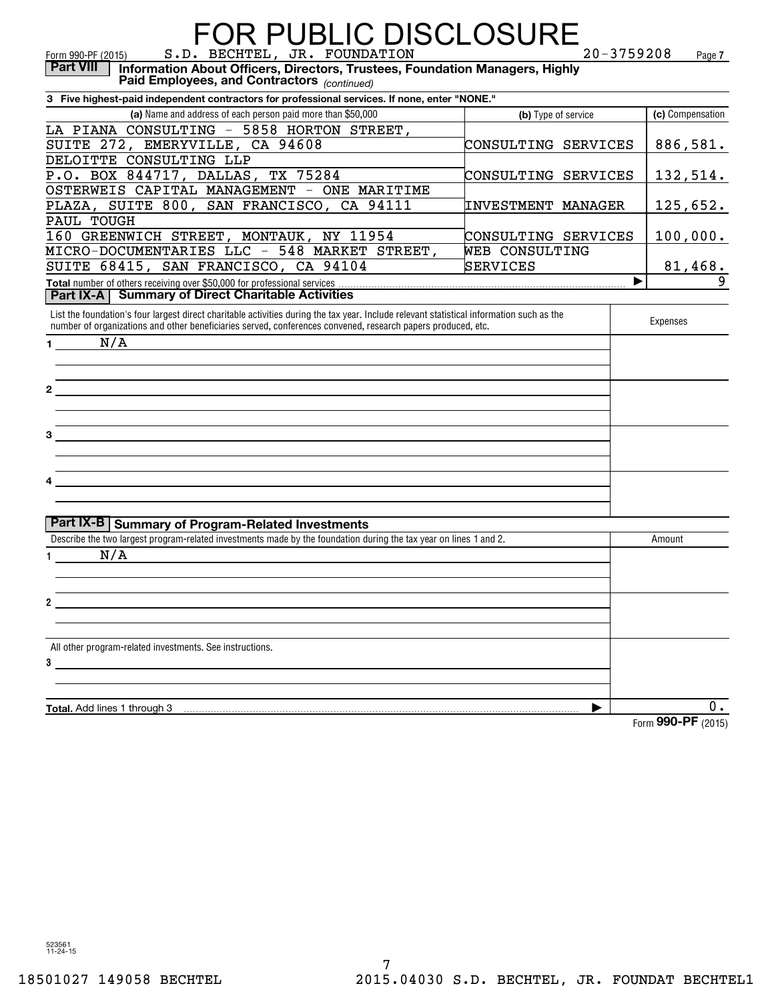| <b>FOR PUBLIC DISCLOSURE</b>                                                                                                                                                                                                                              |                           | $20 - 3759208$     |
|-----------------------------------------------------------------------------------------------------------------------------------------------------------------------------------------------------------------------------------------------------------|---------------------------|--------------------|
| S.D. BECHTEL, JR. FOUNDATION<br>Form 990-PF (2015)<br>Information About Officers, Directors, Trustees, Foundation Managers, Highly<br><b>Part VIII</b><br>Paid Employees, and Contractors (continued)                                                     |                           | Page 7             |
| 3 Five highest-paid independent contractors for professional services. If none, enter "NONE."                                                                                                                                                             |                           |                    |
| (a) Name and address of each person paid more than \$50,000                                                                                                                                                                                               | (b) Type of service       | (c) Compensation   |
| LA PIANA CONSULTING - 5858 HORTON STREET,                                                                                                                                                                                                                 |                           |                    |
| SUITE 272, EMERYVILLE, CA 94608                                                                                                                                                                                                                           | CONSULTING SERVICES       | 886,581.           |
| DELOITTE CONSULTING LLP                                                                                                                                                                                                                                   |                           |                    |
| P.O. BOX 844717, DALLAS, TX 75284                                                                                                                                                                                                                         | CONSULTING SERVICES       | 132,514.           |
| OSTERWEIS CAPITAL MANAGEMENT - ONE MARITIME                                                                                                                                                                                                               |                           |                    |
| PLAZA, SUITE 800, SAN FRANCISCO, CA 94111                                                                                                                                                                                                                 | <b>INVESTMENT MANAGER</b> | 125,652.           |
| PAUL TOUGH                                                                                                                                                                                                                                                |                           |                    |
| 160 GREENWICH STREET, MONTAUK, NY 11954                                                                                                                                                                                                                   | CONSULTING SERVICES       | 100,000.           |
| MICRO-DOCUMENTARIES LLC - 548 MARKET STREET,                                                                                                                                                                                                              | WEB CONSULTING            |                    |
| SUITE 68415, SAN FRANCISCO, CA 94104                                                                                                                                                                                                                      | SERVICES                  | 81,468.            |
| Total number of others receiving over \$50,000 for professional services                                                                                                                                                                                  |                           | 9                  |
| <b>Part IX-A   Summary of Direct Charitable Activities</b>                                                                                                                                                                                                |                           |                    |
| List the foundation's four largest direct charitable activities during the tax year. Include relevant statistical information such as the<br>number of organizations and other beneficiaries served, conferences convened, research papers produced, etc. |                           | Expenses           |
| N/A<br>1.                                                                                                                                                                                                                                                 |                           |                    |
|                                                                                                                                                                                                                                                           |                           |                    |
|                                                                                                                                                                                                                                                           |                           |                    |
| $\mathbf{2}$                                                                                                                                                                                                                                              |                           |                    |
|                                                                                                                                                                                                                                                           |                           |                    |
|                                                                                                                                                                                                                                                           |                           |                    |
| 3                                                                                                                                                                                                                                                         |                           |                    |
|                                                                                                                                                                                                                                                           |                           |                    |
|                                                                                                                                                                                                                                                           |                           |                    |
| 4                                                                                                                                                                                                                                                         |                           |                    |
|                                                                                                                                                                                                                                                           |                           |                    |
|                                                                                                                                                                                                                                                           |                           |                    |
| Part IX-B   Summary of Program-Related Investments                                                                                                                                                                                                        |                           |                    |
| Describe the two largest program-related investments made by the foundation during the tax year on lines 1 and 2.                                                                                                                                         |                           | Amount             |
| N/A                                                                                                                                                                                                                                                       |                           |                    |
|                                                                                                                                                                                                                                                           |                           |                    |
|                                                                                                                                                                                                                                                           |                           |                    |
|                                                                                                                                                                                                                                                           |                           |                    |
| 2                                                                                                                                                                                                                                                         |                           |                    |
|                                                                                                                                                                                                                                                           |                           |                    |
| All other program-related investments. See instructions.                                                                                                                                                                                                  |                           |                    |
| 3                                                                                                                                                                                                                                                         |                           |                    |
|                                                                                                                                                                                                                                                           |                           |                    |
|                                                                                                                                                                                                                                                           |                           |                    |
| Total. Add lines 1 through 3                                                                                                                                                                                                                              | ▶                         | $0$ .              |
|                                                                                                                                                                                                                                                           |                           | Form 990-PF (2015) |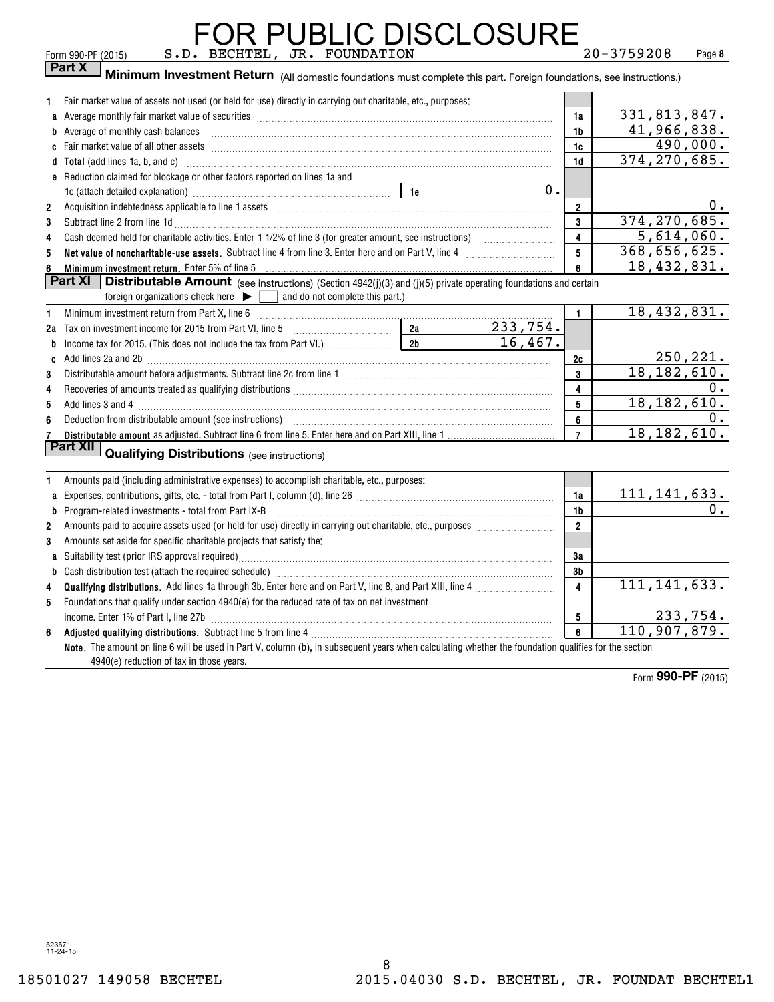|                | <b>FOR PUBLIC DISCLOSURE</b>                                                                                                                                                                                                         |    |                |                         |                           |           |
|----------------|--------------------------------------------------------------------------------------------------------------------------------------------------------------------------------------------------------------------------------------|----|----------------|-------------------------|---------------------------|-----------|
|                | S.D. BECHTEL, JR. FOUNDATION<br>Form 990-PF (2015)<br>Part X                                                                                                                                                                         |    |                |                         | $20 - 3759208$            | Page 8    |
|                | Minimum Investment Return (All domestic foundations must complete this part. Foreign foundations, see instructions.)                                                                                                                 |    |                |                         |                           |           |
| 1.             | Fair market value of assets not used (or held for use) directly in carrying out charitable, etc., purposes:                                                                                                                          |    |                |                         |                           |           |
|                |                                                                                                                                                                                                                                      |    |                | 1a                      | 331,813,847.              |           |
| b              | Average of monthly cash balances                                                                                                                                                                                                     |    |                | 1b                      | 41,966,838.               |           |
|                |                                                                                                                                                                                                                                      |    |                | 1c                      |                           | 490,000.  |
|                | d Total (add lines 1a, b, and c) <b>manufacture and contact and contact and contact and contact and contact and contact and contact and contact and contact and contact and contact and contact and contact and contact and cont</b> |    |                | 1d                      | 374, 270, 685.            |           |
|                | e Reduction claimed for blockage or other factors reported on lines 1a and                                                                                                                                                           |    |                |                         |                           |           |
|                |                                                                                                                                                                                                                                      |    | 0.             |                         |                           |           |
| $\overline{2}$ | Acquisition indebtedness applicable to line 1 assets [11] matter content in the state of the state of the state of the state of the state of the state of the state of the state of the state of the state of the state of the       |    |                | $\overline{\mathbf{2}}$ |                           | 0.        |
| 3              |                                                                                                                                                                                                                                      |    |                | 3                       | 374, 270, 685.            |           |
| 4              |                                                                                                                                                                                                                                      |    |                | $\overline{\mathbf{4}}$ | 5,614,060.                |           |
| 5              |                                                                                                                                                                                                                                      |    |                | $5\phantom{.0}$         | 368,656,625.              |           |
| 6              | Minimum investment return. Enter 5% of line 5                                                                                                                                                                                        |    |                | 6                       | $\overline{18,432,831}$ . |           |
|                | Part XI<br><b>Distributable Amount</b> (see instructions) (Section 4942(j)(3) and (j)(5) private operating foundations and certain<br>foreign organizations check here $\blacktriangleright$ [<br>and do not complete this part.)    |    |                |                         |                           |           |
| 1              | Minimum investment return from Part X, line 6 [11] manufactures manufactures in the state in the state of the M                                                                                                                      |    |                | $\mathbf{1}$            | 18,432,831.               |           |
|                | 2a Tax on investment income for 2015 from Part VI, line 5 [100] [100] [100] [100] [100] [100] [100] [100] [100] [100] [100] [100] [100] [100] [100] [100] [100] [100] [100] [100] [100] [100] [100] [100] [100] [100] [100] [1       |    | $2a$ 233, 754. |                         |                           |           |
| b              |                                                                                                                                                                                                                                      | 2b | 16.467.        |                         |                           |           |
| C              |                                                                                                                                                                                                                                      |    |                | 2c                      |                           | 250, 221. |
| 3              |                                                                                                                                                                                                                                      |    |                | $\mathbf{3}$            | 18, 182, 610.             |           |
| 4              |                                                                                                                                                                                                                                      |    |                | 4                       |                           | 0.        |
| 5              |                                                                                                                                                                                                                                      |    |                | 5                       | 18, 182, 610.             |           |
| 6              |                                                                                                                                                                                                                                      |    |                | 6                       |                           | 0.        |
| 7              |                                                                                                                                                                                                                                      |    |                | $\overline{7}$          | 18, 182, 610.             |           |
|                | Part XII<br><b>Qualifying Distributions</b> (see instructions)                                                                                                                                                                       |    |                |                         |                           |           |
| 1              | Amounts paid (including administrative expenses) to accomplish charitable, etc., purposes:                                                                                                                                           |    |                |                         |                           |           |
| a              |                                                                                                                                                                                                                                      |    |                | 1a                      | 111, 141, 633.            |           |
|                |                                                                                                                                                                                                                                      |    |                | 1 <sub>b</sub>          |                           | 0.        |
| $\overline{2}$ |                                                                                                                                                                                                                                      |    |                | $\overline{2}$          |                           |           |
| 3              | Amounts set aside for specific charitable projects that satisfy the:                                                                                                                                                                 |    |                |                         |                           |           |
|                |                                                                                                                                                                                                                                      |    |                | 3a                      |                           |           |
|                |                                                                                                                                                                                                                                      |    |                | 3b                      |                           |           |
| 4              |                                                                                                                                                                                                                                      |    |                | $\overline{4}$          | 111, 141, 633.            |           |
| 5              | Foundations that qualify under section $4940(e)$ for the reduced rate of tax on net investment                                                                                                                                       |    |                |                         |                           |           |
|                |                                                                                                                                                                                                                                      |    | 5              |                         | 233,754.                  |           |
| 6              |                                                                                                                                                                                                                                      |    |                | 6                       | 110, 907, 879.            |           |
|                | Note. The amount on line 6 will be used in Part V, column (b), in subsequent years when calculating whether the foundation qualifies for the section                                                                                 |    |                |                         |                           |           |
|                | 4940(e) reduction of tax in those years.                                                                                                                                                                                             |    |                |                         |                           |           |

Form (2015) **990-PF**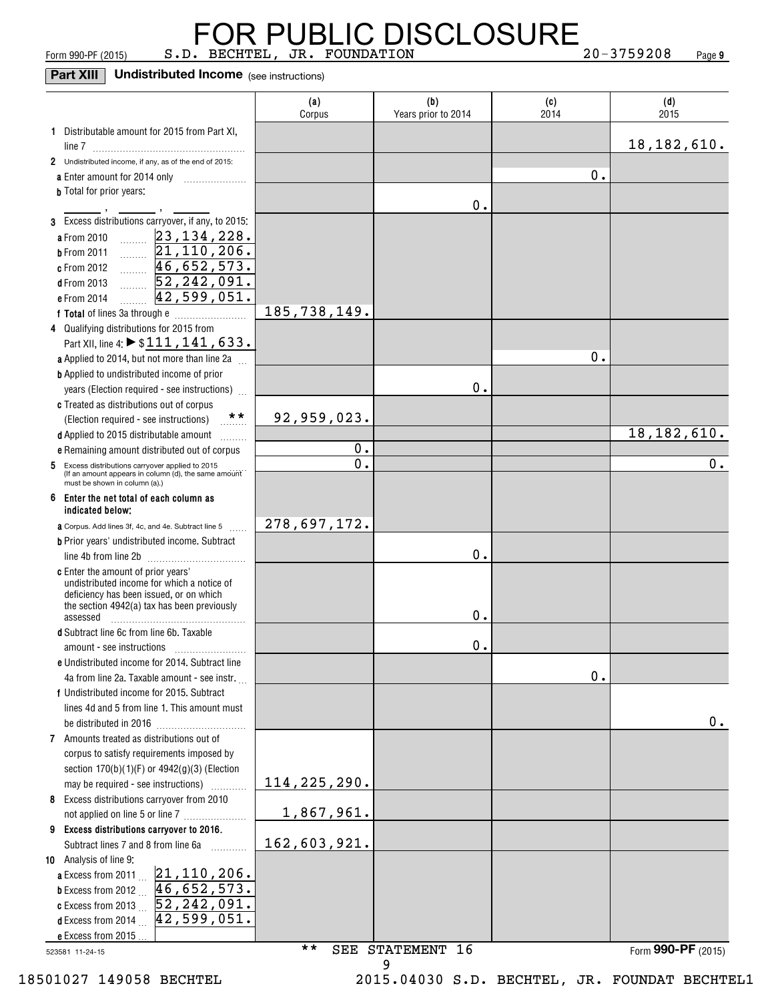FOR PUBLIC DISCLOSURE<br>Form 990-PF (2015) S.D. BECHTEL, JR. FOUNDATION 20-3759208 Page

**9**

**Part XIII Undistributed Income** (see instructions)

|                                                                                                          | (a)<br>Corpus  | (b)<br>Years prior to 2014 | (c)<br>2014 | (d)<br>2015        |
|----------------------------------------------------------------------------------------------------------|----------------|----------------------------|-------------|--------------------|
| 1 Distributable amount for 2015 from Part XI,                                                            |                |                            |             |                    |
|                                                                                                          |                |                            |             | 18, 182, 610.      |
| 2 Undistributed income, if any, as of the end of 2015:                                                   |                |                            |             |                    |
| a Enter amount for 2014 only                                                                             |                |                            | 0.          |                    |
| <b>b</b> Total for prior years:                                                                          |                |                            |             |                    |
| 3 Excess distributions carryover, if any, to 2015:                                                       |                | 0.                         |             |                    |
| a From 2010                                                                                              |                |                            |             |                    |
| $\frac{23,134,228}{21,110,206}$ $\frac{46,652,573}{5,242,201}$<br><b>b</b> From 2011                     |                |                            |             |                    |
| c From 2012                                                                                              |                |                            |             |                    |
| 52, 242, 091.<br>d From 2013                                                                             |                |                            |             |                    |
| 42,599,051.<br>e From 2014                                                                               |                |                            |             |                    |
|                                                                                                          | 185,738,149.   |                            |             |                    |
| 4 Qualifying distributions for 2015 from                                                                 |                |                            |             |                    |
| Part XII, line 4: ▶ \$111, 141, 633.                                                                     |                |                            |             |                    |
| a Applied to 2014, but not more than line 2a                                                             |                |                            | 0.          |                    |
| <b>b</b> Applied to undistributed income of prior                                                        |                |                            |             |                    |
| years (Election required - see instructions)                                                             |                | 0.                         |             |                    |
| c Treated as distributions out of corpus                                                                 |                |                            |             |                    |
| $\star \star$<br>(Election required - see instructions)                                                  | 92,959,023.    |                            |             |                    |
| d Applied to 2015 distributable amount                                                                   |                |                            |             | 18, 182, 610.      |
| e Remaining amount distributed out of corpus                                                             | 0.             |                            |             |                    |
| 5 Excess distributions carryover applied to 2015<br>(If an amount appears in column (d), the same amount | О.             |                            |             | О.                 |
| must be shown in column (a).)                                                                            |                |                            |             |                    |
| 6 Enter the net total of each column as<br>indicated below;                                              |                |                            |             |                    |
| <b>a</b> Corpus. Add lines 3f, 4c, and 4e. Subtract line 5                                               | 278,697,172.   |                            |             |                    |
| <b>b</b> Prior years' undistributed income. Subtract                                                     |                |                            |             |                    |
| line 4b from line 2b                                                                                     |                | 0.                         |             |                    |
| c Enter the amount of prior years'                                                                       |                |                            |             |                    |
| undistributed income for which a notice of<br>deficiency has been issued, or on which                    |                |                            |             |                    |
| the section 4942(a) tax has been previously                                                              |                |                            |             |                    |
| assessed                                                                                                 |                | 0.                         |             |                    |
| d Subtract line 6c from line 6b. Taxable                                                                 |                | 0.                         |             |                    |
| amount - see instructions<br>e Undistributed income for 2014. Subtract line                              |                |                            |             |                    |
| 4a from line 2a. Taxable amount - see instr.                                                             |                |                            | 0.          |                    |
| f Undistributed income for 2015. Subtract                                                                |                |                            |             |                    |
| lines 4d and 5 from line 1. This amount must                                                             |                |                            |             |                    |
|                                                                                                          |                |                            |             | 0.                 |
| 7 Amounts treated as distributions out of                                                                |                |                            |             |                    |
| corpus to satisfy requirements imposed by                                                                |                |                            |             |                    |
| section 170(b)(1)(F) or 4942(g)(3) (Election                                                             |                |                            |             |                    |
| may be required - see instructions)                                                                      | 114, 225, 290. |                            |             |                    |
| 8 Excess distributions carryover from 2010                                                               |                |                            |             |                    |
| not applied on line 5 or line 7                                                                          | 1,867,961.     |                            |             |                    |
| 9 Excess distributions carryover to 2016.                                                                |                |                            |             |                    |
| Subtract lines 7 and 8 from line 6a<br>10 Analysis of line 9:                                            | 162,603,921.   |                            |             |                    |
|                                                                                                          |                |                            |             |                    |
| <b>a</b> Excess from 2011 $21, 110, 206$ .<br><b>b</b> Excess from 2012 $46, 652, 573$ .                 |                |                            |             |                    |
| c Excess from 2013 $52, 242, 091$ .                                                                      |                |                            |             |                    |
| 42, 599, 051.<br><b>d</b> Excess from 2014 $\ldots$                                                      |                |                            |             |                    |
| e Excess from 2015                                                                                       |                |                            |             |                    |
| 523581 11-24-15                                                                                          | $\star\star$   | SEE STATEMENT 16           |             | Form 990-PF (2015) |
|                                                                                                          |                | 9                          |             |                    |

18501027 149058 BECHTEL 2015.04030 S.D. BECHTEL, JR. FOUNDAT BECHTEL1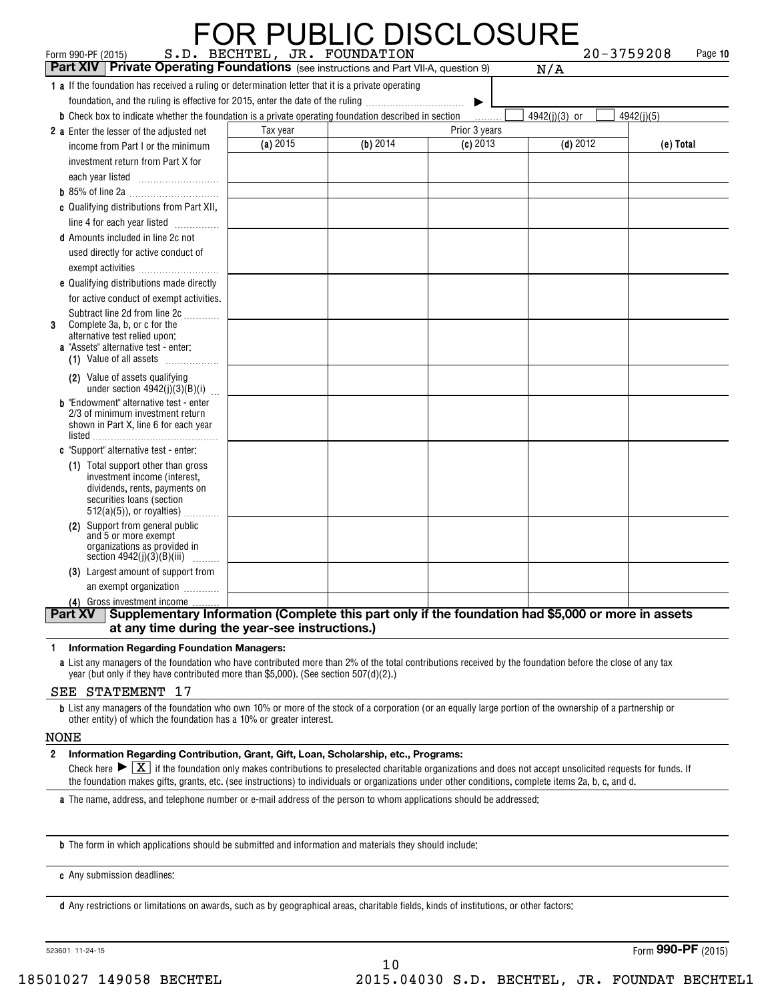| Form 990-PF (2015)<br><b>Part XIV   Private Operating Foundations</b> (see instructions and Part VII-A, question 9)                                             |            | <b>FOR PUBLIC DISCLOSURE</b><br>S.D. BECHTEL, JR. FOUNDATION |               | $20 - 3759208$<br>N/A | Page 10    |
|-----------------------------------------------------------------------------------------------------------------------------------------------------------------|------------|--------------------------------------------------------------|---------------|-----------------------|------------|
| 1 a If the foundation has received a ruling or determination letter that it is a private operating                                                              |            |                                                              |               |                       |            |
| foundation, and the ruling is effective for 2015, enter the date of the ruling                                                                                  |            |                                                              | ▶             |                       |            |
| <b>b</b> Check box to indicate whether the foundation is a private operating foundation described in section                                                    |            |                                                              | .             | 4942(j)(3) or         | 4942(j)(5) |
| 2 a Enter the lesser of the adiusted net                                                                                                                        | Tax year   |                                                              | Prior 3 years |                       |            |
| income from Part I or the minimum                                                                                                                               | $(a)$ 2015 | (b) 2014                                                     | $(c)$ 2013    | $(d)$ 2012            | (e) Total  |
| investment return from Part X for                                                                                                                               |            |                                                              |               |                       |            |
|                                                                                                                                                                 |            |                                                              |               |                       |            |
|                                                                                                                                                                 |            |                                                              |               |                       |            |
| c Qualifying distributions from Part XII,                                                                                                                       |            |                                                              |               |                       |            |
| line 4 for each year listed                                                                                                                                     |            |                                                              |               |                       |            |
| <b>d</b> Amounts included in line 2c not                                                                                                                        |            |                                                              |               |                       |            |
| used directly for active conduct of                                                                                                                             |            |                                                              |               |                       |            |
|                                                                                                                                                                 |            |                                                              |               |                       |            |
| e Qualifying distributions made directly                                                                                                                        |            |                                                              |               |                       |            |
| for active conduct of exempt activities.                                                                                                                        |            |                                                              |               |                       |            |
| Subtract line 2d from line 2c                                                                                                                                   |            |                                                              |               |                       |            |
| Complete 3a, b, or c for the<br>3<br>alternative test relied upon:                                                                                              |            |                                                              |               |                       |            |
| a "Assets" alternative test - enter:                                                                                                                            |            |                                                              |               |                       |            |
| (1) Value of all assets                                                                                                                                         |            |                                                              |               |                       |            |
| (2) Value of assets qualifying<br>under section $4942(j)(3)(B)(i)$                                                                                              |            |                                                              |               |                       |            |
| <b>b</b> "Endowment" alternative test - enter                                                                                                                   |            |                                                              |               |                       |            |
| 2/3 of minimum investment return                                                                                                                                |            |                                                              |               |                       |            |
| shown in Part X, line 6 for each year                                                                                                                           |            |                                                              |               |                       |            |
| <b>c</b> "Support" alternative test - enter:                                                                                                                    |            |                                                              |               |                       |            |
| (1) Total support other than gross                                                                                                                              |            |                                                              |               |                       |            |
| investment income (interest,                                                                                                                                    |            |                                                              |               |                       |            |
| dividends, rents, payments on<br>securities loans (section                                                                                                      |            |                                                              |               |                       |            |
| $512(a)(5)$ , or royalties)                                                                                                                                     |            |                                                              |               |                       |            |
| Support from general public<br>(2)                                                                                                                              |            |                                                              |               |                       |            |
| and 5 or more exempt                                                                                                                                            |            |                                                              |               |                       |            |
| organizations as provided in<br>section $4942(j)(3)(B)(iii)$<br>.                                                                                               |            |                                                              |               |                       |            |
| (3) Largest amount of support from                                                                                                                              |            |                                                              |               |                       |            |
| an exempt organization                                                                                                                                          |            |                                                              |               |                       |            |
| (4) Gross investment income                                                                                                                                     |            |                                                              |               |                       |            |
| Supplementary Information (Complete this part only if the foundation had \$5,000 or more in assets<br>Part XV<br>at any time during the year-see instructions.) |            |                                                              |               |                       |            |

#### **1Information Regarding Foundation Managers:**

**a**List any managers of the foundation who have contributed more than 2% of the total contributions received by the foundation before the close of any tax year (but only if they have contributed more than \$5,000). (See section 507(d)(2).)

#### SEE STATEMENT 17

**b**List any managers of the foundation who own 10% or more of the stock of a corporation (or an equally large portion of the ownership of a partnership or other entity) of which the foundation has a 10% or greater interest.

#### NONE

#### **2Information Regarding Contribution, Grant, Gift, Loan, Scholarship, etc., Programs:**

Check here  $\blacktriangleright \boxed{\text{X}}$  if the foundation only makes contributions to preselected charitable organizations and does not accept unsolicited requests for funds. If<br>the foundation makes gifts, grants, etc. (see instruction the foundation makes gifts, grants, etc. (see instructions) to individuals or organizations under other conditions, complete items 2a, b, c, and d.

10

**a**The name, address, and telephone number or e-mail address of the person to whom applications should be addressed:

**b**The form in which applications should be submitted and information and materials they should include:

**c**Any submission deadlines:

**d** Any restrictions or limitations on awards, such as by geographical areas, charitable fields, kinds of institutions, or other factors:

523601 11-24-15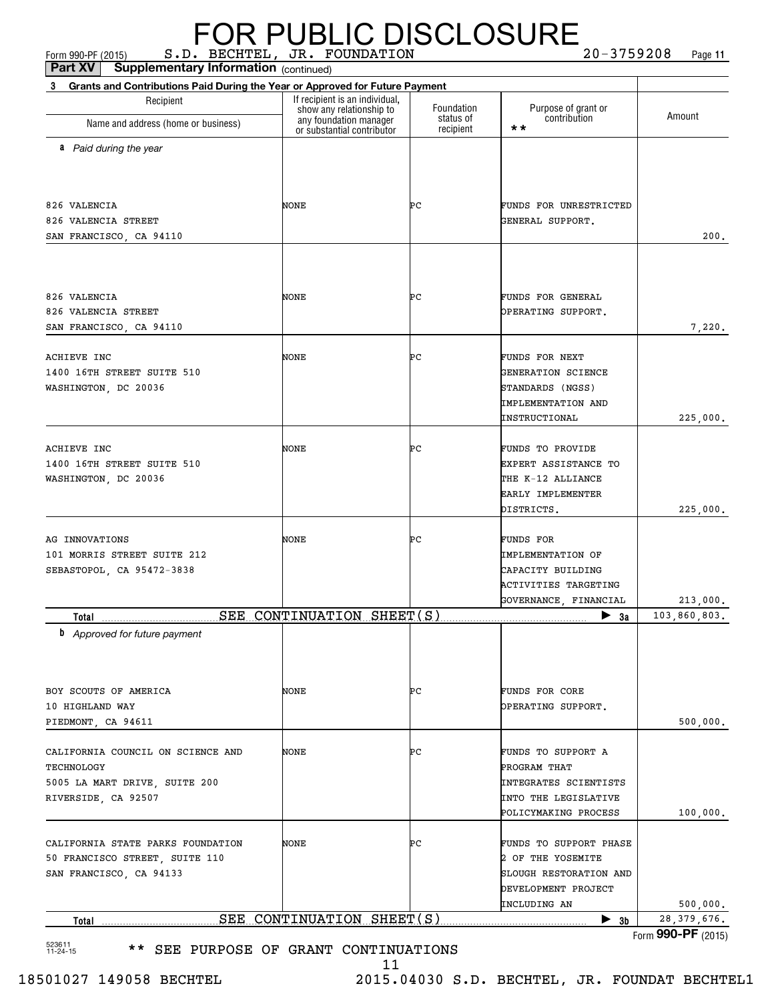| Part XV<br><b>Supplementary Information (continued)</b><br>Grants and Contributions Paid During the Year or Approved for Future Payment<br>3 |                                                    |                         |                                                                                                                    |               |
|----------------------------------------------------------------------------------------------------------------------------------------------|----------------------------------------------------|-------------------------|--------------------------------------------------------------------------------------------------------------------|---------------|
| Recipient                                                                                                                                    | If recipient is an individual,                     |                         |                                                                                                                    |               |
|                                                                                                                                              | show any relationship to<br>any foundation manager | Foundation<br>status of | Purpose of grant or<br>contribution                                                                                | Amount        |
| Name and address (home or business)                                                                                                          | or substantial contributor                         | recipient               | $\star\star$                                                                                                       |               |
| a Paid during the year                                                                                                                       |                                                    |                         |                                                                                                                    |               |
| 826 VALENCIA<br>826 VALENCIA STREET<br>SAN FRANCISCO, CA 94110                                                                               | NONE                                               | ÞС                      | FUNDS FOR UNRESTRICTED<br>GENERAL SUPPORT.                                                                         | 200.          |
| 826 VALENCIA<br>826 VALENCIA STREET<br>SAN FRANCISCO, CA 94110                                                                               | NONE                                               | ÞС                      | FUNDS FOR GENERAL<br>OPERATING SUPPORT.                                                                            | 7,220.        |
| <b>ACHIEVE INC</b><br>1400 16TH STREET SUITE 510<br>WASHINGTON, DC 20036                                                                     | NONE                                               | ÞС                      | FUNDS FOR NEXT<br>GENERATION SCIENCE<br>STANDARDS (NGSS)<br><b>IMPLEMENTATION AND</b><br>INSTRUCTIONAL             | 225,000.      |
| ACHIEVE INC<br>1400 16TH STREET SUITE 510<br>WASHINGTON, DC 20036                                                                            | NONE                                               | ÞС                      | FUNDS TO PROVIDE<br>EXPERT ASSISTANCE TO<br>THE K-12 ALLIANCE<br>EARLY IMPLEMENTER<br>DISTRICTS.                   | 225,000.      |
| AG INNOVATIONS<br>101 MORRIS STREET SUITE 212<br>SEBASTOPOL, CA 95472-3838                                                                   | NONE                                               | ÞС                      | FUNDS FOR<br><b>IMPLEMENTATION OF</b><br>CAPACITY BUILDING<br><b>ACTIVITIES TARGETING</b><br>GOVERNANCE, FINANCIAL | 213,000.      |
| Total                                                                                                                                        | SEE CONTINUATION SHEET(S)                          |                         | $\blacktriangleright$ 3a                                                                                           | 103,860,803.  |
| <b>b</b> Approved for future payment<br>BOY SCOUTS OF AMERICA<br>10 HIGHLAND WAY                                                             | NONE                                               | PС                      | FUNDS FOR CORE<br>OPERATING SUPPORT.                                                                               |               |
| PIEDMONT, CA 94611                                                                                                                           |                                                    |                         |                                                                                                                    | 500,000.      |
| CALIFORNIA COUNCIL ON SCIENCE AND<br>TECHNOLOGY<br>5005 LA MART DRIVE, SUITE 200<br>RIVERSIDE, CA 92507                                      | NONE                                               | ÞС                      | FUNDS TO SUPPORT A<br>PROGRAM THAT<br>INTEGRATES SCIENTISTS<br>INTO THE LEGISLATIVE<br>POLICYMAKING PROCESS        | 100,000.      |
| CALIFORNIA STATE PARKS FOUNDATION<br>50 FRANCISCO STREET, SUITE 110<br>SAN FRANCISCO, CA 94133                                               | NONE                                               | ÞС                      | FUNDS TO SUPPORT PHASE<br>2 OF THE YOSEMITE<br>SLOUGH RESTORATION AND<br>DEVELOPMENT PROJECT<br>INCLUDING AN       | 500,000.      |
| Total                                                                                                                                        | SEE CONTINUATION SHEET(S)                          |                         | $\blacktriangleright$ 3b                                                                                           | 28, 379, 676. |

11 18501027 149058 BECHTEL 2015.04030 S.D. BECHTEL, JR. FOUNDAT BECHTEL1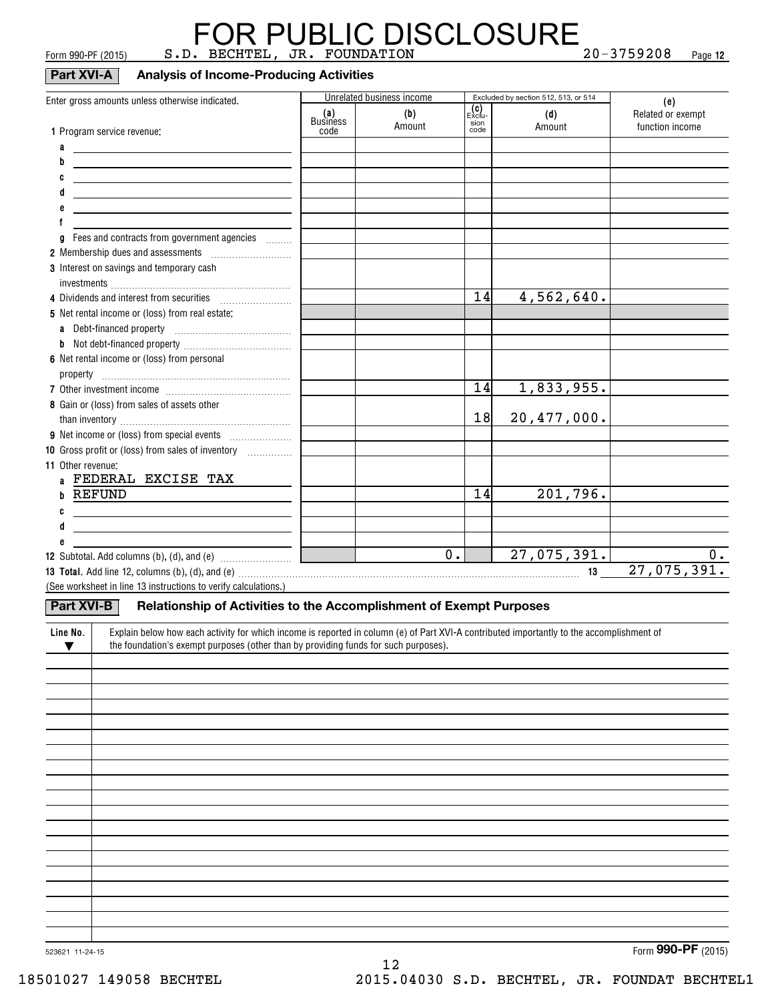### FOR PUBLIC DISCLOSURE<br>Form 990-PF (2015) S.D. BECHTEL, JR. FOUNDATION 20-3759208 Page

**12**

| , 0, 1, 1, 000, 1, 1, 10, 10, 1 |  |  | -- - - - - |  |
|---------------------------------|--|--|------------|--|
|                                 |  |  |            |  |
|                                 |  |  |            |  |
|                                 |  |  |            |  |

#### **Part XVI-A Analysis of Income-Producing Activities**

|                                                                                                                                                                                                                                |                         | Unrelated business income |                                      | Excluded by section 512, 513, or 514 |                                             |
|--------------------------------------------------------------------------------------------------------------------------------------------------------------------------------------------------------------------------------|-------------------------|---------------------------|--------------------------------------|--------------------------------------|---------------------------------------------|
| Enter gross amounts unless otherwise indicated.<br>1 Program service revenue:                                                                                                                                                  | (a)<br>Business<br>code | (b)<br>Amount             | <b>(C)</b><br>Exclu-<br>sion<br>code | (d)<br>Amount                        | (e)<br>Related or exempt<br>function income |
| a<br><u> 1989 - Johann Barbara, martin a</u>                                                                                                                                                                                   |                         |                           |                                      |                                      |                                             |
| b<br><u> 1989 - Andrea Station, amerikansk politik (d. 1989)</u>                                                                                                                                                               |                         |                           |                                      |                                      |                                             |
| C<br><u> 1989 - Andrea Andrew Maria (h. 1989).</u>                                                                                                                                                                             |                         |                           |                                      |                                      |                                             |
| d<br><u> 1980 - Andrea Andrew Maria (h. 1980).</u>                                                                                                                                                                             |                         |                           |                                      |                                      |                                             |
| е<br><u> 1989 - Johann Barn, amerikansk politiker (d. 1989)</u>                                                                                                                                                                |                         |                           |                                      |                                      |                                             |
|                                                                                                                                                                                                                                |                         |                           |                                      |                                      |                                             |
| Fees and contracts from government agencies<br>g                                                                                                                                                                               |                         |                           |                                      |                                      |                                             |
|                                                                                                                                                                                                                                |                         |                           |                                      |                                      |                                             |
| 3 Interest on savings and temporary cash                                                                                                                                                                                       |                         |                           |                                      |                                      |                                             |
|                                                                                                                                                                                                                                |                         |                           | 14                                   |                                      |                                             |
|                                                                                                                                                                                                                                |                         |                           |                                      | 4,562,640.                           |                                             |
| 5 Net rental income or (loss) from real estate:                                                                                                                                                                                |                         |                           |                                      |                                      |                                             |
|                                                                                                                                                                                                                                |                         |                           |                                      |                                      |                                             |
| 6 Net rental income or (loss) from personal                                                                                                                                                                                    |                         |                           |                                      |                                      |                                             |
|                                                                                                                                                                                                                                |                         |                           |                                      |                                      |                                             |
|                                                                                                                                                                                                                                |                         |                           | 14                                   | 1,833,955.                           |                                             |
| 8 Gain or (loss) from sales of assets other                                                                                                                                                                                    |                         |                           |                                      |                                      |                                             |
|                                                                                                                                                                                                                                |                         |                           | 18                                   | 20,477,000.                          |                                             |
|                                                                                                                                                                                                                                |                         |                           |                                      |                                      |                                             |
| 10 Gross profit or (loss) from sales of inventory <i></i>                                                                                                                                                                      |                         |                           |                                      |                                      |                                             |
| 11 Other revenue:<br>a FEDERAL EXCISE TAX                                                                                                                                                                                      |                         |                           |                                      |                                      |                                             |
| b REFUND                                                                                                                                                                                                                       |                         |                           | 14                                   | 201,796.                             |                                             |
| $\circ$ $\qquad \qquad$                                                                                                                                                                                                        |                         |                           |                                      |                                      |                                             |
| d<br><u> 1980 - Jan Samuel Barbara, poeta esperanto-poeta esperanto-poeta esperanto-poeta esperanto-poeta esperanto-po</u>                                                                                                     |                         |                           |                                      |                                      |                                             |
| е                                                                                                                                                                                                                              |                         |                           |                                      |                                      |                                             |
|                                                                                                                                                                                                                                |                         | $\overline{0}$ .          |                                      | 27,075,391.                          | 0.                                          |
| 13 Total. Add line 12, columns (b), (d), and (e) with an accordingle contained and according to the contract of the contract of the contract of the contract of the contract of the contract of the contract of the contract o |                         |                           |                                      |                                      | 27,075,391.                                 |
| (See worksheet in line 13 instructions to verify calculations.)                                                                                                                                                                |                         |                           |                                      |                                      |                                             |
| <b>Part XVI-B</b><br>Relationship of Activities to the Accomplishment of Exempt Purposes                                                                                                                                       |                         |                           |                                      |                                      |                                             |
| Explain below how each activity for which income is reported in column (e) of Part XVI-A contributed importantly to the accomplishment of<br>Line No.                                                                          |                         |                           |                                      |                                      |                                             |
| the foundation's exempt purposes (other than by providing funds for such purposes).<br>▼                                                                                                                                       |                         |                           |                                      |                                      |                                             |
|                                                                                                                                                                                                                                |                         |                           |                                      |                                      |                                             |
|                                                                                                                                                                                                                                |                         |                           |                                      |                                      |                                             |
|                                                                                                                                                                                                                                |                         |                           |                                      |                                      |                                             |
|                                                                                                                                                                                                                                |                         |                           |                                      |                                      |                                             |
|                                                                                                                                                                                                                                |                         |                           |                                      |                                      |                                             |
|                                                                                                                                                                                                                                |                         |                           |                                      |                                      |                                             |
|                                                                                                                                                                                                                                |                         |                           |                                      |                                      |                                             |
|                                                                                                                                                                                                                                |                         |                           |                                      |                                      |                                             |
|                                                                                                                                                                                                                                |                         |                           |                                      |                                      |                                             |
|                                                                                                                                                                                                                                |                         |                           |                                      |                                      |                                             |
|                                                                                                                                                                                                                                |                         |                           |                                      |                                      |                                             |
|                                                                                                                                                                                                                                |                         |                           |                                      |                                      |                                             |
|                                                                                                                                                                                                                                |                         |                           |                                      |                                      |                                             |

12

523621 11-24-15

Form (2015) **990-PF**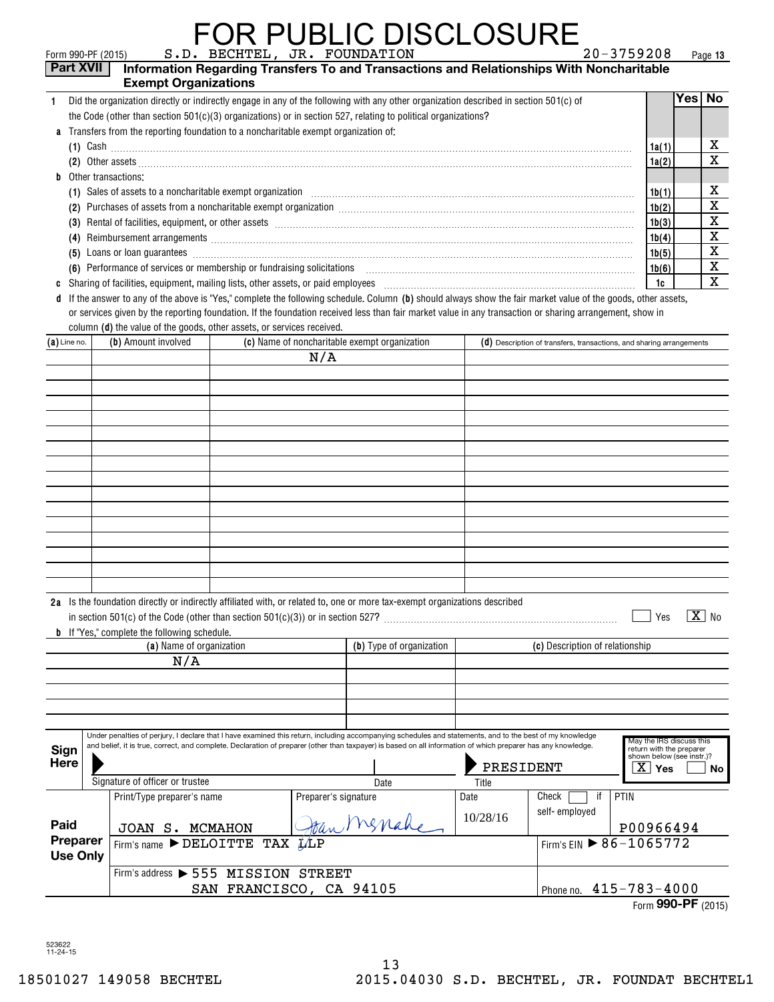#### FOR PUBLIC DISCLOSURE  $\sup_{\text{Form 990-PF (2015)}}$  s.d. bechtel, jr. foundation

**13**

| Part XVII               |  | <b>Exempt Organizations</b>                                                        |  |                      | Information Regarding Transfers To and Transactions and Relationships With Noncharitable                                                                                                                                       |           |                                                                      |                                                                                   |          |                         |
|-------------------------|--|------------------------------------------------------------------------------------|--|----------------------|--------------------------------------------------------------------------------------------------------------------------------------------------------------------------------------------------------------------------------|-----------|----------------------------------------------------------------------|-----------------------------------------------------------------------------------|----------|-------------------------|
| 1.                      |  |                                                                                    |  |                      | Did the organization directly or indirectly engage in any of the following with any other organization described in section 501(c) of                                                                                          |           |                                                                      |                                                                                   | Yes   No |                         |
|                         |  |                                                                                    |  |                      | the Code (other than section $501(c)(3)$ organizations) or in section 527, relating to political organizations?                                                                                                                |           |                                                                      |                                                                                   |          |                         |
| a                       |  | Transfers from the reporting foundation to a noncharitable exempt organization of: |  |                      |                                                                                                                                                                                                                                |           |                                                                      |                                                                                   |          |                         |
|                         |  |                                                                                    |  |                      |                                                                                                                                                                                                                                |           |                                                                      | 1a(1)                                                                             |          | $\overline{\mathbf{x}}$ |
|                         |  |                                                                                    |  |                      |                                                                                                                                                                                                                                |           |                                                                      | 1a(2)                                                                             |          | $\overline{\text{x}}$   |
| b                       |  | Other transactions:                                                                |  |                      |                                                                                                                                                                                                                                |           |                                                                      |                                                                                   |          |                         |
|                         |  |                                                                                    |  |                      | (1) Sales of assets to a noncharitable exempt organization manufactured contains and a set of assets to a noncharitable exempt organization                                                                                    |           |                                                                      | 1b(1)                                                                             |          | $\overline{\mathbf{x}}$ |
|                         |  |                                                                                    |  |                      |                                                                                                                                                                                                                                |           |                                                                      | 1b(2)                                                                             |          | $\overline{\mathtt{x}}$ |
|                         |  |                                                                                    |  |                      | (3) Rental of facilities, equipment, or other assets [1] processes [1] processes [2] also response to the assets [1] also response to the assets [1] also response to the assets [2] also response to the assets $\sim$        |           |                                                                      | 1b(3)                                                                             |          | $\overline{\textbf{X}}$ |
|                         |  |                                                                                    |  |                      |                                                                                                                                                                                                                                |           |                                                                      | 1b(4)                                                                             |          | $\overline{\textbf{X}}$ |
|                         |  |                                                                                    |  |                      | (5) Loans or loan guarantees <i>machines</i> and construction of the series of the series of loans or loan guarantees                                                                                                          |           |                                                                      | 1b(5)                                                                             |          | $\overline{\mathbf{x}}$ |
|                         |  |                                                                                    |  |                      | (6) Performance of services or membership or fundraising solicitations [11] matter content to the services or membership or fundraising solicitations [11] matter content to the services of the services of the services of t |           |                                                                      | 1b(6)                                                                             |          | $\overline{\mathbf{x}}$ |
| C                       |  |                                                                                    |  |                      |                                                                                                                                                                                                                                |           |                                                                      | 1c                                                                                |          | $\overline{\textbf{x}}$ |
| d                       |  |                                                                                    |  |                      | If the answer to any of the above is "Yes," complete the following schedule. Column (b) should always show the fair market value of the goods, other assets,                                                                   |           |                                                                      |                                                                                   |          |                         |
|                         |  |                                                                                    |  |                      | or services given by the reporting foundation. If the foundation received less than fair market value in any transaction or sharing arrangement, show in                                                                       |           |                                                                      |                                                                                   |          |                         |
|                         |  | column (d) the value of the goods, other assets, or services received.             |  |                      |                                                                                                                                                                                                                                |           |                                                                      |                                                                                   |          |                         |
| $(a)$ Line no.          |  | (b) Amount involved                                                                |  |                      | (c) Name of noncharitable exempt organization                                                                                                                                                                                  |           | (d) Description of transfers, transactions, and sharing arrangements |                                                                                   |          |                         |
|                         |  |                                                                                    |  | N/A                  |                                                                                                                                                                                                                                |           |                                                                      |                                                                                   |          |                         |
|                         |  |                                                                                    |  |                      |                                                                                                                                                                                                                                |           |                                                                      |                                                                                   |          |                         |
|                         |  |                                                                                    |  |                      |                                                                                                                                                                                                                                |           |                                                                      |                                                                                   |          |                         |
|                         |  |                                                                                    |  |                      |                                                                                                                                                                                                                                |           |                                                                      |                                                                                   |          |                         |
|                         |  |                                                                                    |  |                      |                                                                                                                                                                                                                                |           |                                                                      |                                                                                   |          |                         |
|                         |  |                                                                                    |  |                      |                                                                                                                                                                                                                                |           |                                                                      |                                                                                   |          |                         |
|                         |  |                                                                                    |  |                      |                                                                                                                                                                                                                                |           |                                                                      |                                                                                   |          |                         |
|                         |  |                                                                                    |  |                      |                                                                                                                                                                                                                                |           |                                                                      |                                                                                   |          |                         |
|                         |  |                                                                                    |  |                      |                                                                                                                                                                                                                                |           |                                                                      |                                                                                   |          |                         |
|                         |  |                                                                                    |  |                      |                                                                                                                                                                                                                                |           |                                                                      |                                                                                   |          |                         |
|                         |  |                                                                                    |  |                      |                                                                                                                                                                                                                                |           |                                                                      |                                                                                   |          |                         |
|                         |  |                                                                                    |  |                      |                                                                                                                                                                                                                                |           |                                                                      |                                                                                   |          |                         |
|                         |  |                                                                                    |  |                      |                                                                                                                                                                                                                                |           |                                                                      |                                                                                   |          |                         |
|                         |  |                                                                                    |  |                      |                                                                                                                                                                                                                                |           |                                                                      |                                                                                   |          |                         |
|                         |  |                                                                                    |  |                      |                                                                                                                                                                                                                                |           |                                                                      |                                                                                   |          |                         |
|                         |  |                                                                                    |  |                      | 2a Is the foundation directly or indirectly affiliated with, or related to, one or more tax-exempt organizations described                                                                                                     |           |                                                                      |                                                                                   |          |                         |
|                         |  |                                                                                    |  |                      |                                                                                                                                                                                                                                |           |                                                                      | Yes                                                                               |          | $ X $ No                |
|                         |  | <b>b</b> If "Yes," complete the following schedule.                                |  |                      |                                                                                                                                                                                                                                |           |                                                                      |                                                                                   |          |                         |
|                         |  | (a) Name of organization                                                           |  |                      | (b) Type of organization                                                                                                                                                                                                       |           | (c) Description of relationship                                      |                                                                                   |          |                         |
|                         |  | N/A                                                                                |  |                      |                                                                                                                                                                                                                                |           |                                                                      |                                                                                   |          |                         |
|                         |  |                                                                                    |  |                      |                                                                                                                                                                                                                                |           |                                                                      |                                                                                   |          |                         |
|                         |  |                                                                                    |  |                      |                                                                                                                                                                                                                                |           |                                                                      |                                                                                   |          |                         |
|                         |  |                                                                                    |  |                      |                                                                                                                                                                                                                                |           |                                                                      |                                                                                   |          |                         |
|                         |  |                                                                                    |  |                      |                                                                                                                                                                                                                                |           |                                                                      |                                                                                   |          |                         |
|                         |  |                                                                                    |  |                      | Under penalties of perjury, I declare that I have examined this return, including accompanying schedules and statements, and to the best of my knowledge                                                                       |           |                                                                      |                                                                                   |          |                         |
| Sign                    |  |                                                                                    |  |                      | and belief, it is true, correct, and complete. Declaration of preparer (other than taxpayer) is based on all information of which preparer has any knowledge.                                                                  |           |                                                                      | May the IRS discuss this<br>return with the preparer<br>shown below (see instr.)? |          |                         |
| <b>Here</b>             |  |                                                                                    |  |                      |                                                                                                                                                                                                                                | PRESIDENT |                                                                      | $\overline{X}$ Yes                                                                |          | No l                    |
|                         |  | Signature of officer or trustee                                                    |  |                      | Date                                                                                                                                                                                                                           | Title     |                                                                      |                                                                                   |          |                         |
|                         |  | Print/Type preparer's name                                                         |  | Preparer's signature |                                                                                                                                                                                                                                | Date      | Check<br>if<br><b>PTIN</b>                                           |                                                                                   |          |                         |
|                         |  |                                                                                    |  |                      |                                                                                                                                                                                                                                | 10/28/16  | self-employed                                                        |                                                                                   |          |                         |
| Paid                    |  | JOAN S. MCMAHON                                                                    |  |                      | Menahe                                                                                                                                                                                                                         |           |                                                                      | P00966494                                                                         |          |                         |
| Preparer                |  | Firm's name $\blacktriangleright$ DELOITTE TAX $\cancel{11}$ LP                    |  |                      |                                                                                                                                                                                                                                |           | Firm's EIN ▶ 86-1065772                                              |                                                                                   |          |                         |
| <b>Use Only</b>         |  |                                                                                    |  |                      |                                                                                                                                                                                                                                |           |                                                                      |                                                                                   |          |                         |
|                         |  | Firm's address > 555 MISSION STREET                                                |  |                      |                                                                                                                                                                                                                                |           |                                                                      |                                                                                   |          |                         |
| SAN FRANCISCO, CA 94105 |  |                                                                                    |  |                      | Phone no. 415-783-4000                                                                                                                                                                                                         |           |                                                                      |                                                                                   |          |                         |

Form (2015) **990-PF**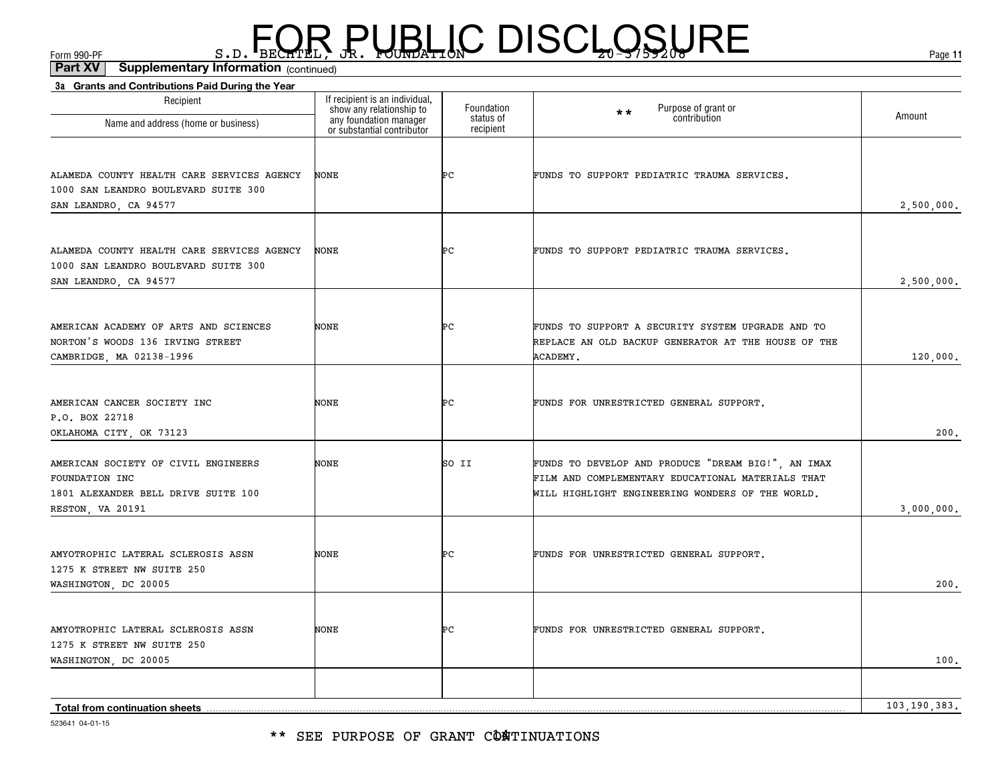\*\* SEE PURPOSE OF GRANT CÔATINUATIONS

| 3a Grants and Contributions Paid During the Year        |                                                                                      |                        |                                                     |              |
|---------------------------------------------------------|--------------------------------------------------------------------------------------|------------------------|-----------------------------------------------------|--------------|
| Recipient                                               | If recipient is an individual,<br>show any relationship to<br>any foundation manager | Foundation             | Purpose of grant or<br>$\star\star$<br>contribution | Amount       |
| Name and address (home or business)                     | or substantial contributor                                                           | status of<br>recipient |                                                     |              |
|                                                         |                                                                                      |                        |                                                     |              |
| ALAMEDA COUNTY HEALTH CARE SERVICES AGENCY              | <b>NONE</b>                                                                          | ÞС                     | FUNDS TO SUPPORT PEDIATRIC TRAUMA SERVICES.         |              |
| 1000 SAN LEANDRO BOULEVARD SUITE 300                    |                                                                                      |                        |                                                     |              |
| SAN LEANDRO, CA 94577                                   |                                                                                      |                        |                                                     | 2,500,000.   |
|                                                         |                                                                                      |                        |                                                     |              |
| ALAMEDA COUNTY HEALTH CARE SERVICES AGENCY              | <b>NONE</b>                                                                          | ÞС                     | FUNDS TO SUPPORT PEDIATRIC TRAUMA SERVICES.         |              |
| 1000 SAN LEANDRO BOULEVARD SUITE 300                    |                                                                                      |                        |                                                     |              |
| SAN LEANDRO, CA 94577                                   |                                                                                      |                        |                                                     | 2,500,000.   |
|                                                         |                                                                                      |                        |                                                     |              |
| AMERICAN ACADEMY OF ARTS AND SCIENCES                   | NONE                                                                                 | ÞС                     | FUNDS TO SUPPORT A SECURITY SYSTEM UPGRADE AND TO   |              |
| NORTON'S WOODS 136 IRVING STREET                        |                                                                                      |                        | REPLACE AN OLD BACKUP GENERATOR AT THE HOUSE OF THE |              |
| CAMBRIDGE, MA 02138-1996                                |                                                                                      |                        | ACADEMY.                                            | 120,000.     |
|                                                         |                                                                                      |                        |                                                     |              |
| AMERICAN CANCER SOCIETY INC<br>P.O. BOX 22718           | NONE                                                                                 | ÞС                     | FUNDS FOR UNRESTRICTED GENERAL SUPPORT.             |              |
| OKLAHOMA CITY, OK 73123                                 |                                                                                      |                        |                                                     | 200.         |
|                                                         |                                                                                      |                        |                                                     |              |
| AMERICAN SOCIETY OF CIVIL ENGINEERS                     | NONE                                                                                 | SO II                  | FUNDS TO DEVELOP AND PRODUCE "DREAM BIG!", AN IMAX  |              |
| FOUNDATION INC                                          |                                                                                      |                        | FILM AND COMPLEMENTARY EDUCATIONAL MATERIALS THAT   |              |
| 1801 ALEXANDER BELL DRIVE SUITE 100<br>RESTON, VA 20191 |                                                                                      |                        | WILL HIGHLIGHT ENGINEERING WONDERS OF THE WORLD.    | 3,000,000.   |
|                                                         |                                                                                      |                        |                                                     |              |
| AMYOTROPHIC LATERAL SCLEROSIS ASSN                      | <b>NONE</b>                                                                          | ÞС                     | FUNDS FOR UNRESTRICTED GENERAL SUPPORT.             |              |
| 1275 K STREET NW SUITE 250                              |                                                                                      |                        |                                                     |              |
| WASHINGTON, DC 20005                                    |                                                                                      |                        |                                                     | 200.         |
|                                                         |                                                                                      |                        |                                                     |              |
| AMYOTROPHIC LATERAL SCLEROSIS ASSN                      | <b>NONE</b>                                                                          | ÞС                     | FUNDS FOR UNRESTRICTED GENERAL SUPPORT.             |              |
| 1275 K STREET NW SUITE 250                              |                                                                                      |                        |                                                     |              |
| WASHINGTON, DC 20005                                    |                                                                                      |                        |                                                     | 100.         |
|                                                         |                                                                                      |                        |                                                     |              |
| <b>Total from continuation sheets</b>                   |                                                                                      |                        |                                                     | 103,190,383. |

 $F_{\text{GCD}}$   $\text{F}_{\text{BEC}}$   $\text{F}_{\text{BEC}}$   $\text{F}_{\text{BEC}}$   $\text{F}_{\text{CUE}}$   $\text{G}_{\text{AFL}}$   $\text{G}_{\text{A}}$   $\text{G}_{\text{B}}$   $\text{G}_{\text{B}}$   $\text{G}_{\text{B}}$   $\text{G}_{\text{B}}$   $\text{G}_{\text{B}}$   $\text{G}_{\text{B}}$   $\text{G}_{\text{B}}$   $\text{G}_{\text{B}}$   $\text{G}_{\text{B}}$   $\text{G}_{\text{B$ 

**11**

(continued)**Part XV Supplementary Information**

523641 04-01-15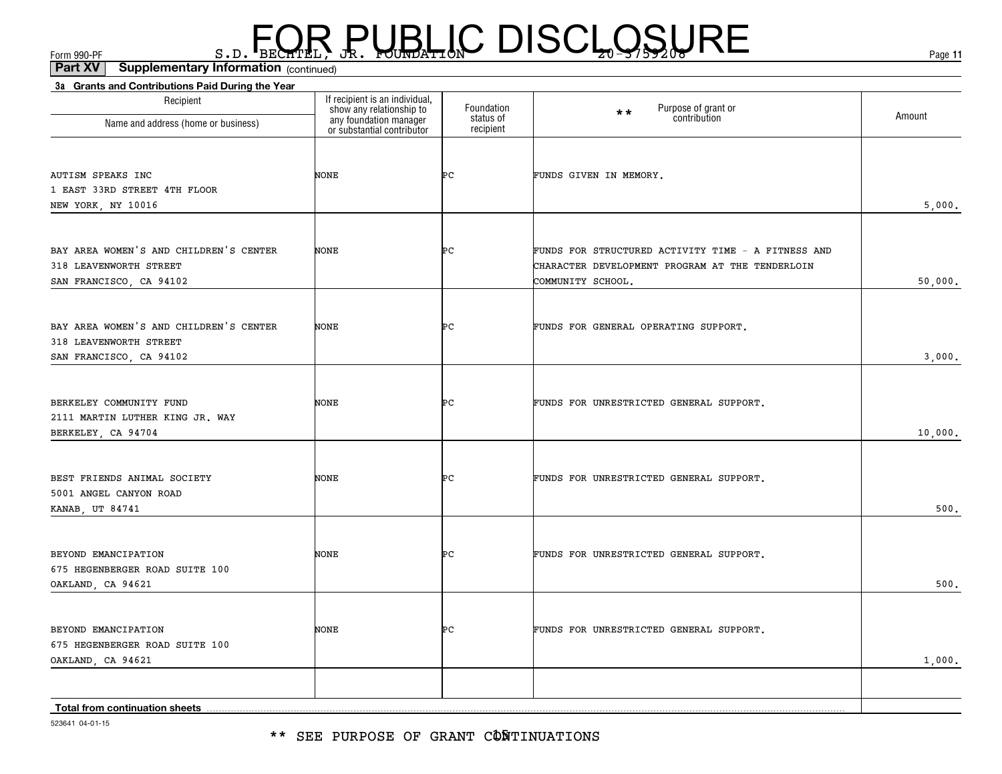\*\* SEE PURPOSE OF GRANT CÔÑTINUATIONS

| Recipient                                                                                   | If recipient is an individual,<br>show any relationship to<br>any foundation manager<br>or substantial contributor | Foundation<br>status of | Purpose of grant or<br>contribution<br>$\star \star$                                                                       | Amount  |
|---------------------------------------------------------------------------------------------|--------------------------------------------------------------------------------------------------------------------|-------------------------|----------------------------------------------------------------------------------------------------------------------------|---------|
| Name and address (home or business)                                                         |                                                                                                                    | recipient               |                                                                                                                            |         |
| <b>AUTISM SPEAKS INC</b><br>1 EAST 33RD STREET 4TH FLOOR<br>NEW YORK, NY 10016              | NONE                                                                                                               | ÞС                      | FUNDS GIVEN IN MEMORY.                                                                                                     | 5,000.  |
|                                                                                             |                                                                                                                    |                         |                                                                                                                            |         |
| BAY AREA WOMEN'S AND CHILDREN'S CENTER<br>318 LEAVENWORTH STREET<br>SAN FRANCISCO, CA 94102 | NONE                                                                                                               | ÞС                      | FUNDS FOR STRUCTURED ACTIVITY TIME - A FITNESS AND<br>CHARACTER DEVELOPMENT PROGRAM AT THE TENDERLOIN<br>COMMUNITY SCHOOL. | 50,000. |
|                                                                                             |                                                                                                                    |                         |                                                                                                                            |         |
| BAY AREA WOMEN'S AND CHILDREN'S CENTER<br>318 LEAVENWORTH STREET                            | NONE                                                                                                               | Þс                      | FUNDS FOR GENERAL OPERATING SUPPORT.                                                                                       |         |
| SAN FRANCISCO, CA 94102                                                                     |                                                                                                                    |                         |                                                                                                                            | 3,000.  |
| BERKELEY COMMUNITY FUND<br>2111 MARTIN LUTHER KING JR. WAY<br>BERKELEY, CA 94704            | <b>NONE</b>                                                                                                        | ÞС                      | FUNDS FOR UNRESTRICTED GENERAL SUPPORT.                                                                                    | 10,000. |
|                                                                                             |                                                                                                                    |                         |                                                                                                                            |         |
| BEST FRIENDS ANIMAL SOCIETY<br>5001 ANGEL CANYON ROAD<br>KANAB, UT 84741                    | NONE                                                                                                               | ÞС                      | FUNDS FOR UNRESTRICTED GENERAL SUPPORT.                                                                                    | 500.    |
|                                                                                             |                                                                                                                    |                         |                                                                                                                            |         |
| BEYOND EMANCIPATION<br>675 HEGENBERGER ROAD SUITE 100<br>OAKLAND, CA 94621                  | NONE                                                                                                               | Þс                      | FUNDS FOR UNRESTRICTED GENERAL SUPPORT.                                                                                    | 500.    |
|                                                                                             |                                                                                                                    |                         |                                                                                                                            |         |
| BEYOND EMANCIPATION<br>675 HEGENBERGER ROAD SUITE 100                                       | NONE                                                                                                               | ÞС                      | FUNDS FOR UNRESTRICTED GENERAL SUPPORT.                                                                                    |         |
| OAKLAND, CA 94621                                                                           |                                                                                                                    |                         |                                                                                                                            | 1,000.  |
|                                                                                             |                                                                                                                    |                         |                                                                                                                            |         |
| Total from continuation sheets                                                              |                                                                                                                    |                         |                                                                                                                            |         |

**3a Grants and Contributions Paid During the Year**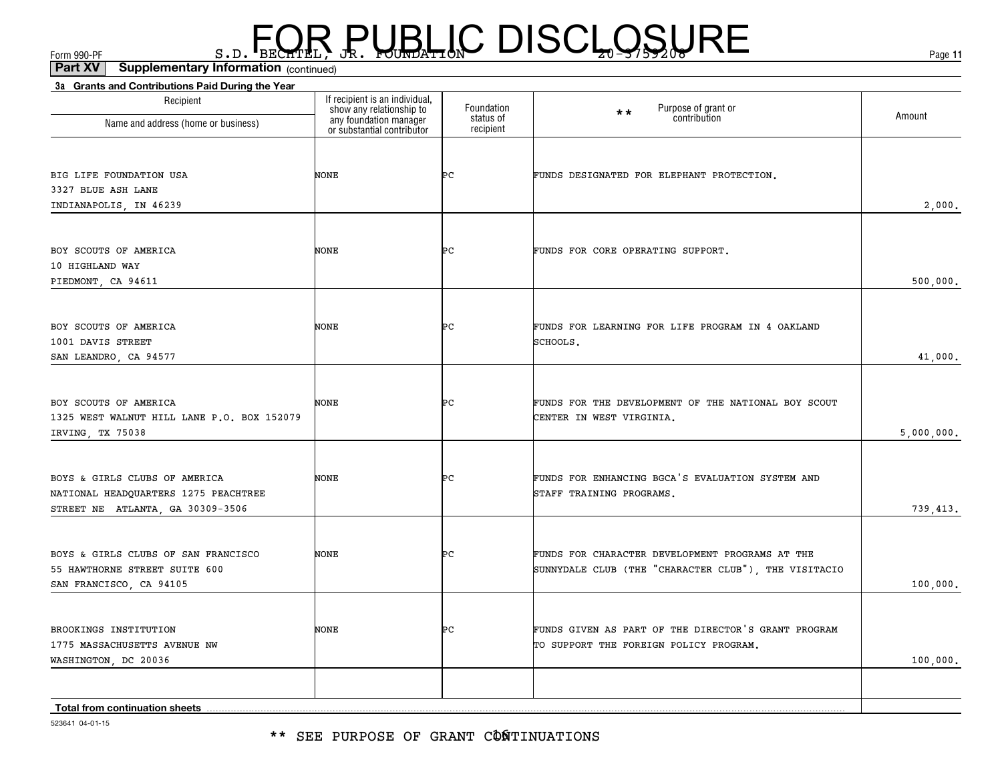\*\* SEE PURPOSE OF GRANT CONTINUATIONS

| 523641 04-01-15 |
|-----------------|

| Recipient<br>Name and address (home or business)                                                          | If recipient is an individual,<br>show any relationship to<br>any foundation manager<br>or substantial contributor | Foundation<br>status of | Purpose of grant or<br>$**$<br>contribution                                                             | Amount     |
|-----------------------------------------------------------------------------------------------------------|--------------------------------------------------------------------------------------------------------------------|-------------------------|---------------------------------------------------------------------------------------------------------|------------|
|                                                                                                           |                                                                                                                    | recipient               |                                                                                                         |            |
| BIG LIFE FOUNDATION USA<br>3327 BLUE ASH LANE<br>INDIANAPOLIS, IN 46239                                   | NONE                                                                                                               | ÞС                      | FUNDS DESIGNATED FOR ELEPHANT PROTECTION.                                                               | 2,000.     |
| BOY SCOUTS OF AMERICA<br>10 HIGHLAND WAY<br>PIEDMONT, CA 94611                                            | NONE                                                                                                               | ÞС                      | FUNDS FOR CORE OPERATING SUPPORT.                                                                       | 500,000.   |
| BOY SCOUTS OF AMERICA<br>1001 DAVIS STREET<br>SAN LEANDRO, CA 94577                                       | NONE                                                                                                               | ÞС                      | FUNDS FOR LEARNING FOR LIFE PROGRAM IN 4 OAKLAND<br>SCHOOLS.                                            | 41,000.    |
| BOY SCOUTS OF AMERICA<br>1325 WEST WALNUT HILL LANE P.O. BOX 152079<br>IRVING, TX 75038                   | NONE                                                                                                               | ÞС                      | FUNDS FOR THE DEVELOPMENT OF THE NATIONAL BOY SCOUT<br>CENTER IN WEST VIRGINIA.                         | 5,000,000. |
| BOYS & GIRLS CLUBS OF AMERICA<br>NATIONAL HEADQUARTERS 1275 PEACHTREE<br>STREET NE ATLANTA, GA 30309-3506 | <b>NONE</b>                                                                                                        | ÞС                      | FUNDS FOR ENHANCING BGCA'S EVALUATION SYSTEM AND<br>STAFF TRAINING PROGRAMS.                            | 739,413.   |
| BOYS & GIRLS CLUBS OF SAN FRANCISCO<br>55 HAWTHORNE STREET SUITE 600<br>SAN FRANCISCO, CA 94105           | NONE                                                                                                               | ÞС                      | FUNDS FOR CHARACTER DEVELOPMENT PROGRAMS AT THE<br>SUNNYDALE CLUB (THE "CHARACTER CLUB"), THE VISITACIO | 100,000.   |
| BROOKINGS INSTITUTION<br>1775 MASSACHUSETTS AVENUE NW<br>WASHINGTON, DC 20036                             | <b>NONE</b>                                                                                                        | ÞС                      | FUNDS GIVEN AS PART OF THE DIRECTOR'S GRANT PROGRAM<br>TO SUPPORT THE FOREIGN POLICY PROGRAM.           | 100,000.   |
|                                                                                                           |                                                                                                                    |                         |                                                                                                         |            |

(continued)**Part XV Supplementary Information**

**3a Grants and Contributions Paid During the Year**

## $F_{\text{GCD}}$   $\text{F}_{\text{BEC}}$   $\text{F}_{\text{BEC}}$   $\text{F}_{\text{BEC}}$   $\text{F}_{\text{CUE}}$   $\text{G}_{\text{AFL}}$   $\text{G}_{\text{A}}$   $\text{G}_{\text{B}}$   $\text{G}_{\text{B}}$   $\text{G}_{\text{B}}$   $\text{G}_{\text{B}}$   $\text{G}_{\text{B}}$   $\text{G}_{\text{B}}$   $\text{G}_{\text{B}}$   $\text{G}_{\text{B}}$   $\text{G}_{\text{B}}$   $\text{G}_{\text{B$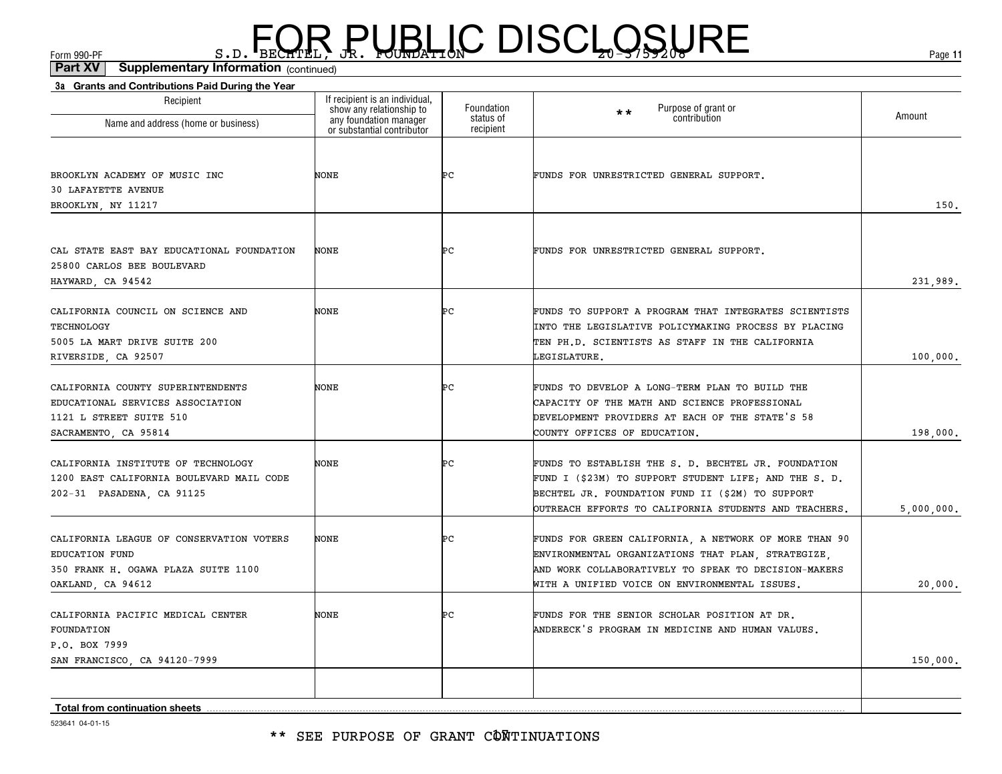(continued)**Part XV Supplementary Information**

| 3a Grants and Contributions Paid During the Year<br>Recipient                                                            | If recipient is an individual,                                                   | Foundation             | Purpose of grant or                                                                                                                                                                                                       |            |
|--------------------------------------------------------------------------------------------------------------------------|----------------------------------------------------------------------------------|------------------------|---------------------------------------------------------------------------------------------------------------------------------------------------------------------------------------------------------------------------|------------|
| Name and address (home or business)                                                                                      | show any relationship to<br>any foundation manager<br>or substantial contributor | status of<br>recipient | $**$<br>contribution                                                                                                                                                                                                      | Amount     |
| BROOKLYN ACADEMY OF MUSIC INC<br><b>30 LAFAYETTE AVENUE</b>                                                              | NONE                                                                             | ÞС                     | FUNDS FOR UNRESTRICTED GENERAL SUPPORT.                                                                                                                                                                                   |            |
| BROOKLYN, NY 11217                                                                                                       |                                                                                  |                        |                                                                                                                                                                                                                           | 150.       |
| CAL STATE EAST BAY EDUCATIONAL FOUNDATION<br>25800 CARLOS BEE BOULEVARD<br>HAYWARD, CA 94542                             | NONE                                                                             | ÞС                     | FUNDS FOR UNRESTRICTED GENERAL SUPPORT.                                                                                                                                                                                   | 231,989.   |
| CALIFORNIA COUNCIL ON SCIENCE AND<br>TECHNOLOGY<br>5005 LA MART DRIVE SUITE 200<br>RIVERSIDE, CA 92507                   | NONE                                                                             | ÞС                     | FUNDS TO SUPPORT A PROGRAM THAT INTEGRATES SCIENTISTS<br>INTO THE LEGISLATIVE POLICYMAKING PROCESS BY PLACING<br>TEN PH.D. SCIENTISTS AS STAFF IN THE CALIFORNIA<br>LEGISLATURE.                                          | 100,000.   |
| CALIFORNIA COUNTY SUPERINTENDENTS<br>EDUCATIONAL SERVICES ASSOCIATION<br>1121 L STREET SUITE 510<br>SACRAMENTO, CA 95814 | NONE                                                                             | ÞС                     | FUNDS TO DEVELOP A LONG-TERM PLAN TO BUILD THE<br>CAPACITY OF THE MATH AND SCIENCE PROFESSIONAL<br>DEVELOPMENT PROVIDERS AT EACH OF THE STATE'S 58<br>COUNTY OFFICES OF EDUCATION.                                        | 198,000.   |
| CALIFORNIA INSTITUTE OF TECHNOLOGY<br>1200 EAST CALIFORNIA BOULEVARD MAIL CODE<br>202-31 PASADENA, CA 91125              | <b>NONE</b>                                                                      | ÞС                     | FUNDS TO ESTABLISH THE S. D. BECHTEL JR. FOUNDATION<br>FUND I (\$23M) TO SUPPORT STUDENT LIFE; AND THE S. D.<br>BECHTEL JR. FOUNDATION FUND II (\$2M) TO SUPPORT<br>OUTREACH EFFORTS TO CALIFORNIA STUDENTS AND TEACHERS. | 5,000,000. |
| CALIFORNIA LEAGUE OF CONSERVATION VOTERS<br>EDUCATION FUND<br>350 FRANK H. OGAWA PLAZA SUITE 1100<br>OAKLAND, CA 94612   | NONE                                                                             | ÞС                     | FUNDS FOR GREEN CALIFORNIA, A NETWORK OF MORE THAN 90<br>ENVIRONMENTAL ORGANIZATIONS THAT PLAN, STRATEGIZE,<br>AND WORK COLLABORATIVELY TO SPEAK TO DECISION-MAKERS<br>WITH A UNIFIED VOICE ON ENVIRONMENTAL ISSUES.      | 20,000.    |
| CALIFORNIA PACIFIC MEDICAL CENTER<br>FOUNDATION<br>P.O. BOX 7999<br>SAN FRANCISCO, CA 94120-7999                         | <b>NONE</b>                                                                      | ÞС                     | FUNDS FOR THE SENIOR SCHOLAR POSITION AT DR.<br>ANDERECK'S PROGRAM IN MEDICINE AND HUMAN VALUES.                                                                                                                          | 150,000.   |
| Total from continuation sheets                                                                                           |                                                                                  |                        |                                                                                                                                                                                                                           |            |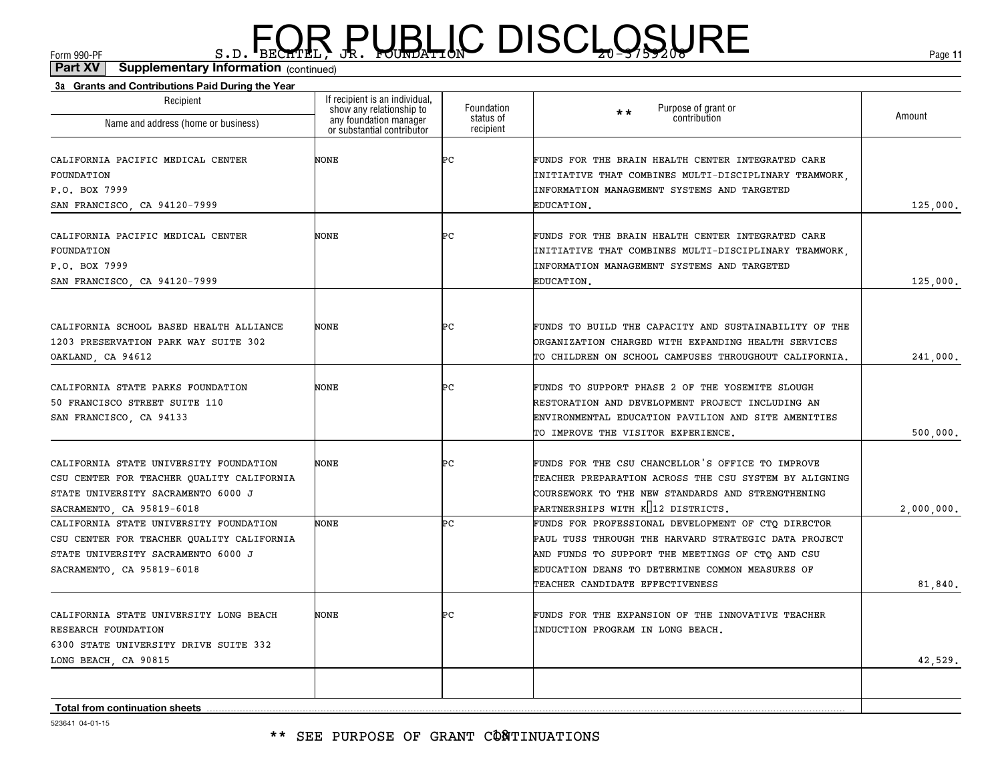(continued)**Part XV Supplementary Information**

| Recipient                                                                       | If recipient is an individual,<br>show any relationship to | Foundation             | Purpose of grant or<br>$\star\star$                                                                        |            |
|---------------------------------------------------------------------------------|------------------------------------------------------------|------------------------|------------------------------------------------------------------------------------------------------------|------------|
| Name and address (home or business)                                             | any foundation manager<br>or substantial contributor       | status of<br>recipient | contribution                                                                                               | Amount     |
| CALIFORNIA PACIFIC MEDICAL CENTER                                               | NONE                                                       | ÞС                     | FUNDS FOR THE BRAIN HEALTH CENTER INTEGRATED CARE                                                          |            |
| FOUNDATION                                                                      |                                                            |                        | INITIATIVE THAT COMBINES MULTI-DISCIPLINARY TEAMWORK.                                                      |            |
| P.O. BOX 7999                                                                   |                                                            |                        | INFORMATION MANAGEMENT SYSTEMS AND TARGETED                                                                |            |
| SAN FRANCISCO, CA 94120-7999                                                    |                                                            |                        | EDUCATION.                                                                                                 | 125,000.   |
| CALIFORNIA PACIFIC MEDICAL CENTER                                               | <b>NONE</b>                                                | ÞС                     | FUNDS FOR THE BRAIN HEALTH CENTER INTEGRATED CARE                                                          |            |
| FOUNDATION                                                                      |                                                            |                        | INITIATIVE THAT COMBINES MULTI-DISCIPLINARY TEAMWORK,                                                      |            |
| P.O. BOX 7999                                                                   |                                                            |                        | INFORMATION MANAGEMENT SYSTEMS AND TARGETED                                                                |            |
| SAN FRANCISCO, CA 94120-7999                                                    |                                                            |                        | EDUCATION.                                                                                                 | 125,000.   |
|                                                                                 |                                                            |                        |                                                                                                            |            |
| CALIFORNIA SCHOOL BASED HEALTH ALLIANCE                                         | <b>NONE</b>                                                | ÞС                     | FUNDS TO BUILD THE CAPACITY AND SUSTAINABILITY OF THE                                                      |            |
| 1203 PRESERVATION PARK WAY SUITE 302                                            |                                                            |                        | ORGANIZATION CHARGED WITH EXPANDING HEALTH SERVICES                                                        |            |
| OAKLAND, CA 94612                                                               |                                                            |                        | TO CHILDREN ON SCHOOL CAMPUSES THROUGHOUT CALIFORNIA.                                                      | 241,000.   |
| CALIFORNIA STATE PARKS FOUNDATION                                               | <b>NONE</b>                                                | ÞС                     | FUNDS TO SUPPORT PHASE 2 OF THE YOSEMITE SLOUGH                                                            |            |
| 50 FRANCISCO STREET SUITE 110                                                   |                                                            |                        | RESTORATION AND DEVELOPMENT PROJECT INCLUDING AN                                                           |            |
| SAN FRANCISCO, CA 94133                                                         |                                                            |                        | ENVIRONMENTAL EDUCATION PAVILION AND SITE AMENITIES                                                        |            |
|                                                                                 |                                                            |                        | TO IMPROVE THE VISITOR EXPERIENCE.                                                                         | 500,000.   |
|                                                                                 |                                                            |                        |                                                                                                            |            |
| CALIFORNIA STATE UNIVERSITY FOUNDATION                                          | <b>NONE</b>                                                | ÞС                     | FUNDS FOR THE CSU CHANCELLOR'S OFFICE TO IMPROVE                                                           |            |
| CSU CENTER FOR TEACHER QUALITY CALIFORNIA<br>STATE UNIVERSITY SACRAMENTO 6000 J |                                                            |                        | TEACHER PREPARATION ACROSS THE CSU SYSTEM BY ALIGNING<br>COURSEWORK TO THE NEW STANDARDS AND STRENGTHENING |            |
| SACRAMENTO, CA 95819-6018                                                       |                                                            |                        | PARTNERSHIPS WITH K 12 DISTRICTS.                                                                          |            |
| CALIFORNIA STATE UNIVERSITY FOUNDATION                                          | NONE                                                       | ÞС                     | FUNDS FOR PROFESSIONAL DEVELOPMENT OF CTO DIRECTOR                                                         | 2,000,000. |
| CSU CENTER FOR TEACHER QUALITY CALIFORNIA                                       |                                                            |                        | PAUL TUSS THROUGH THE HARVARD STRATEGIC DATA PROJECT                                                       |            |
| STATE UNIVERSITY SACRAMENTO 6000 J                                              |                                                            |                        | AND FUNDS TO SUPPORT THE MEETINGS OF CTO AND CSU                                                           |            |
| SACRAMENTO, CA 95819-6018                                                       |                                                            |                        | EDUCATION DEANS TO DETERMINE COMMON MEASURES OF                                                            |            |
|                                                                                 |                                                            |                        | TEACHER CANDIDATE EFFECTIVENESS                                                                            | 81,840.    |
|                                                                                 | NONE                                                       | ÞС                     | FUNDS FOR THE EXPANSION OF THE INNOVATIVE TEACHER                                                          |            |
| CALIFORNIA STATE UNIVERSITY LONG BEACH<br>RESEARCH FOUNDATION                   |                                                            |                        | INDUCTION PROGRAM IN LONG BEACH.                                                                           |            |
| 6300 STATE UNIVERSITY DRIVE SUITE 332                                           |                                                            |                        |                                                                                                            |            |
| LONG BEACH, CA 90815                                                            |                                                            |                        |                                                                                                            | 42,529.    |
|                                                                                 |                                                            |                        |                                                                                                            |            |
|                                                                                 |                                                            |                        |                                                                                                            |            |
| <b>Total from continuation sheets</b>                                           |                                                            |                        |                                                                                                            |            |

523641 04-01-15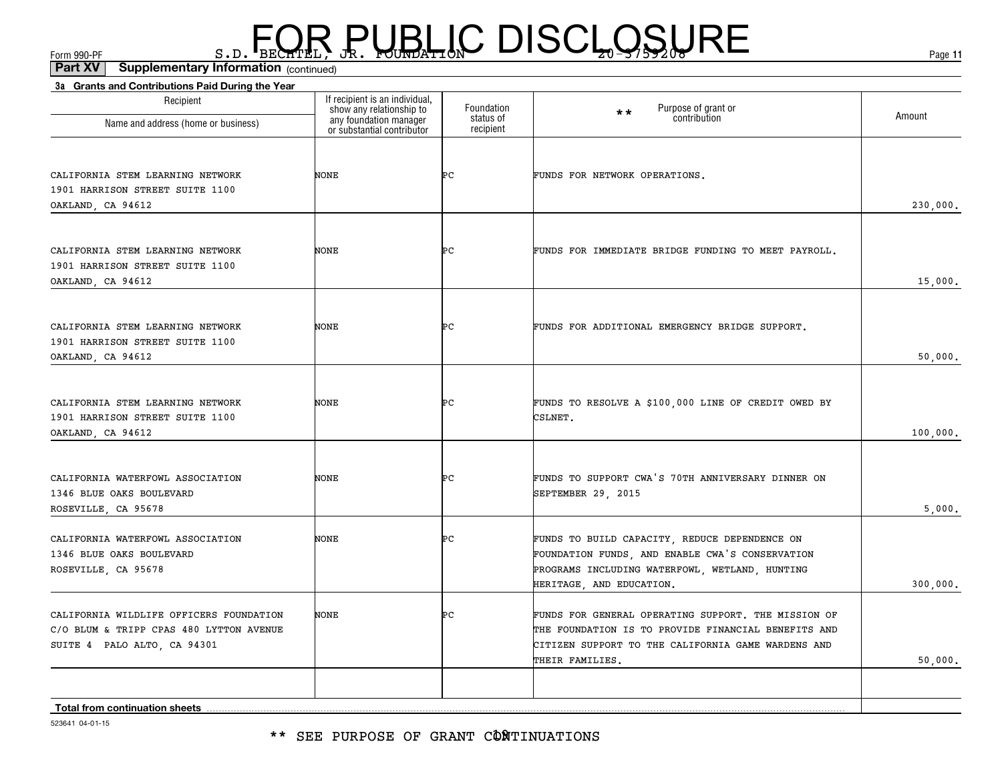(continued)**Part XV Supplementary Information**

| Recipient                                                              |                                                                                                                    | Foundation             | Purpose of grant or<br>contribution<br>$\star\star$                                                       |          |
|------------------------------------------------------------------------|--------------------------------------------------------------------------------------------------------------------|------------------------|-----------------------------------------------------------------------------------------------------------|----------|
| Name and address (home or business)                                    | If recipient is an individual,<br>show any relationship to<br>any foundation manager<br>or substantial contributor | status of<br>recipient |                                                                                                           | Amount   |
|                                                                        |                                                                                                                    |                        |                                                                                                           |          |
| CALIFORNIA STEM LEARNING NETWORK<br>1901 HARRISON STREET SUITE 1100    | NONE                                                                                                               | ÞС                     | FUNDS FOR NETWORK OPERATIONS.                                                                             |          |
| OAKLAND, CA 94612                                                      |                                                                                                                    |                        |                                                                                                           | 230,000. |
| CALIFORNIA STEM LEARNING NETWORK                                       | NONE                                                                                                               | ÞС                     | FUNDS FOR IMMEDIATE BRIDGE FUNDING TO MEET PAYROLL.                                                       |          |
| 1901 HARRISON STREET SUITE 1100                                        |                                                                                                                    |                        |                                                                                                           |          |
| OAKLAND, CA 94612                                                      |                                                                                                                    |                        |                                                                                                           | 15,000.  |
| CALIFORNIA STEM LEARNING NETWORK                                       | NONE                                                                                                               | ÞС                     | FUNDS FOR ADDITIONAL EMERGENCY BRIDGE SUPPORT.                                                            |          |
| 1901 HARRISON STREET SUITE 1100                                        |                                                                                                                    |                        |                                                                                                           |          |
| OAKLAND, CA 94612                                                      |                                                                                                                    |                        |                                                                                                           | 50,000.  |
| CALIFORNIA STEM LEARNING NETWORK                                       | NONE                                                                                                               | ÞС                     | FUNDS TO RESOLVE A \$100,000 LINE OF CREDIT OWED BY                                                       |          |
| 1901 HARRISON STREET SUITE 1100                                        |                                                                                                                    |                        | CSLNET.                                                                                                   |          |
| OAKLAND, CA 94612                                                      |                                                                                                                    |                        |                                                                                                           | 100,000. |
| CALIFORNIA WATERFOWL ASSOCIATION<br>1346 BLUE OAKS BOULEVARD           | NONE                                                                                                               | ÞС                     | FUNDS TO SUPPORT CWA'S 70TH ANNIVERSARY DINNER ON<br>SEPTEMBER 29, 2015                                   |          |
| ROSEVILLE, CA 95678                                                    |                                                                                                                    |                        |                                                                                                           | 5,000.   |
| CALIFORNIA WATERFOWL ASSOCIATION<br>1346 BLUE OAKS BOULEVARD           | <b>NONE</b>                                                                                                        | ÞС                     | FUNDS TO BUILD CAPACITY, REDUCE DEPENDENCE ON<br>FOUNDATION FUNDS, AND ENABLE CWA'S CONSERVATION          |          |
| ROSEVILLE, CA 95678                                                    |                                                                                                                    |                        | PROGRAMS INCLUDING WATERFOWL, WETLAND, HUNTING                                                            |          |
|                                                                        |                                                                                                                    |                        | HERITAGE, AND EDUCATION.                                                                                  | 300,000. |
| CALIFORNIA WILDLIFE OFFICERS FOUNDATION                                | NONE                                                                                                               | ÞС                     | FUNDS FOR GENERAL OPERATING SUPPORT. THE MISSION OF                                                       |          |
| C/O BLUM & TRIPP CPAS 480 LYTTON AVENUE<br>SUITE 4 PALO ALTO, CA 94301 |                                                                                                                    |                        | THE FOUNDATION IS TO PROVIDE FINANCIAL BENEFITS AND<br>CITIZEN SUPPORT TO THE CALIFORNIA GAME WARDENS AND |          |
|                                                                        |                                                                                                                    |                        | THEIR FAMILIES.                                                                                           | 50,000.  |
|                                                                        |                                                                                                                    |                        |                                                                                                           |          |
| Total from continuation sheets                                         |                                                                                                                    |                        |                                                                                                           |          |

523641 04-01-15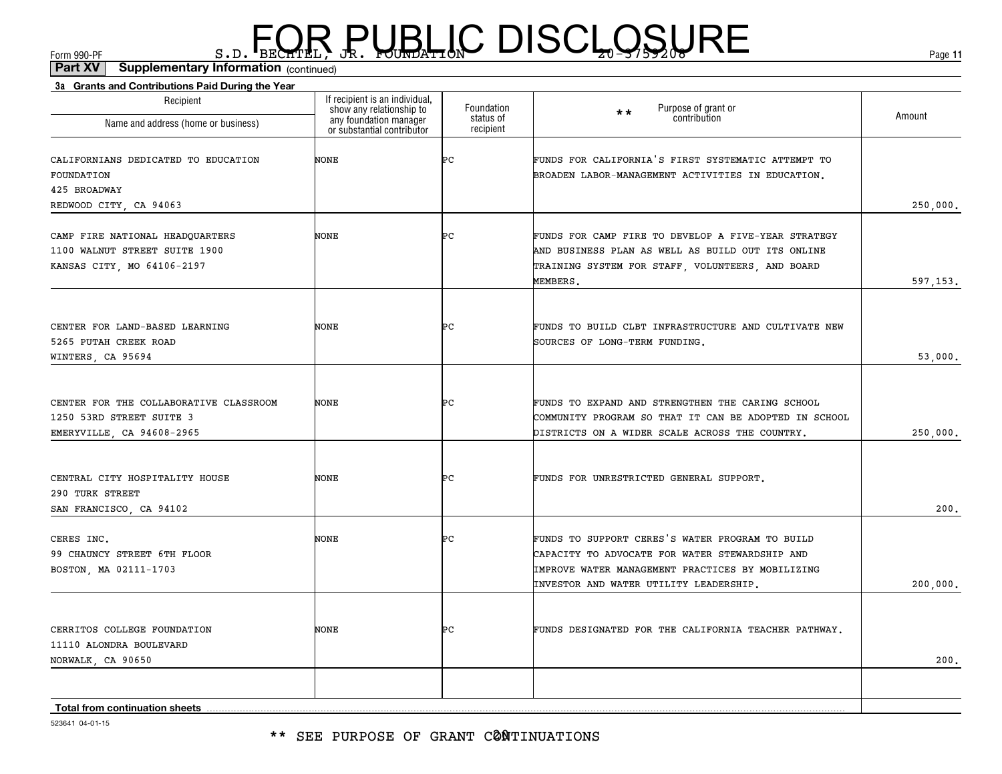\*\* SEE PURPOSE OF GRANT CØNTINUATIONS

| Recipient<br>Name and address (home or business)                                                | If recipient is an individual,<br>show any relationship to<br>any foundation manager<br>or substantial contributor | Foundation<br>status of<br>recipient | Purpose of grant or<br>contribution<br>$\star\star$                                                                                                                                             | Amount   |
|-------------------------------------------------------------------------------------------------|--------------------------------------------------------------------------------------------------------------------|--------------------------------------|-------------------------------------------------------------------------------------------------------------------------------------------------------------------------------------------------|----------|
| CALIFORNIANS DEDICATED TO EDUCATION<br>FOUNDATION<br>425 BROADWAY<br>REDWOOD CITY, CA 94063     | NONE                                                                                                               | ÞС                                   | FUNDS FOR CALIFORNIA'S FIRST SYSTEMATIC ATTEMPT TO<br>BROADEN LABOR-MANAGEMENT ACTIVITIES IN EDUCATION.                                                                                         | 250,000. |
| CAMP FIRE NATIONAL HEADQUARTERS<br>1100 WALNUT STREET SUITE 1900<br>KANSAS CITY, MO 64106-2197  | NONE                                                                                                               | Þс                                   | FUNDS FOR CAMP FIRE TO DEVELOP A FIVE-YEAR STRATEGY<br>AND BUSINESS PLAN AS WELL AS BUILD OUT ITS ONLINE<br>TRAINING SYSTEM FOR STAFF, VOLUNTEERS, AND BOARD<br>MEMBERS.                        | 597,153. |
| CENTER FOR LAND-BASED LEARNING<br>5265 PUTAH CREEK ROAD<br>WINTERS, CA 95694                    | NONE                                                                                                               | ÞС                                   | FUNDS TO BUILD CLBT INFRASTRUCTURE AND CULTIVATE NEW<br>SOURCES OF LONG-TERM FUNDING.                                                                                                           | 53,000.  |
| CENTER FOR THE COLLABORATIVE CLASSROOM<br>1250 53RD STREET SUITE 3<br>EMERYVILLE, CA 94608-2965 | NONE                                                                                                               | ÞС                                   | FUNDS TO EXPAND AND STRENGTHEN THE CARING SCHOOL<br>COMMUNITY PROGRAM SO THAT IT CAN BE ADOPTED IN SCHOOL<br>DISTRICTS ON A WIDER SCALE ACROSS THE COUNTRY.                                     | 250,000. |
| CENTRAL CITY HOSPITALITY HOUSE<br>290 TURK STREET<br>SAN FRANCISCO, CA 94102                    | NONE                                                                                                               | ÞС                                   | FUNDS FOR UNRESTRICTED GENERAL SUPPORT.                                                                                                                                                         | 200.     |
| CERES INC.<br>99 CHAUNCY STREET 6TH FLOOR<br>BOSTON, MA 02111-1703                              | NONE                                                                                                               | ÞС                                   | FUNDS TO SUPPORT CERES'S WATER PROGRAM TO BUILD<br>CAPACITY TO ADVOCATE FOR WATER STEWARDSHIP AND<br>IMPROVE WATER MANAGEMENT PRACTICES BY MOBILIZING<br>INVESTOR AND WATER UTILITY LEADERSHIP. | 200,000. |
| CERRITOS COLLEGE FOUNDATION<br>11110 ALONDRA BOULEVARD<br>NORWALK, CA 90650                     | NONE                                                                                                               | ÞС                                   | FUNDS DESIGNATED FOR THE CALIFORNIA TEACHER PATHWAY.                                                                                                                                            | 200.     |
| Total from continuation sheets                                                                  |                                                                                                                    |                                      |                                                                                                                                                                                                 |          |

#### (continued)**Part XV Supplementary Information**

**3a Grants and Contributions Paid During the Year**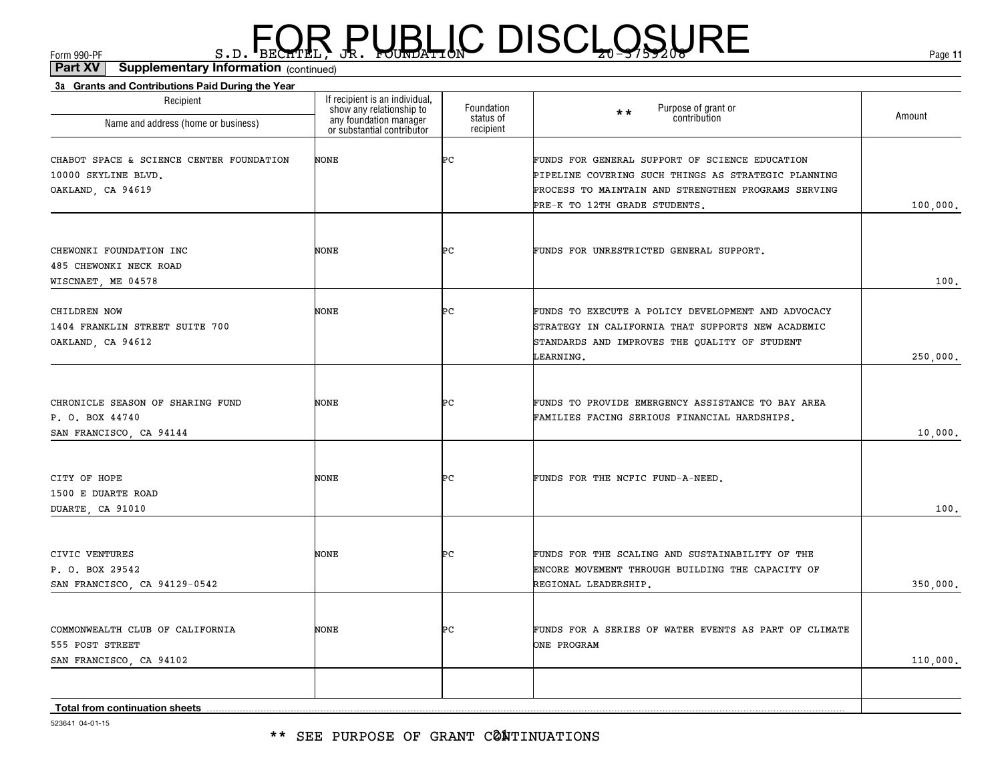\*\* SEE PURPOSE OF GRANT CØNTINUATIONS

| Recipient<br>Name and address (home or business) | If recipient is an individual,<br>show any relationship to<br>any foundation manager<br>or substantial contributor | Foundation<br>status of<br>recipient | Purpose of grant or<br>$\star\star$<br>contribution   | Amount   |
|--------------------------------------------------|--------------------------------------------------------------------------------------------------------------------|--------------------------------------|-------------------------------------------------------|----------|
|                                                  |                                                                                                                    |                                      |                                                       |          |
| CHABOT SPACE & SCIENCE CENTER FOUNDATION         | <b>NONE</b>                                                                                                        | Þс                                   | FUNDS FOR GENERAL SUPPORT OF SCIENCE EDUCATION        |          |
| 10000 SKYLINE BLVD.                              |                                                                                                                    |                                      | PIPELINE COVERING SUCH THINGS AS STRATEGIC PLANNING   |          |
| OAKLAND, CA 94619                                |                                                                                                                    |                                      | PROCESS TO MAINTAIN AND STRENGTHEN PROGRAMS SERVING   |          |
|                                                  |                                                                                                                    |                                      | PRE-K TO 12TH GRADE STUDENTS.                         | 100,000. |
|                                                  |                                                                                                                    |                                      |                                                       |          |
| CHEWONKI FOUNDATION INC                          | <b>NONE</b>                                                                                                        | ÞС                                   | FUNDS FOR UNRESTRICTED GENERAL SUPPORT.               |          |
| 485 CHEWONKI NECK ROAD                           |                                                                                                                    |                                      |                                                       |          |
| WISCNAET, ME 04578                               |                                                                                                                    |                                      |                                                       | 100.     |
| CHILDREN NOW                                     | <b>NONE</b>                                                                                                        | ÞС                                   | FUNDS TO EXECUTE A POLICY DEVELOPMENT AND ADVOCACY    |          |
| 1404 FRANKLIN STREET SUITE 700                   |                                                                                                                    |                                      | STRATEGY IN CALIFORNIA THAT SUPPORTS NEW ACADEMIC     |          |
| OAKLAND, CA 94612                                |                                                                                                                    |                                      | STANDARDS AND IMPROVES THE QUALITY OF STUDENT         |          |
|                                                  |                                                                                                                    |                                      | LEARNING.                                             | 250,000. |
|                                                  |                                                                                                                    |                                      |                                                       |          |
| CHRONICLE SEASON OF SHARING FUND                 | <b>NONE</b>                                                                                                        | ÞС                                   | FUNDS TO PROVIDE EMERGENCY ASSISTANCE TO BAY AREA     |          |
| P. O. BOX 44740                                  |                                                                                                                    |                                      | FAMILIES FACING SERIOUS FINANCIAL HARDSHIPS.          |          |
| SAN FRANCISCO, CA 94144                          |                                                                                                                    |                                      |                                                       | 10,000.  |
|                                                  |                                                                                                                    |                                      |                                                       |          |
| CITY OF HOPE                                     | <b>NONE</b>                                                                                                        | ÞС                                   | FUNDS FOR THE NCFIC FUND-A-NEED.                      |          |
| 1500 E DUARTE ROAD                               |                                                                                                                    |                                      |                                                       |          |
| DUARTE, CA 91010                                 |                                                                                                                    |                                      |                                                       | 100.     |
|                                                  |                                                                                                                    |                                      |                                                       |          |
| CIVIC VENTURES                                   | NONE                                                                                                               | ÞС                                   | FUNDS FOR THE SCALING AND SUSTAINABILITY OF THE       |          |
| P. O. BOX 29542                                  |                                                                                                                    |                                      | ENCORE MOVEMENT THROUGH BUILDING THE CAPACITY OF      |          |
| SAN FRANCISCO, CA 94129-0542                     |                                                                                                                    |                                      | REGIONAL LEADERSHIP.                                  | 350,000. |
|                                                  |                                                                                                                    |                                      |                                                       |          |
| COMMONWEALTH CLUB OF CALIFORNIA                  | <b>NONE</b>                                                                                                        | ÞС                                   | FUNDS FOR A SERIES OF WATER EVENTS AS PART OF CLIMATE |          |
| 555 POST STREET                                  |                                                                                                                    |                                      | ONE PROGRAM                                           |          |
| SAN FRANCISCO, CA 94102                          |                                                                                                                    |                                      |                                                       | 110,000. |
|                                                  |                                                                                                                    |                                      |                                                       |          |
| Total from continuation sheets                   |                                                                                                                    |                                      |                                                       |          |
|                                                  |                                                                                                                    |                                      |                                                       |          |

 $F_{\text{GCD}}$   $\text{F}_{\text{BEC}}$   $\text{F}_{\text{BEC}}$   $\text{F}_{\text{BEC}}$   $\text{F}_{\text{CUE}}$   $\text{G}_{\text{AFL}}$   $\text{G}_{\text{A}}$   $\text{G}_{\text{B}}$   $\text{G}_{\text{B}}$   $\text{G}_{\text{B}}$   $\text{G}_{\text{B}}$   $\text{G}_{\text{B}}$   $\text{G}_{\text{B}}$   $\text{G}_{\text{B}}$   $\text{G}_{\text{B}}$   $\text{G}_{\text{B}}$   $\text{G}_{\text{B$ (continued)**Part XV Supplementary Information**

**3a Grants and Contributions Paid During the Year**

523641 04-01-15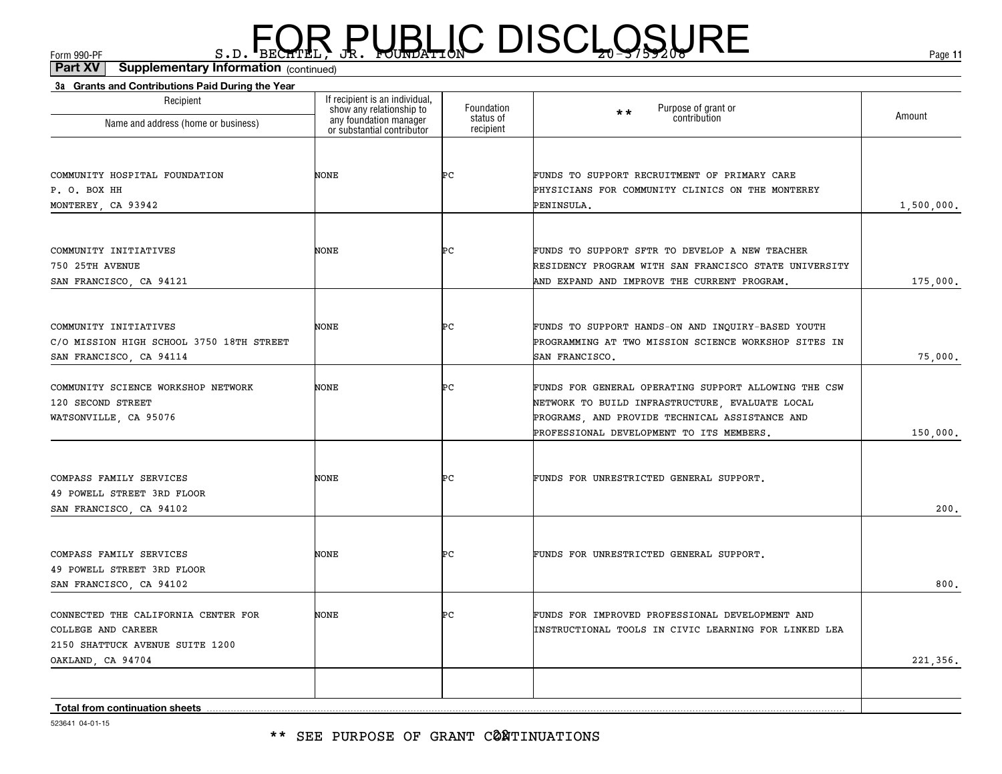(continued)**Part XV Supplementary Information**

| Recipient                                | If recipient is an individual,                                                   | Foundation             | $\star\star$                                                |            |
|------------------------------------------|----------------------------------------------------------------------------------|------------------------|-------------------------------------------------------------|------------|
| Name and address (home or business)      | show any relationship to<br>any foundation manager<br>or substantial contributor | status of<br>recipient | Purpose of grant or<br>contribution                         | Amount     |
|                                          |                                                                                  |                        |                                                             |            |
| COMMUNITY HOSPITAL FOUNDATION            | NONE                                                                             | ÞС                     | FUNDS TO SUPPORT RECRUITMENT OF PRIMARY CARE                |            |
| P. O. BOX HH                             |                                                                                  |                        | PHYSICIANS FOR COMMUNITY CLINICS ON THE MONTEREY            |            |
| MONTEREY, CA 93942                       |                                                                                  |                        | PENINSULA.                                                  | 1,500,000. |
| COMMUNITY INITIATIVES                    | NONE                                                                             | ÞС                     | FUNDS TO SUPPORT SFTR TO DEVELOP A NEW TEACHER              |            |
| 750 25TH AVENUE                          |                                                                                  |                        | RESIDENCY PROGRAM WITH SAN FRANCISCO STATE UNIVERSITY       |            |
| SAN FRANCISCO, CA 94121                  |                                                                                  |                        | AND EXPAND AND IMPROVE THE CURRENT PROGRAM.                 | 175,000.   |
| COMMUNITY INITIATIVES                    | NONE                                                                             | ÞС                     | FUNDS TO SUPPORT HANDS-ON AND INQUIRY-BASED YOUTH           |            |
| C/O MISSION HIGH SCHOOL 3750 18TH STREET |                                                                                  |                        | PROGRAMMING AT TWO MISSION SCIENCE WORKSHOP SITES IN        |            |
| SAN FRANCISCO, CA 94114                  |                                                                                  |                        | SAN FRANCISCO.                                              | 75,000.    |
| COMMUNITY SCIENCE WORKSHOP NETWORK       | NONE                                                                             | Þс                     | FUNDS FOR GENERAL OPERATING SUPPORT ALLOWING THE CSW        |            |
| 120 SECOND STREET                        |                                                                                  |                        | NETWORK TO BUILD INFRASTRUCTURE, EVALUATE LOCAL             |            |
| WATSONVILLE, CA 95076                    |                                                                                  |                        | PROGRAMS, AND PROVIDE TECHNICAL ASSISTANCE AND              |            |
|                                          |                                                                                  |                        | PROFESSIONAL DEVELOPMENT TO ITS MEMBERS.                    | 150,000.   |
| COMPASS FAMILY SERVICES                  | NONE                                                                             | ÞС                     | FUNDS FOR UNRESTRICTED GENERAL SUPPORT.                     |            |
| 49 POWELL STREET 3RD FLOOR               |                                                                                  |                        |                                                             |            |
| SAN FRANCISCO, CA 94102                  |                                                                                  |                        |                                                             | 200.       |
| COMPASS FAMILY SERVICES                  | <b>NONE</b>                                                                      | ÞС                     | FUNDS FOR UNRESTRICTED GENERAL SUPPORT.                     |            |
| 49 POWELL STREET 3RD FLOOR               |                                                                                  |                        |                                                             |            |
| SAN FRANCISCO, CA 94102                  |                                                                                  |                        |                                                             | 800.       |
| CONNECTED THE CALIFORNIA CENTER FOR      | <b>NONE</b>                                                                      | ÞС                     | FUNDS FOR IMPROVED PROFESSIONAL DEVELOPMENT AND             |            |
| COLLEGE AND CAREER                       |                                                                                  |                        | <b>INSTRUCTIONAL TOOLS IN CIVIC LEARNING FOR LINKED LEA</b> |            |
| 2150 SHATTUCK AVENUE SUITE 1200          |                                                                                  |                        |                                                             |            |
| OAKLAND, CA 94704                        |                                                                                  |                        |                                                             | 221,356.   |
| <b>Total from continuation sheets</b>    |                                                                                  |                        |                                                             |            |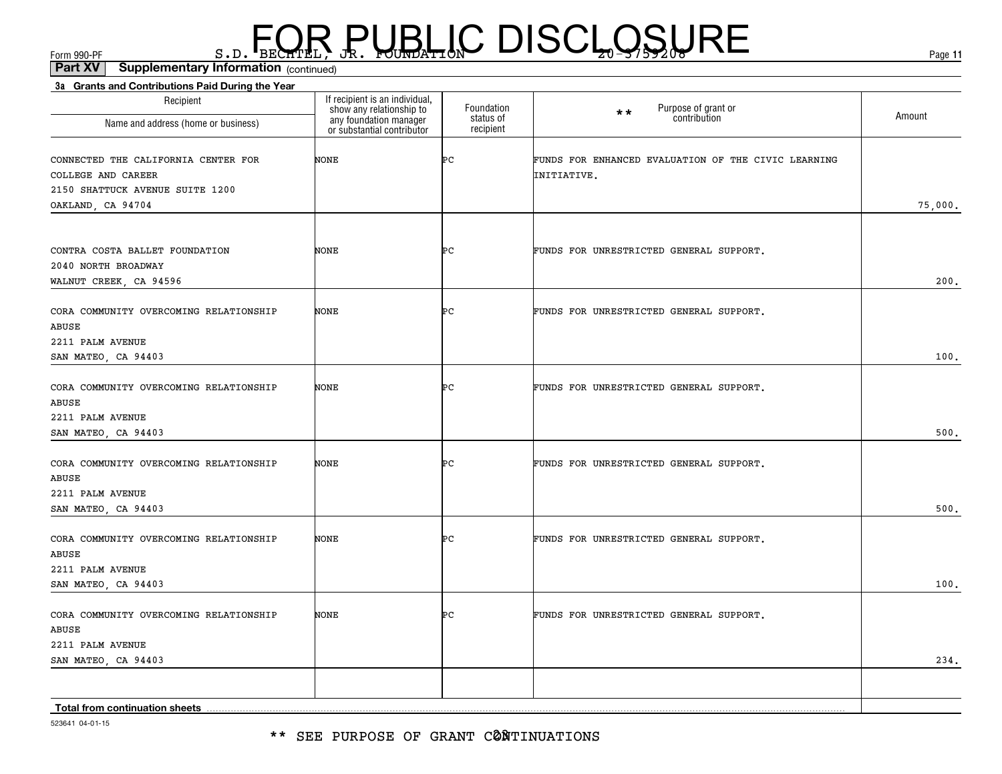\*\* SEE PURPOSE OF GRANT CØNTINUATIONS

523641 04-01-15

| Recipient<br>Name and address (home or business)                                                                  | If recipient is an individual,<br>show any relationship to<br>any foundation manager<br>or substantial contributor | Foundation<br>status of<br>recipient | Purpose of grant or<br>$\star \star$<br>contribution               | Amount  |
|-------------------------------------------------------------------------------------------------------------------|--------------------------------------------------------------------------------------------------------------------|--------------------------------------|--------------------------------------------------------------------|---------|
| CONNECTED THE CALIFORNIA CENTER FOR<br>COLLEGE AND CAREER<br>2150 SHATTUCK AVENUE SUITE 1200<br>OAKLAND, CA 94704 | NONE                                                                                                               | ÞС                                   | FUNDS FOR ENHANCED EVALUATION OF THE CIVIC LEARNING<br>INITIATIVE. | 75,000. |
| CONTRA COSTA BALLET FOUNDATION<br>2040 NORTH BROADWAY<br>WALNUT CREEK, CA 94596                                   | NONE                                                                                                               | ÞС                                   | FUNDS FOR UNRESTRICTED GENERAL SUPPORT.                            | 200.    |
| CORA COMMUNITY OVERCOMING RELATIONSHIP<br>ABUSE<br>2211 PALM AVENUE<br>SAN MATEO, CA 94403                        | NONE                                                                                                               | ÞС                                   | FUNDS FOR UNRESTRICTED GENERAL SUPPORT.                            | 100.    |
| CORA COMMUNITY OVERCOMING RELATIONSHIP<br>ABUSE<br>2211 PALM AVENUE<br>SAN MATEO, CA 94403                        | NONE                                                                                                               | ÞС                                   | FUNDS FOR UNRESTRICTED GENERAL SUPPORT.                            | 500.    |
| CORA COMMUNITY OVERCOMING RELATIONSHIP<br>ABUSE<br>2211 PALM AVENUE<br>SAN MATEO, CA 94403                        | NONE                                                                                                               | ÞС                                   | FUNDS FOR UNRESTRICTED GENERAL SUPPORT.                            | 500.    |
| CORA COMMUNITY OVERCOMING RELATIONSHIP<br>ABUSE<br>2211 PALM AVENUE<br>SAN MATEO, CA 94403                        | NONE                                                                                                               | ÞС                                   | FUNDS FOR UNRESTRICTED GENERAL SUPPORT.                            | 100.    |
| CORA COMMUNITY OVERCOMING RELATIONSHIP<br>ABUSE<br>2211 PALM AVENUE<br>SAN MATEO, CA 94403                        | NONE                                                                                                               | ÞС                                   | FUNDS FOR UNRESTRICTED GENERAL SUPPORT.                            | 234.    |
| Total from continuation sheets                                                                                    |                                                                                                                    |                                      |                                                                    |         |

### $F_{\text{GCD}}$   $\text{F}_{\text{BEC}}$   $\text{F}_{\text{BEC}}$   $\text{F}_{\text{BEC}}$   $\text{F}_{\text{CUE}}$   $\text{G}_{\text{AFL}}$   $\text{G}_{\text{A}}$   $\text{G}_{\text{B}}$   $\text{G}_{\text{B}}$   $\text{G}_{\text{B}}$   $\text{G}_{\text{B}}$   $\text{G}_{\text{B}}$   $\text{G}_{\text{B}}$   $\text{G}_{\text{B}}$   $\text{G}_{\text{B}}$   $\text{G}_{\text{B}}$   $\text{G}_{\text{B$

**3a Grants and Contributions Paid During the Year** (continued)**Part XV Supplementary Information**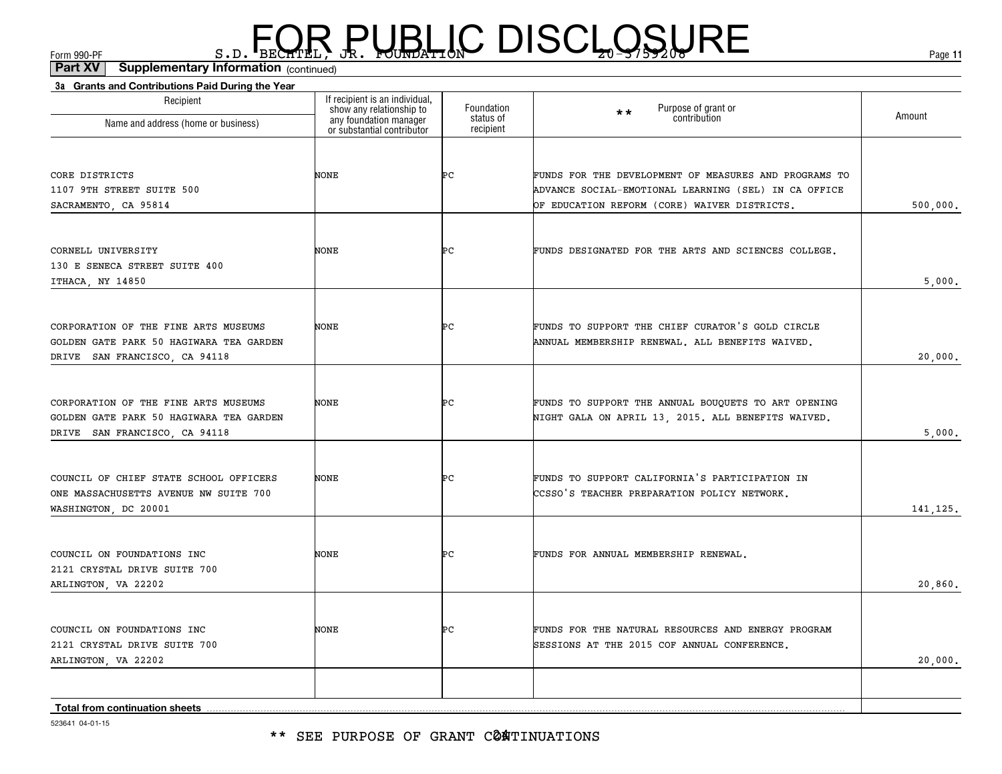\*\* SEE PURPOSE OF GRANT CØ**A**TINUATIONS

523641 04-01-15

| Recipient                                                                                                        | If recipient is an individual,<br>show any relationship to | Foundation<br>status of | Purpose of grant or<br>**<br>contribution                                                                                                                     | Amount    |
|------------------------------------------------------------------------------------------------------------------|------------------------------------------------------------|-------------------------|---------------------------------------------------------------------------------------------------------------------------------------------------------------|-----------|
| Name and address (home or business)                                                                              | any foundation manager<br>or substantial contributor       | recipient               |                                                                                                                                                               |           |
| CORE DISTRICTS<br>1107 9TH STREET SUITE 500<br>SACRAMENTO, CA 95814                                              | NONE                                                       | ÞС                      | FUNDS FOR THE DEVELOPMENT OF MEASURES AND PROGRAMS TO<br>ADVANCE SOCIAL-EMOTIONAL LEARNING (SEL) IN CA OFFICE<br>OF EDUCATION REFORM (CORE) WAIVER DISTRICTS. | 500,000.  |
|                                                                                                                  |                                                            |                         |                                                                                                                                                               |           |
| CORNELL UNIVERSITY<br>130 E SENECA STREET SUITE 400<br>ITHACA, NY 14850                                          | NONE                                                       | Þс                      | FUNDS DESIGNATED FOR THE ARTS AND SCIENCES COLLEGE.                                                                                                           | 5,000.    |
| CORPORATION OF THE FINE ARTS MUSEUMS<br>GOLDEN GATE PARK 50 HAGIWARA TEA GARDEN<br>DRIVE SAN FRANCISCO, CA 94118 | <b>NONE</b>                                                | ÞС                      | FUNDS TO SUPPORT THE CHIEF CURATOR'S GOLD CIRCLE<br>ANNUAL MEMBERSHIP RENEWAL. ALL BENEFITS WAIVED.                                                           | 20,000.   |
| CORPORATION OF THE FINE ARTS MUSEUMS<br>GOLDEN GATE PARK 50 HAGIWARA TEA GARDEN<br>DRIVE SAN FRANCISCO, CA 94118 | NONE                                                       | ÞС                      | FUNDS TO SUPPORT THE ANNUAL BOUQUETS TO ART OPENING<br>NIGHT GALA ON APRIL 13, 2015. ALL BENEFITS WAIVED.                                                     | 5,000.    |
| COUNCIL OF CHIEF STATE SCHOOL OFFICERS<br>ONE MASSACHUSETTS AVENUE NW SUITE 700<br>WASHINGTON, DC 20001          | NONE                                                       | ÞС                      | FUNDS TO SUPPORT CALIFORNIA'S PARTICIPATION IN<br>CCSSO'S TEACHER PREPARATION POLICY NETWORK.                                                                 | 141, 125. |
| COUNCIL ON FOUNDATIONS INC<br>2121 CRYSTAL DRIVE SUITE 700<br>ARLINGTON, VA 22202                                | NONE                                                       | ÞС                      | FUNDS FOR ANNUAL MEMBERSHIP RENEWAL.                                                                                                                          | 20,860.   |
| COUNCIL ON FOUNDATIONS INC<br>2121 CRYSTAL DRIVE SUITE 700<br>ARLINGTON, VA 22202                                | NONE                                                       | ÞС                      | FUNDS FOR THE NATURAL RESOURCES AND ENERGY PROGRAM<br>SESSIONS AT THE 2015 COF ANNUAL CONFERENCE.                                                             | 20,000.   |
|                                                                                                                  |                                                            |                         |                                                                                                                                                               |           |
| Total from continuation sheets                                                                                   |                                                            |                         |                                                                                                                                                               |           |

**3a Grants and Contributions Paid During the Year**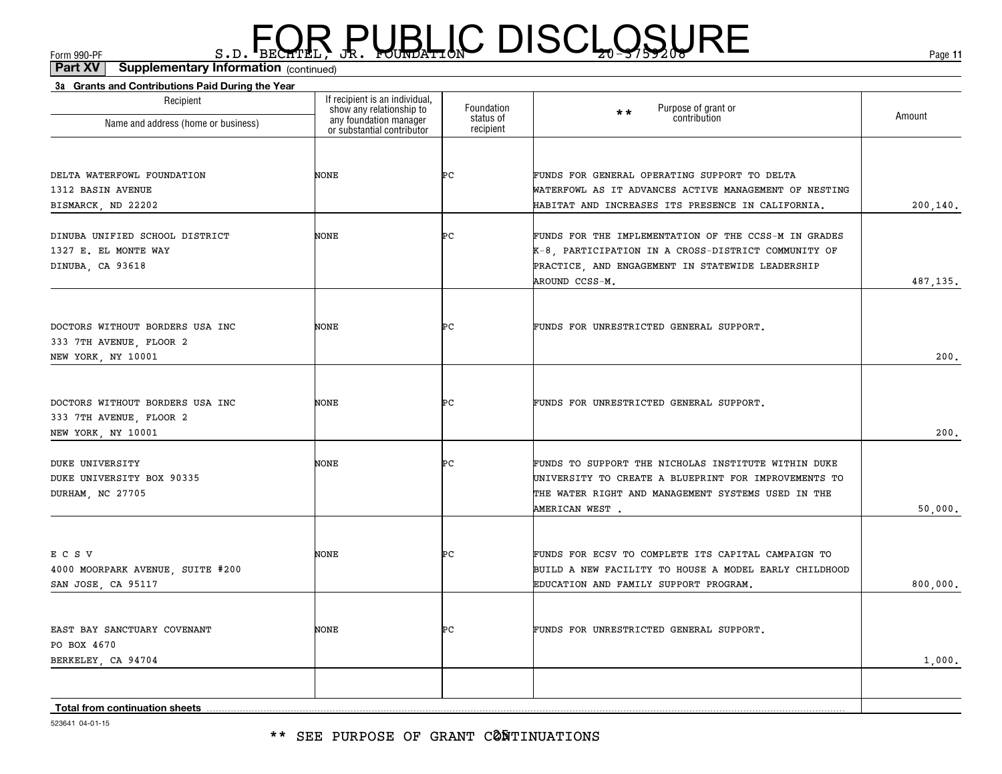\*\* SEE PURPOSE OF GRANT CØÑTINUATIONS

523641 04-01-15

| DELTA WATERFOWL FOUNDATION<br>1312 BASIN AVENUE<br>BISMARCK, ND 22202            | <b>NONE</b> | ÞС | FUNDS FOR GENERAL OPERATING SUPPORT TO DELTA<br>WATERFOWL AS IT ADVANCES ACTIVE MANAGEMENT OF NESTING<br>HABITAT AND INCREASES ITS PRESENCE IN CALIFORNIA.                          | 200, 140. |
|----------------------------------------------------------------------------------|-------------|----|-------------------------------------------------------------------------------------------------------------------------------------------------------------------------------------|-----------|
| DINUBA UNIFIED SCHOOL DISTRICT<br>1327 E. EL MONTE WAY<br>DINUBA, CA 93618       | NONE        | ÞС | FUNDS FOR THE IMPLEMENTATION OF THE CCSS-M IN GRADES<br>K-8, PARTICIPATION IN A CROSS-DISTRICT COMMUNITY OF<br>PRACTICE, AND ENGAGEMENT IN STATEWIDE LEADERSHIP<br>AROUND CCSS-M.   | 487,135.  |
| DOCTORS WITHOUT BORDERS USA INC<br>333 7TH AVENUE, FLOOR 2<br>NEW YORK, NY 10001 | NONE        | ÞС | FUNDS FOR UNRESTRICTED GENERAL SUPPORT.                                                                                                                                             | 200,      |
| DOCTORS WITHOUT BORDERS USA INC<br>333 7TH AVENUE, FLOOR 2<br>NEW YORK, NY 10001 | NONE        | ÞС | FUNDS FOR UNRESTRICTED GENERAL SUPPORT.                                                                                                                                             | 200.      |
| <b>DUKE UNIVERSITY</b><br>DUKE UNIVERSITY BOX 90335<br>DURHAM, NC 27705          | NONE        | ÞС | FUNDS TO SUPPORT THE NICHOLAS INSTITUTE WITHIN DUKE<br>UNIVERSITY TO CREATE A BLUEPRINT FOR IMPROVEMENTS TO<br>THE WATER RIGHT AND MANAGEMENT SYSTEMS USED IN THE<br>AMERICAN WEST. | 50,000,   |
| ECSV<br>4000 MOORPARK AVENUE, SUITE #200<br>SAN JOSE, CA 95117                   | <b>NONE</b> | ÞС | FUNDS FOR ECSV TO COMPLETE ITS CAPITAL CAMPAIGN TO<br>BUILD A NEW FACILITY TO HOUSE A MODEL EARLY CHILDHOOD<br>EDUCATION AND FAMILY SUPPORT PROGRAM.                                | 800,000.  |
| EAST BAY SANCTUARY COVENANT<br>PO BOX 4670<br>BERKELEY, CA 94704                 | <b>NONE</b> | ÞС | FUNDS FOR UNRESTRICTED GENERAL SUPPORT.                                                                                                                                             | 1,000,    |
| Total from continuation sheets<br>E00041 04.01.1E                                |             |    |                                                                                                                                                                                     |           |

### $F_{\text{GCD}}$   $\text{F}_{\text{BEC}}$   $\text{F}_{\text{BEC}}$   $\text{F}_{\text{BEC}}$   $\text{F}_{\text{CUE}}$   $\text{G}_{\text{AFL}}$   $\text{G}_{\text{A}}$   $\text{G}_{\text{B}}$   $\text{G}_{\text{B}}$   $\text{G}_{\text{B}}$   $\text{G}_{\text{B}}$   $\text{G}_{\text{B}}$   $\text{G}_{\text{B}}$   $\text{G}_{\text{B}}$   $\text{G}_{\text{B}}$   $\text{G}_{\text{B}}$   $\text{G}_{\text{B$

Foundation status of recipient

Purpose of grant or **contribution** 

\*\*

If recipient is an individual, show any relationship to any foundation manager or substantial contributor

(continued)**Part XV Supplementary Information**

**3a Grants and Contributions Paid During the Year**

Recipient

Name and address (home or business)

**11**

200,140.

487,135.

50,000.

800,000.

Amount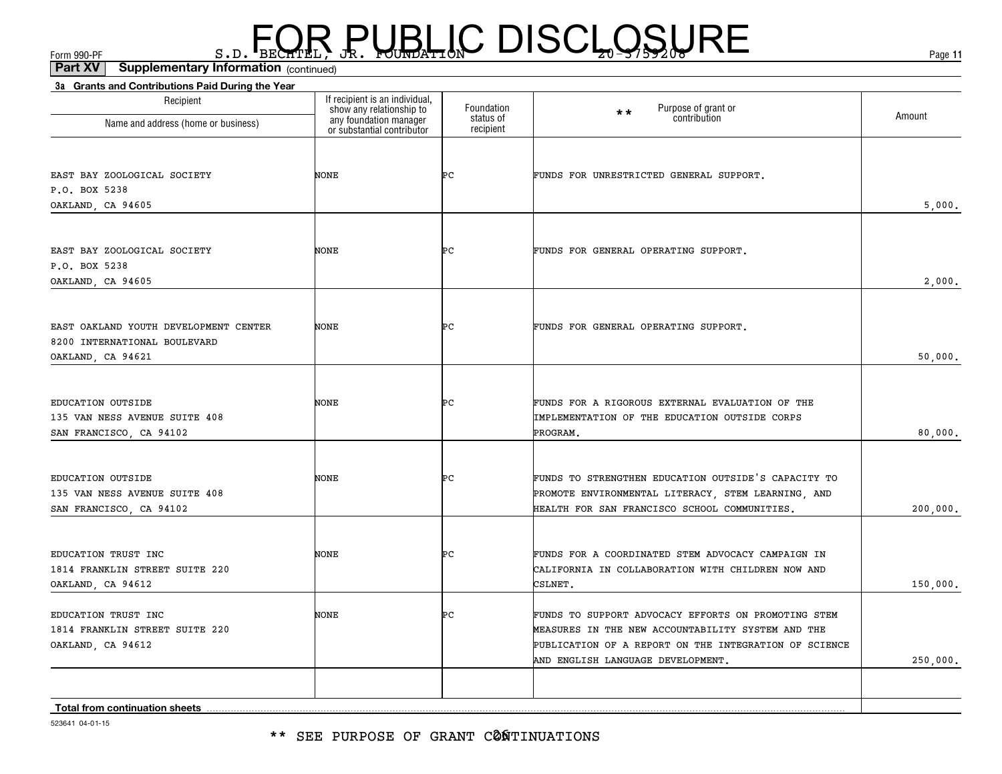(continued)**Part XV Supplementary Information**

| Recipient                                                             | If recipient is an individual,                                                   | Foundation             | Purpose of grant or<br>contribution<br>$\star\star$                                                       |          |
|-----------------------------------------------------------------------|----------------------------------------------------------------------------------|------------------------|-----------------------------------------------------------------------------------------------------------|----------|
| Name and address (home or business)                                   | show any relationship to<br>any foundation manager<br>or substantial contributor | status of<br>recipient |                                                                                                           | Amount   |
|                                                                       |                                                                                  |                        |                                                                                                           |          |
| EAST BAY ZOOLOGICAL SOCIETY<br>P.O. BOX 5238                          | NONE                                                                             | ÞС                     | FUNDS FOR UNRESTRICTED GENERAL SUPPORT.                                                                   |          |
| OAKLAND, CA 94605                                                     |                                                                                  |                        |                                                                                                           | 5,000.   |
|                                                                       |                                                                                  |                        |                                                                                                           |          |
| EAST BAY ZOOLOGICAL SOCIETY                                           | NONE                                                                             | ÞС                     | FUNDS FOR GENERAL OPERATING SUPPORT.                                                                      |          |
| P.O. BOX 5238                                                         |                                                                                  |                        |                                                                                                           |          |
| OAKLAND, CA 94605                                                     |                                                                                  |                        |                                                                                                           | 2,000.   |
|                                                                       |                                                                                  |                        |                                                                                                           |          |
| EAST OAKLAND YOUTH DEVELOPMENT CENTER<br>8200 INTERNATIONAL BOULEVARD | NONE                                                                             | ÞС                     | FUNDS FOR GENERAL OPERATING SUPPORT.                                                                      |          |
| OAKLAND, CA 94621                                                     |                                                                                  |                        |                                                                                                           | 50,000.  |
|                                                                       |                                                                                  |                        |                                                                                                           |          |
| EDUCATION OUTSIDE                                                     | NONE                                                                             | ÞС                     | FUNDS FOR A RIGOROUS EXTERNAL EVALUATION OF THE                                                           |          |
| 135 VAN NESS AVENUE SUITE 408                                         |                                                                                  |                        | IMPLEMENTATION OF THE EDUCATION OUTSIDE CORPS                                                             |          |
| SAN FRANCISCO, CA 94102                                               |                                                                                  |                        | PROGRAM.                                                                                                  | 80,000.  |
|                                                                       |                                                                                  |                        |                                                                                                           |          |
| EDUCATION OUTSIDE<br>135 VAN NESS AVENUE SUITE 408                    | NONE                                                                             | ÞС                     | FUNDS TO STRENGTHEN EDUCATION OUTSIDE'S CAPACITY TO<br>PROMOTE ENVIRONMENTAL LITERACY, STEM LEARNING, AND |          |
| SAN FRANCISCO, CA 94102                                               |                                                                                  |                        | HEALTH FOR SAN FRANCISCO SCHOOL COMMUNITIES.                                                              | 200,000. |
|                                                                       |                                                                                  |                        |                                                                                                           |          |
| EDUCATION TRUST INC                                                   | NONE                                                                             | ÞС                     | FUNDS FOR A COORDINATED STEM ADVOCACY CAMPAIGN IN                                                         |          |
| 1814 FRANKLIN STREET SUITE 220                                        |                                                                                  |                        | CALIFORNIA IN COLLABORATION WITH CHILDREN NOW AND                                                         |          |
| OAKLAND, CA 94612                                                     |                                                                                  |                        | CSLNET.                                                                                                   | 150,000. |
| EDUCATION TRUST INC                                                   | NONE                                                                             | ÞС                     | FUNDS TO SUPPORT ADVOCACY EFFORTS ON PROMOTING STEM                                                       |          |
| 1814 FRANKLIN STREET SUITE 220                                        |                                                                                  |                        | MEASURES IN THE NEW ACCOUNTABILITY SYSTEM AND THE                                                         |          |
| OAKLAND, CA 94612                                                     |                                                                                  |                        | PUBLICATION OF A REPORT ON THE INTEGRATION OF SCIENCE                                                     |          |
|                                                                       |                                                                                  |                        | AND ENGLISH LANGUAGE DEVELOPMENT.                                                                         | 250,000. |
|                                                                       |                                                                                  |                        |                                                                                                           |          |
| <b>Total from continuation sheets</b>                                 |                                                                                  |                        |                                                                                                           |          |

523641 04-01-15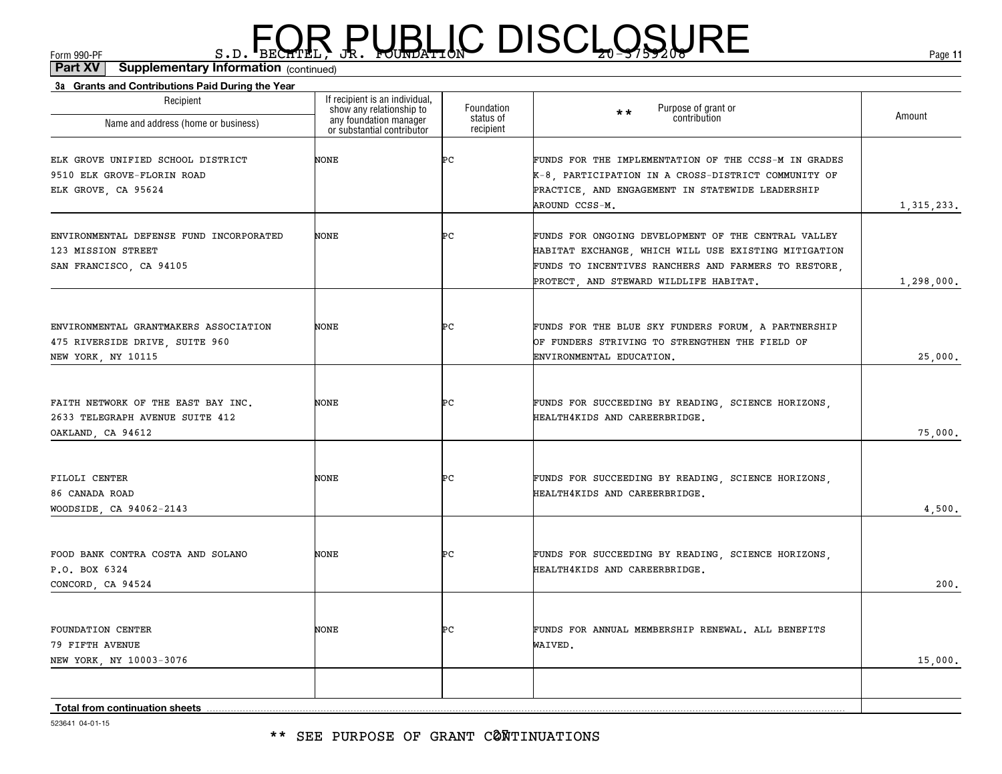\*\* SEE PURPOSE OF GRANT CØNTINUATIONS

| Recipient<br>Name and address (home or business)                                              | If recipient is an individual,<br>show any relationship to<br>any foundation manager<br>or substantial contributor | Foundation<br>status of<br>recipient | Purpose of grant or<br>contribution<br>$**$                                                                                                                                                                   | Amount       |
|-----------------------------------------------------------------------------------------------|--------------------------------------------------------------------------------------------------------------------|--------------------------------------|---------------------------------------------------------------------------------------------------------------------------------------------------------------------------------------------------------------|--------------|
| ELK GROVE UNIFIED SCHOOL DISTRICT<br>9510 ELK GROVE-FLORIN ROAD<br>ELK GROVE, CA 95624        | NONE                                                                                                               | Þс                                   | FUNDS FOR THE IMPLEMENTATION OF THE CCSS-M IN GRADES<br>K-8, PARTICIPATION IN A CROSS-DISTRICT COMMUNITY OF<br>PRACTICE, AND ENGAGEMENT IN STATEWIDE LEADERSHIP<br>AROUND CCSS-M.                             | 1, 315, 233. |
| ENVIRONMENTAL DEFENSE FUND INCORPORATED<br>123 MISSION STREET<br>SAN FRANCISCO, CA 94105      | NONE                                                                                                               | Þс                                   | FUNDS FOR ONGOING DEVELOPMENT OF THE CENTRAL VALLEY<br>HABITAT EXCHANGE, WHICH WILL USE EXISTING MITIGATION<br>FUNDS TO INCENTIVES RANCHERS AND FARMERS TO RESTORE,<br>PROTECT, AND STEWARD WILDLIFE HABITAT. | 1,298,000.   |
| ENVIRONMENTAL GRANTMAKERS ASSOCIATION<br>475 RIVERSIDE DRIVE, SUITE 960<br>NEW YORK, NY 10115 | NONE                                                                                                               | Þс                                   | FUNDS FOR THE BLUE SKY FUNDERS FORUM, A PARTNERSHIP<br>OF FUNDERS STRIVING TO STRENGTHEN THE FIELD OF<br>ENVIRONMENTAL EDUCATION.                                                                             | 25,000.      |
| FAITH NETWORK OF THE EAST BAY INC.<br>2633 TELEGRAPH AVENUE SUITE 412<br>OAKLAND, CA 94612    | NONE                                                                                                               | Þс                                   | FUNDS FOR SUCCEEDING BY READING, SCIENCE HORIZONS,<br>HEALTH4KIDS AND CAREERBRIDGE.                                                                                                                           | 75,000.      |
| FILOLI CENTER<br>86 CANADA ROAD<br>WOODSIDE, CA 94062-2143                                    | NONE                                                                                                               | ÞС                                   | FUNDS FOR SUCCEEDING BY READING, SCIENCE HORIZONS,<br>HEALTH4KIDS AND CAREERBRIDGE.                                                                                                                           | 4,500.       |
| FOOD BANK CONTRA COSTA AND SOLANO<br>P.O. BOX 6324<br>CONCORD, CA 94524                       | NONE                                                                                                               | ÞС                                   | FUNDS FOR SUCCEEDING BY READING, SCIENCE HORIZONS,<br>HEALTH4KIDS AND CAREERBRIDGE.                                                                                                                           | 200.         |
| <b>FOUNDATION CENTER</b><br>79 FIFTH AVENUE<br>NEW YORK, NY 10003-3076                        | NONE                                                                                                               | ÞС                                   | FUNDS FOR ANNUAL MEMBERSHIP RENEWAL. ALL BENEFITS<br>WAIVED.                                                                                                                                                  | 15,000.      |
| <b>Total from continuation sheets</b>                                                         |                                                                                                                    |                                      |                                                                                                                                                                                                               |              |

#### (continued)**Part XV Supplementary Information**

**3a Grants and Contributions Paid During the Year**

 $F_{\text{GCD}}$   $\text{F}_{\text{BEC}}$   $\text{F}_{\text{BEC}}$   $\text{F}_{\text{BEC}}$   $\text{F}_{\text{CUE}}$   $\text{G}_{\text{AFL}}$   $\text{G}_{\text{A}}$   $\text{G}_{\text{B}}$   $\text{G}_{\text{B}}$   $\text{G}_{\text{B}}$   $\text{G}_{\text{B}}$   $\text{G}_{\text{B}}$   $\text{G}_{\text{B}}$   $\text{G}_{\text{B}}$   $\text{G}_{\text{B}}$   $\text{G}_{\text{B}}$   $\text{G}_{\text{B$ 

523641 04-01-15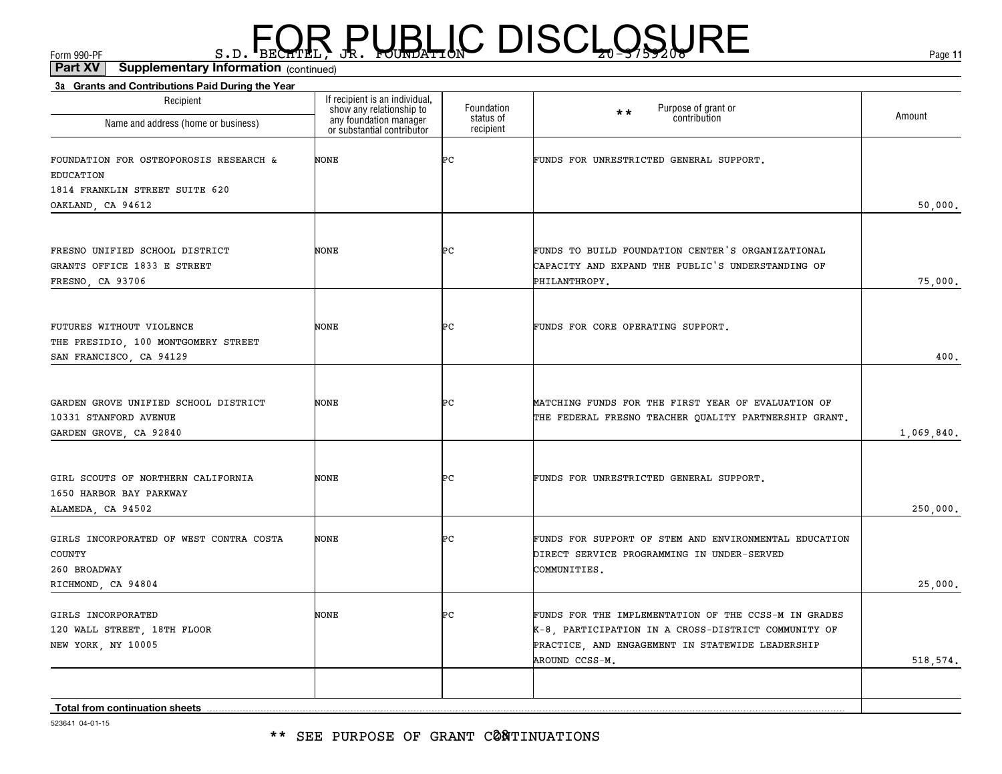(continued)**Part XV Supplementary Information**

| 3a Grants and Contributions Paid During the Year<br>Recipient                              | If recipient is an individual,                                                   | Foundation             | Purpose of grant or<br>contribution<br>$\star\star$                                                                                                                               | Amount     |
|--------------------------------------------------------------------------------------------|----------------------------------------------------------------------------------|------------------------|-----------------------------------------------------------------------------------------------------------------------------------------------------------------------------------|------------|
| Name and address (home or business)                                                        | show any relationship to<br>any foundation manager<br>or substantial contributor | status of<br>recipient |                                                                                                                                                                                   |            |
| FOUNDATION FOR OSTEOPOROSIS RESEARCH &<br><b>EDUCATION</b>                                 | NONE                                                                             | ÞС                     | FUNDS FOR UNRESTRICTED GENERAL SUPPORT.                                                                                                                                           |            |
| 1814 FRANKLIN STREET SUITE 620<br>OAKLAND, CA 94612                                        |                                                                                  |                        |                                                                                                                                                                                   | 50,000.    |
| FRESNO UNIFIED SCHOOL DISTRICT<br>GRANTS OFFICE 1833 E STREET<br>FRESNO, CA 93706          | <b>NONE</b>                                                                      | ÞС                     | FUNDS TO BUILD FOUNDATION CENTER'S ORGANIZATIONAL<br>CAPACITY AND EXPAND THE PUBLIC'S UNDERSTANDING OF<br>PHILANTHROPY.                                                           | 75,000.    |
| FUTURES WITHOUT VIOLENCE<br>THE PRESIDIO, 100 MONTGOMERY STREET<br>SAN FRANCISCO, CA 94129 | <b>NONE</b>                                                                      | ÞС                     | FUNDS FOR CORE OPERATING SUPPORT.                                                                                                                                                 | 400.       |
| GARDEN GROVE UNIFIED SCHOOL DISTRICT<br>10331 STANFORD AVENUE<br>GARDEN GROVE, CA 92840    | <b>NONE</b>                                                                      | ÞС                     | MATCHING FUNDS FOR THE FIRST YEAR OF EVALUATION OF<br>THE FEDERAL FRESNO TEACHER QUALITY PARTNERSHIP GRANT.                                                                       | 1,069,840. |
| GIRL SCOUTS OF NORTHERN CALIFORNIA<br>1650 HARBOR BAY PARKWAY<br>ALAMEDA, CA 94502         | <b>NONE</b>                                                                      | ÞС                     | FUNDS FOR UNRESTRICTED GENERAL SUPPORT.                                                                                                                                           | 250,000.   |
| GIRLS INCORPORATED OF WEST CONTRA COSTA<br>COUNTY<br>260 BROADWAY<br>RICHMOND, CA 94804    | <b>NONE</b>                                                                      | ÞС                     | FUNDS FOR SUPPORT OF STEM AND ENVIRONMENTAL EDUCATION<br>DIRECT SERVICE PROGRAMMING IN UNDER-SERVED<br>COMMUNITIES.                                                               | 25,000.    |
| GIRLS INCORPORATED<br>120 WALL STREET, 18TH FLOOR<br>NEW YORK, NY 10005                    | <b>NONE</b>                                                                      | ÞС                     | FUNDS FOR THE IMPLEMENTATION OF THE CCSS-M IN GRADES<br>K-8, PARTICIPATION IN A CROSS-DISTRICT COMMUNITY OF<br>PRACTICE, AND ENGAGEMENT IN STATEWIDE LEADERSHIP<br>AROUND CCSS-M. | 518, 574.  |
| <b>Total from continuation sheets</b>                                                      |                                                                                  |                        |                                                                                                                                                                                   |            |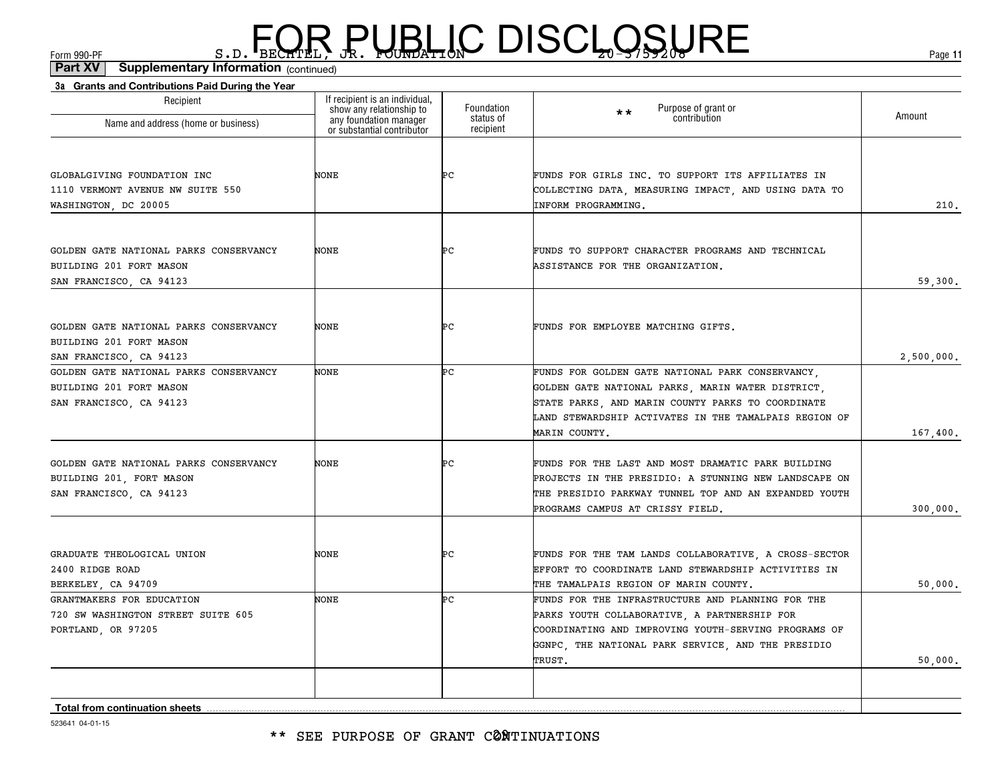(continued)**Part XV Supplementary Information**

| 3a Grants and Contributions Paid During the Year                                              |                                                                                                                    |                                      |                                                                                                                                                                                                                     |            |
|-----------------------------------------------------------------------------------------------|--------------------------------------------------------------------------------------------------------------------|--------------------------------------|---------------------------------------------------------------------------------------------------------------------------------------------------------------------------------------------------------------------|------------|
| Recipient<br>Name and address (home or business)                                              | If recipient is an individual,<br>show any relationship to<br>any foundation manager<br>or substantial contributor | Foundation<br>status of<br>recipient | Purpose of grant or<br>$\star\star$<br>contribution                                                                                                                                                                 | Amount     |
|                                                                                               |                                                                                                                    |                                      |                                                                                                                                                                                                                     |            |
| GLOBALGIVING FOUNDATION INC<br>1110 VERMONT AVENUE NW SUITE 550<br>WASHINGTON, DC 20005       | NONE                                                                                                               | ÞС                                   | FUNDS FOR GIRLS INC. TO SUPPORT ITS AFFILIATES IN<br>COLLECTING DATA, MEASURING IMPACT, AND USING DATA TO<br>INFORM PROGRAMMING.                                                                                    | 210.       |
|                                                                                               |                                                                                                                    |                                      |                                                                                                                                                                                                                     |            |
| GOLDEN GATE NATIONAL PARKS CONSERVANCY<br>BUILDING 201 FORT MASON<br>SAN FRANCISCO, CA 94123  | <b>NONE</b>                                                                                                        | ÞС                                   | FUNDS TO SUPPORT CHARACTER PROGRAMS AND TECHNICAL<br>ASSISTANCE FOR THE ORGANIZATION.                                                                                                                               | 59,300.    |
|                                                                                               |                                                                                                                    |                                      |                                                                                                                                                                                                                     |            |
| GOLDEN GATE NATIONAL PARKS CONSERVANCY<br>BUILDING 201 FORT MASON                             | NONE                                                                                                               | ÞС                                   | FUNDS FOR EMPLOYEE MATCHING GIFTS.                                                                                                                                                                                  |            |
| SAN FRANCISCO, CA 94123                                                                       |                                                                                                                    |                                      |                                                                                                                                                                                                                     | 2,500,000. |
| GOLDEN GATE NATIONAL PARKS CONSERVANCY<br>BUILDING 201 FORT MASON<br>SAN FRANCISCO, CA 94123  | NONE                                                                                                               | Þс                                   | FUNDS FOR GOLDEN GATE NATIONAL PARK CONSERVANCY,<br>GOLDEN GATE NATIONAL PARKS, MARIN WATER DISTRICT,<br>STATE PARKS, AND MARIN COUNTY PARKS TO COORDINATE<br>LAND STEWARDSHIP ACTIVATES IN THE TAMALPAIS REGION OF |            |
|                                                                                               |                                                                                                                    |                                      | MARIN COUNTY.                                                                                                                                                                                                       | 167,400.   |
| GOLDEN GATE NATIONAL PARKS CONSERVANCY<br>BUILDING 201, FORT MASON<br>SAN FRANCISCO, CA 94123 | <b>NONE</b>                                                                                                        | ÞС                                   | FUNDS FOR THE LAST AND MOST DRAMATIC PARK BUILDING<br>PROJECTS IN THE PRESIDIO: A STUNNING NEW LANDSCAPE ON<br>THE PRESIDIO PARKWAY TUNNEL TOP AND AN EXPANDED YOUTH                                                |            |
|                                                                                               |                                                                                                                    |                                      | PROGRAMS CAMPUS AT CRISSY FIELD.                                                                                                                                                                                    | 300,000.   |
| GRADUATE THEOLOGICAL UNION<br>2400 RIDGE ROAD<br>BERKELEY, CA 94709                           | <b>NONE</b>                                                                                                        | ÞС                                   | FUNDS FOR THE TAM LANDS COLLABORATIVE, A CROSS-SECTOR<br>EFFORT TO COORDINATE LAND STEWARDSHIP ACTIVITIES IN<br>THE TAMALPAIS REGION OF MARIN COUNTY.                                                               | 50,000.    |
| GRANTMAKERS FOR EDUCATION                                                                     | <b>NONE</b>                                                                                                        | ÞС                                   | FUNDS FOR THE INFRASTRUCTURE AND PLANNING FOR THE                                                                                                                                                                   |            |
| 720 SW WASHINGTON STREET SUITE 605                                                            |                                                                                                                    |                                      | PARKS YOUTH COLLABORATIVE, A PARTNERSHIP FOR                                                                                                                                                                        |            |
| PORTLAND, OR 97205                                                                            |                                                                                                                    |                                      | COORDINATING AND IMPROVING YOUTH-SERVING PROGRAMS OF                                                                                                                                                                |            |
|                                                                                               |                                                                                                                    |                                      | GGNPC, THE NATIONAL PARK SERVICE, AND THE PRESIDIO<br>TRUST.                                                                                                                                                        | 50,000.    |
|                                                                                               |                                                                                                                    |                                      |                                                                                                                                                                                                                     |            |
| <b>Total from continuation sheets</b>                                                         |                                                                                                                    |                                      |                                                                                                                                                                                                                     |            |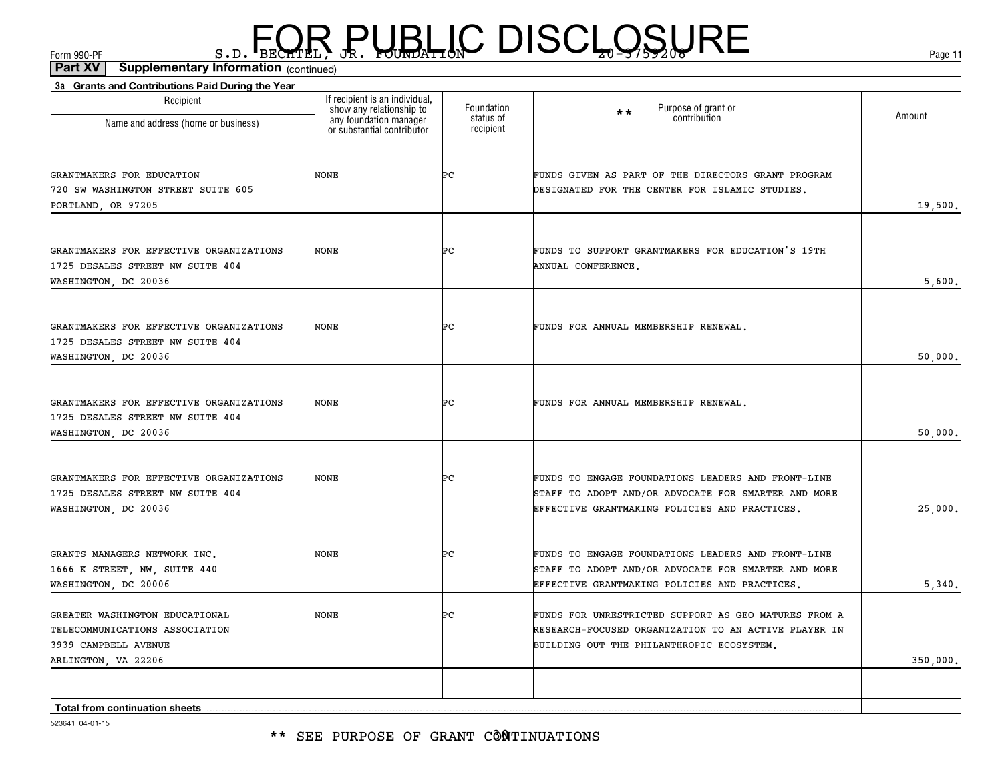(continued)**Part XV Supplementary Information**

| Recipient                                                                   | If recipient is an individual,                                                   | Foundation             | $\star\star$                                         |          |
|-----------------------------------------------------------------------------|----------------------------------------------------------------------------------|------------------------|------------------------------------------------------|----------|
| Name and address (home or business)                                         | show any relationship to<br>any foundation manager<br>or substantial contributor | status of<br>recipient | Purpose of grant or<br>contribution                  | Amount   |
|                                                                             |                                                                                  |                        |                                                      |          |
| GRANTMAKERS FOR EDUCATION                                                   | NONE                                                                             | ÞС                     | FUNDS GIVEN AS PART OF THE DIRECTORS GRANT PROGRAM   |          |
| 720 SW WASHINGTON STREET SUITE 605<br>PORTLAND, OR 97205                    |                                                                                  |                        | DESIGNATED FOR THE CENTER FOR ISLAMIC STUDIES.       | 19,500.  |
|                                                                             |                                                                                  |                        |                                                      |          |
| GRANTMAKERS FOR EFFECTIVE ORGANIZATIONS                                     | NONE                                                                             | ÞС                     | FUNDS TO SUPPORT GRANTMAKERS FOR EDUCATION'S 19TH    |          |
| 1725 DESALES STREET NW SUITE 404                                            |                                                                                  |                        | ANNUAL CONFERENCE.                                   |          |
| WASHINGTON, DC 20036                                                        |                                                                                  |                        |                                                      | 5,600.   |
|                                                                             |                                                                                  |                        |                                                      |          |
| GRANTMAKERS FOR EFFECTIVE ORGANIZATIONS<br>1725 DESALES STREET NW SUITE 404 | NONE                                                                             | ÞС                     | FUNDS FOR ANNUAL MEMBERSHIP RENEWAL.                 |          |
| WASHINGTON, DC 20036                                                        |                                                                                  |                        |                                                      | 50,000.  |
|                                                                             |                                                                                  |                        |                                                      |          |
| GRANTMAKERS FOR EFFECTIVE ORGANIZATIONS                                     | NONE                                                                             | ÞС                     | FUNDS FOR ANNUAL MEMBERSHIP RENEWAL.                 |          |
| 1725 DESALES STREET NW SUITE 404                                            |                                                                                  |                        |                                                      |          |
| WASHINGTON, DC 20036                                                        |                                                                                  |                        |                                                      | 50,000.  |
|                                                                             |                                                                                  |                        | FUNDS TO ENGAGE FOUNDATIONS LEADERS AND FRONT-LINE   |          |
| GRANTMAKERS FOR EFFECTIVE ORGANIZATIONS<br>1725 DESALES STREET NW SUITE 404 | NONE                                                                             | ÞС                     | STAFF TO ADOPT AND/OR ADVOCATE FOR SMARTER AND MORE  |          |
| WASHINGTON, DC 20036                                                        |                                                                                  |                        | EFFECTIVE GRANTMAKING POLICIES AND PRACTICES.        | 25,000.  |
|                                                                             |                                                                                  |                        |                                                      |          |
| GRANTS MANAGERS NETWORK INC.                                                | NONE                                                                             | ÞС                     | FUNDS TO ENGAGE FOUNDATIONS LEADERS AND FRONT-LINE   |          |
| 1666 K STREET, NW, SUITE 440                                                |                                                                                  |                        | STAFF TO ADOPT AND/OR ADVOCATE FOR SMARTER AND MORE  |          |
| WASHINGTON, DC 20006                                                        |                                                                                  |                        | EFFECTIVE GRANTMAKING POLICIES AND PRACTICES.        | 5,340.   |
| GREATER WASHINGTON EDUCATIONAL                                              | NONE                                                                             | ÞС                     | FUNDS FOR UNRESTRICTED SUPPORT AS GEO MATURES FROM A |          |
| TELECOMMUNICATIONS ASSOCIATION                                              |                                                                                  |                        | RESEARCH-FOCUSED ORGANIZATION TO AN ACTIVE PLAYER IN |          |
| 3939 CAMPBELL AVENUE                                                        |                                                                                  |                        | BUILDING OUT THE PHILANTHROPIC ECOSYSTEM.            |          |
| ARLINGTON, VA 22206                                                         |                                                                                  |                        |                                                      | 350,000. |
| <b>Total from continuation sheets</b>                                       |                                                                                  |                        |                                                      |          |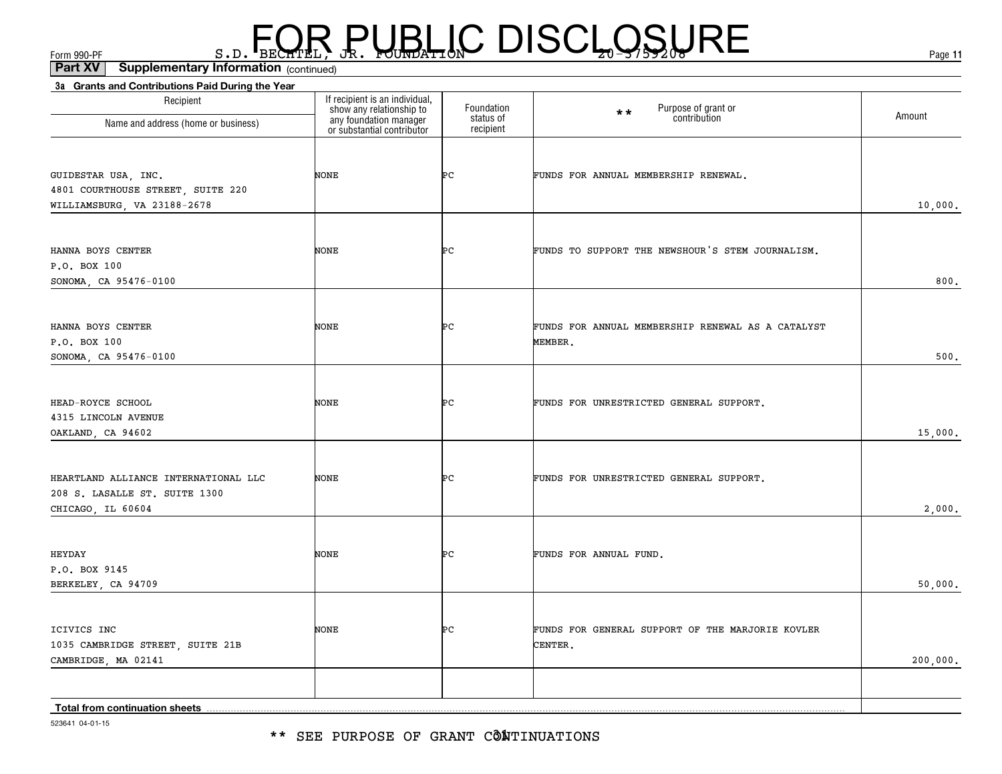\*\* SEE PURPOSE OF GRANT CÔNTINUATIONS

523641 04-01-15

| Recipient                                                                                  | If recipient is an individual,<br>show any relationship to<br>any foundation manager<br>or substantial contributor | Foundation<br>status of | Purpose of grant or<br>contribution<br>$\star \star$         | Amount   |
|--------------------------------------------------------------------------------------------|--------------------------------------------------------------------------------------------------------------------|-------------------------|--------------------------------------------------------------|----------|
| Name and address (home or business)                                                        |                                                                                                                    | recipient               |                                                              |          |
| GUIDESTAR USA, INC.<br>4801 COURTHOUSE STREET, SUITE 220<br>WILLIAMSBURG, VA 23188-2678    | <b>NONE</b>                                                                                                        | ÞС                      | FUNDS FOR ANNUAL MEMBERSHIP RENEWAL.                         | 10,000.  |
| HANNA BOYS CENTER<br>P.O. BOX 100<br>SONOMA, CA 95476-0100                                 | NONE                                                                                                               | ÞС                      | FUNDS TO SUPPORT THE NEWSHOUR'S STEM JOURNALISM.             | 800.     |
| HANNA BOYS CENTER<br>P.O. BOX 100<br>SONOMA, CA 95476-0100                                 | NONE                                                                                                               | Þс                      | FUNDS FOR ANNUAL MEMBERSHIP RENEWAL AS A CATALYST<br>MEMBER. | 500.     |
| HEAD-ROYCE SCHOOL<br>4315 LINCOLN AVENUE<br>OAKLAND, CA 94602                              | NONE                                                                                                               | ÞС                      | FUNDS FOR UNRESTRICTED GENERAL SUPPORT.                      | 15,000.  |
| HEARTLAND ALLIANCE INTERNATIONAL LLC<br>208 S. LASALLE ST. SUITE 1300<br>CHICAGO, IL 60604 | NONE                                                                                                               | ÞС                      | FUNDS FOR UNRESTRICTED GENERAL SUPPORT.                      | 2,000.   |
| HEYDAY<br>P.O. BOX 9145<br>BERKELEY, CA 94709                                              | NONE                                                                                                               | ÞС                      | FUNDS FOR ANNUAL FUND.                                       | 50,000.  |
| ICIVICS INC<br>1035 CAMBRIDGE STREET, SUITE 21B<br>CAMBRIDGE, MA 02141                     | NONE                                                                                                               | ÞС                      | FUNDS FOR GENERAL SUPPORT OF THE MARJORIE KOVLER<br>CENTER.  | 200,000. |
| Total from continuation sheets                                                             |                                                                                                                    |                         |                                                              |          |

### $F_{\text{GCD}}$   $\text{F}_{\text{BEC}}$   $\text{F}_{\text{BEC}}$   $\text{F}_{\text{BEC}}$   $\text{F}_{\text{CUE}}$   $\text{G}_{\text{AFL}}$   $\text{G}_{\text{A}}$   $\text{G}_{\text{B}}$   $\text{G}_{\text{B}}$   $\text{G}_{\text{B}}$   $\text{G}_{\text{B}}$   $\text{G}_{\text{B}}$   $\text{G}_{\text{B}}$   $\text{G}_{\text{B}}$   $\text{G}_{\text{B}}$   $\text{G}_{\text{B}}$   $\text{G}_{\text{B$

**3a Grants and Contributions Paid During the Year**

(continued)**Part XV Supplementary Information**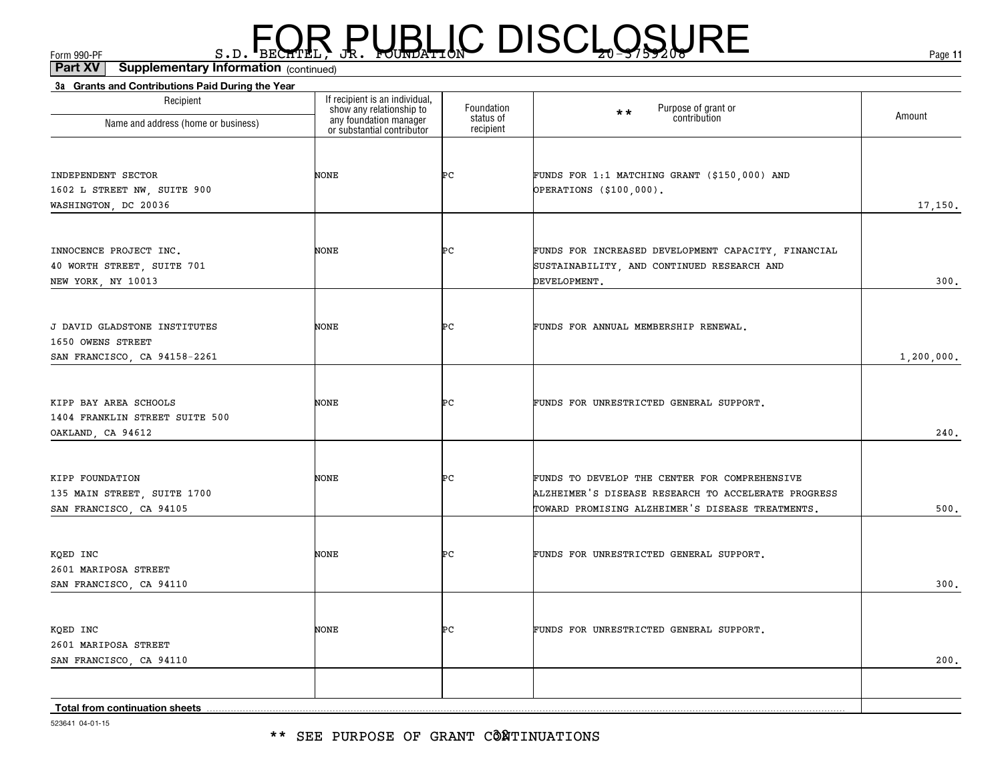\*\* SEE PURPOSE OF GRANT CÔÑTINUATIONS

523641 04-01-15

| Recipient<br>Name and address (home or business)     | If recipient is an individual,<br>show any relationship to<br>any foundation manager<br>or substantial contributor | Foundation<br>status of | Purpose of grant or<br>contribution<br>$\star \star$                                              | Amount       |
|------------------------------------------------------|--------------------------------------------------------------------------------------------------------------------|-------------------------|---------------------------------------------------------------------------------------------------|--------------|
|                                                      |                                                                                                                    | recipient               |                                                                                                   |              |
| INDEPENDENT SECTOR                                   | NONE                                                                                                               | ÞС                      | FUNDS FOR 1:1 MATCHING GRANT (\$150,000) AND                                                      |              |
| 1602 L STREET NW, SUITE 900                          |                                                                                                                    |                         | <b>OPERATIONS (\$100,000).</b>                                                                    |              |
| WASHINGTON, DC 20036                                 |                                                                                                                    |                         |                                                                                                   | 17,150.      |
|                                                      |                                                                                                                    |                         |                                                                                                   |              |
| INNOCENCE PROJECT INC.<br>40 WORTH STREET, SUITE 701 | NONE                                                                                                               | ÞС                      | FUNDS FOR INCREASED DEVELOPMENT CAPACITY, FINANCIAL<br>SUSTAINABILITY, AND CONTINUED RESEARCH AND |              |
| NEW YORK, NY 10013                                   |                                                                                                                    |                         | DEVELOPMENT.                                                                                      | 300.         |
|                                                      |                                                                                                                    |                         |                                                                                                   |              |
| J DAVID GLADSTONE INSTITUTES                         | NONE                                                                                                               | Þс                      | FUNDS FOR ANNUAL MEMBERSHIP RENEWAL.                                                              |              |
| 1650 OWENS STREET<br>SAN FRANCISCO, CA 94158-2261    |                                                                                                                    |                         |                                                                                                   | 1, 200, 000. |
|                                                      |                                                                                                                    |                         |                                                                                                   |              |
| KIPP BAY AREA SCHOOLS                                | NONE                                                                                                               | ÞС                      | FUNDS FOR UNRESTRICTED GENERAL SUPPORT.                                                           |              |
| 1404 FRANKLIN STREET SUITE 500                       |                                                                                                                    |                         |                                                                                                   |              |
| OAKLAND, CA 94612                                    |                                                                                                                    |                         |                                                                                                   | 240.         |
| KIPP FOUNDATION                                      | NONE                                                                                                               | ÞС                      | FUNDS TO DEVELOP THE CENTER FOR COMPREHENSIVE                                                     |              |
| 135 MAIN STREET, SUITE 1700                          |                                                                                                                    |                         | ALZHEIMER'S DISEASE RESEARCH TO ACCELERATE PROGRESS                                               |              |
| SAN FRANCISCO, CA 94105                              |                                                                                                                    |                         | TOWARD PROMISING ALZHEIMER'S DISEASE TREATMENTS.                                                  | 500.         |
|                                                      |                                                                                                                    |                         |                                                                                                   |              |
| KQED INC                                             | NONE                                                                                                               | ÞС                      | FUNDS FOR UNRESTRICTED GENERAL SUPPORT.                                                           |              |
| 2601 MARIPOSA STREET                                 |                                                                                                                    |                         |                                                                                                   |              |
| SAN FRANCISCO, CA 94110                              |                                                                                                                    |                         |                                                                                                   | 300.         |
| KQED INC                                             | NONE                                                                                                               | ÞС                      | FUNDS FOR UNRESTRICTED GENERAL SUPPORT.                                                           |              |
| 2601 MARIPOSA STREET                                 |                                                                                                                    |                         |                                                                                                   |              |
| SAN FRANCISCO, CA 94110                              |                                                                                                                    |                         |                                                                                                   | 200.         |
|                                                      |                                                                                                                    |                         |                                                                                                   |              |
| Total from continuation sheets                       |                                                                                                                    |                         |                                                                                                   |              |

# $F_{\text{GCD}}$   $\text{F}_{\text{BEC}}$   $\text{F}_{\text{BEC}}$   $\text{F}_{\text{BEC}}$   $\text{F}_{\text{CUE}}$   $\text{G}_{\text{AFL}}$   $\text{G}_{\text{A}}$   $\text{G}_{\text{B}}$   $\text{G}_{\text{B}}$   $\text{G}_{\text{B}}$   $\text{G}_{\text{B}}$   $\text{G}_{\text{B}}$   $\text{G}_{\text{B}}$   $\text{G}_{\text{B}}$   $\text{G}_{\text{B}}$   $\text{G}_{\text{B}}$   $\text{G}_{\text{B$

#### (continued)**Part XV Supplementary Information**

**3a Grants and Contributions Paid During the Year**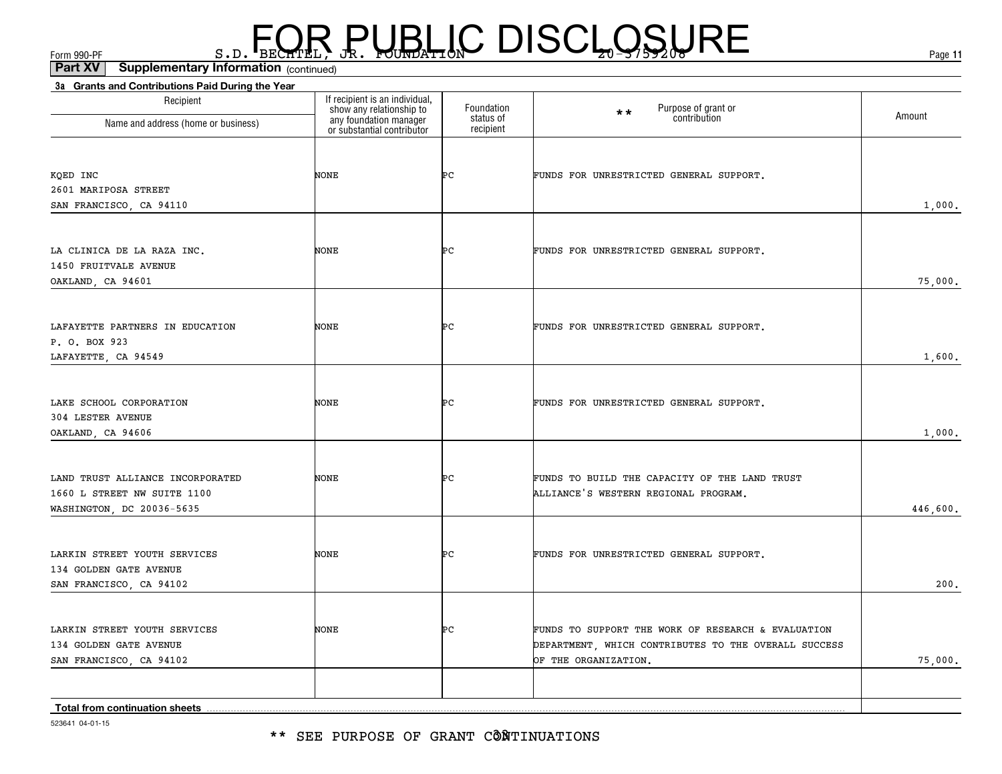\*\* SEE PURPOSE OF GRANT CÔÑTINUATIONS

523641 04-01-15

| Recipient                                                                                    | If recipient is an individual,<br>show any relationship to<br>any foundation manager<br>or substantial contributor | Foundation<br>status of | Purpose of grant or<br>$**$<br>contribution                                                                                        | Amount   |
|----------------------------------------------------------------------------------------------|--------------------------------------------------------------------------------------------------------------------|-------------------------|------------------------------------------------------------------------------------------------------------------------------------|----------|
| Name and address (home or business)                                                          |                                                                                                                    | recipient               |                                                                                                                                    |          |
| KQED INC<br>2601 MARIPOSA STREET<br>SAN FRANCISCO, CA 94110                                  | NONE                                                                                                               | ÞС                      | FUNDS FOR UNRESTRICTED GENERAL SUPPORT.                                                                                            | 1,000.   |
| LA CLINICA DE LA RAZA INC.<br>1450 FRUITVALE AVENUE<br>OAKLAND, CA 94601                     | NONE                                                                                                               | ÞС                      | FUNDS FOR UNRESTRICTED GENERAL SUPPORT.                                                                                            | 75,000.  |
| LAFAYETTE PARTNERS IN EDUCATION<br>P. O. BOX 923<br>LAFAYETTE, CA 94549                      | NONE                                                                                                               | ÞС                      | FUNDS FOR UNRESTRICTED GENERAL SUPPORT.                                                                                            | 1,600.   |
| LAKE SCHOOL CORPORATION<br>304 LESTER AVENUE<br>OAKLAND, CA 94606                            | NONE                                                                                                               | ÞС                      | FUNDS FOR UNRESTRICTED GENERAL SUPPORT.                                                                                            | 1,000.   |
| LAND TRUST ALLIANCE INCORPORATED<br>1660 L STREET NW SUITE 1100<br>WASHINGTON, DC 20036-5635 | NONE                                                                                                               | ÞС                      | FUNDS TO BUILD THE CAPACITY OF THE LAND TRUST<br>ALLIANCE'S WESTERN REGIONAL PROGRAM.                                              | 446,600. |
| LARKIN STREET YOUTH SERVICES<br>134 GOLDEN GATE AVENUE<br>SAN FRANCISCO, CA 94102            | NONE                                                                                                               | ÞС                      | FUNDS FOR UNRESTRICTED GENERAL SUPPORT.                                                                                            | 200.     |
| LARKIN STREET YOUTH SERVICES<br>134 GOLDEN GATE AVENUE<br>SAN FRANCISCO, CA 94102            | NONE                                                                                                               | ÞС                      | FUNDS TO SUPPORT THE WORK OF RESEARCH & EVALUATION<br>DEPARTMENT, WHICH CONTRIBUTES TO THE OVERALL SUCCESS<br>OF THE ORGANIZATION. | 75,000.  |
| Total from continuation sheets                                                               |                                                                                                                    |                         |                                                                                                                                    |          |

(continued)**Part XV Supplementary Information**

**3a Grants and Contributions Paid During the Year**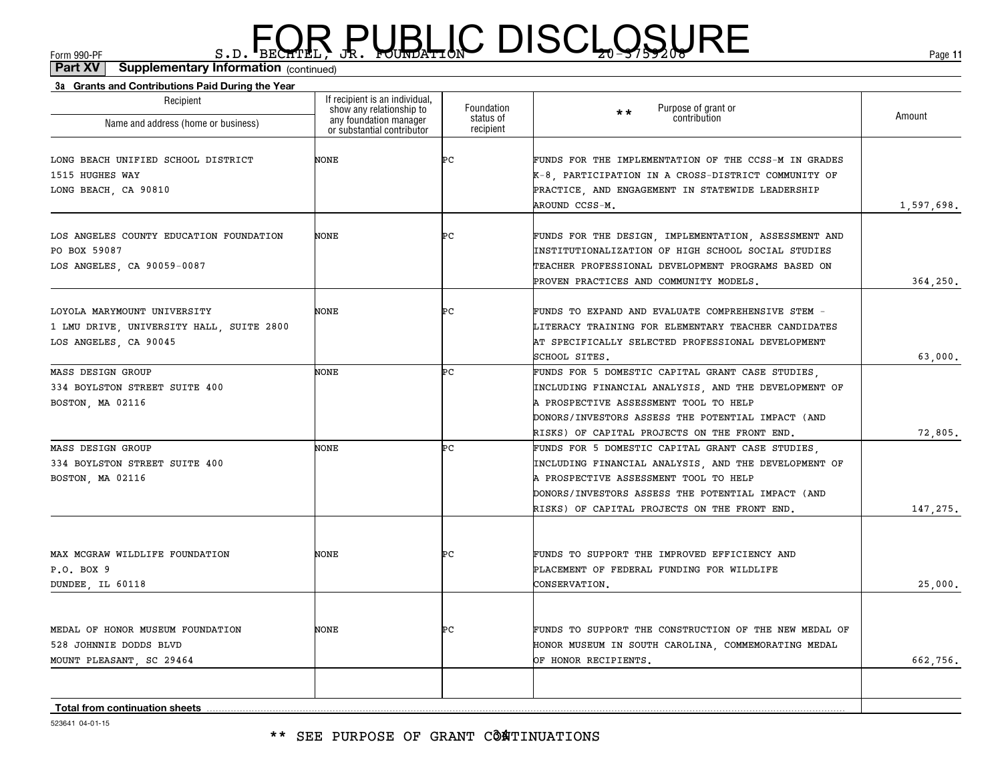\*\* SEE PURPOSE OF GRANT CÔATINUATIONS

| Recipient<br>Name and address (home or business)                                                 | If recipient is an individual,<br>show any relationship to<br>any foundation manager<br>or substantial contributor | Foundation<br>status of<br>recipient | Purpose of grant or<br>$**$<br>contribution                                                                                                                                                                                                            | Amount     |
|--------------------------------------------------------------------------------------------------|--------------------------------------------------------------------------------------------------------------------|--------------------------------------|--------------------------------------------------------------------------------------------------------------------------------------------------------------------------------------------------------------------------------------------------------|------------|
| LONG BEACH UNIFIED SCHOOL DISTRICT<br>1515 HUGHES WAY<br>LONG BEACH, CA 90810                    | NONE                                                                                                               | ÞС                                   | FUNDS FOR THE IMPLEMENTATION OF THE CCSS-M IN GRADES<br>K-8, PARTICIPATION IN A CROSS-DISTRICT COMMUNITY OF<br>PRACTICE, AND ENGAGEMENT IN STATEWIDE LEADERSHIP<br>AROUND CCSS-M.                                                                      | 1,597,698. |
| LOS ANGELES COUNTY EDUCATION FOUNDATION<br>PO BOX 59087<br>LOS ANGELES, CA 90059-0087            | NONE                                                                                                               | ÞС                                   | FUNDS FOR THE DESIGN, IMPLEMENTATION, ASSESSMENT AND<br>INSTITUTIONALIZATION OF HIGH SCHOOL SOCIAL STUDIES<br>TEACHER PROFESSIONAL DEVELOPMENT PROGRAMS BASED ON<br>PROVEN PRACTICES AND COMMUNITY MODELS.                                             | 364,250.   |
| LOYOLA MARYMOUNT UNIVERSITY<br>1 LMU DRIVE, UNIVERSITY HALL, SUITE 2800<br>LOS ANGELES, CA 90045 | NONE                                                                                                               | Þс                                   | FUNDS TO EXPAND AND EVALUATE COMPREHENSIVE STEM -<br>LITERACY TRAINING FOR ELEMENTARY TEACHER CANDIDATES<br>AT SPECIFICALLY SELECTED PROFESSIONAL DEVELOPMENT<br>SCHOOL SITES.                                                                         | 63,000.    |
| MASS DESIGN GROUP<br>334 BOYLSTON STREET SUITE 400<br>BOSTON, MA 02116                           | NONE                                                                                                               | Þс                                   | FUNDS FOR 5 DOMESTIC CAPITAL GRANT CASE STUDIES.<br>INCLUDING FINANCIAL ANALYSIS, AND THE DEVELOPMENT OF<br>A PROSPECTIVE ASSESSMENT TOOL TO HELP<br>DONORS/INVESTORS ASSESS THE POTENTIAL IMPACT (AND<br>RISKS) OF CAPITAL PROJECTS ON THE FRONT END. | 72,805.    |
| <b>MASS DESIGN GROUP</b><br>334 BOYLSTON STREET SUITE 400<br>BOSTON, MA 02116                    | NONE                                                                                                               | ÞС                                   | FUNDS FOR 5 DOMESTIC CAPITAL GRANT CASE STUDIES.<br>INCLUDING FINANCIAL ANALYSIS, AND THE DEVELOPMENT OF<br>A PROSPECTIVE ASSESSMENT TOOL TO HELP<br>DONORS/INVESTORS ASSESS THE POTENTIAL IMPACT (AND<br>RISKS) OF CAPITAL PROJECTS ON THE FRONT END. | 147,275.   |
| MAX MCGRAW WILDLIFE FOUNDATION<br>P.O. BOX 9<br>DUNDEE, IL 60118                                 | NONE                                                                                                               | ÞС                                   | FUNDS TO SUPPORT THE IMPROVED EFFICIENCY AND<br>PLACEMENT OF FEDERAL FUNDING FOR WILDLIFE<br>CONSERVATION.                                                                                                                                             | 25,000.    |
| MEDAL OF HONOR MUSEUM FOUNDATION<br>528 JOHNNIE DODDS BLVD<br>MOUNT PLEASANT, SC 29464           | NONE                                                                                                               | ÞС                                   | FUNDS TO SUPPORT THE CONSTRUCTION OF THE NEW MEDAL OF<br>HONOR MUSEUM IN SOUTH CAROLINA, COMMEMORATING MEDAL<br>OF HONOR RECIPIENTS.                                                                                                                   | 662,756.   |
| Total from continuation sheets                                                                   |                                                                                                                    |                                      |                                                                                                                                                                                                                                                        |            |

### $F_{\text{GCD}}$   $\text{F}_{\text{BEC}}$   $\text{F}_{\text{BEC}}$   $\text{F}_{\text{BEC}}$   $\text{F}_{\text{CUE}}$   $\text{G}_{\text{AFL}}$   $\text{G}_{\text{A}}$   $\text{G}_{\text{B}}$   $\text{G}_{\text{B}}$   $\text{G}_{\text{B}}$   $\text{G}_{\text{B}}$   $\text{G}_{\text{B}}$   $\text{G}_{\text{B}}$   $\text{G}_{\text{B}}$   $\text{G}_{\text{B}}$   $\text{G}_{\text{B}}$   $\text{G}_{\text{B$

**3a Grants and Contributions Paid During the Year** (continued)**Part XV Supplementary Information**

523641 04-01-15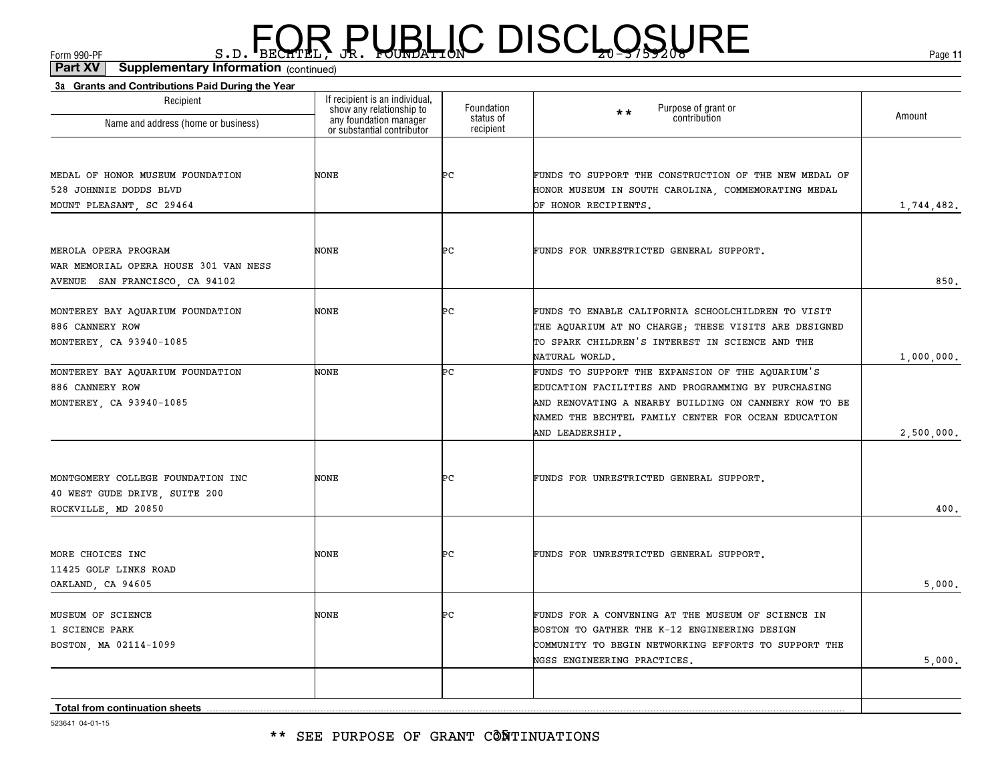\*\* SEE PURPOSE OF GRANT CÔÑTINUATIONS

523641 04-01-15

| Name and address (home or business)                                                             | show any relationship to<br>any foundation manager<br>or substantial contributor | Foundation<br>status of<br>recipient | Purpose of grant or<br>contribution<br>* *                                                                                                                                                                                                | Amount     |
|-------------------------------------------------------------------------------------------------|----------------------------------------------------------------------------------|--------------------------------------|-------------------------------------------------------------------------------------------------------------------------------------------------------------------------------------------------------------------------------------------|------------|
| MEDAL OF HONOR MUSEUM FOUNDATION<br>528 JOHNNIE DODDS BLVD<br>MOUNT PLEASANT, SC 29464          | NONE                                                                             | ÞС                                   | FUNDS TO SUPPORT THE CONSTRUCTION OF THE NEW MEDAL OF<br>HONOR MUSEUM IN SOUTH CAROLINA, COMMEMORATING MEDAL<br>OF HONOR RECIPIENTS.                                                                                                      | 1,744,482. |
| MEROLA OPERA PROGRAM<br>WAR MEMORIAL OPERA HOUSE 301 VAN NESS<br>AVENUE SAN FRANCISCO, CA 94102 | NONE                                                                             | ÞС                                   | FUNDS FOR UNRESTRICTED GENERAL SUPPORT.                                                                                                                                                                                                   | 850.       |
| MONTEREY BAY AQUARIUM FOUNDATION<br>886 CANNERY ROW<br>MONTEREY, CA 93940-1085                  | NONE                                                                             | ÞС                                   | FUNDS TO ENABLE CALIFORNIA SCHOOLCHILDREN TO VISIT<br>THE AQUARIUM AT NO CHARGE; THESE VISITS ARE DESIGNED<br>TO SPARK CHILDREN'S INTEREST IN SCIENCE AND THE<br>NATURAL WORLD.                                                           | 1,000,000. |
| MONTEREY BAY AQUARIUM FOUNDATION<br>886 CANNERY ROW<br>MONTEREY, CA 93940-1085                  | NONE                                                                             | Þс                                   | FUNDS TO SUPPORT THE EXPANSION OF THE AQUARIUM'S<br>EDUCATION FACILITIES AND PROGRAMMING BY PURCHASING<br>AND RENOVATING A NEARBY BUILDING ON CANNERY ROW TO BE<br>NAMED THE BECHTEL FAMILY CENTER FOR OCEAN EDUCATION<br>AND LEADERSHIP. | 2,500,000. |
| MONTGOMERY COLLEGE FOUNDATION INC<br>40 WEST GUDE DRIVE, SUITE 200<br>ROCKVILLE, MD 20850       | NONE                                                                             | ÞС                                   | FUNDS FOR UNRESTRICTED GENERAL SUPPORT.                                                                                                                                                                                                   | 400.       |
| MORE CHOICES INC<br>11425 GOLF LINKS ROAD<br>OAKLAND, CA 94605                                  | NONE                                                                             | ÞС                                   | FUNDS FOR UNRESTRICTED GENERAL SUPPORT.                                                                                                                                                                                                   | 5,000.     |
| MUSEUM OF SCIENCE<br>1 SCIENCE PARK<br>BOSTON, MA 02114-1099                                    | NONE                                                                             | ÞС                                   | FUNDS FOR A CONVENING AT THE MUSEUM OF SCIENCE IN<br>BOSTON TO GATHER THE K-12 ENGINEERING DESIGN<br>COMMUNITY TO BEGIN NETWORKING EFFORTS TO SUPPORT THE<br>NGSS ENGINEERING PRACTICES.                                                  | 5,000.     |
| Total from continuation sheets                                                                  |                                                                                  |                                      |                                                                                                                                                                                                                                           |            |

#### Form 990-PF  $S.D.$  BECHTEL, JR. FOUNDATION  $S$   $S/5/200$   $S/5/200$ 8.D. FOR PUBLIC DISCLOSURE

Foundation

If recipient is an individual, show any relationship to

(continued)**Part XV Supplementary Information**

**3a Grants and Contributions Paid During the Year**

Recipient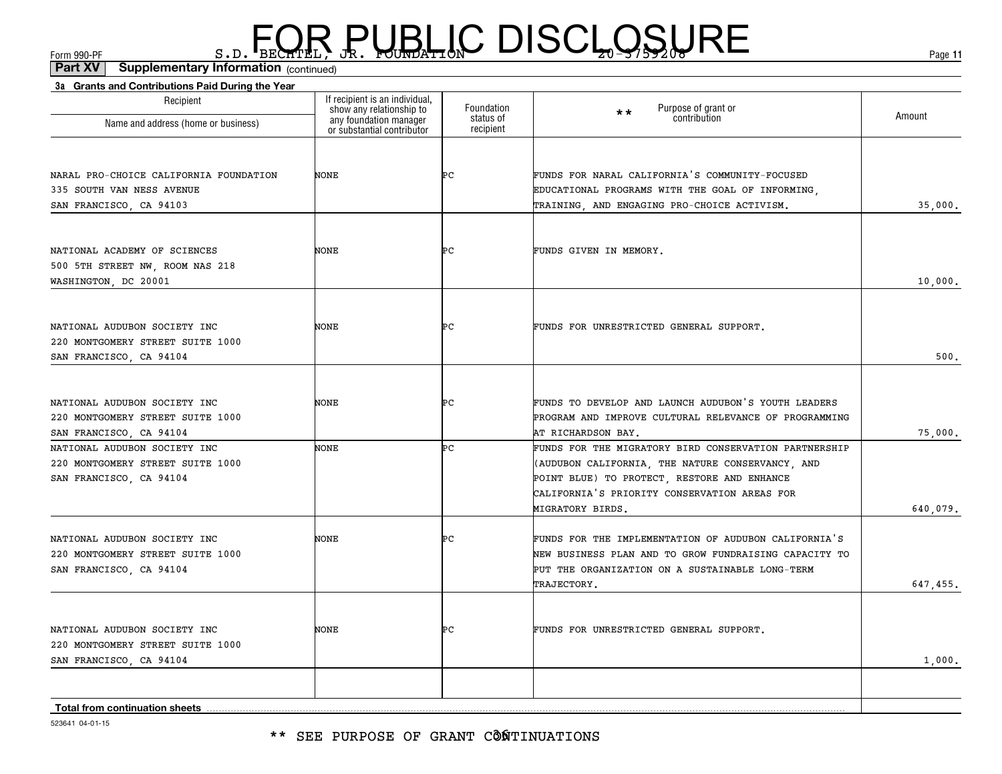| 3a Grants and Contributions Paid During the Year |                                                                                                                    |                                      |                                                       |          |
|--------------------------------------------------|--------------------------------------------------------------------------------------------------------------------|--------------------------------------|-------------------------------------------------------|----------|
| Recipient<br>Name and address (home or business) | If recipient is an individual,<br>show any relationship to<br>any foundation manager<br>or substantial contributor | Foundation<br>status of<br>recipient | Purpose of grant or<br>$\star\star$<br>contribution   | Amount   |
|                                                  |                                                                                                                    |                                      |                                                       |          |
|                                                  |                                                                                                                    |                                      |                                                       |          |
| NARAL PRO-CHOICE CALIFORNIA FOUNDATION           | NONE                                                                                                               | ÞС                                   | FUNDS FOR NARAL CALIFORNIA'S COMMUNITY-FOCUSED        |          |
| 335 SOUTH VAN NESS AVENUE                        |                                                                                                                    |                                      | EDUCATIONAL PROGRAMS WITH THE GOAL OF INFORMING,      |          |
| SAN FRANCISCO, CA 94103                          |                                                                                                                    |                                      | TRAINING, AND ENGAGING PRO-CHOICE ACTIVISM.           | 35,000.  |
|                                                  |                                                                                                                    |                                      |                                                       |          |
| NATIONAL ACADEMY OF SCIENCES                     | NONE                                                                                                               | Þс                                   | FUNDS GIVEN IN MEMORY.                                |          |
| 500 5TH STREET NW, ROOM NAS 218                  |                                                                                                                    |                                      |                                                       |          |
| WASHINGTON, DC 20001                             |                                                                                                                    |                                      |                                                       | 10,000.  |
|                                                  |                                                                                                                    |                                      |                                                       |          |
| NATIONAL AUDUBON SOCIETY INC                     | NONE                                                                                                               | ÞС                                   | FUNDS FOR UNRESTRICTED GENERAL SUPPORT.               |          |
| 220 MONTGOMERY STREET SUITE 1000                 |                                                                                                                    |                                      |                                                       |          |
| SAN FRANCISCO, CA 94104                          |                                                                                                                    |                                      |                                                       | 500.     |
|                                                  |                                                                                                                    |                                      |                                                       |          |
| NATIONAL AUDUBON SOCIETY INC                     | NONE                                                                                                               | Þс                                   | FUNDS TO DEVELOP AND LAUNCH AUDUBON'S YOUTH LEADERS   |          |
| 220 MONTGOMERY STREET SUITE 1000                 |                                                                                                                    |                                      | PROGRAM AND IMPROVE CULTURAL RELEVANCE OF PROGRAMMING |          |
| SAN FRANCISCO, CA 94104                          |                                                                                                                    |                                      | AT RICHARDSON BAY.                                    | 75,000.  |
| NATIONAL AUDUBON SOCIETY INC                     | <b>NONE</b>                                                                                                        | ÞС                                   | FUNDS FOR THE MIGRATORY BIRD CONSERVATION PARTNERSHIP |          |
| 220 MONTGOMERY STREET SUITE 1000                 |                                                                                                                    |                                      | (AUDUBON CALIFORNIA, THE NATURE CONSERVANCY, AND      |          |
| SAN FRANCISCO, CA 94104                          |                                                                                                                    |                                      | POINT BLUE) TO PROTECT, RESTORE AND ENHANCE           |          |
|                                                  |                                                                                                                    |                                      | CALIFORNIA'S PRIORITY CONSERVATION AREAS FOR          |          |
|                                                  |                                                                                                                    |                                      | MIGRATORY BIRDS.                                      | 640,079. |
| NATIONAL AUDUBON SOCIETY INC                     | NONE                                                                                                               | Þс                                   | FUNDS FOR THE IMPLEMENTATION OF AUDUBON CALIFORNIA'S  |          |
| 220 MONTGOMERY STREET SUITE 1000                 |                                                                                                                    |                                      | NEW BUSINESS PLAN AND TO GROW FUNDRAISING CAPACITY TO |          |
| SAN FRANCISCO, CA 94104                          |                                                                                                                    |                                      | PUT THE ORGANIZATION ON A SUSTAINABLE LONG-TERM       |          |
|                                                  |                                                                                                                    |                                      | TRAJECTORY.                                           | 647,455. |
|                                                  |                                                                                                                    |                                      |                                                       |          |
| NATIONAL AUDUBON SOCIETY INC                     | <b>NONE</b>                                                                                                        | ÞС                                   | FUNDS FOR UNRESTRICTED GENERAL SUPPORT.               |          |
| 220 MONTGOMERY STREET SUITE 1000                 |                                                                                                                    |                                      |                                                       |          |
| SAN FRANCISCO, CA 94104                          |                                                                                                                    |                                      |                                                       | 1,000.   |
|                                                  |                                                                                                                    |                                      |                                                       |          |
| <b>Total from continuation sheets</b>            |                                                                                                                    |                                      |                                                       |          |
|                                                  |                                                                                                                    |                                      |                                                       |          |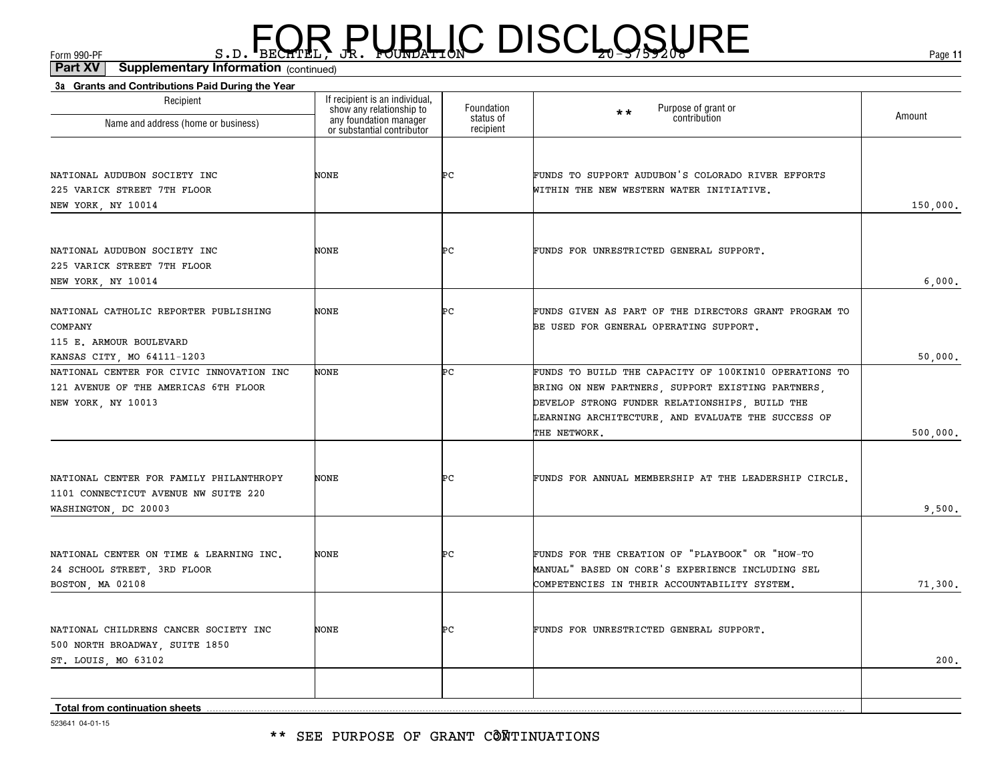\*\* SEE PURPOSE OF GRANT CÔÑTINUATIONS

523641 04-01-15

| Recipient<br>Name and address (home or business)                                                          | If recipient is an individual,<br>show any relationship to<br>any foundation manager<br>or substantial contributor | Foundation<br>status of | Purpose of grant or<br>**<br>contribution                                                                                                                                                                                          | Amount   |
|-----------------------------------------------------------------------------------------------------------|--------------------------------------------------------------------------------------------------------------------|-------------------------|------------------------------------------------------------------------------------------------------------------------------------------------------------------------------------------------------------------------------------|----------|
|                                                                                                           |                                                                                                                    | recipient               |                                                                                                                                                                                                                                    |          |
| NATIONAL AUDUBON SOCIETY INC<br>225 VARICK STREET 7TH FLOOR                                               | <b>NONE</b>                                                                                                        | ÞС                      | FUNDS TO SUPPORT AUDUBON'S COLORADO RIVER EFFORTS<br>WITHIN THE NEW WESTERN WATER INITIATIVE.                                                                                                                                      |          |
| NEW YORK, NY 10014                                                                                        |                                                                                                                    |                         |                                                                                                                                                                                                                                    | 150,000. |
| NATIONAL AUDUBON SOCIETY INC<br>225 VARICK STREET 7TH FLOOR<br>NEW YORK, NY 10014                         | NONE                                                                                                               | ÞС                      | FUNDS FOR UNRESTRICTED GENERAL SUPPORT.                                                                                                                                                                                            | 6,000.   |
| NATIONAL CATHOLIC REPORTER PUBLISHING<br>COMPANY<br>115 E. ARMOUR BOULEVARD<br>KANSAS CITY, MO 64111-1203 | <b>NONE</b>                                                                                                        | ÞС                      | FUNDS GIVEN AS PART OF THE DIRECTORS GRANT PROGRAM TO<br>BE USED FOR GENERAL OPERATING SUPPORT.                                                                                                                                    | 50,000.  |
| NATIONAL CENTER FOR CIVIC INNOVATION INC<br>121 AVENUE OF THE AMERICAS 6TH FLOOR<br>NEW YORK, NY 10013    | NONE                                                                                                               | ÞС                      | FUNDS TO BUILD THE CAPACITY OF 100KIN10 OPERATIONS TO<br>BRING ON NEW PARTNERS, SUPPORT EXISTING PARTNERS,<br>DEVELOP STRONG FUNDER RELATIONSHIPS, BUILD THE<br>LEARNING ARCHITECTURE, AND EVALUATE THE SUCCESS OF<br>THE NETWORK. | 500,000. |
| NATIONAL CENTER FOR FAMILY PHILANTHROPY<br>1101 CONNECTICUT AVENUE NW SUITE 220<br>WASHINGTON, DC 20003   | <b>NONE</b>                                                                                                        | ÞС                      | FUNDS FOR ANNUAL MEMBERSHIP AT THE LEADERSHIP CIRCLE.                                                                                                                                                                              | 9,500.   |
| NATIONAL CENTER ON TIME & LEARNING INC.<br>24 SCHOOL STREET, 3RD FLOOR<br>BOSTON, MA 02108                | <b>NONE</b>                                                                                                        | ÞС                      | FUNDS FOR THE CREATION OF "PLAYBOOK" OR "HOW-TO<br>MANUAL" BASED ON CORE'S EXPERIENCE INCLUDING SEL<br>COMPETENCIES IN THEIR ACCOUNTABILITY SYSTEM.                                                                                | 71,300.  |
| NATIONAL CHILDRENS CANCER SOCIETY INC<br>500 NORTH BROADWAY, SUITE 1850<br>ST. LOUIS, MO 63102            | <b>NONE</b>                                                                                                        | ÞС                      | FUNDS FOR UNRESTRICTED GENERAL SUPPORT.                                                                                                                                                                                            | 200.     |
|                                                                                                           |                                                                                                                    |                         |                                                                                                                                                                                                                                    |          |
| Total from continuation sheets                                                                            |                                                                                                                    |                         |                                                                                                                                                                                                                                    |          |

### $F_{\text{GCD}}$   $\text{F}_{\text{BEC}}$   $\text{F}_{\text{BEC}}$   $\text{F}_{\text{BEC}}$   $\text{F}_{\text{CUE}}$   $\text{G}_{\text{AFL}}$   $\text{G}_{\text{A}}$   $\text{G}_{\text{B}}$   $\text{G}_{\text{B}}$   $\text{G}_{\text{B}}$   $\text{G}_{\text{B}}$   $\text{G}_{\text{B}}$   $\text{G}_{\text{B}}$   $\text{G}_{\text{B}}$   $\text{G}_{\text{B}}$   $\text{G}_{\text{B}}$   $\text{G}_{\text{B$

**3a Grants and Contributions Paid During the Year**

(continued)**Part XV Supplementary Information**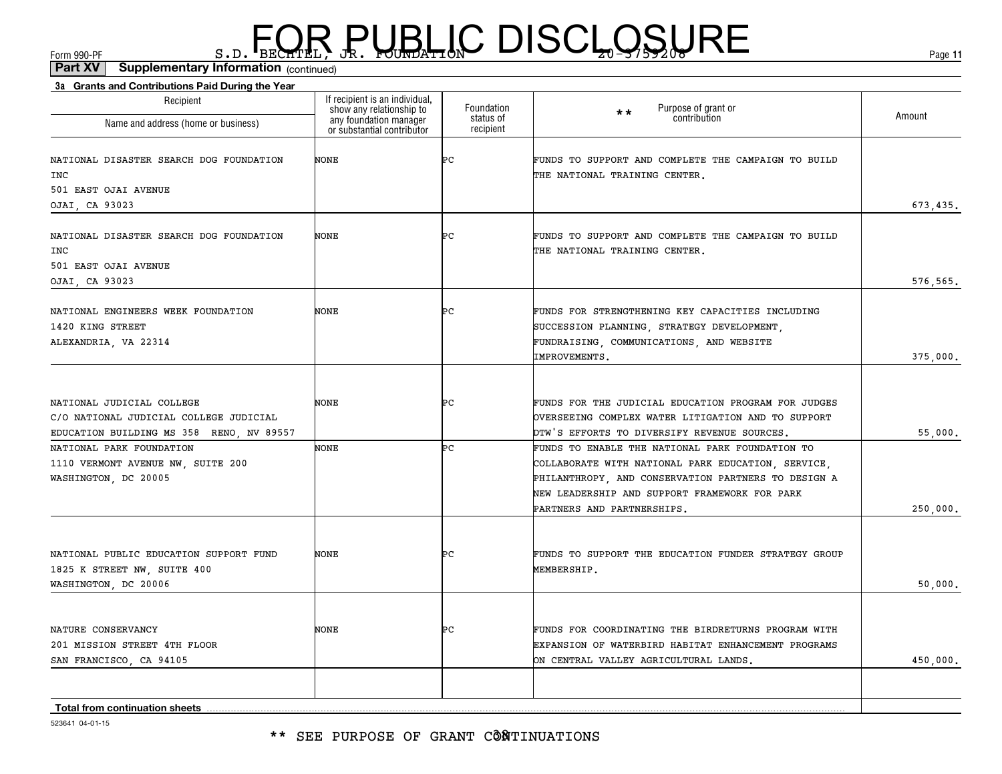\*\* SEE PURPOSE OF GRANT CÔÑTINUATIONS

| 523641 04-01-15 |  |
|-----------------|--|

| If recipient is an individual,                                                   |                         |                                                                                                                                                                                                                                             |          |
|----------------------------------------------------------------------------------|-------------------------|---------------------------------------------------------------------------------------------------------------------------------------------------------------------------------------------------------------------------------------------|----------|
| show any relationship to<br>any foundation manager<br>or substantial contributor | Foundation<br>status of | Purpose of grant or<br>contribution<br>$\star\star$                                                                                                                                                                                         | Amount   |
| NONE                                                                             | Þс                      | FUNDS TO SUPPORT AND COMPLETE THE CAMPAIGN TO BUILD<br>THE NATIONAL TRAINING CENTER.                                                                                                                                                        | 673,435. |
| NONE                                                                             | ÞС                      | FUNDS TO SUPPORT AND COMPLETE THE CAMPAIGN TO BUILD<br>THE NATIONAL TRAINING CENTER.                                                                                                                                                        | 576,565. |
| NONE                                                                             | Þс                      | FUNDS FOR STRENGTHENING KEY CAPACITIES INCLUDING<br>SUCCESSION PLANNING, STRATEGY DEVELOPMENT,<br>FUNDRAISING, COMMUNICATIONS, AND WEBSITE<br>IMPROVEMENTS.                                                                                 | 375,000. |
| NONE                                                                             | Þс                      | FUNDS FOR THE JUDICIAL EDUCATION PROGRAM FOR JUDGES<br>OVERSEEING COMPLEX WATER LITIGATION AND TO SUPPORT<br>DTW'S EFFORTS TO DIVERSIFY REVENUE SOURCES.                                                                                    | 55,000.  |
| NONE                                                                             | ÞС                      | FUNDS TO ENABLE THE NATIONAL PARK FOUNDATION TO<br>COLLABORATE WITH NATIONAL PARK EDUCATION, SERVICE,<br>PHILANTHROPY, AND CONSERVATION PARTNERS TO DESIGN A<br>NEW LEADERSHIP AND SUPPORT FRAMEWORK FOR PARK<br>PARTNERS AND PARTNERSHIPS. | 250,000. |
| NONE                                                                             | ÞС                      | FUNDS TO SUPPORT THE EDUCATION FUNDER STRATEGY GROUP<br>MEMBERSHIP.                                                                                                                                                                         | 50,000.  |
| NONE                                                                             | ÞС                      | FUNDS FOR COORDINATING THE BIRDRETURNS PROGRAM WITH<br>EXPANSION OF WATERBIRD HABITAT ENHANCEMENT PROGRAMS<br>ON CENTRAL VALLEY AGRICULTURAL LANDS.                                                                                         | 450,000. |
|                                                                                  |                         | recipient                                                                                                                                                                                                                                   |          |

#### $F_{\text{GCD}}$   $\text{F}_{\text{BEC}}$   $\text{F}_{\text{BEC}}$   $\text{F}_{\text{BEC}}$   $\text{F}_{\text{CUE}}$   $\text{G}_{\text{AFL}}$   $\text{G}_{\text{A}}$   $\text{G}_{\text{B}}$   $\text{G}_{\text{B}}$   $\text{G}_{\text{B}}$   $\text{G}_{\text{B}}$   $\text{G}_{\text{B}}$   $\text{G}_{\text{B}}$   $\text{G}_{\text{B}}$   $\text{G}_{\text{B}}$   $\text{G}_{\text{B}}$   $\text{G}_{\text{B$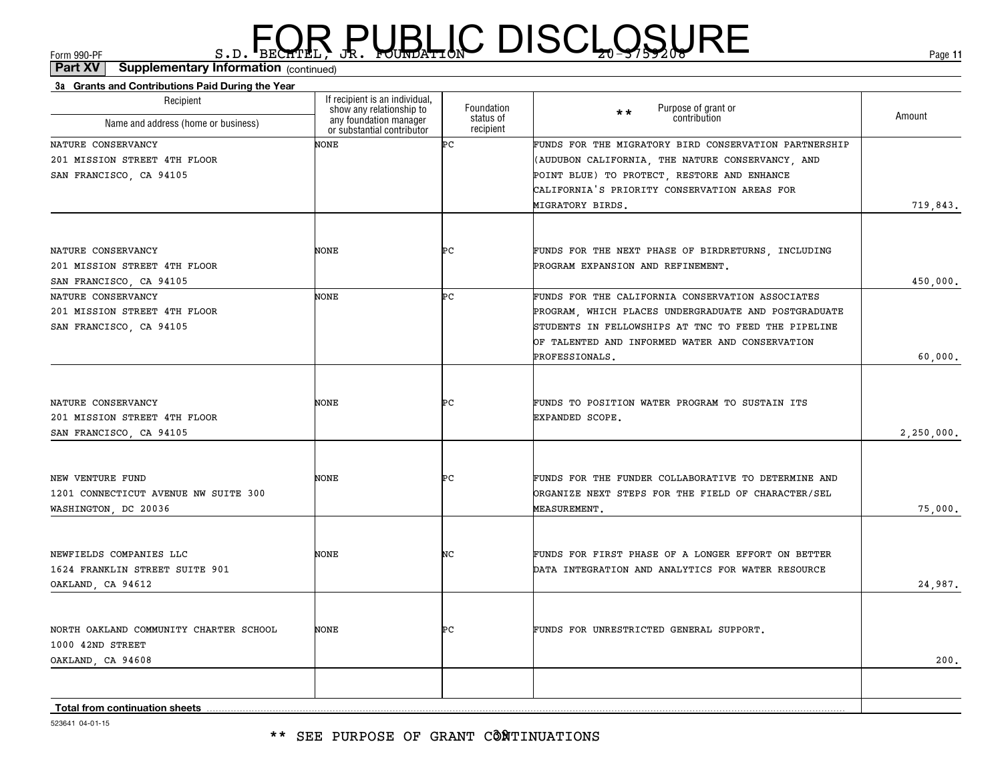\*\* SEE PURPOSE OF GRANT CÔNTINUATIONS

| 201 MISSION STREET 4TH FLOOR           |      |    | (AUDUBON CALIFORNIA, THE NATURE CONSERVANCY, AND     |            |
|----------------------------------------|------|----|------------------------------------------------------|------------|
| SAN FRANCISCO, CA 94105                |      |    | POINT BLUE) TO PROTECT, RESTORE AND ENHANCE          |            |
|                                        |      |    | CALIFORNIA'S PRIORITY CONSERVATION AREAS FOR         |            |
|                                        |      |    | MIGRATORY BIRDS.                                     | 719,843.   |
|                                        |      |    |                                                      |            |
| NATURE CONSERVANCY                     | NONE | ÞС | FUNDS FOR THE NEXT PHASE OF BIRDRETURNS, INCLUDING   |            |
| 201 MISSION STREET 4TH FLOOR           |      |    | PROGRAM EXPANSION AND REFINEMENT.                    |            |
| SAN FRANCISCO, CA 94105                |      |    |                                                      | 450,000.   |
| NATURE CONSERVANCY                     | NONE | Þс | FUNDS FOR THE CALIFORNIA CONSERVATION ASSOCIATES     |            |
| 201 MISSION STREET 4TH FLOOR           |      |    | PROGRAM, WHICH PLACES UNDERGRADUATE AND POSTGRADUATE |            |
| SAN FRANCISCO, CA 94105                |      |    | STUDENTS IN FELLOWSHIPS AT TNC TO FEED THE PIPELINE  |            |
|                                        |      |    | OF TALENTED AND INFORMED WATER AND CONSERVATION      |            |
|                                        |      |    | PROFESSIONALS.                                       | 60,000,    |
|                                        |      |    |                                                      |            |
| NATURE CONSERVANCY                     | NONE | ÞС | FUNDS TO POSITION WATER PROGRAM TO SUSTAIN ITS       |            |
| 201 MISSION STREET 4TH FLOOR           |      |    | EXPANDED SCOPE.                                      |            |
| SAN FRANCISCO, CA 94105                |      |    |                                                      | 2,250,000. |
|                                        |      |    |                                                      |            |
|                                        |      |    |                                                      |            |
| NEW VENTURE FUND                       | NONE | ÞС | FUNDS FOR THE FUNDER COLLABORATIVE TO DETERMINE AND  |            |
| 1201 CONNECTICUT AVENUE NW SUITE 300   |      |    | ORGANIZE NEXT STEPS FOR THE FIELD OF CHARACTER/SEL   |            |
| WASHINGTON, DC 20036                   |      |    | <b>MEASUREMENT.</b>                                  | 75,000,    |
|                                        |      |    |                                                      |            |
| NEWFIELDS COMPANIES LLC                | NONE | NC | FUNDS FOR FIRST PHASE OF A LONGER EFFORT ON BETTER   |            |
| 1624 FRANKLIN STREET SUITE 901         |      |    | DATA INTEGRATION AND ANALYTICS FOR WATER RESOURCE    |            |
| OAKLAND, CA 94612                      |      |    |                                                      | 24,987.    |
|                                        |      |    |                                                      |            |
| NORTH OAKLAND COMMUNITY CHARTER SCHOOL | NONE | ÞС | FUNDS FOR UNRESTRICTED GENERAL SUPPORT.              |            |
| 1000 42ND STREET                       |      |    |                                                      |            |
| OAKLAND, CA 94608                      |      |    |                                                      | 200,       |
|                                        |      |    |                                                      |            |
|                                        |      |    |                                                      |            |

Foundation status of recipient

(continued)**Part XV Supplementary Information**

If recipient is an individual, show any relationship to any foundation manager or substantial contributor

NONE

**3a Grants and Contributions Paid During the Year**

Recipient

Name and address (home or business)

 $F_{\text{GCD}}$   $\text{F}_{\text{BEC}}$   $\text{F}_{\text{BEC}}$   $\text{F}_{\text{BEC}}$   $\text{F}_{\text{CUE}}$   $\text{G}_{\text{AFL}}$   $\text{G}_{\text{A}}$   $\text{G}_{\text{B}}$   $\text{G}_{\text{B}}$   $\text{G}_{\text{B}}$   $\text{G}_{\text{B}}$   $\text{G}_{\text{B}}$   $\text{G}_{\text{B}}$   $\text{G}_{\text{B}}$   $\text{G}_{\text{B}}$   $\text{G}_{\text{B}}$   $\text{G}_{\text{B$ 

NATURE CONSERVANCY

523641 04-01-15

**Total from continuation sheets**

**11**

Purpose of grant or contribution Amount

PC FUNDS FOR THE MIGRATORY BIRD CONSERVATION PARTNERSHIP

\*\*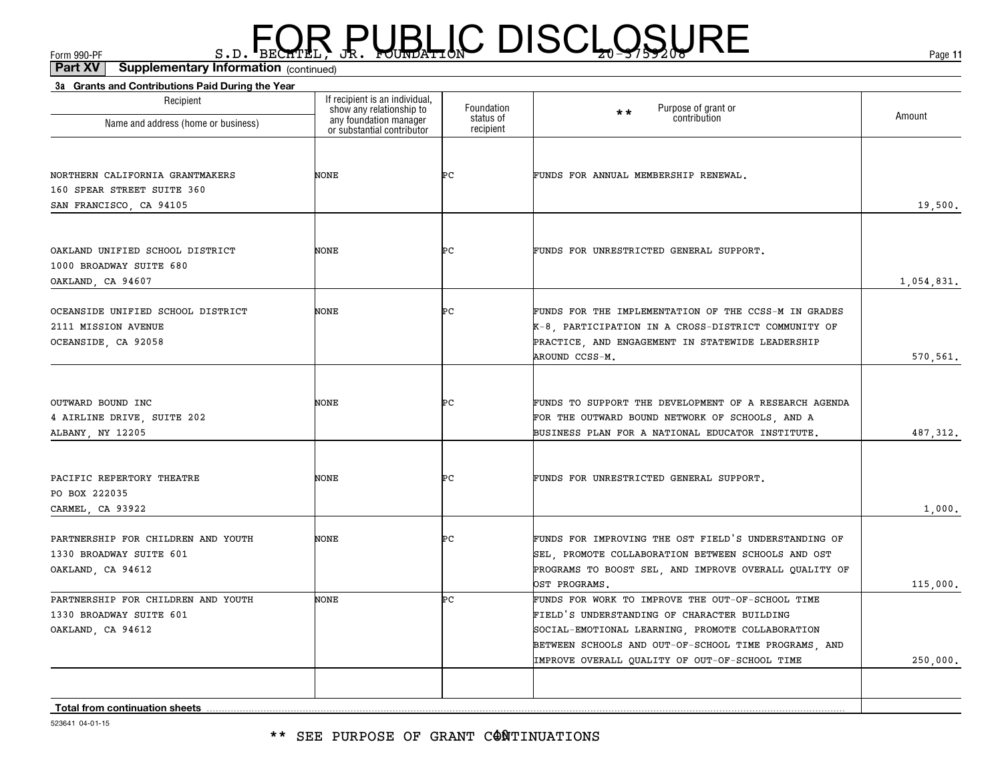| 3a Grants and Contributions Paid During the Year                                         |                                                                                                                    |                                      |                                                                                                                                                                                                                                                              |            |
|------------------------------------------------------------------------------------------|--------------------------------------------------------------------------------------------------------------------|--------------------------------------|--------------------------------------------------------------------------------------------------------------------------------------------------------------------------------------------------------------------------------------------------------------|------------|
| Recipient<br>Name and address (home or business)                                         | If recipient is an individual,<br>show any relationship to<br>any foundation manager<br>or substantial contributor | Foundation<br>status of<br>recipient | Purpose of grant or<br>$\star\star$<br>contribution                                                                                                                                                                                                          | Amount     |
| NORTHERN CALIFORNIA GRANTMAKERS<br>160 SPEAR STREET SUITE 360<br>SAN FRANCISCO, CA 94105 | NONE                                                                                                               | ÞС                                   | FUNDS FOR ANNUAL MEMBERSHIP RENEWAL.                                                                                                                                                                                                                         | 19,500.    |
| OAKLAND UNIFIED SCHOOL DISTRICT<br>1000 BROADWAY SUITE 680<br>OAKLAND, CA 94607          | <b>NONE</b>                                                                                                        | ÞС                                   | FUNDS FOR UNRESTRICTED GENERAL SUPPORT.                                                                                                                                                                                                                      | 1,054,831. |
| OCEANSIDE UNIFIED SCHOOL DISTRICT<br>2111 MISSION AVENUE<br>OCEANSIDE, CA 92058          | NONE                                                                                                               | Þс                                   | FUNDS FOR THE IMPLEMENTATION OF THE CCSS-M IN GRADES<br>K-8, PARTICIPATION IN A CROSS-DISTRICT COMMUNITY OF<br>PRACTICE, AND ENGAGEMENT IN STATEWIDE LEADERSHIP<br>AROUND CCSS-M.                                                                            | 570,561.   |
| OUTWARD BOUND INC<br>4 AIRLINE DRIVE, SUITE 202<br>ALBANY, NY 12205                      | <b>NONE</b>                                                                                                        | ÞС                                   | FUNDS TO SUPPORT THE DEVELOPMENT OF A RESEARCH AGENDA<br>FOR THE OUTWARD BOUND NETWORK OF SCHOOLS, AND A<br>BUSINESS PLAN FOR A NATIONAL EDUCATOR INSTITUTE.                                                                                                 | 487,312.   |
| PACIFIC REPERTORY THEATRE<br>PO BOX 222035<br>CARMEL, CA 93922                           | <b>NONE</b>                                                                                                        | ÞС                                   | FUNDS FOR UNRESTRICTED GENERAL SUPPORT.                                                                                                                                                                                                                      | 1,000.     |
| PARTNERSHIP FOR CHILDREN AND YOUTH<br>1330 BROADWAY SUITE 601<br>OAKLAND, CA 94612       | NONE                                                                                                               | ÞС                                   | FUNDS FOR IMPROVING THE OST FIELD'S UNDERSTANDING OF<br>SEL, PROMOTE COLLABORATION BETWEEN SCHOOLS AND OST<br>PROGRAMS TO BOOST SEL, AND IMPROVE OVERALL QUALITY OF<br>OST PROGRAMS.                                                                         | 115,000.   |
| PARTNERSHIP FOR CHILDREN AND YOUTH<br>1330 BROADWAY SUITE 601<br>OAKLAND, CA 94612       | NONE                                                                                                               | Þс                                   | FUNDS FOR WORK TO IMPROVE THE OUT-OF-SCHOOL TIME<br>FIELD'S UNDERSTANDING OF CHARACTER BUILDING<br>SOCIAL-EMOTIONAL LEARNING, PROMOTE COLLABORATION<br>BETWEEN SCHOOLS AND OUT-OF-SCHOOL TIME PROGRAMS, AND<br>IMPROVE OVERALL QUALITY OF OUT-OF-SCHOOL TIME | 250,000.   |
| Total from continuation sheets                                                           |                                                                                                                    |                                      |                                                                                                                                                                                                                                                              |            |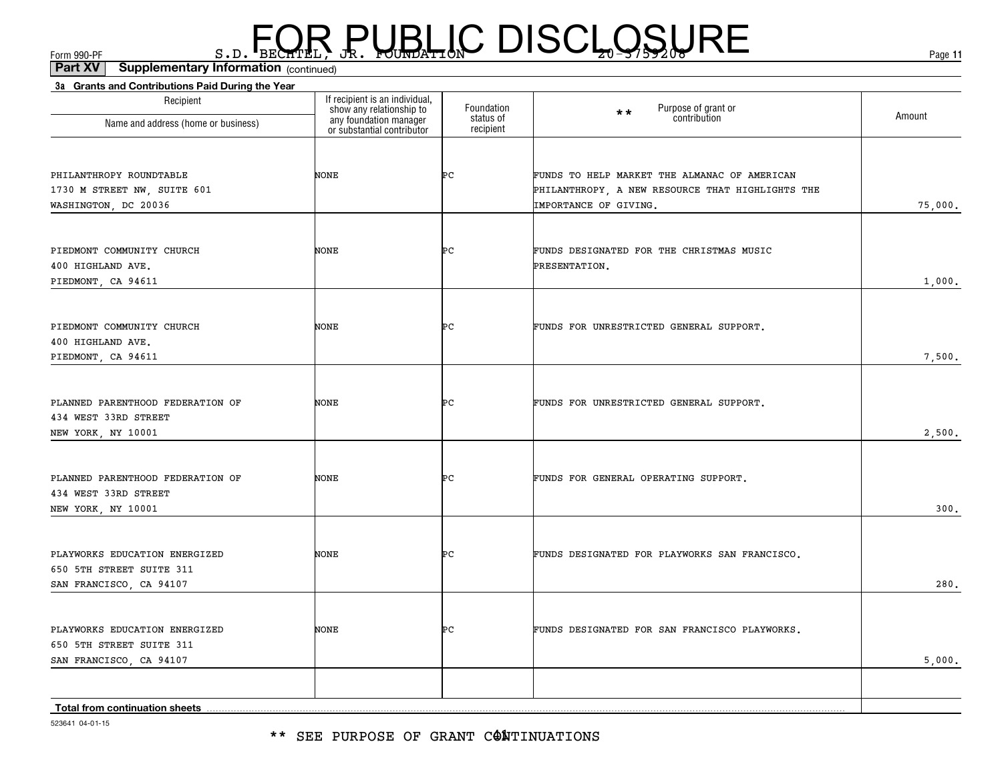\*\* SEE PURPOSE OF GRANT C@MTINUATIONS

523641 04-01-15

| Recipient                                                                            | If recipient is an individual,<br>show any relationship to<br>any foundation manager<br>or substantial contributor | Foundation             | Purpose of grant or<br>$**$                               |         |
|--------------------------------------------------------------------------------------|--------------------------------------------------------------------------------------------------------------------|------------------------|-----------------------------------------------------------|---------|
| Name and address (home or business)                                                  |                                                                                                                    | status of<br>recipient | contribution                                              | Amount  |
| PHILANTHROPY ROUNDTABLE                                                              | NONE                                                                                                               | ÞС                     | FUNDS TO HELP MARKET THE ALMANAC OF AMERICAN              |         |
| 1730 M STREET NW, SUITE 601                                                          |                                                                                                                    |                        | PHILANTHROPY, A NEW RESOURCE THAT HIGHLIGHTS THE          |         |
| WASHINGTON, DC 20036                                                                 |                                                                                                                    |                        | IMPORTANCE OF GIVING.                                     | 75,000. |
| PIEDMONT COMMUNITY CHURCH<br>400 HIGHLAND AVE.                                       | NONE                                                                                                               | ÞС                     | FUNDS DESIGNATED FOR THE CHRISTMAS MUSIC<br>PRESENTATION. |         |
| PIEDMONT, CA 94611                                                                   |                                                                                                                    |                        |                                                           | 1,000.  |
| PIEDMONT COMMUNITY CHURCH<br>400 HIGHLAND AVE.                                       | NONE                                                                                                               | ÞС                     | FUNDS FOR UNRESTRICTED GENERAL SUPPORT.                   |         |
| PIEDMONT, CA 94611                                                                   |                                                                                                                    |                        |                                                           | 7,500.  |
| PLANNED PARENTHOOD FEDERATION OF<br>434 WEST 33RD STREET                             | NONE                                                                                                               | ÞС                     | FUNDS FOR UNRESTRICTED GENERAL SUPPORT.                   |         |
| NEW YORK, NY 10001                                                                   |                                                                                                                    |                        |                                                           | 2,500.  |
| PLANNED PARENTHOOD FEDERATION OF<br>434 WEST 33RD STREET                             | NONE                                                                                                               | ÞС                     | FUNDS FOR GENERAL OPERATING SUPPORT.                      |         |
| NEW YORK, NY 10001                                                                   |                                                                                                                    |                        |                                                           | 300.    |
| PLAYWORKS EDUCATION ENERGIZED<br>650 5TH STREET SUITE 311<br>SAN FRANCISCO, CA 94107 | NONE                                                                                                               | ÞС                     | FUNDS DESIGNATED FOR PLAYWORKS SAN FRANCISCO.             | 280.    |
|                                                                                      |                                                                                                                    |                        |                                                           |         |
| PLAYWORKS EDUCATION ENERGIZED<br>650 5TH STREET SUITE 311                            | NONE                                                                                                               | ÞС                     | FUNDS DESIGNATED FOR SAN FRANCISCO PLAYWORKS.             |         |
| SAN FRANCISCO, CA 94107                                                              |                                                                                                                    |                        |                                                           | 5,000.  |
|                                                                                      |                                                                                                                    |                        |                                                           |         |
| Total from continuation sheets                                                       |                                                                                                                    |                        |                                                           |         |

 $F_{\text{GCD}}$   $\text{F}_{\text{BEC}}$   $\text{F}_{\text{BEC}}$   $\text{F}_{\text{BEC}}$   $\text{F}_{\text{CUE}}$   $\text{G}_{\text{AFL}}$   $\text{G}_{\text{A}}$   $\text{G}_{\text{B}}$   $\text{G}_{\text{B}}$   $\text{G}_{\text{B}}$   $\text{G}_{\text{B}}$   $\text{G}_{\text{B}}$   $\text{G}_{\text{B}}$   $\text{G}_{\text{B}}$   $\text{G}_{\text{B}}$   $\text{G}_{\text{B}}$   $\text{G}_{\text{B$ 

**3a Grants and Contributions Paid During the Year**

(continued)**Part XV Supplementary Information**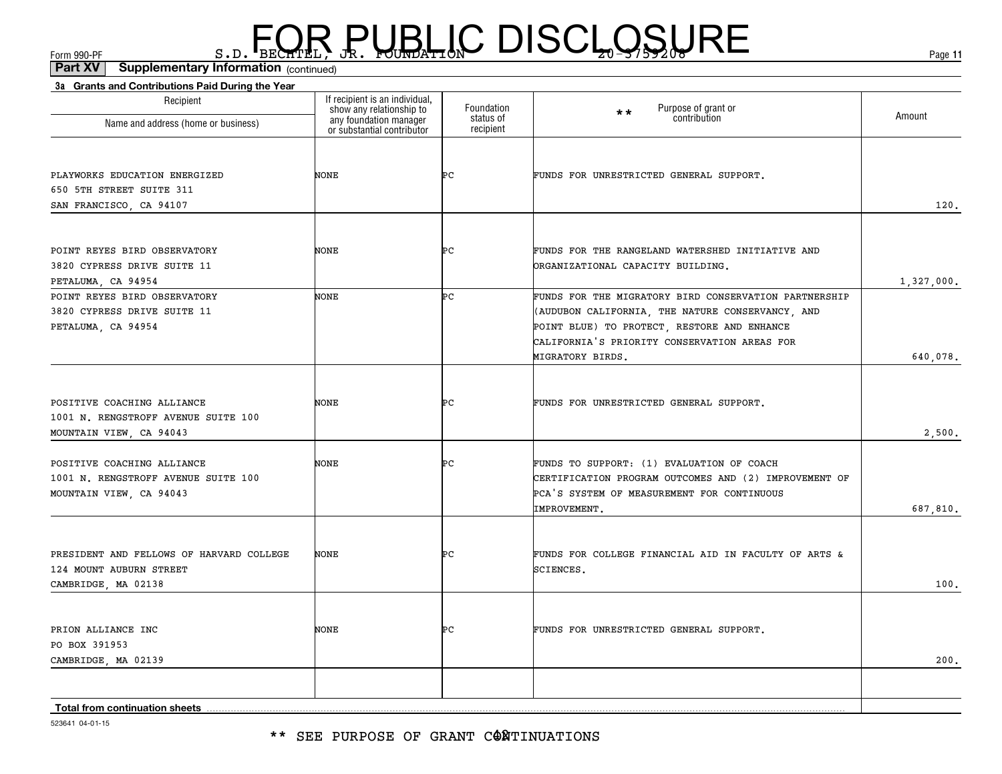\*\* SEE PURPOSE OF GRANT CONTINUATIONS

| 523641 04-01-15 |
|-----------------|

| Name and address (home or business)                                                          | show any relationship to<br>any foundation manager<br>or substantial contributor | Foundation<br>status of<br>recipient | Purpose of grant or<br>$\star \star$<br>contribution                                                                                                                                                                         | Amount     |
|----------------------------------------------------------------------------------------------|----------------------------------------------------------------------------------|--------------------------------------|------------------------------------------------------------------------------------------------------------------------------------------------------------------------------------------------------------------------------|------------|
| PLAYWORKS EDUCATION ENERGIZED<br>650 5TH STREET SUITE 311<br>SAN FRANCISCO, CA 94107         | NONE                                                                             | ÞС                                   | FUNDS FOR UNRESTRICTED GENERAL SUPPORT.                                                                                                                                                                                      | 120.       |
|                                                                                              |                                                                                  |                                      |                                                                                                                                                                                                                              |            |
| POINT REYES BIRD OBSERVATORY<br>3820 CYPRESS DRIVE SUITE 11<br>PETALUMA, CA 94954            | NONE                                                                             | ÞС                                   | FUNDS FOR THE RANGELAND WATERSHED INITIATIVE AND<br>ORGANIZATIONAL CAPACITY BUILDING.                                                                                                                                        | 1,327,000. |
| POINT REYES BIRD OBSERVATORY<br>3820 CYPRESS DRIVE SUITE 11<br>PETALUMA, CA 94954            | NONE                                                                             | Þс                                   | FUNDS FOR THE MIGRATORY BIRD CONSERVATION PARTNERSHIP<br>(AUDUBON CALIFORNIA, THE NATURE CONSERVANCY, AND<br>POINT BLUE) TO PROTECT, RESTORE AND ENHANCE<br>CALIFORNIA'S PRIORITY CONSERVATION AREAS FOR<br>MIGRATORY BIRDS. | 640,078.   |
| POSITIVE COACHING ALLIANCE<br>1001 N. RENGSTROFF AVENUE SUITE 100<br>MOUNTAIN VIEW, CA 94043 | NONE                                                                             | ÞС                                   | FUNDS FOR UNRESTRICTED GENERAL SUPPORT.                                                                                                                                                                                      | 2,500.     |
| POSITIVE COACHING ALLIANCE<br>1001 N. RENGSTROFF AVENUE SUITE 100<br>MOUNTAIN VIEW, CA 94043 | NONE                                                                             | ÞС                                   | FUNDS TO SUPPORT: (1) EVALUATION OF COACH<br>CERTIFICATION PROGRAM OUTCOMES AND (2) IMPROVEMENT OF<br>PCA'S SYSTEM OF MEASUREMENT FOR CONTINUOUS<br>IMPROVEMENT.                                                             | 687,810.   |
| PRESIDENT AND FELLOWS OF HARVARD COLLEGE<br>124 MOUNT AUBURN STREET<br>CAMBRIDGE, MA 02138   | NONE                                                                             | ÞС                                   | FUNDS FOR COLLEGE FINANCIAL AID IN FACULTY OF ARTS &<br>SCIENCES.                                                                                                                                                            | 100.       |
| PRION ALLIANCE INC<br>PO BOX 391953<br>CAMBRIDGE, MA 02139                                   | NONE                                                                             | Þс                                   | FUNDS FOR UNRESTRICTED GENERAL SUPPORT.                                                                                                                                                                                      | 200.       |
|                                                                                              |                                                                                  |                                      |                                                                                                                                                                                                                              |            |
| Total from continuation sheets                                                               |                                                                                  |                                      |                                                                                                                                                                                                                              |            |

(continued)**Part XV Supplementary Information**

**3a Grants and Contributions Paid During the Year**

Recipient

## $F_{\text{GCD}}$   $\text{F}_{\text{BEC}}$   $\text{F}_{\text{BEC}}$   $\text{F}_{\text{BEC}}$   $\text{F}_{\text{CUE}}$   $\text{G}_{\text{AFL}}$   $\text{G}_{\text{A}}$   $\text{G}_{\text{B}}$   $\text{G}_{\text{B}}$   $\text{G}_{\text{B}}$   $\text{G}_{\text{B}}$   $\text{G}_{\text{B}}$   $\text{G}_{\text{B}}$   $\text{G}_{\text{B}}$   $\text{G}_{\text{B}}$   $\text{G}_{\text{B}}$   $\text{G}_{\text{B$

Foundation

If recipient is an individual, show any relationship to

**11**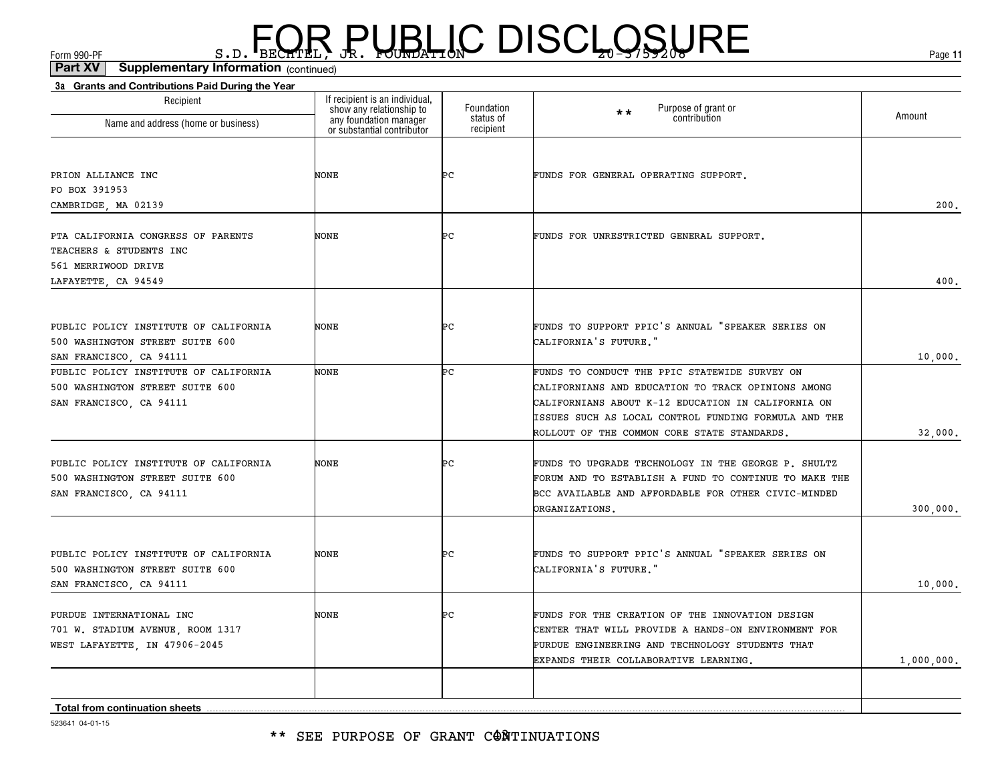| show any relationship to<br>any foundation manager<br>or substantial contributor<br>Foundation<br>status of<br>Name and address (home or business)<br>recipient<br>PRION ALLIANCE INC<br>NONE<br>ÞС<br>PO BOX 391953<br>CAMBRIDGE, MA 02139<br>Þс<br>PTA CALIFORNIA CONGRESS OF PARENTS<br>NONE<br>TEACHERS & STUDENTS INC | Purpose of grant or<br>$\star\star$<br>Amount<br>contribution<br>FUNDS FOR GENERAL OPERATING SUPPORT.<br>200.<br>FUNDS FOR UNRESTRICTED GENERAL SUPPORT. |
|----------------------------------------------------------------------------------------------------------------------------------------------------------------------------------------------------------------------------------------------------------------------------------------------------------------------------|----------------------------------------------------------------------------------------------------------------------------------------------------------|
|                                                                                                                                                                                                                                                                                                                            |                                                                                                                                                          |
|                                                                                                                                                                                                                                                                                                                            |                                                                                                                                                          |
|                                                                                                                                                                                                                                                                                                                            |                                                                                                                                                          |
|                                                                                                                                                                                                                                                                                                                            |                                                                                                                                                          |
|                                                                                                                                                                                                                                                                                                                            |                                                                                                                                                          |
|                                                                                                                                                                                                                                                                                                                            |                                                                                                                                                          |
|                                                                                                                                                                                                                                                                                                                            |                                                                                                                                                          |
| 561 MERRIWOOD DRIVE                                                                                                                                                                                                                                                                                                        |                                                                                                                                                          |
| LAFAYETTE, CA 94549                                                                                                                                                                                                                                                                                                        | 400.                                                                                                                                                     |
|                                                                                                                                                                                                                                                                                                                            |                                                                                                                                                          |
| PUBLIC POLICY INSTITUTE OF CALIFORNIA<br>ÞС<br>NONE                                                                                                                                                                                                                                                                        | FUNDS TO SUPPORT PPIC'S ANNUAL "SPEAKER SERIES ON                                                                                                        |
| 500 WASHINGTON STREET SUITE 600                                                                                                                                                                                                                                                                                            | CALIFORNIA'S FUTURE."                                                                                                                                    |
| SAN FRANCISCO, CA 94111                                                                                                                                                                                                                                                                                                    | 10,000.                                                                                                                                                  |
| Þс<br>PUBLIC POLICY INSTITUTE OF CALIFORNIA<br><b>NONE</b>                                                                                                                                                                                                                                                                 | FUNDS TO CONDUCT THE PPIC STATEWIDE SURVEY ON                                                                                                            |
| 500 WASHINGTON STREET SUITE 600                                                                                                                                                                                                                                                                                            | CALIFORNIANS AND EDUCATION TO TRACK OPINIONS AMONG                                                                                                       |
| SAN FRANCISCO, CA 94111                                                                                                                                                                                                                                                                                                    | CALIFORNIANS ABOUT K-12 EDUCATION IN CALIFORNIA ON                                                                                                       |
|                                                                                                                                                                                                                                                                                                                            | ISSUES SUCH AS LOCAL CONTROL FUNDING FORMULA AND THE                                                                                                     |
|                                                                                                                                                                                                                                                                                                                            | ROLLOUT OF THE COMMON CORE STATE STANDARDS.<br>32,000.                                                                                                   |
| Þс<br>PUBLIC POLICY INSTITUTE OF CALIFORNIA<br>NONE                                                                                                                                                                                                                                                                        | FUNDS TO UPGRADE TECHNOLOGY IN THE GEORGE P. SHULTZ                                                                                                      |
| 500 WASHINGTON STREET SUITE 600                                                                                                                                                                                                                                                                                            | FORUM AND TO ESTABLISH A FUND TO CONTINUE TO MAKE THE                                                                                                    |
| SAN FRANCISCO, CA 94111                                                                                                                                                                                                                                                                                                    | BCC AVAILABLE AND AFFORDABLE FOR OTHER CIVIC-MINDED                                                                                                      |
|                                                                                                                                                                                                                                                                                                                            | <b>DRGANIZATIONS.</b><br>300,000.                                                                                                                        |
|                                                                                                                                                                                                                                                                                                                            |                                                                                                                                                          |
| ÞС<br>NONE<br>PUBLIC POLICY INSTITUTE OF CALIFORNIA                                                                                                                                                                                                                                                                        | FUNDS TO SUPPORT PPIC'S ANNUAL "SPEAKER SERIES ON                                                                                                        |
| 500 WASHINGTON STREET SUITE 600                                                                                                                                                                                                                                                                                            | CALIFORNIA'S FUTURE."                                                                                                                                    |
| SAN FRANCISCO, CA 94111                                                                                                                                                                                                                                                                                                    | 10,000.                                                                                                                                                  |
| NONE<br>ÞС<br>PURDUE INTERNATIONAL INC                                                                                                                                                                                                                                                                                     | FUNDS FOR THE CREATION OF THE INNOVATION DESIGN                                                                                                          |
| 701 W. STADIUM AVENUE, ROOM 1317                                                                                                                                                                                                                                                                                           | CENTER THAT WILL PROVIDE A HANDS-ON ENVIRONMENT FOR                                                                                                      |
| WEST LAFAYETTE, IN 47906-2045                                                                                                                                                                                                                                                                                              | PURDUE ENGINEERING AND TECHNOLOGY STUDENTS THAT                                                                                                          |
|                                                                                                                                                                                                                                                                                                                            | 1,000,000.<br>EXPANDS THEIR COLLABORATIVE LEARNING.                                                                                                      |
|                                                                                                                                                                                                                                                                                                                            |                                                                                                                                                          |
| Total from continuation sheets                                                                                                                                                                                                                                                                                             |                                                                                                                                                          |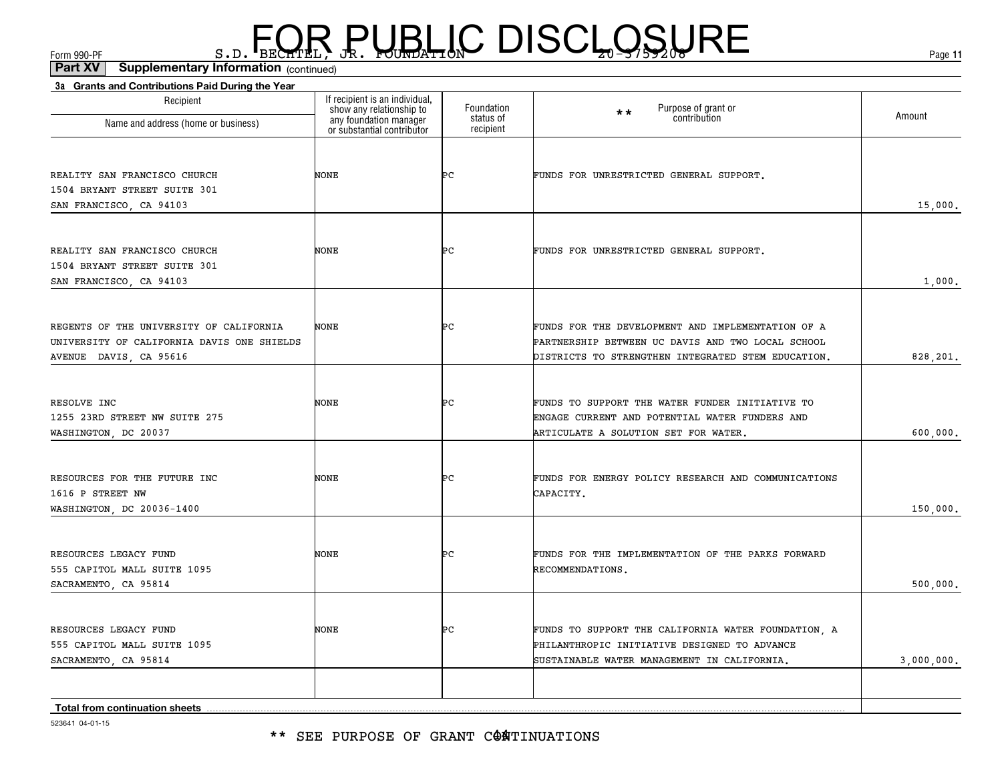#### \*\* SEE PURPOSE OF GRANT C@ATINUATIONS

523641 04-01-15

| Recipient<br>Name and address (home or business) | If recipient is an individual,<br>show any relationship to | Foundation<br>status of | Purpose of grant or<br>contribution<br>$\star \star$ | Amount     |
|--------------------------------------------------|------------------------------------------------------------|-------------------------|------------------------------------------------------|------------|
|                                                  | any foundation manager<br>or substantial contributor       | recipient               |                                                      |            |
| REALITY SAN FRANCISCO CHURCH                     | <b>NONE</b>                                                | ÞС                      | FUNDS FOR UNRESTRICTED GENERAL SUPPORT.              |            |
| 1504 BRYANT STREET SUITE 301                     |                                                            |                         |                                                      |            |
| SAN FRANCISCO, CA 94103                          |                                                            |                         |                                                      | 15,000.    |
|                                                  |                                                            |                         |                                                      |            |
| REALITY SAN FRANCISCO CHURCH                     | NONE                                                       | ÞС                      | FUNDS FOR UNRESTRICTED GENERAL SUPPORT.              |            |
| 1504 BRYANT STREET SUITE 301                     |                                                            |                         |                                                      |            |
| SAN FRANCISCO, CA 94103                          |                                                            |                         |                                                      | 1,000.     |
|                                                  |                                                            |                         |                                                      |            |
| REGENTS OF THE UNIVERSITY OF CALIFORNIA          | <b>NONE</b>                                                | ÞС                      | FUNDS FOR THE DEVELOPMENT AND IMPLEMENTATION OF A    |            |
| UNIVERSITY OF CALIFORNIA DAVIS ONE SHIELDS       |                                                            |                         | PARTNERSHIP BETWEEN UC DAVIS AND TWO LOCAL SCHOOL    |            |
| AVENUE DAVIS, CA 95616                           |                                                            |                         | DISTRICTS TO STRENGTHEN INTEGRATED STEM EDUCATION.   | 828,201.   |
| RESOLVE INC                                      | NONE                                                       | ÞС                      | FUNDS TO SUPPORT THE WATER FUNDER INITIATIVE TO      |            |
| 1255 23RD STREET NW SUITE 275                    |                                                            |                         | ENGAGE CURRENT AND POTENTIAL WATER FUNDERS AND       |            |
| WASHINGTON, DC 20037                             |                                                            |                         | ARTICULATE A SOLUTION SET FOR WATER.                 | 600,000.   |
|                                                  |                                                            |                         |                                                      |            |
| RESOURCES FOR THE FUTURE INC<br>1616 P STREET NW | <b>NONE</b>                                                | ÞС                      | FUNDS FOR ENERGY POLICY RESEARCH AND COMMUNICATIONS  |            |
|                                                  |                                                            |                         | CAPACITY.                                            |            |
| WASHINGTON, DC 20036-1400                        |                                                            |                         |                                                      | 150,000.   |
| RESOURCES LEGACY FUND                            | <b>NONE</b>                                                | ÞС                      | FUNDS FOR THE IMPLEMENTATION OF THE PARKS FORWARD    |            |
| 555 CAPITOL MALL SUITE 1095                      |                                                            |                         | RECOMMENDATIONS.                                     |            |
| SACRAMENTO, CA 95814                             |                                                            |                         |                                                      | 500,000.   |
|                                                  |                                                            |                         |                                                      |            |
| RESOURCES LEGACY FUND                            | <b>NONE</b>                                                | ÞС                      | FUNDS TO SUPPORT THE CALIFORNIA WATER FOUNDATION, A  |            |
| 555 CAPITOL MALL SUITE 1095                      |                                                            |                         | PHILANTHROPIC INITIATIVE DESIGNED TO ADVANCE         |            |
| SACRAMENTO, CA 95814                             |                                                            |                         | SUSTAINABLE WATER MANAGEMENT IN CALIFORNIA.          | 3,000,000. |
| Total from continuation sheets                   |                                                            |                         |                                                      |            |

**3a Grants and Contributions Paid During the Year**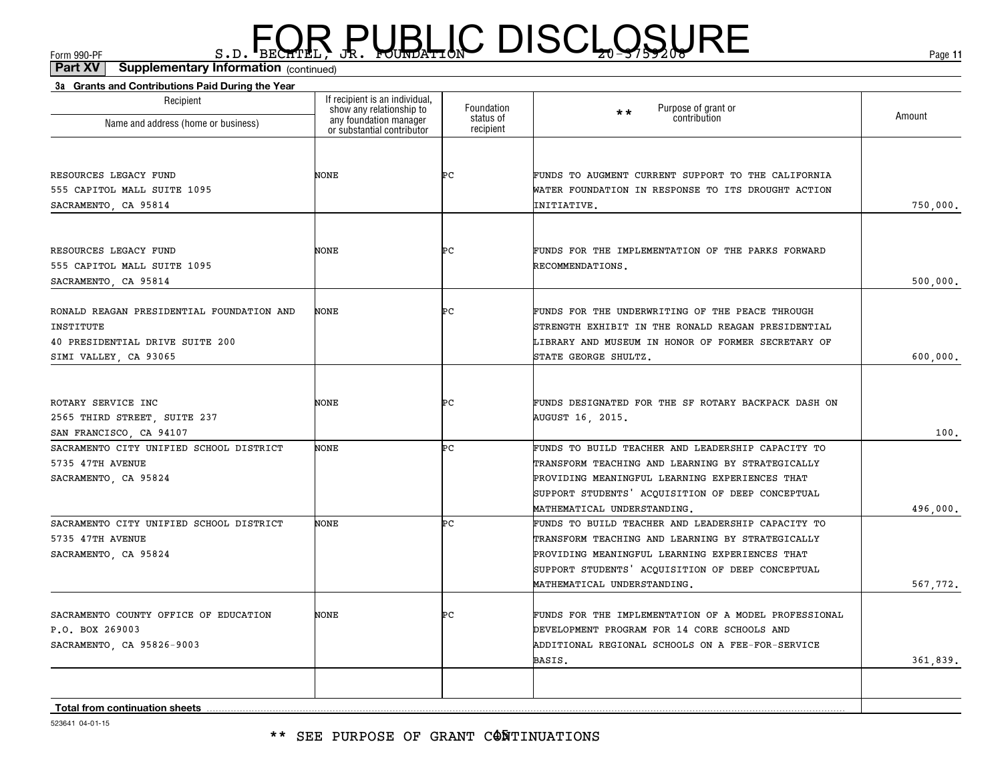(continued)**Part XV Supplementary Information**

| Recipient                                 | If recipient is an individual,                                                   | Foundation             | $\star \star$                                        |          |
|-------------------------------------------|----------------------------------------------------------------------------------|------------------------|------------------------------------------------------|----------|
| Name and address (home or business)       | show any relationship to<br>any foundation manager<br>or substantial contributor | status of<br>recipient | Purpose of grant or<br>contribution                  | Amount   |
|                                           |                                                                                  |                        |                                                      |          |
| RESOURCES LEGACY FUND                     | NONE                                                                             | ÞС                     | FUNDS TO AUGMENT CURRENT SUPPORT TO THE CALIFORNIA   |          |
| 555 CAPITOL MALL SUITE 1095               |                                                                                  |                        | WATER FOUNDATION IN RESPONSE TO ITS DROUGHT ACTION   |          |
| SACRAMENTO, CA 95814                      |                                                                                  |                        | INITIATIVE.                                          | 750,000. |
| RESOURCES LEGACY FUND                     | NONE                                                                             | ÞС                     | FUNDS FOR THE IMPLEMENTATION OF THE PARKS FORWARD    |          |
| 555 CAPITOL MALL SUITE 1095               |                                                                                  |                        | RECOMMENDATIONS.                                     |          |
| SACRAMENTO, CA 95814                      |                                                                                  |                        |                                                      | 500,000. |
| RONALD REAGAN PRESIDENTIAL FOUNDATION AND | NONE                                                                             | ÞС                     | FUNDS FOR THE UNDERWRITING OF THE PEACE THROUGH      |          |
| INSTITUTE                                 |                                                                                  |                        | STRENGTH EXHIBIT IN THE RONALD REAGAN PRESIDENTIAL   |          |
| 40 PRESIDENTIAL DRIVE SUITE 200           |                                                                                  |                        | LIBRARY AND MUSEUM IN HONOR OF FORMER SECRETARY OF   |          |
| SIMI VALLEY, CA 93065                     |                                                                                  |                        | STATE GEORGE SHULTZ.                                 | 600,000. |
|                                           |                                                                                  |                        |                                                      |          |
| ROTARY SERVICE INC                        | NONE                                                                             | ÞС                     | FUNDS DESIGNATED FOR THE SF ROTARY BACKPACK DASH ON  |          |
| 2565 THIRD STREET, SUITE 237              |                                                                                  |                        | AUGUST 16, 2015.                                     |          |
| SAN FRANCISCO, CA 94107                   |                                                                                  |                        |                                                      | 100.     |
| SACRAMENTO CITY UNIFIED SCHOOL DISTRICT   | <b>NONE</b>                                                                      | ÞС                     | FUNDS TO BUILD TEACHER AND LEADERSHIP CAPACITY TO    |          |
| 5735 47TH AVENUE                          |                                                                                  |                        | TRANSFORM TEACHING AND LEARNING BY STRATEGICALLY     |          |
| SACRAMENTO, CA 95824                      |                                                                                  |                        | PROVIDING MEANINGFUL LEARNING EXPERIENCES THAT       |          |
|                                           |                                                                                  |                        | SUPPORT STUDENTS' ACQUISITION OF DEEP CONCEPTUAL     |          |
|                                           |                                                                                  |                        | MATHEMATICAL UNDERSTANDING.                          | 496,000. |
| SACRAMENTO CITY UNIFIED SCHOOL DISTRICT   | <b>NONE</b>                                                                      | ÞС                     | FUNDS TO BUILD TEACHER AND LEADERSHIP CAPACITY TO    |          |
| 5735 47TH AVENUE                          |                                                                                  |                        | TRANSFORM TEACHING AND LEARNING BY STRATEGICALLY     |          |
| SACRAMENTO, CA 95824                      |                                                                                  |                        | PROVIDING MEANINGFUL LEARNING EXPERIENCES THAT       |          |
|                                           |                                                                                  |                        | SUPPORT STUDENTS' ACQUISITION OF DEEP CONCEPTUAL     |          |
|                                           |                                                                                  |                        | MATHEMATICAL UNDERSTANDING.                          | 567,772. |
| SACRAMENTO COUNTY OFFICE OF EDUCATION     | NONE                                                                             | ÞС                     | FUNDS FOR THE IMPLEMENTATION OF A MODEL PROFESSIONAL |          |
| P.O. BOX 269003                           |                                                                                  |                        | DEVELOPMENT PROGRAM FOR 14 CORE SCHOOLS AND          |          |
| SACRAMENTO, CA 95826-9003                 |                                                                                  |                        | ADDITIONAL REGIONAL SCHOOLS ON A FEE-FOR-SERVICE     |          |
|                                           |                                                                                  |                        | BASIS.                                               | 361,839. |
|                                           |                                                                                  |                        |                                                      |          |
| <b>Total from continuation sheets</b>     |                                                                                  |                        |                                                      |          |

523641 04-01-15

#### \*\* SEE PURPOSE OF GRANT CONTINUATIONS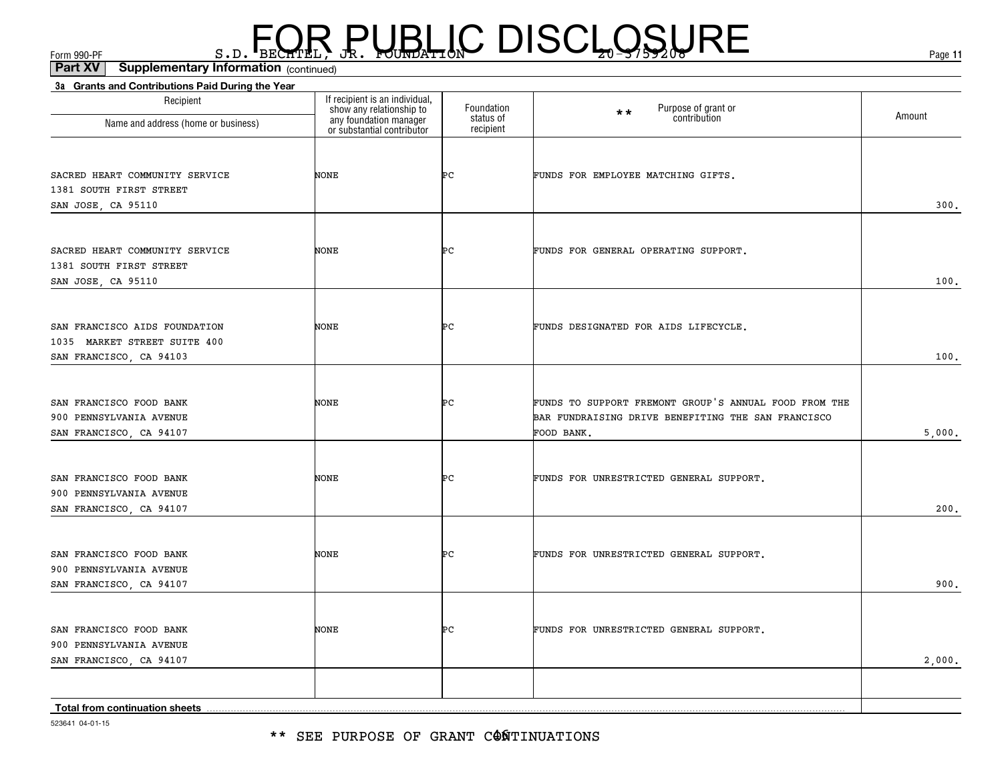\*\* SEE PURPOSE OF GRANT C@ÑTINUATIONS

523641 04-01-15

| Recipient                                                                                | If recipient is an individual,<br>show any relationship to<br>any foundation manager<br>or substantial contributor | Foundation<br>status of | Purpose of grant or<br>contribution<br>$\star\star$                                                                       | Amount |
|------------------------------------------------------------------------------------------|--------------------------------------------------------------------------------------------------------------------|-------------------------|---------------------------------------------------------------------------------------------------------------------------|--------|
| Name and address (home or business)                                                      |                                                                                                                    | recipient               |                                                                                                                           |        |
| SACRED HEART COMMUNITY SERVICE<br>1381 SOUTH FIRST STREET                                | <b>NONE</b>                                                                                                        | ÞС                      | FUNDS FOR EMPLOYEE MATCHING GIFTS.                                                                                        | 300.   |
| SAN JOSE, CA 95110                                                                       |                                                                                                                    |                         |                                                                                                                           |        |
| SACRED HEART COMMUNITY SERVICE<br>1381 SOUTH FIRST STREET<br>SAN JOSE, CA 95110          | NONE                                                                                                               | ÞС                      | FUNDS FOR GENERAL OPERATING SUPPORT.                                                                                      | 100.   |
| SAN FRANCISCO AIDS FOUNDATION<br>1035 MARKET STREET SUITE 400<br>SAN FRANCISCO, CA 94103 | NONE                                                                                                               | ÞС                      | FUNDS DESIGNATED FOR AIDS LIFECYCLE.                                                                                      | 100.   |
|                                                                                          |                                                                                                                    |                         |                                                                                                                           |        |
| SAN FRANCISCO FOOD BANK<br>900 PENNSYLVANIA AVENUE<br>SAN FRANCISCO, CA 94107            | NONE                                                                                                               | Þс                      | FUNDS TO SUPPORT FREMONT GROUP'S ANNUAL FOOD FROM THE<br>BAR FUNDRAISING DRIVE BENEFITING THE SAN FRANCISCO<br>FOOD BANK. | 5,000. |
| SAN FRANCISCO FOOD BANK<br>900 PENNSYLVANIA AVENUE<br>SAN FRANCISCO, CA 94107            | <b>NONE</b>                                                                                                        | ÞС                      | FUNDS FOR UNRESTRICTED GENERAL SUPPORT.                                                                                   | 200.   |
| SAN FRANCISCO FOOD BANK<br>900 PENNSYLVANIA AVENUE<br>SAN FRANCISCO, CA 94107            | <b>NONE</b>                                                                                                        | Þс                      | FUNDS FOR UNRESTRICTED GENERAL SUPPORT.                                                                                   | 900.   |
| SAN FRANCISCO FOOD BANK<br>900 PENNSYLVANIA AVENUE<br>SAN FRANCISCO, CA 94107            | <b>NONE</b>                                                                                                        | ÞС                      | FUNDS FOR UNRESTRICTED GENERAL SUPPORT.                                                                                   | 2,000. |
|                                                                                          |                                                                                                                    |                         |                                                                                                                           |        |
| Total from continuation sheets                                                           |                                                                                                                    |                         |                                                                                                                           |        |

**3a Grants and Contributions Paid During the Year**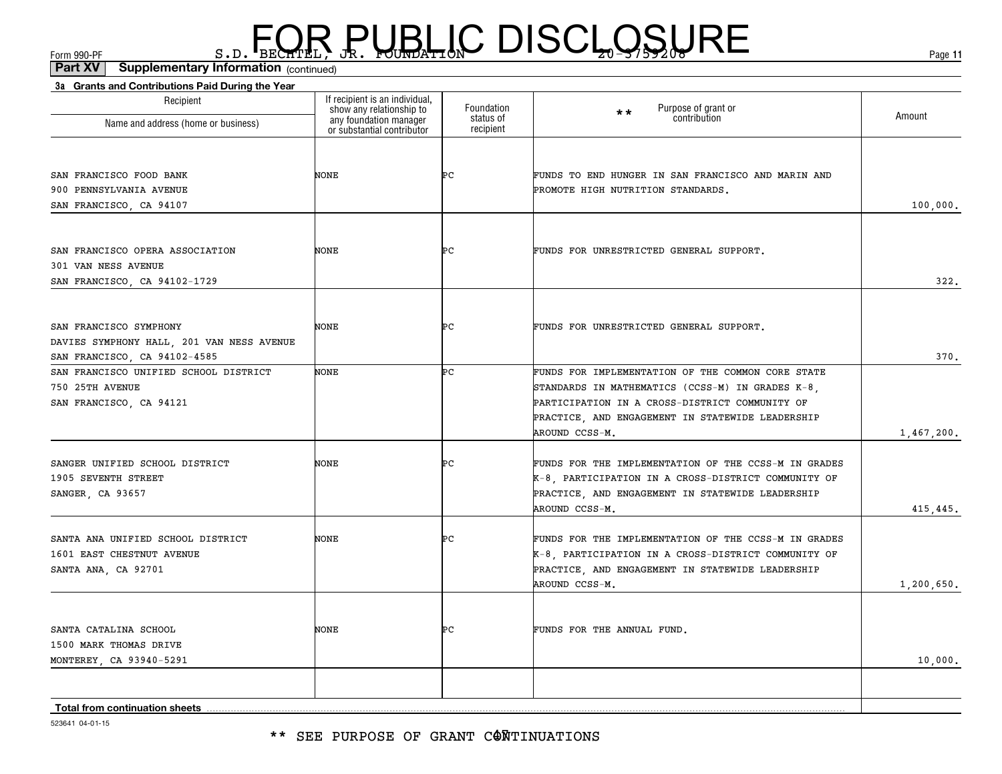| 3a Grants and Contributions Paid During the Year                                                    |                                                                                                                    |                                      |                                                                                                                                                                                                                               |              |
|-----------------------------------------------------------------------------------------------------|--------------------------------------------------------------------------------------------------------------------|--------------------------------------|-------------------------------------------------------------------------------------------------------------------------------------------------------------------------------------------------------------------------------|--------------|
| Recipient<br>Name and address (home or business)                                                    | If recipient is an individual,<br>show any relationship to<br>any foundation manager<br>or substantial contributor | Foundation<br>status of<br>recipient | Purpose of grant or<br>$\star\star$<br>contribution                                                                                                                                                                           | Amount       |
|                                                                                                     |                                                                                                                    |                                      |                                                                                                                                                                                                                               |              |
| SAN FRANCISCO FOOD BANK<br>900 PENNSYLVANIA AVENUE<br>SAN FRANCISCO, CA 94107                       | NONE                                                                                                               | Þс                                   | FUNDS TO END HUNGER IN SAN FRANCISCO AND MARIN AND<br>PROMOTE HIGH NUTRITION STANDARDS.                                                                                                                                       | 100,000.     |
| SAN FRANCISCO OPERA ASSOCIATION<br>301 VAN NESS AVENUE<br>SAN FRANCISCO, CA 94102-1729              | NONE                                                                                                               | ÞС                                   | FUNDS FOR UNRESTRICTED GENERAL SUPPORT.                                                                                                                                                                                       | 322.         |
| SAN FRANCISCO SYMPHONY<br>DAVIES SYMPHONY HALL, 201 VAN NESS AVENUE<br>SAN FRANCISCO, CA 94102-4585 | NONE                                                                                                               | ÞС                                   | FUNDS FOR UNRESTRICTED GENERAL SUPPORT.                                                                                                                                                                                       | 370.         |
| SAN FRANCISCO UNIFIED SCHOOL DISTRICT<br>750 25TH AVENUE<br>SAN FRANCISCO, CA 94121                 | NONE                                                                                                               | Þс                                   | FUNDS FOR IMPLEMENTATION OF THE COMMON CORE STATE<br>STANDARDS IN MATHEMATICS (CCSS-M) IN GRADES K-8,<br>PARTICIPATION IN A CROSS-DISTRICT COMMUNITY OF<br>PRACTICE, AND ENGAGEMENT IN STATEWIDE LEADERSHIP<br>AROUND CCSS-M. | 1,467,200.   |
| SANGER UNIFIED SCHOOL DISTRICT<br>1905 SEVENTH STREET<br>SANGER, CA 93657                           | <b>NONE</b>                                                                                                        | ÞС                                   | FUNDS FOR THE IMPLEMENTATION OF THE CCSS-M IN GRADES<br>K-8, PARTICIPATION IN A CROSS-DISTRICT COMMUNITY OF<br>PRACTICE, AND ENGAGEMENT IN STATEWIDE LEADERSHIP<br>AROUND CCSS-M.                                             | 415,445.     |
| SANTA ANA UNIFIED SCHOOL DISTRICT<br>1601 EAST CHESTNUT AVENUE<br>SANTA ANA, CA 92701               | NONE                                                                                                               | ÞС                                   | FUNDS FOR THE IMPLEMENTATION OF THE CCSS-M IN GRADES<br>K-8, PARTICIPATION IN A CROSS-DISTRICT COMMUNITY OF<br>PRACTICE, AND ENGAGEMENT IN STATEWIDE LEADERSHIP<br>AROUND CCSS-M.                                             | 1, 200, 650. |
| SANTA CATALINA SCHOOL<br>1500 MARK THOMAS DRIVE<br>MONTEREY, CA 93940-5291                          | NONE                                                                                                               | ÞС                                   | FUNDS FOR THE ANNUAL FUND.                                                                                                                                                                                                    | 10,000.      |
| Total from continuation sheets                                                                      |                                                                                                                    |                                      |                                                                                                                                                                                                                               |              |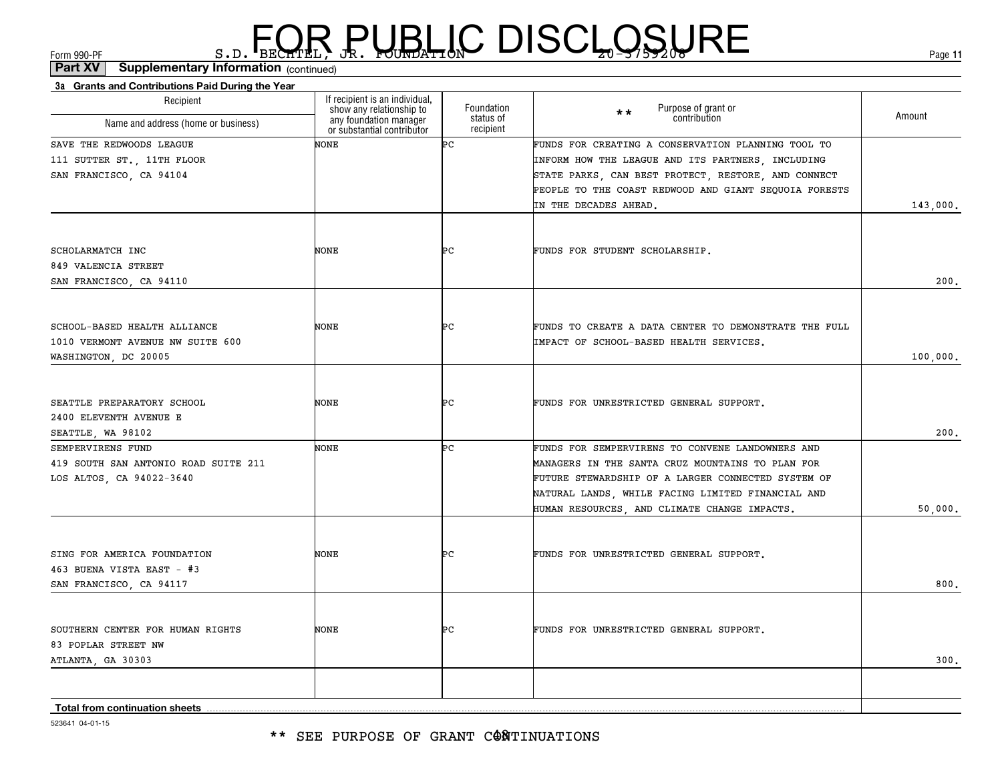\*\* SEE PURPOSE OF GRANT CONTINUATIONS

523641 04-01-15

| Recipient                            | If recipient is an individual,<br>show any relationship to<br>any foundation manager | Foundation<br>status of | Purpose of grant or<br>$**$<br>contribution           | Amount   |
|--------------------------------------|--------------------------------------------------------------------------------------|-------------------------|-------------------------------------------------------|----------|
| Name and address (home or business)  | or substantial contributor                                                           | recipient               |                                                       |          |
| SAVE THE REDWOODS LEAGUE             | NONE                                                                                 | Þс                      | FUNDS FOR CREATING A CONSERVATION PLANNING TOOL TO    |          |
| 111 SUTTER ST., 11TH FLOOR           |                                                                                      |                         | INFORM HOW THE LEAGUE AND ITS PARTNERS, INCLUDING     |          |
| SAN FRANCISCO, CA 94104              |                                                                                      |                         | STATE PARKS, CAN BEST PROTECT, RESTORE, AND CONNECT   |          |
|                                      |                                                                                      |                         | PEOPLE TO THE COAST REDWOOD AND GIANT SEQUOIA FORESTS |          |
|                                      |                                                                                      |                         | IN THE DECADES AHEAD.                                 | 143,000. |
|                                      |                                                                                      |                         |                                                       |          |
| SCHOLARMATCH INC                     | <b>NONE</b>                                                                          | ÞС                      | FUNDS FOR STUDENT SCHOLARSHIP.                        |          |
| 849 VALENCIA STREET                  |                                                                                      |                         |                                                       |          |
| SAN FRANCISCO, CA 94110              |                                                                                      |                         |                                                       | 200.     |
|                                      |                                                                                      |                         |                                                       |          |
| SCHOOL-BASED HEALTH ALLIANCE         | <b>NONE</b>                                                                          | ÞС                      | FUNDS TO CREATE A DATA CENTER TO DEMONSTRATE THE FULL |          |
| 1010 VERMONT AVENUE NW SUITE 600     |                                                                                      |                         | IMPACT OF SCHOOL-BASED HEALTH SERVICES.               |          |
| WASHINGTON, DC 20005                 |                                                                                      |                         |                                                       | 100,000. |
|                                      |                                                                                      |                         |                                                       |          |
| SEATTLE PREPARATORY SCHOOL           | <b>NONE</b>                                                                          | ÞС                      | FUNDS FOR UNRESTRICTED GENERAL SUPPORT.               |          |
| 2400 ELEVENTH AVENUE E               |                                                                                      |                         |                                                       |          |
| SEATTLE, WA 98102                    |                                                                                      |                         |                                                       | 200.     |
| SEMPERVIRENS FUND                    | NONE                                                                                 | ÞС                      | FUNDS FOR SEMPERVIRENS TO CONVENE LANDOWNERS AND      |          |
| 419 SOUTH SAN ANTONIO ROAD SUITE 211 |                                                                                      |                         | MANAGERS IN THE SANTA CRUZ MOUNTAINS TO PLAN FOR      |          |
| LOS ALTOS, CA 94022-3640             |                                                                                      |                         | FUTURE STEWARDSHIP OF A LARGER CONNECTED SYSTEM OF    |          |
|                                      |                                                                                      |                         | NATURAL LANDS, WHILE FACING LIMITED FINANCIAL AND     |          |
|                                      |                                                                                      |                         | HUMAN RESOURCES, AND CLIMATE CHANGE IMPACTS.          | 50,000.  |
|                                      |                                                                                      |                         |                                                       |          |
| SING FOR AMERICA FOUNDATION          | <b>NONE</b>                                                                          | ÞС                      | FUNDS FOR UNRESTRICTED GENERAL SUPPORT.               |          |
| 463 BUENA VISTA EAST - #3            |                                                                                      |                         |                                                       |          |
| SAN FRANCISCO, CA 94117              |                                                                                      |                         |                                                       | 800.     |
|                                      |                                                                                      |                         |                                                       |          |
| SOUTHERN CENTER FOR HUMAN RIGHTS     | NONE                                                                                 | ÞС                      | FUNDS FOR UNRESTRICTED GENERAL SUPPORT.               |          |
| 83 POPLAR STREET NW                  |                                                                                      |                         |                                                       |          |
| ATLANTA, GA 30303                    |                                                                                      |                         |                                                       | 300.     |
|                                      |                                                                                      |                         |                                                       |          |
|                                      |                                                                                      |                         |                                                       |          |
|                                      |                                                                                      |                         |                                                       |          |

### $F_{\text{GCD}}$   $\text{F}_{\text{BEC}}$   $\text{F}_{\text{BEC}}$   $\text{F}_{\text{BEC}}$   $\text{F}_{\text{CUE}}$   $\text{G}_{\text{AFL}}$   $\text{G}_{\text{A}}$   $\text{G}_{\text{B}}$   $\text{G}_{\text{B}}$   $\text{G}_{\text{B}}$   $\text{G}_{\text{B}}$   $\text{G}_{\text{B}}$   $\text{G}_{\text{B}}$   $\text{G}_{\text{B}}$   $\text{G}_{\text{B}}$   $\text{G}_{\text{B}}$   $\text{G}_{\text{B$

(continued)**Part XV Supplementary Information**

**3a Grants and Contributions Paid During the Year**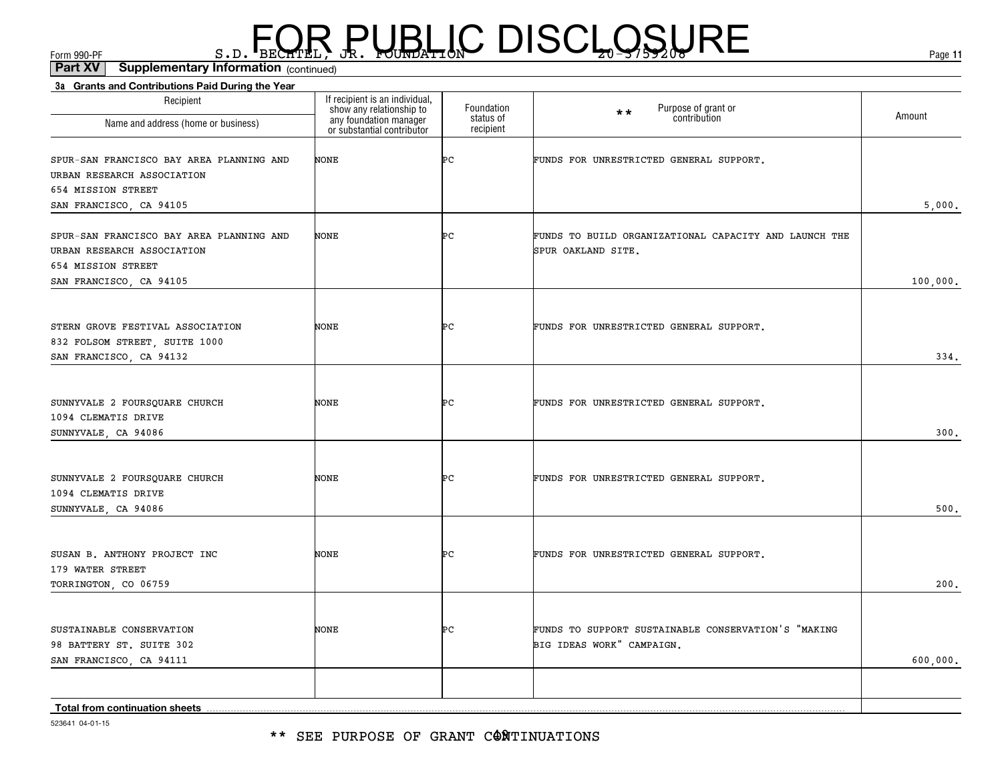\*\* SEE PURPOSE OF GRANT CONTINUATIONS

523641 04-01-15

| Recipient                                           | If recipient is an individual,                                                   | Foundation             | $\star \star$                                                                    |          |
|-----------------------------------------------------|----------------------------------------------------------------------------------|------------------------|----------------------------------------------------------------------------------|----------|
| Name and address (home or business)                 | show any relationship to<br>any foundation manager<br>or substantial contributor | status of<br>recipient | Purpose of grant or<br>contribution                                              | Amount   |
| SPUR-SAN FRANCISCO BAY AREA PLANNING AND            | NONE                                                                             | ÞС                     | FUNDS FOR UNRESTRICTED GENERAL SUPPORT.                                          |          |
| URBAN RESEARCH ASSOCIATION                          |                                                                                  |                        |                                                                                  |          |
| 654 MISSION STREET                                  |                                                                                  |                        |                                                                                  |          |
| SAN FRANCISCO, CA 94105                             |                                                                                  |                        |                                                                                  | 5,000.   |
| SPUR-SAN FRANCISCO BAY AREA PLANNING AND            | NONE                                                                             | ÞС                     | FUNDS TO BUILD ORGANIZATIONAL CAPACITY AND LAUNCH THE                            |          |
| URBAN RESEARCH ASSOCIATION                          |                                                                                  |                        | SPUR OAKLAND SITE.                                                               |          |
| 654 MISSION STREET                                  |                                                                                  |                        |                                                                                  |          |
| SAN FRANCISCO, CA 94105                             |                                                                                  |                        |                                                                                  | 100,000. |
|                                                     |                                                                                  |                        |                                                                                  |          |
| STERN GROVE FESTIVAL ASSOCIATION                    | NONE                                                                             | ÞС                     | FUNDS FOR UNRESTRICTED GENERAL SUPPORT.                                          |          |
| 832 FOLSOM STREET, SUITE 1000                       |                                                                                  |                        |                                                                                  |          |
| SAN FRANCISCO, CA 94132                             |                                                                                  |                        |                                                                                  | 334.     |
|                                                     |                                                                                  |                        |                                                                                  |          |
| SUNNYVALE 2 FOURSQUARE CHURCH                       | NONE                                                                             | ÞС                     | FUNDS FOR UNRESTRICTED GENERAL SUPPORT.                                          |          |
| 1094 CLEMATIS DRIVE                                 |                                                                                  |                        |                                                                                  |          |
| SUNNYVALE, CA 94086                                 |                                                                                  |                        |                                                                                  | 300.     |
|                                                     |                                                                                  |                        |                                                                                  |          |
| SUNNYVALE 2 FOURSQUARE CHURCH                       | NONE                                                                             | ÞС                     | FUNDS FOR UNRESTRICTED GENERAL SUPPORT.                                          |          |
| 1094 CLEMATIS DRIVE                                 |                                                                                  |                        |                                                                                  |          |
| SUNNYVALE, CA 94086                                 |                                                                                  |                        |                                                                                  | 500.     |
|                                                     |                                                                                  |                        |                                                                                  |          |
| SUSAN B. ANTHONY PROJECT INC                        | NONE                                                                             | ÞС                     | FUNDS FOR UNRESTRICTED GENERAL SUPPORT.                                          |          |
| 179 WATER STREET                                    |                                                                                  |                        |                                                                                  | 200.     |
| TORRINGTON, CO 06759                                |                                                                                  |                        |                                                                                  |          |
|                                                     |                                                                                  |                        |                                                                                  |          |
| SUSTAINABLE CONSERVATION                            | NONE                                                                             | ÞС                     | FUNDS TO SUPPORT SUSTAINABLE CONSERVATION'S "MAKING<br>BIG IDEAS WORK" CAMPAIGN. |          |
| 98 BATTERY ST. SUITE 302<br>SAN FRANCISCO, CA 94111 |                                                                                  |                        |                                                                                  | 600,000. |
|                                                     |                                                                                  |                        |                                                                                  |          |
|                                                     |                                                                                  |                        |                                                                                  |          |
| Total from continuation sheets                      |                                                                                  |                        |                                                                                  |          |

#### $F_{\text{GCD}}$   $\text{F}_{\text{BEC}}$   $\text{F}_{\text{BEC}}$   $\text{F}_{\text{BEC}}$   $\text{F}_{\text{CUE}}$   $\text{G}_{\text{AFL}}$   $\text{G}_{\text{A}}$   $\text{G}_{\text{B}}$   $\text{G}_{\text{B}}$   $\text{G}_{\text{B}}$   $\text{G}_{\text{B}}$   $\text{G}_{\text{B}}$   $\text{G}_{\text{B}}$   $\text{G}_{\text{B}}$   $\text{G}_{\text{B}}$   $\text{G}_{\text{B}}$   $\text{G}_{\text{B$ (continued)**Part XV Supplementary Information**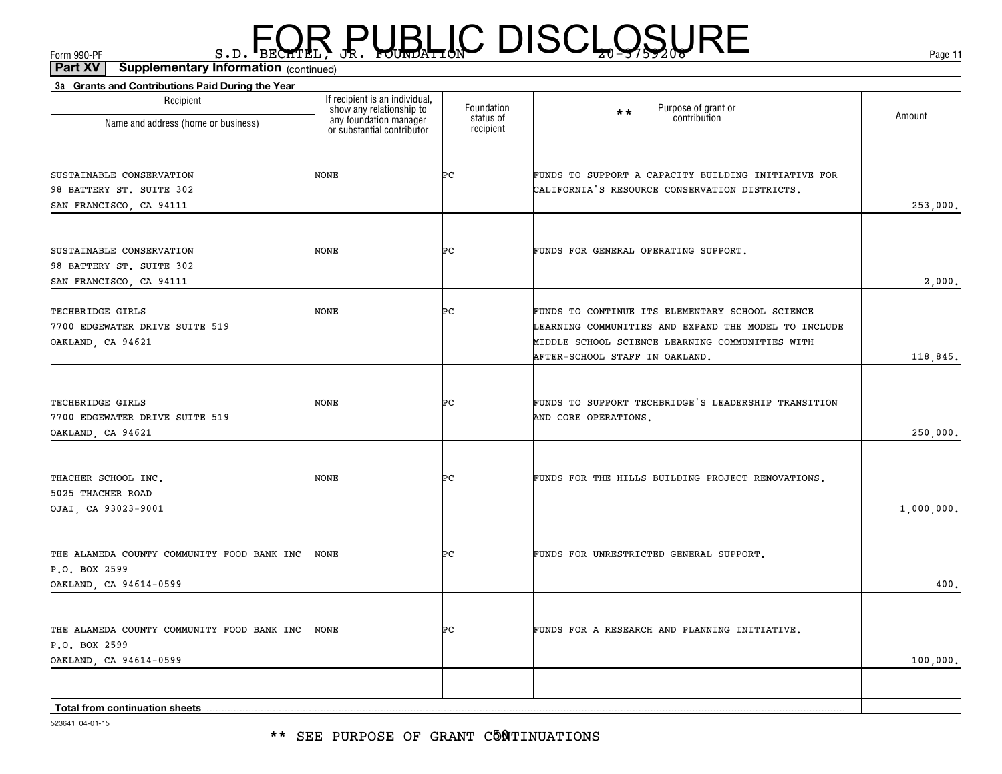\*\* SEE PURPOSE OF GRANT C5NTINUATIONS

523641 04-01-15

| Recipient<br>Name and address (home or business)                                      | If recipient is an individual,<br>show any relationship to<br>any foundation manager<br>or substantial contributor | Foundation<br>status of<br>recipient | Purpose of grant or<br>$\star\star$<br>contribution                                                                                                                                          | Amount     |
|---------------------------------------------------------------------------------------|--------------------------------------------------------------------------------------------------------------------|--------------------------------------|----------------------------------------------------------------------------------------------------------------------------------------------------------------------------------------------|------------|
| SUSTAINABLE CONSERVATION<br>98 BATTERY ST. SUITE 302<br>SAN FRANCISCO, CA 94111       | NONE                                                                                                               | ÞС                                   | FUNDS TO SUPPORT A CAPACITY BUILDING INITIATIVE FOR<br>CALIFORNIA'S RESOURCE CONSERVATION DISTRICTS.                                                                                         | 253,000.   |
| SUSTAINABLE CONSERVATION<br>98 BATTERY ST. SUITE 302<br>SAN FRANCISCO, CA 94111       | NONE                                                                                                               | ÞС                                   | FUNDS FOR GENERAL OPERATING SUPPORT.                                                                                                                                                         | 2,000,     |
| TECHBRIDGE GIRLS<br>7700 EDGEWATER DRIVE SUITE 519<br>OAKLAND, CA 94621               | NONE                                                                                                               | ÞС                                   | FUNDS TO CONTINUE ITS ELEMENTARY SCHOOL SCIENCE<br>LEARNING COMMUNITIES AND EXPAND THE MODEL TO INCLUDE<br>MIDDLE SCHOOL SCIENCE LEARNING COMMUNITIES WITH<br>AFTER-SCHOOL STAFF IN OAKLAND. | 118,845.   |
| TECHBRIDGE GIRLS<br>7700 EDGEWATER DRIVE SUITE 519<br>OAKLAND, CA 94621               | NONE                                                                                                               | ÞС                                   | FUNDS TO SUPPORT TECHBRIDGE'S LEADERSHIP TRANSITION<br>AND CORE OPERATIONS.                                                                                                                  | 250,000.   |
| THACHER SCHOOL INC.<br>5025 THACHER ROAD<br>OJAI, CA 93023-9001                       | <b>NONE</b>                                                                                                        | ÞС                                   | FUNDS FOR THE HILLS BUILDING PROJECT RENOVATIONS.                                                                                                                                            | 1,000,000. |
| THE ALAMEDA COUNTY COMMUNITY FOOD BANK INC<br>P.O. BOX 2599<br>OAKLAND, CA 94614-0599 | <b>NONE</b>                                                                                                        | ÞС                                   | FUNDS FOR UNRESTRICTED GENERAL SUPPORT.                                                                                                                                                      | 400.       |
| THE ALAMEDA COUNTY COMMUNITY FOOD BANK INC<br>P.O. BOX 2599<br>OAKLAND, CA 94614-0599 | <b>NONE</b>                                                                                                        | ÞС                                   | FUNDS FOR A RESEARCH AND PLANNING INITIATIVE.                                                                                                                                                | 100,000,   |
| Total from continuation sheets                                                        |                                                                                                                    |                                      |                                                                                                                                                                                              |            |

### $F_{\text{GCD}}$   $\text{F}_{\text{BEC}}$   $\text{F}_{\text{BEC}}$   $\text{F}_{\text{BEC}}$   $\text{F}_{\text{CUE}}$   $\text{G}_{\text{AFL}}$   $\text{G}_{\text{A}}$   $\text{G}_{\text{B}}$   $\text{G}_{\text{B}}$   $\text{G}_{\text{B}}$   $\text{G}_{\text{B}}$   $\text{G}_{\text{B}}$   $\text{G}_{\text{B}}$   $\text{G}_{\text{B}}$   $\text{G}_{\text{B}}$   $\text{G}_{\text{B}}$   $\text{G}_{\text{B$

(continued)**Part XV Supplementary Information**

**3a Grants and Contributions Paid During the Year**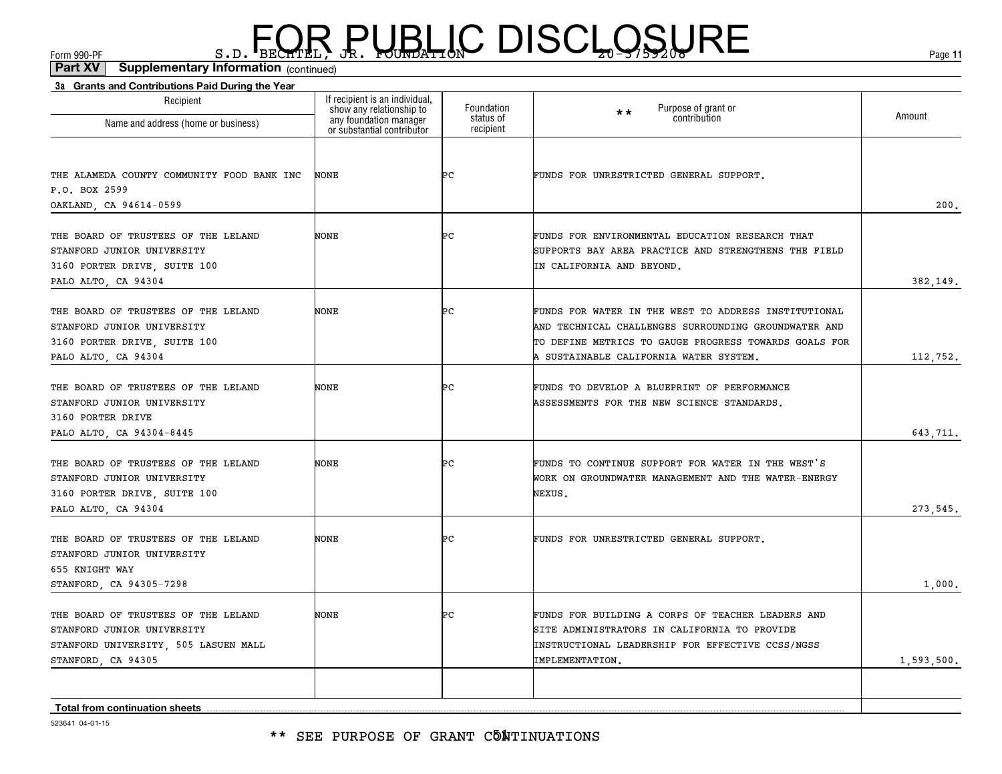| 3a Grants and Contributions Paid During the Year<br>Recipient                                                                   | If recipient is an individual,                                                   |                                      |                                                                                                                                                                                                                 |            |
|---------------------------------------------------------------------------------------------------------------------------------|----------------------------------------------------------------------------------|--------------------------------------|-----------------------------------------------------------------------------------------------------------------------------------------------------------------------------------------------------------------|------------|
| Name and address (home or business)                                                                                             | show any relationship to<br>any foundation manager<br>or substantial contributor | Foundation<br>status of<br>recipient | Purpose of grant or<br>$\star \star$<br>contribution                                                                                                                                                            | Amount     |
| THE ALAMEDA COUNTY COMMUNITY FOOD BANK INC<br>P.O. BOX 2599<br>OAKLAND, CA 94614-0599                                           | <b>NONE</b>                                                                      | ÞС                                   | FUNDS FOR UNRESTRICTED GENERAL SUPPORT.                                                                                                                                                                         | 200.       |
| THE BOARD OF TRUSTEES OF THE LELAND<br>STANFORD JUNIOR UNIVERSITY<br>3160 PORTER DRIVE, SUITE 100<br>PALO ALTO, CA 94304        | NONE                                                                             | Þс                                   | FUNDS FOR ENVIRONMENTAL EDUCATION RESEARCH THAT<br>SUPPORTS BAY AREA PRACTICE AND STRENGTHENS THE FIELD<br>IN CALIFORNIA AND BEYOND.                                                                            | 382,149.   |
| THE BOARD OF TRUSTEES OF THE LELAND<br>STANFORD JUNIOR UNIVERSITY<br>3160 PORTER DRIVE, SUITE 100<br>PALO ALTO, CA 94304        | NONE                                                                             | ÞС                                   | FUNDS FOR WATER IN THE WEST TO ADDRESS INSTITUTIONAL<br>AND TECHNICAL CHALLENGES SURROUNDING GROUNDWATER AND<br>TO DEFINE METRICS TO GAUGE PROGRESS TOWARDS GOALS FOR<br>A SUSTAINABLE CALIFORNIA WATER SYSTEM. | 112,752.   |
| THE BOARD OF TRUSTEES OF THE LELAND<br>STANFORD JUNIOR UNIVERSITY<br>3160 PORTER DRIVE<br>PALO ALTO, CA 94304-8445              | NONE                                                                             | ÞС                                   | FUNDS TO DEVELOP A BLUEPRINT OF PERFORMANCE<br>ASSESSMENTS FOR THE NEW SCIENCE STANDARDS.                                                                                                                       | 643,711.   |
| THE BOARD OF TRUSTEES OF THE LELAND<br>STANFORD JUNIOR UNIVERSITY<br>3160 PORTER DRIVE, SUITE 100<br>PALO ALTO, CA 94304        | NONE                                                                             | Þс                                   | FUNDS TO CONTINUE SUPPORT FOR WATER IN THE WEST'S<br>WORK ON GROUNDWATER MANAGEMENT AND THE WATER-ENERGY<br>NEXUS.                                                                                              | 273,545.   |
| THE BOARD OF TRUSTEES OF THE LELAND<br>STANFORD JUNIOR UNIVERSITY<br>655 KNIGHT WAY<br>STANFORD, CA 94305-7298                  | NONE                                                                             | ÞС                                   | FUNDS FOR UNRESTRICTED GENERAL SUPPORT.                                                                                                                                                                         | 1,000.     |
| THE BOARD OF TRUSTEES OF THE LELAND<br>STANFORD JUNIOR UNIVERSITY<br>STANFORD UNIVERSITY, 505 LASUEN MALL<br>STANFORD, CA 94305 | NONE                                                                             | Þс                                   | FUNDS FOR BUILDING A CORPS OF TEACHER LEADERS AND<br>SITE ADMINISTRATORS IN CALIFORNIA TO PROVIDE<br>INSTRUCTIONAL LEADERSHIP FOR EFFECTIVE CCSS/NGSS<br>IMPLEMENTATION.                                        | 1,593,500. |
| Total from continuation sheets                                                                                                  |                                                                                  |                                      |                                                                                                                                                                                                                 |            |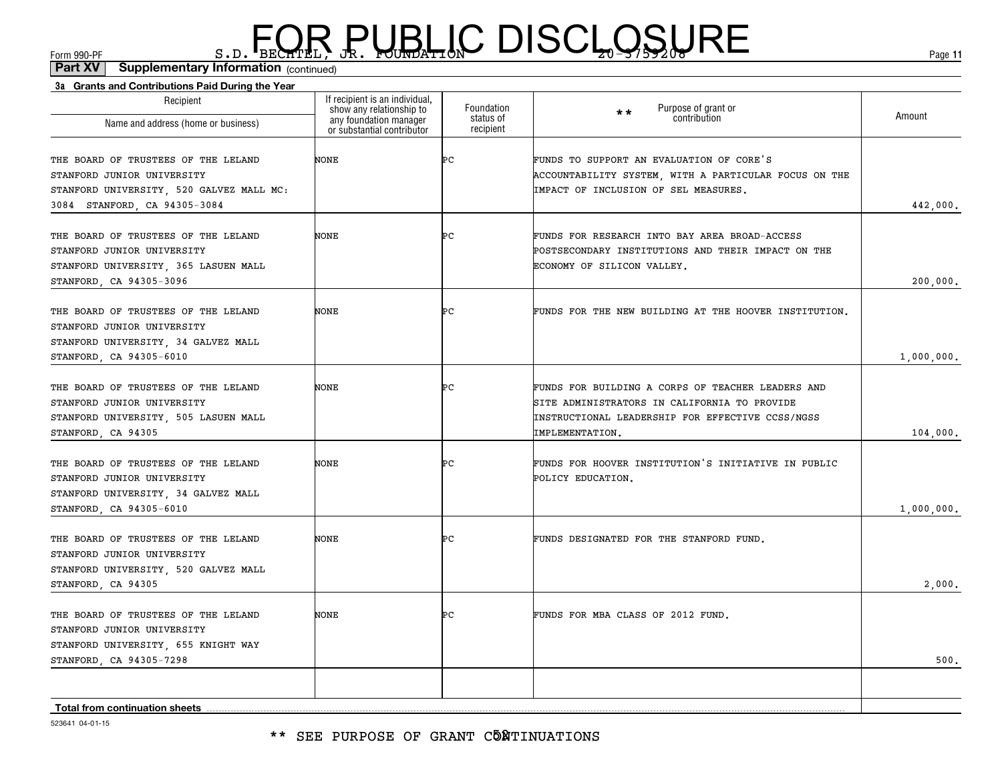| 3a Grants and Contributions Paid During the Year               |                                                                                      |                         |                                                                     |            |
|----------------------------------------------------------------|--------------------------------------------------------------------------------------|-------------------------|---------------------------------------------------------------------|------------|
| Recipient                                                      | If recipient is an individual,<br>show any relationship to<br>any foundation manager | Foundation<br>status of | Purpose of grant or<br>$\star\star$<br>contribution                 | Amount     |
| Name and address (home or business)                            | or substantial contributor                                                           | recipient               |                                                                     |            |
| THE BOARD OF TRUSTEES OF THE LELAND                            | NONE                                                                                 | ÞС                      | FUNDS TO SUPPORT AN EVALUATION OF CORE'S                            |            |
| STANFORD JUNIOR UNIVERSITY                                     |                                                                                      |                         | ACCOUNTABILITY SYSTEM, WITH A PARTICULAR FOCUS ON THE               |            |
| STANFORD UNIVERSITY, 520 GALVEZ MALL MC:                       |                                                                                      |                         | IMPACT OF INCLUSION OF SEL MEASURES.                                |            |
| 3084 STANFORD, CA 94305-3084                                   |                                                                                      |                         |                                                                     | 442,000.   |
| THE BOARD OF TRUSTEES OF THE LELAND                            | NONE                                                                                 | ÞС                      | FUNDS FOR RESEARCH INTO BAY AREA BROAD-ACCESS                       |            |
| STANFORD JUNIOR UNIVERSITY                                     |                                                                                      |                         | POSTSECONDARY INSTITUTIONS AND THEIR IMPACT ON THE                  |            |
| STANFORD UNIVERSITY, 365 LASUEN MALL                           |                                                                                      |                         | ECONOMY OF SILICON VALLEY.                                          |            |
| STANFORD, CA 94305-3096                                        |                                                                                      |                         |                                                                     | 200,000.   |
| THE BOARD OF TRUSTEES OF THE LELAND                            | NONE                                                                                 | ÞС                      | FUNDS FOR THE NEW BUILDING AT THE HOOVER INSTITUTION.               |            |
| STANFORD JUNIOR UNIVERSITY                                     |                                                                                      |                         |                                                                     |            |
| STANFORD UNIVERSITY, 34 GALVEZ MALL<br>STANFORD, CA 94305-6010 |                                                                                      |                         |                                                                     | 1,000,000. |
|                                                                |                                                                                      |                         |                                                                     |            |
| THE BOARD OF TRUSTEES OF THE LELAND                            | NONE                                                                                 | ÞС                      | FUNDS FOR BUILDING A CORPS OF TEACHER LEADERS AND                   |            |
| STANFORD JUNIOR UNIVERSITY                                     |                                                                                      |                         | SITE ADMINISTRATORS IN CALIFORNIA TO PROVIDE                        |            |
| STANFORD UNIVERSITY, 505 LASUEN MALL<br>STANFORD, CA 94305     |                                                                                      |                         | INSTRUCTIONAL LEADERSHIP FOR EFFECTIVE CCSS/NGSS<br>IMPLEMENTATION. | 104,000.   |
|                                                                |                                                                                      |                         |                                                                     |            |
| THE BOARD OF TRUSTEES OF THE LELAND                            | NONE                                                                                 | ÞС                      | FUNDS FOR HOOVER INSTITUTION'S INITIATIVE IN PUBLIC                 |            |
| STANFORD JUNIOR UNIVERSITY                                     |                                                                                      |                         | POLICY EDUCATION.                                                   |            |
| STANFORD UNIVERSITY, 34 GALVEZ MALL                            |                                                                                      |                         |                                                                     |            |
| STANFORD, CA 94305-6010                                        |                                                                                      |                         |                                                                     | 1,000,000. |
| THE BOARD OF TRUSTEES OF THE LELAND                            | NONE                                                                                 | ÞС                      | FUNDS DESIGNATED FOR THE STANFORD FUND.                             |            |
| STANFORD JUNIOR UNIVERSITY                                     |                                                                                      |                         |                                                                     |            |
| STANFORD UNIVERSITY, 520 GALVEZ MALL                           |                                                                                      |                         |                                                                     |            |
| STANFORD, CA 94305                                             |                                                                                      |                         |                                                                     | 2,000.     |
| THE BOARD OF TRUSTEES OF THE LELAND                            | NONE                                                                                 | ÞС                      | FUNDS FOR MBA CLASS OF 2012 FUND.                                   |            |
| STANFORD JUNIOR UNIVERSITY                                     |                                                                                      |                         |                                                                     |            |
| STANFORD UNIVERSITY, 655 KNIGHT WAY                            |                                                                                      |                         |                                                                     |            |
| STANFORD, CA 94305-7298                                        |                                                                                      |                         |                                                                     | 500.       |
|                                                                |                                                                                      |                         |                                                                     |            |
| Total from continuation sheets                                 |                                                                                      |                         |                                                                     |            |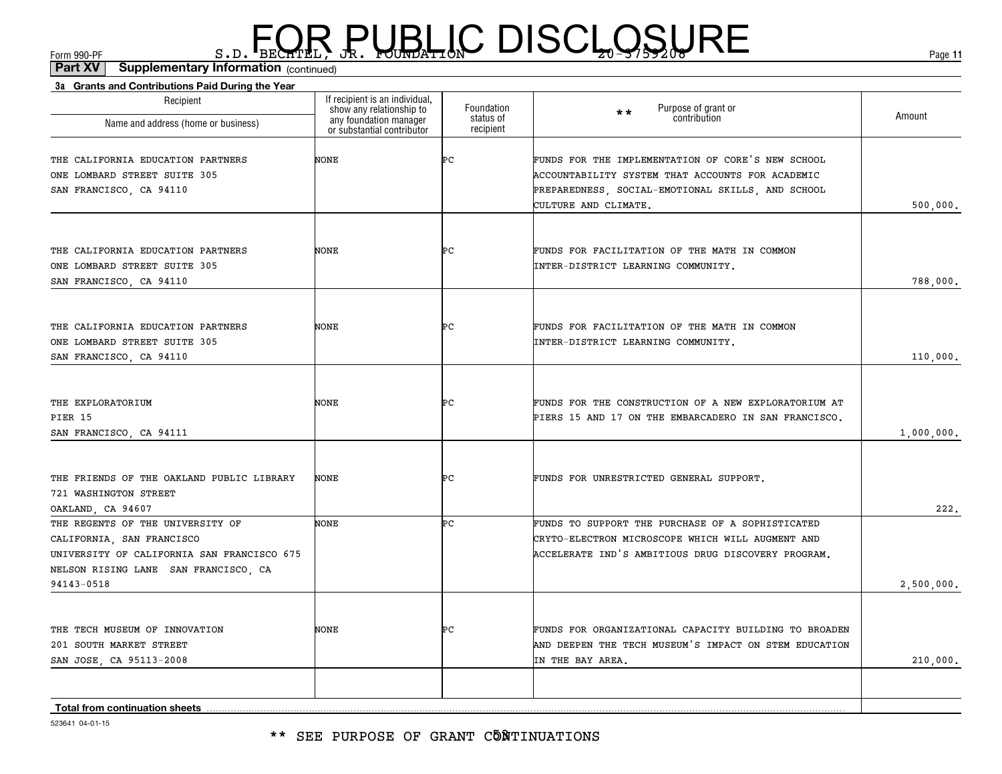\*\* SEE PURPOSE OF GRANT C5NTINUATIONS

523641 04-01-15

| THE CALIFORNIA EDUCATION PARTNERS          | NONE        | Þс | FUNDS FOR FACILITATION OF THE MATH IN COMMON          |            |
|--------------------------------------------|-------------|----|-------------------------------------------------------|------------|
| ONE LOMBARD STREET SUITE 305               |             |    | INTER-DISTRICT LEARNING COMMUNITY.                    |            |
| SAN FRANCISCO, CA 94110                    |             |    |                                                       | 788,000.   |
|                                            |             |    |                                                       |            |
| THE CALIFORNIA EDUCATION PARTNERS          | NONE        | ÞС | FUNDS FOR FACILITATION OF THE MATH IN COMMON          |            |
| ONE LOMBARD STREET SUITE 305               |             |    | INTER-DISTRICT LEARNING COMMUNITY.                    |            |
| SAN FRANCISCO, CA 94110                    |             |    |                                                       | 110,000.   |
| THE EXPLORATORIUM                          |             |    |                                                       |            |
| PIER 15                                    | NONE        | ÞС | FUNDS FOR THE CONSTRUCTION OF A NEW EXPLORATORIUM AT  |            |
|                                            |             |    | PIERS 15 AND 17 ON THE EMBARCADERO IN SAN FRANCISCO.  |            |
| SAN FRANCISCO, CA 94111                    |             |    |                                                       | 1,000,000. |
| THE FRIENDS OF THE OAKLAND PUBLIC LIBRARY  | NONE        | ÞС | FUNDS FOR UNRESTRICTED GENERAL SUPPORT.               |            |
| 721 WASHINGTON STREET                      |             |    |                                                       |            |
| OAKLAND, CA 94607                          |             |    |                                                       | 222.       |
| THE REGENTS OF THE UNIVERSITY OF           | <b>NONE</b> | ÞС | FUNDS TO SUPPORT THE PURCHASE OF A SOPHISTICATED      |            |
| CALIFORNIA, SAN FRANCISCO                  |             |    | CRYTO-ELECTRON MICROSCOPE WHICH WILL AUGMENT AND      |            |
| UNIVERSITY OF CALIFORNIA SAN FRANCISCO 675 |             |    | ACCELERATE IND'S AMBITIOUS DRUG DISCOVERY PROGRAM.    |            |
| NELSON RISING LANE SAN FRANCISCO, CA       |             |    |                                                       |            |
| 94143-0518                                 |             |    |                                                       | 2,500,000. |
| THE TECH MUSEUM OF INNOVATION              | NONE        | ÞС | FUNDS FOR ORGANIZATIONAL CAPACITY BUILDING TO BROADEN |            |
| 201 SOUTH MARKET STREET                    |             |    | AND DEEPEN THE TECH MUSEUM'S IMPACT ON STEM EDUCATION |            |
| SAN JOSE, CA 95113-2008                    |             |    | IN THE BAY AREA.                                      | 210,000.   |
|                                            |             |    |                                                       |            |
|                                            |             |    |                                                       |            |
|                                            |             |    |                                                       |            |

#### (continued)**Part XV Supplementary Information**

**3a Grants and Contributions Paid During the Year**

Recipient

Name and address (home or business)

THE CALIFORNIA EDUCATION PARTNERS ONE LOMBARD STREET SUITE 305 SAN FRANCISCO, CA 94110

 $F_{\text{GCD}}$   $\text{F}_{\text{BEC}}$   $\text{F}_{\text{BEC}}$   $\text{F}_{\text{BEC}}$   $\text{F}_{\text{CUE}}$   $\text{G}_{\text{AFL}}$   $\text{G}_{\text{A}}$   $\text{G}_{\text{B}}$   $\text{G}_{\text{B}}$   $\text{G}_{\text{B}}$   $\text{G}_{\text{B}}$   $\text{G}_{\text{B}}$   $\text{G}_{\text{B}}$   $\text{G}_{\text{B}}$   $\text{G}_{\text{B}}$   $\text{G}_{\text{B}}$   $\text{G}_{\text{B$ 

Foundation status of recipient

Purpose of grant or contribution

ACCOUNTABILITY SYSTEM THAT ACCOUNTS FOR ACADEMIC PREPAREDNESS, SOCIAL-EMOTIONAL SKILLS, AND SCHOOL

PC FUNDS FOR THE IMPLEMENTATION OF CORE'S NEW SCHOOL

\*\*

CULTURE AND CLIMATE.

on **Amount** 

If recipient is an individual, show any relationship to any foundation manager or substantial contributor

NONE

500,000.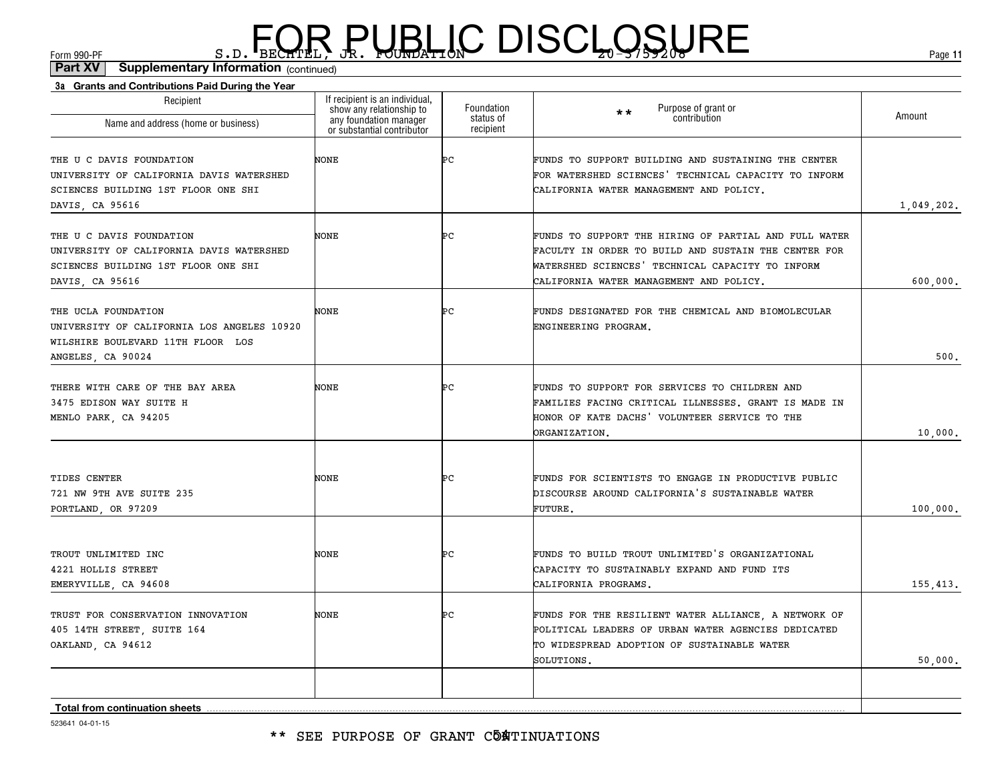| 3a Grants and Contributions Paid During the Year |                                                            |                         |                                                       |            |
|--------------------------------------------------|------------------------------------------------------------|-------------------------|-------------------------------------------------------|------------|
| Recipient                                        | If recipient is an individual,<br>show any relationship to | Foundation<br>status of | Purpose of grant or<br>contribution<br>$\star \star$  | Amount     |
| Name and address (home or business)              | any foundation manager<br>or substantial contributor       | recipient               |                                                       |            |
| THE U C DAVIS FOUNDATION                         | NONE                                                       | ÞС                      | FUNDS TO SUPPORT BUILDING AND SUSTAINING THE CENTER   |            |
| UNIVERSITY OF CALIFORNIA DAVIS WATERSHED         |                                                            |                         | FOR WATERSHED SCIENCES' TECHNICAL CAPACITY TO INFORM  |            |
| SCIENCES BUILDING 1ST FLOOR ONE SHI              |                                                            |                         | CALIFORNIA WATER MANAGEMENT AND POLICY.               |            |
| DAVIS, CA 95616                                  |                                                            |                         |                                                       | 1,049,202. |
| THE U C DAVIS FOUNDATION                         | NONE                                                       | Þс                      | FUNDS TO SUPPORT THE HIRING OF PARTIAL AND FULL WATER |            |
| UNIVERSITY OF CALIFORNIA DAVIS WATERSHED         |                                                            |                         | FACULTY IN ORDER TO BUILD AND SUSTAIN THE CENTER FOR  |            |
| SCIENCES BUILDING 1ST FLOOR ONE SHI              |                                                            |                         | WATERSHED SCIENCES' TECHNICAL CAPACITY TO INFORM      |            |
| DAVIS, CA 95616                                  |                                                            |                         | CALIFORNIA WATER MANAGEMENT AND POLICY.               | 600,000.   |
| THE UCLA FOUNDATION                              | NONE                                                       | ÞС                      | FUNDS DESIGNATED FOR THE CHEMICAL AND BIOMOLECULAR    |            |
| UNIVERSITY OF CALIFORNIA LOS ANGELES 10920       |                                                            |                         | ENGINEERING PROGRAM.                                  |            |
| WILSHIRE BOULEVARD 11TH FLOOR LOS                |                                                            |                         |                                                       |            |
| ANGELES, CA 90024                                |                                                            |                         |                                                       | 500.       |
| THERE WITH CARE OF THE BAY AREA                  | NONE                                                       | Þс                      | FUNDS TO SUPPORT FOR SERVICES TO CHILDREN AND         |            |
| 3475 EDISON WAY SUITE H                          |                                                            |                         | FAMILIES FACING CRITICAL ILLNESSES. GRANT IS MADE IN  |            |
| MENLO PARK, CA 94205                             |                                                            |                         | HONOR OF KATE DACHS' VOLUNTEER SERVICE TO THE         |            |
|                                                  |                                                            |                         | ORGANIZATION.                                         | 10,000.    |
|                                                  |                                                            |                         |                                                       |            |
| TIDES CENTER                                     | <b>NONE</b>                                                | Þс                      | FUNDS FOR SCIENTISTS TO ENGAGE IN PRODUCTIVE PUBLIC   |            |
| 721 NW 9TH AVE SUITE 235                         |                                                            |                         | DISCOURSE AROUND CALIFORNIA'S SUSTAINABLE WATER       |            |
| PORTLAND, OR 97209                               |                                                            |                         | FUTURE.                                               | 100,000.   |
| TROUT UNLIMITED INC                              | <b>NONE</b>                                                | ÞС                      | FUNDS TO BUILD TROUT UNLIMITED'S ORGANIZATIONAL       |            |
| 4221 HOLLIS STREET                               |                                                            |                         | CAPACITY TO SUSTAINABLY EXPAND AND FUND ITS           |            |
| EMERYVILLE, CA 94608                             |                                                            |                         | CALIFORNIA PROGRAMS.                                  | 155,413.   |
|                                                  |                                                            |                         |                                                       |            |
| TRUST FOR CONSERVATION INNOVATION                | NONE                                                       | Þс                      | FUNDS FOR THE RESILIENT WATER ALLIANCE, A NETWORK OF  |            |
| 405 14TH STREET, SUITE 164                       |                                                            |                         | POLITICAL LEADERS OF URBAN WATER AGENCIES DEDICATED   |            |
| OAKLAND, CA 94612                                |                                                            |                         | TO WIDESPREAD ADOPTION OF SUSTAINABLE WATER           |            |
|                                                  |                                                            |                         | SOLUTIONS.                                            | 50,000.    |
|                                                  |                                                            |                         |                                                       |            |
| <b>Total from continuation sheets</b>            |                                                            |                         |                                                       |            |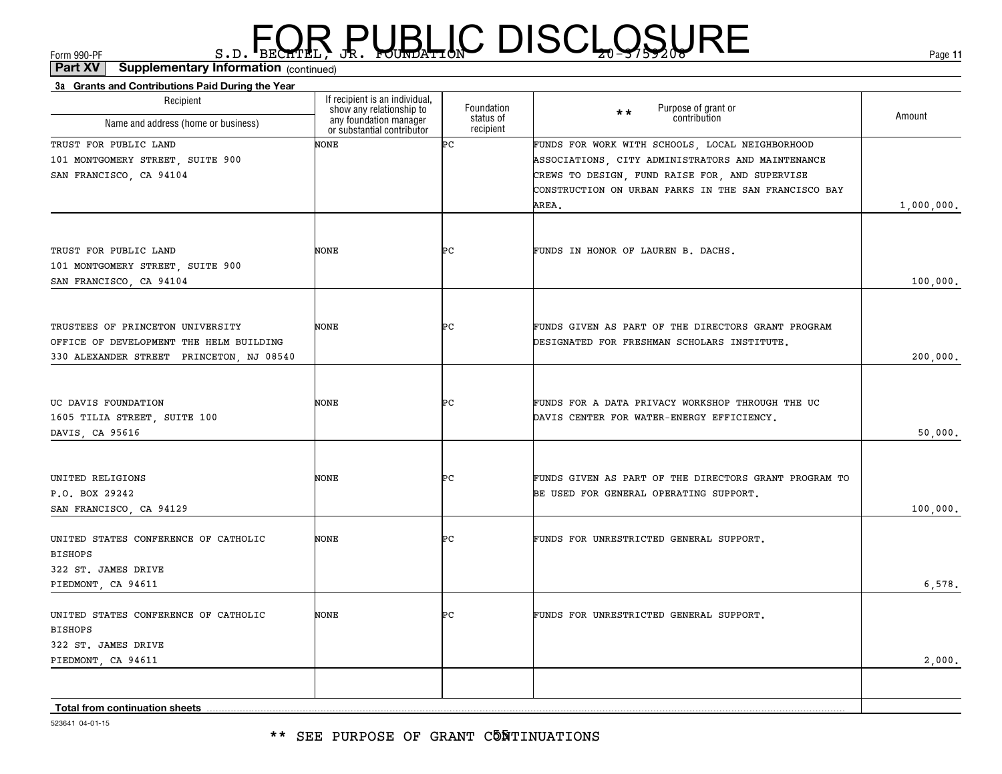| Recipient                                | If recipient is an individual,<br>show any relationship to | Foundation             | Purpose of grant or<br>contribution<br>$\star \star$                                            |            |
|------------------------------------------|------------------------------------------------------------|------------------------|-------------------------------------------------------------------------------------------------|------------|
| Name and address (home or business)      | any foundation manager<br>or substantial contributor       | status of<br>recipient |                                                                                                 | Amount     |
| TRUST FOR PUBLIC LAND                    | <b>NONE</b>                                                | Þс                     | FUNDS FOR WORK WITH SCHOOLS, LOCAL NEIGHBORHOOD                                                 |            |
| 101 MONTGOMERY STREET, SUITE 900         |                                                            |                        | ASSOCIATIONS, CITY ADMINISTRATORS AND MAINTENANCE                                               |            |
| SAN FRANCISCO, CA 94104                  |                                                            |                        | CREWS TO DESIGN, FUND RAISE FOR, AND SUPERVISE                                                  |            |
|                                          |                                                            |                        | CONSTRUCTION ON URBAN PARKS IN THE SAN FRANCISCO BAY                                            |            |
|                                          |                                                            |                        | AREA.                                                                                           | 1,000,000. |
|                                          |                                                            |                        |                                                                                                 |            |
| TRUST FOR PUBLIC LAND                    | <b>NONE</b>                                                | ÞС                     | FUNDS IN HONOR OF LAUREN B. DACHS.                                                              |            |
| 101 MONTGOMERY STREET, SUITE 900         |                                                            |                        |                                                                                                 |            |
| SAN FRANCISCO, CA 94104                  |                                                            |                        |                                                                                                 | 100,000.   |
|                                          |                                                            |                        |                                                                                                 |            |
| TRUSTEES OF PRINCETON UNIVERSITY         | NONE                                                       | Þс                     | FUNDS GIVEN AS PART OF THE DIRECTORS GRANT PROGRAM                                              |            |
| OFFICE OF DEVELOPMENT THE HELM BUILDING  |                                                            |                        | DESIGNATED FOR FRESHMAN SCHOLARS INSTITUTE.                                                     |            |
| 330 ALEXANDER STREET PRINCETON, NJ 08540 |                                                            |                        |                                                                                                 | 200,000.   |
|                                          |                                                            |                        |                                                                                                 |            |
| UC DAVIS FOUNDATION                      | NONE                                                       | ÞС                     | FUNDS FOR A DATA PRIVACY WORKSHOP THROUGH THE UC                                                |            |
| 1605 TILIA STREET, SUITE 100             |                                                            |                        | DAVIS CENTER FOR WATER-ENERGY EFFICIENCY.                                                       |            |
| DAVIS, CA 95616                          |                                                            |                        |                                                                                                 | 50,000.    |
|                                          |                                                            |                        |                                                                                                 |            |
|                                          |                                                            |                        |                                                                                                 |            |
| UNITED RELIGIONS<br>P.O. BOX 29242       | NONE                                                       | ÞС                     | FUNDS GIVEN AS PART OF THE DIRECTORS GRANT PROGRAM TO<br>BE USED FOR GENERAL OPERATING SUPPORT. |            |
| SAN FRANCISCO, CA 94129                  |                                                            |                        |                                                                                                 | 100,000.   |
|                                          |                                                            |                        |                                                                                                 |            |
| UNITED STATES CONFERENCE OF CATHOLIC     | <b>NONE</b>                                                | ÞС                     | FUNDS FOR UNRESTRICTED GENERAL SUPPORT.                                                         |            |
| <b>BISHOPS</b>                           |                                                            |                        |                                                                                                 |            |
| 322 ST. JAMES DRIVE                      |                                                            |                        |                                                                                                 |            |
| PIEDMONT, CA 94611                       |                                                            |                        |                                                                                                 | 6,578.     |
| UNITED STATES CONFERENCE OF CATHOLIC     | NONE                                                       | ÞС                     | FUNDS FOR UNRESTRICTED GENERAL SUPPORT.                                                         |            |
| <b>BISHOPS</b>                           |                                                            |                        |                                                                                                 |            |
| 322 ST. JAMES DRIVE                      |                                                            |                        |                                                                                                 |            |
| PIEDMONT, CA 94611                       |                                                            |                        |                                                                                                 | 2,000.     |
|                                          |                                                            |                        |                                                                                                 |            |
| <b>Total from continuation sheets</b>    |                                                            |                        |                                                                                                 |            |
|                                          |                                                            |                        |                                                                                                 |            |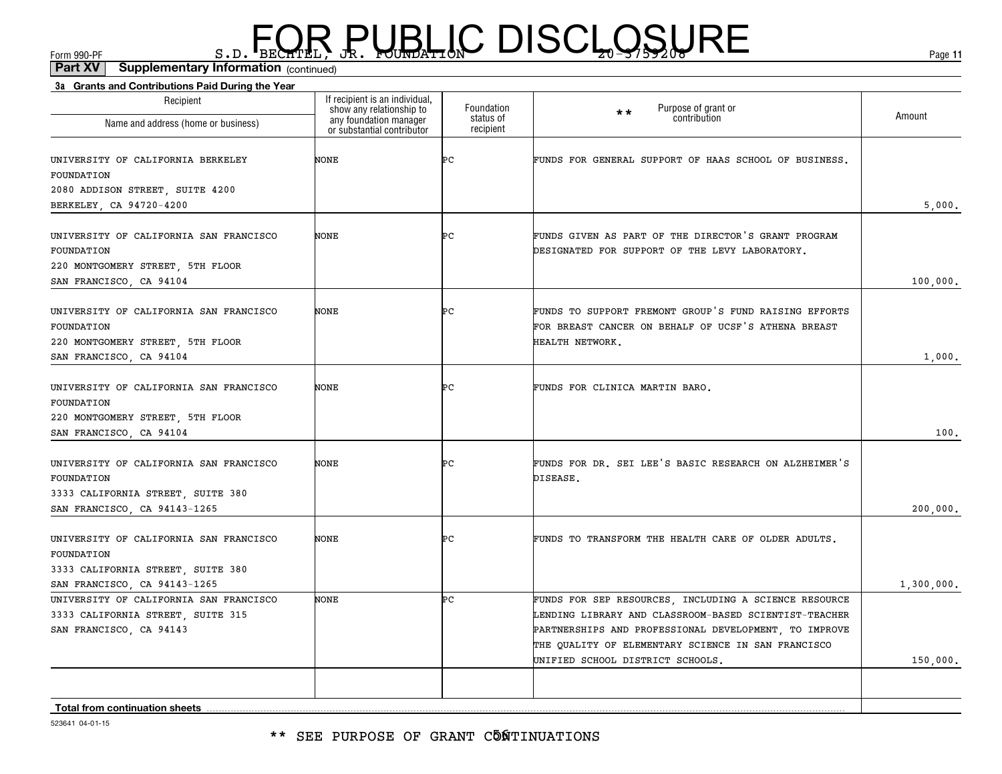| 3a Grants and Contributions Paid During the Year<br>Recipient                                          | If recipient is an individual,                                                   |                                      |                                                                                                                                                                                                                                                                   |            |
|--------------------------------------------------------------------------------------------------------|----------------------------------------------------------------------------------|--------------------------------------|-------------------------------------------------------------------------------------------------------------------------------------------------------------------------------------------------------------------------------------------------------------------|------------|
| Name and address (home or business)                                                                    | show any relationship to<br>any foundation manager<br>or substantial contributor | Foundation<br>status of<br>recipient | Purpose of grant or<br>$\star\star$<br>contribution                                                                                                                                                                                                               | Amount     |
| UNIVERSITY OF CALIFORNIA BERKELEY<br>FOUNDATION<br>2080 ADDISON STREET, SUITE 4200                     | NONE                                                                             | ÞС                                   | FUNDS FOR GENERAL SUPPORT OF HAAS SCHOOL OF BUSINESS.                                                                                                                                                                                                             |            |
| BERKELEY, CA 94720-4200                                                                                |                                                                                  |                                      |                                                                                                                                                                                                                                                                   | 5,000.     |
| UNIVERSITY OF CALIFORNIA SAN FRANCISCO<br>FOUNDATION<br>220 MONTGOMERY STREET, 5TH FLOOR               | NONE                                                                             | ÞС                                   | FUNDS GIVEN AS PART OF THE DIRECTOR'S GRANT PROGRAM<br>DESIGNATED FOR SUPPORT OF THE LEVY LABORATORY.                                                                                                                                                             |            |
| SAN FRANCISCO, CA 94104                                                                                |                                                                                  |                                      |                                                                                                                                                                                                                                                                   | 100,000.   |
| UNIVERSITY OF CALIFORNIA SAN FRANCISCO<br>FOUNDATION<br>220 MONTGOMERY STREET, 5TH FLOOR               | NONE                                                                             | ÞС                                   | FUNDS TO SUPPORT FREMONT GROUP'S FUND RAISING EFFORTS<br>FOR BREAST CANCER ON BEHALF OF UCSF'S ATHENA BREAST<br>HEALTH NETWORK.                                                                                                                                   |            |
| SAN FRANCISCO, CA 94104                                                                                |                                                                                  |                                      |                                                                                                                                                                                                                                                                   | 1,000.     |
| UNIVERSITY OF CALIFORNIA SAN FRANCISCO<br>FOUNDATION<br>220 MONTGOMERY STREET, 5TH FLOOR               | NONE                                                                             | ÞС                                   | FUNDS FOR CLINICA MARTIN BARO.                                                                                                                                                                                                                                    |            |
| SAN FRANCISCO, CA 94104                                                                                |                                                                                  |                                      |                                                                                                                                                                                                                                                                   | 100.       |
| UNIVERSITY OF CALIFORNIA SAN FRANCISCO<br>FOUNDATION<br>3333 CALIFORNIA STREET, SUITE 380              | NONE                                                                             | ÞС                                   | FUNDS FOR DR. SEI LEE'S BASIC RESEARCH ON ALZHEIMER'S<br>DISEASE.                                                                                                                                                                                                 |            |
| SAN FRANCISCO, CA 94143-1265                                                                           |                                                                                  |                                      |                                                                                                                                                                                                                                                                   | 200,000.   |
| UNIVERSITY OF CALIFORNIA SAN FRANCISCO<br>FOUNDATION<br>3333 CALIFORNIA STREET, SUITE 380              | NONE                                                                             | ÞС                                   | FUNDS TO TRANSFORM THE HEALTH CARE OF OLDER ADULTS.                                                                                                                                                                                                               |            |
| SAN FRANCISCO, CA 94143-1265                                                                           |                                                                                  |                                      |                                                                                                                                                                                                                                                                   | 1,300,000. |
| UNIVERSITY OF CALIFORNIA SAN FRANCISCO<br>3333 CALIFORNIA STREET, SUITE 315<br>SAN FRANCISCO, CA 94143 | <b>NONE</b>                                                                      | ÞС                                   | FUNDS FOR SEP RESOURCES, INCLUDING A SCIENCE RESOURCE<br>LENDING LIBRARY AND CLASSROOM-BASED SCIENTIST-TEACHER<br>PARTNERSHIPS AND PROFESSIONAL DEVELOPMENT, TO IMPROVE<br>THE QUALITY OF ELEMENTARY SCIENCE IN SAN FRANCISCO<br>UNIFIED SCHOOL DISTRICT SCHOOLS. | 150,000.   |
|                                                                                                        |                                                                                  |                                      |                                                                                                                                                                                                                                                                   |            |
| <b>Total from continuation sheets</b>                                                                  |                                                                                  |                                      |                                                                                                                                                                                                                                                                   |            |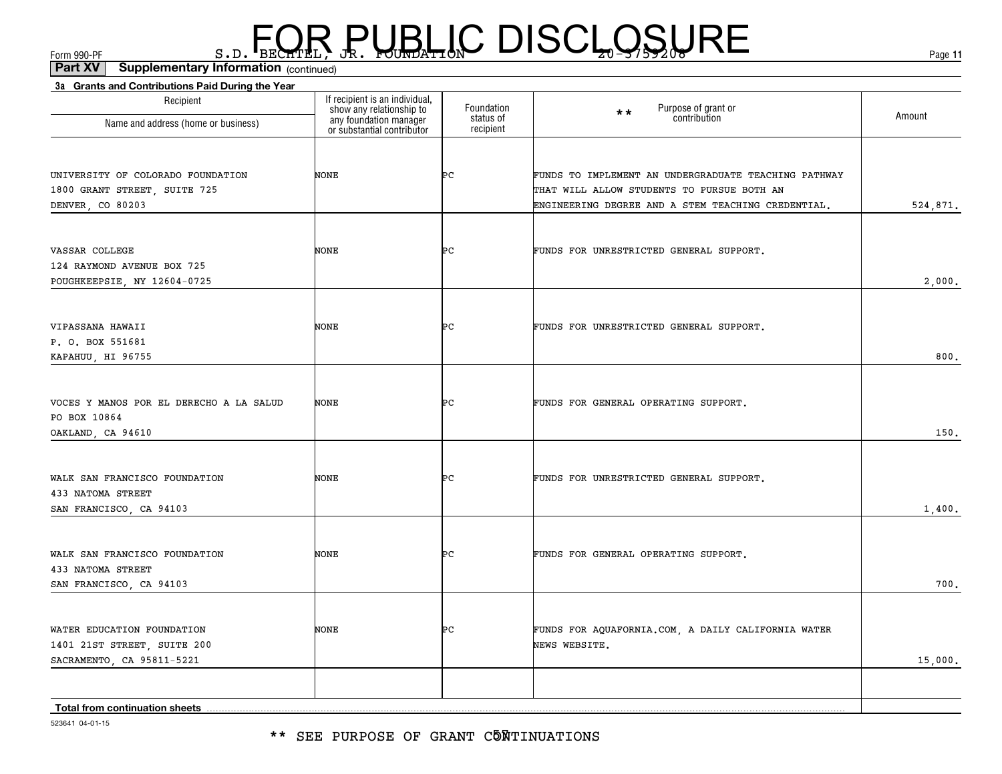\*\* SEE PURPOSE OF GRANT C5MTINUATIONS

| Recipient<br>Name and address (home or business)                                       | If recipient is an individual,<br>show any relationship to<br>any foundation manager<br>or substantial contributor | Foundation<br>status of | Purpose of grant or<br>contribution<br>$\star\star$                                                                                                      | Amount   |
|----------------------------------------------------------------------------------------|--------------------------------------------------------------------------------------------------------------------|-------------------------|----------------------------------------------------------------------------------------------------------------------------------------------------------|----------|
|                                                                                        |                                                                                                                    | recipient               |                                                                                                                                                          |          |
| UNIVERSITY OF COLORADO FOUNDATION<br>1800 GRANT STREET, SUITE 725<br>DENVER, CO 80203  | <b>NONE</b>                                                                                                        | ÞС                      | FUNDS TO IMPLEMENT AN UNDERGRADUATE TEACHING PATHWAY<br>THAT WILL ALLOW STUDENTS TO PURSUE BOTH AN<br>ENGINEERING DEGREE AND A STEM TEACHING CREDENTIAL. | 524,871. |
|                                                                                        |                                                                                                                    |                         |                                                                                                                                                          |          |
| VASSAR COLLEGE<br>124 RAYMOND AVENUE BOX 725<br>POUGHKEEPSIE, NY 12604-0725            | <b>NONE</b>                                                                                                        | ÞС                      | FUNDS FOR UNRESTRICTED GENERAL SUPPORT.                                                                                                                  | 2,000.   |
|                                                                                        |                                                                                                                    |                         |                                                                                                                                                          |          |
| VIPASSANA HAWAII<br>P. O. BOX 551681<br>KAPAHUU, HI 96755                              | <b>NONE</b>                                                                                                        | ÞС                      | FUNDS FOR UNRESTRICTED GENERAL SUPPORT.                                                                                                                  | 800.     |
|                                                                                        |                                                                                                                    |                         |                                                                                                                                                          |          |
| VOCES Y MANOS POR EL DERECHO A LA SALUD<br>PO BOX 10864                                | NONE                                                                                                               | Þс                      | FUNDS FOR GENERAL OPERATING SUPPORT.                                                                                                                     | 150.     |
| OAKLAND, CA 94610                                                                      |                                                                                                                    |                         |                                                                                                                                                          |          |
| WALK SAN FRANCISCO FOUNDATION<br>433 NATOMA STREET<br>SAN FRANCISCO, CA 94103          | <b>NONE</b>                                                                                                        | ÞС                      | FUNDS FOR UNRESTRICTED GENERAL SUPPORT.                                                                                                                  | 1,400.   |
|                                                                                        |                                                                                                                    |                         |                                                                                                                                                          |          |
| WALK SAN FRANCISCO FOUNDATION<br>433 NATOMA STREET<br>SAN FRANCISCO, CA 94103          | <b>NONE</b>                                                                                                        | ÞС                      | FUNDS FOR GENERAL OPERATING SUPPORT.                                                                                                                     | 700.     |
|                                                                                        |                                                                                                                    |                         |                                                                                                                                                          |          |
| WATER EDUCATION FOUNDATION<br>1401 21ST STREET, SUITE 200<br>SACRAMENTO, CA 95811-5221 | <b>NONE</b>                                                                                                        | ÞС                      | FUNDS FOR AQUAFORNIA.COM, A DAILY CALIFORNIA WATER<br>NEWS WEBSITE.                                                                                      | 15,000.  |
|                                                                                        |                                                                                                                    |                         |                                                                                                                                                          |          |
| Total from continuation sheets                                                         |                                                                                                                    |                         |                                                                                                                                                          |          |

**3a Grants and Contributions Paid During the Year**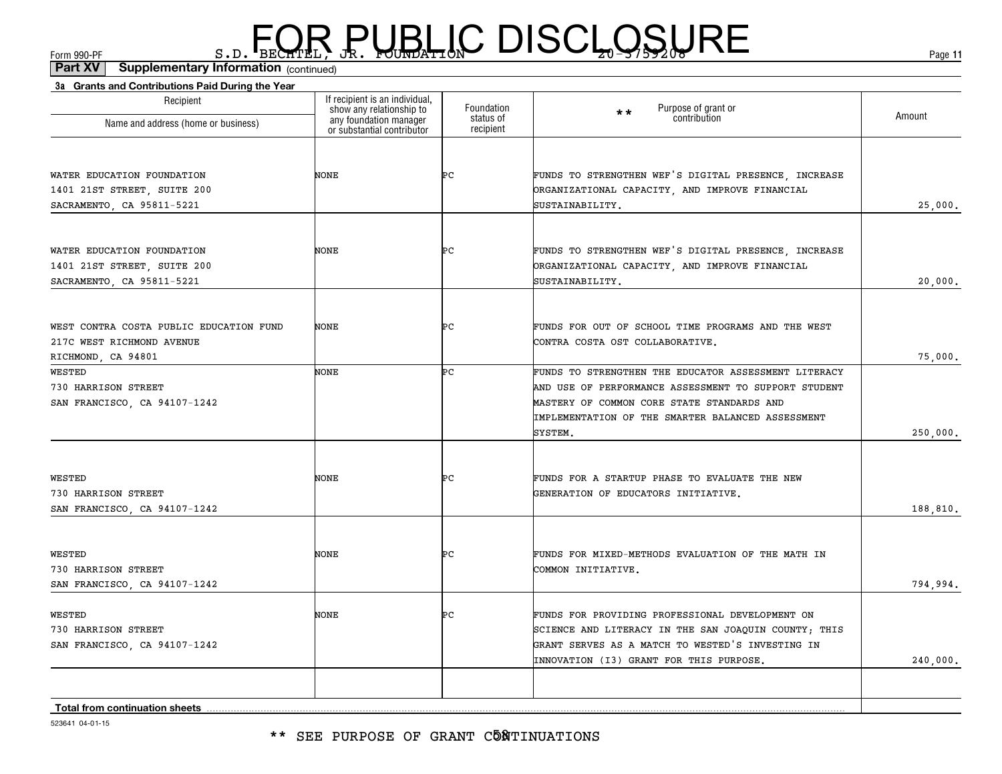| 3a Grants and Contributions Paid During the Year |                                                                                                                    |                         |                                                      |          |
|--------------------------------------------------|--------------------------------------------------------------------------------------------------------------------|-------------------------|------------------------------------------------------|----------|
| Recipient                                        | If recipient is an individual,<br>show any relationship to<br>any foundation manager<br>or substantial contributor | Foundation<br>status of | Purpose of grant or<br>contribution<br>$\star\star$  | Amount   |
| Name and address (home or business)              |                                                                                                                    | recipient               |                                                      |          |
|                                                  |                                                                                                                    |                         |                                                      |          |
| WATER EDUCATION FOUNDATION                       | NONE                                                                                                               | ÞС                      | FUNDS TO STRENGTHEN WEF'S DIGITAL PRESENCE, INCREASE |          |
| 1401 21ST STREET, SUITE 200                      |                                                                                                                    |                         | ORGANIZATIONAL CAPACITY, AND IMPROVE FINANCIAL       |          |
| SACRAMENTO, CA 95811-5221                        |                                                                                                                    |                         | SUSTAINABILITY.                                      | 25,000.  |
| WATER EDUCATION FOUNDATION                       | NONE                                                                                                               | ÞС                      | FUNDS TO STRENGTHEN WEF'S DIGITAL PRESENCE, INCREASE |          |
| 1401 21ST STREET, SUITE 200                      |                                                                                                                    |                         | ORGANIZATIONAL CAPACITY, AND IMPROVE FINANCIAL       |          |
| SACRAMENTO, CA 95811-5221                        |                                                                                                                    |                         | SUSTAINABILITY.                                      | 20,000.  |
|                                                  |                                                                                                                    |                         |                                                      |          |
| WEST CONTRA COSTA PUBLIC EDUCATION FUND          | NONE                                                                                                               | ÞС                      | FUNDS FOR OUT OF SCHOOL TIME PROGRAMS AND THE WEST   |          |
| 217C WEST RICHMOND AVENUE                        |                                                                                                                    |                         | CONTRA COSTA OST COLLABORATIVE.                      |          |
| RICHMOND, CA 94801                               |                                                                                                                    |                         |                                                      | 75,000.  |
| <b>WESTED</b>                                    | NONE                                                                                                               | Þс                      | FUNDS TO STRENGTHEN THE EDUCATOR ASSESSMENT LITERACY |          |
| 730 HARRISON STREET                              |                                                                                                                    |                         | AND USE OF PERFORMANCE ASSESSMENT TO SUPPORT STUDENT |          |
| SAN FRANCISCO, CA 94107-1242                     |                                                                                                                    |                         | MASTERY OF COMMON CORE STATE STANDARDS AND           |          |
|                                                  |                                                                                                                    |                         | IMPLEMENTATION OF THE SMARTER BALANCED ASSESSMENT    |          |
|                                                  |                                                                                                                    |                         | SYSTEM.                                              | 250,000. |
|                                                  |                                                                                                                    |                         |                                                      |          |
| WESTED                                           | NONE                                                                                                               | ÞС                      | FUNDS FOR A STARTUP PHASE TO EVALUATE THE NEW        |          |
| 730 HARRISON STREET                              |                                                                                                                    |                         | GENERATION OF EDUCATORS INITIATIVE.                  |          |
| SAN FRANCISCO, CA 94107-1242                     |                                                                                                                    |                         |                                                      | 188,810. |
| WESTED                                           | NONE                                                                                                               | ÞС                      | FUNDS FOR MIXED-METHODS EVALUATION OF THE MATH IN    |          |
| 730 HARRISON STREET                              |                                                                                                                    |                         | COMMON INITIATIVE.                                   |          |
| SAN FRANCISCO, CA 94107-1242                     |                                                                                                                    |                         |                                                      | 794,994. |
| WESTED                                           | NONE                                                                                                               | ÞС                      | FUNDS FOR PROVIDING PROFESSIONAL DEVELOPMENT ON      |          |
| 730 HARRISON STREET                              |                                                                                                                    |                         | SCIENCE AND LITERACY IN THE SAN JOAQUIN COUNTY; THIS |          |
| SAN FRANCISCO, CA 94107-1242                     |                                                                                                                    |                         | GRANT SERVES AS A MATCH TO WESTED'S INVESTING IN     |          |
|                                                  |                                                                                                                    |                         | INNOVATION (I3) GRANT FOR THIS PURPOSE.              | 240,000. |
|                                                  |                                                                                                                    |                         |                                                      |          |
| <b>Total from continuation sheets</b>            |                                                                                                                    |                         |                                                      |          |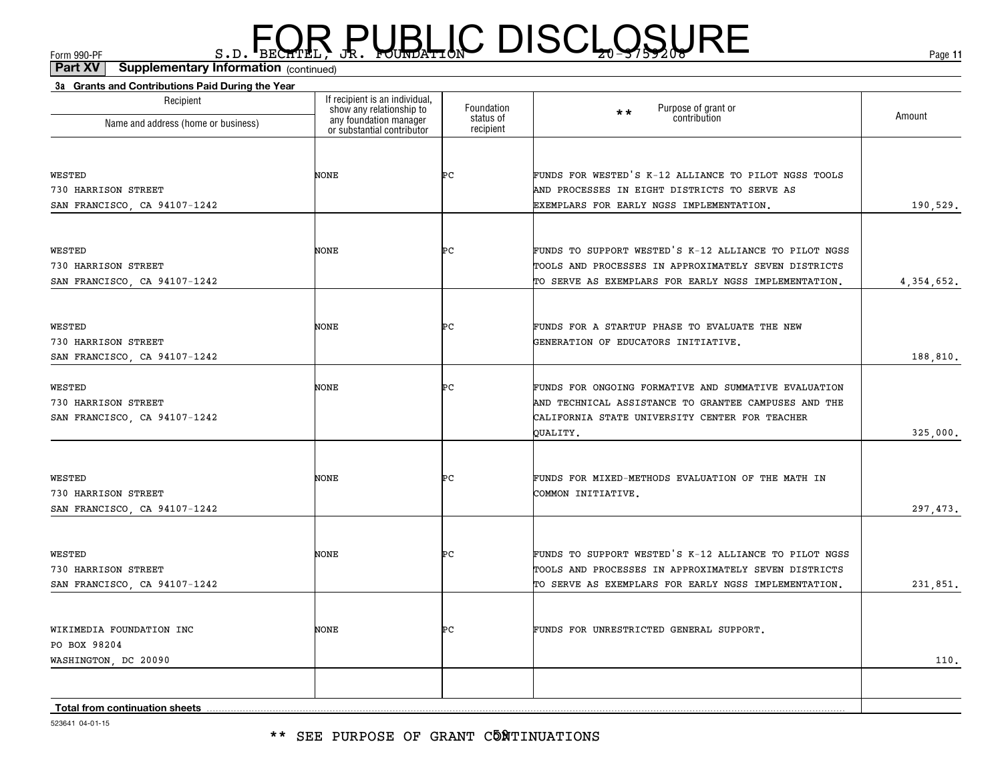| 3a Grants and Contributions Paid During the Year<br>Recipient                                                           | If recipient is an individual, | Foundation             | Purpose of grant or<br>contribution<br>$\star\star$   |              |
|-------------------------------------------------------------------------------------------------------------------------|--------------------------------|------------------------|-------------------------------------------------------|--------------|
| show any relationship to<br>any foundation manager<br>or substantial contributor<br>Name and address (home or business) |                                | status of<br>recipient |                                                       | Amount       |
|                                                                                                                         |                                |                        |                                                       |              |
| WESTED                                                                                                                  | NONE                           | Þс                     | FUNDS FOR WESTED'S K-12 ALLIANCE TO PILOT NGSS TOOLS  |              |
| 730 HARRISON STREET                                                                                                     |                                |                        | AND PROCESSES IN EIGHT DISTRICTS TO SERVE AS          |              |
| SAN FRANCISCO, CA 94107-1242                                                                                            |                                |                        | EXEMPLARS FOR EARLY NGSS IMPLEMENTATION.              | 190,529.     |
| WESTED                                                                                                                  | NONE                           | Þс                     | FUNDS TO SUPPORT WESTED'S K-12 ALLIANCE TO PILOT NGSS |              |
| 730 HARRISON STREET                                                                                                     |                                |                        | TOOLS AND PROCESSES IN APPROXIMATELY SEVEN DISTRICTS  |              |
| SAN FRANCISCO, CA 94107-1242                                                                                            |                                |                        | TO SERVE AS EXEMPLARS FOR EARLY NGSS IMPLEMENTATION.  | 4, 354, 652. |
| WESTED                                                                                                                  | NONE                           | ÞС                     | FUNDS FOR A STARTUP PHASE TO EVALUATE THE NEW         |              |
| 730 HARRISON STREET                                                                                                     |                                |                        | GENERATION OF EDUCATORS INITIATIVE.                   |              |
| SAN FRANCISCO, CA 94107-1242                                                                                            |                                |                        |                                                       | 188,810.     |
| WESTED                                                                                                                  | NONE                           | Þс                     | FUNDS FOR ONGOING FORMATIVE AND SUMMATIVE EVALUATION  |              |
| 730 HARRISON STREET                                                                                                     |                                |                        | AND TECHNICAL ASSISTANCE TO GRANTEE CAMPUSES AND THE  |              |
| SAN FRANCISCO, CA 94107-1242                                                                                            |                                |                        | CALIFORNIA STATE UNIVERSITY CENTER FOR TEACHER        |              |
|                                                                                                                         |                                |                        | OUALITY.                                              | 325,000.     |
| WESTED                                                                                                                  | NONE                           | ÞС                     | FUNDS FOR MIXED-METHODS EVALUATION OF THE MATH IN     |              |
| 730 HARRISON STREET                                                                                                     |                                |                        | COMMON INITIATIVE.                                    |              |
| SAN FRANCISCO, CA 94107-1242                                                                                            |                                |                        |                                                       | 297, 473.    |
| WESTED                                                                                                                  | NONE                           | ÞС                     | FUNDS TO SUPPORT WESTED'S K-12 ALLIANCE TO PILOT NGSS |              |
| 730 HARRISON STREET                                                                                                     |                                |                        | TOOLS AND PROCESSES IN APPROXIMATELY SEVEN DISTRICTS  |              |
| SAN FRANCISCO, CA 94107-1242                                                                                            |                                |                        | TO SERVE AS EXEMPLARS FOR EARLY NGSS IMPLEMENTATION.  | 231,851.     |
|                                                                                                                         |                                |                        |                                                       |              |
| WIKIMEDIA FOUNDATION INC                                                                                                | NONE                           | ÞС                     | FUNDS FOR UNRESTRICTED GENERAL SUPPORT.               |              |
| PO BOX 98204                                                                                                            |                                |                        |                                                       |              |
| WASHINGTON, DC 20090                                                                                                    |                                |                        |                                                       | 110.         |
| Total from continuation sheets                                                                                          |                                |                        |                                                       |              |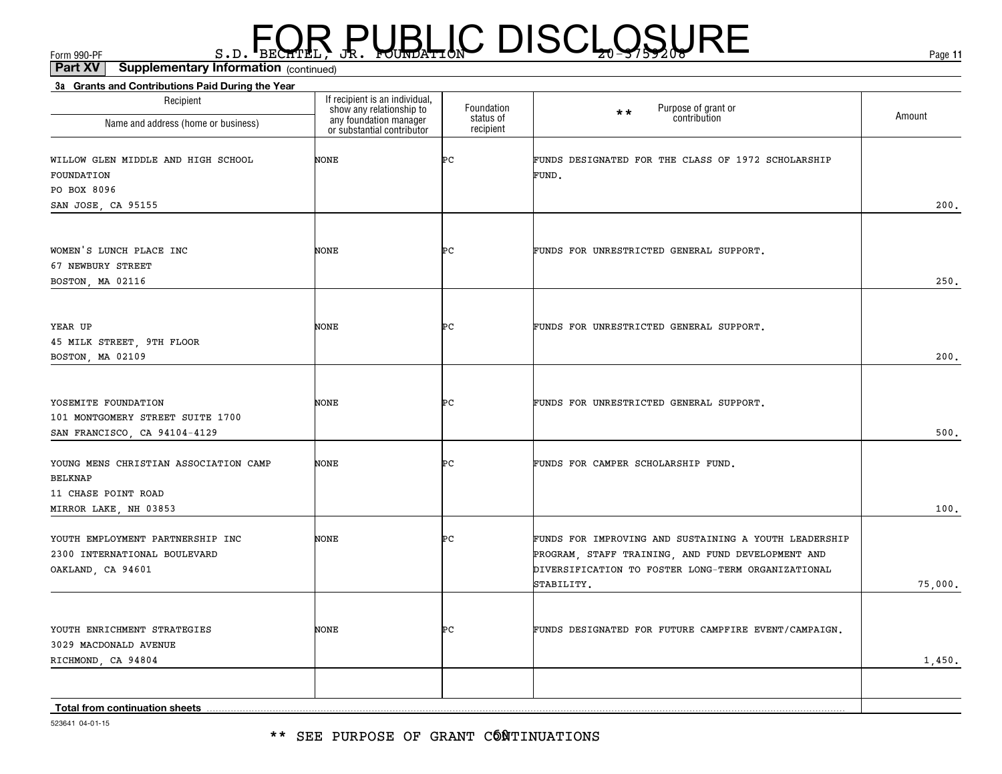| 3a Grants and Contributions Paid During the Year<br>Recipient                                           |                                                                                                                    | Foundation |                                                                                                                                                                                |         |
|---------------------------------------------------------------------------------------------------------|--------------------------------------------------------------------------------------------------------------------|------------|--------------------------------------------------------------------------------------------------------------------------------------------------------------------------------|---------|
| Name and address (home or business)                                                                     | If recipient is an individual,<br>show any relationship to<br>any foundation manager<br>or substantial contributor |            | Purpose of grant or<br>contribution<br>$\star\star$                                                                                                                            | Amount  |
| WILLOW GLEN MIDDLE AND HIGH SCHOOL<br>FOUNDATION<br>PO BOX 8096                                         | NONE                                                                                                               | Þс         | FUNDS DESIGNATED FOR THE CLASS OF 1972 SCHOLARSHIP<br>FUND.                                                                                                                    |         |
| SAN JOSE, CA 95155                                                                                      |                                                                                                                    |            |                                                                                                                                                                                | 200.    |
| WOMEN'S LUNCH PLACE INC<br>67 NEWBURY STREET<br>BOSTON, MA 02116                                        | NONE                                                                                                               | ÞС         | FUNDS FOR UNRESTRICTED GENERAL SUPPORT.                                                                                                                                        | 250.    |
| YEAR UP<br>45 MILK STREET, 9TH FLOOR<br>BOSTON, MA 02109                                                | NONE                                                                                                               | ÞС         | FUNDS FOR UNRESTRICTED GENERAL SUPPORT.                                                                                                                                        | 200.    |
| YOSEMITE FOUNDATION<br>101 MONTGOMERY STREET SUITE 1700<br>SAN FRANCISCO, CA 94104-4129                 | NONE                                                                                                               | Þс         | FUNDS FOR UNRESTRICTED GENERAL SUPPORT.                                                                                                                                        | 500.    |
| YOUNG MENS CHRISTIAN ASSOCIATION CAMP<br><b>BELKNAP</b><br>11 CHASE POINT ROAD<br>MIRROR LAKE, NH 03853 | NONE                                                                                                               | ÞС         | FUNDS FOR CAMPER SCHOLARSHIP FUND.                                                                                                                                             | 100.    |
| YOUTH EMPLOYMENT PARTNERSHIP INC<br>2300 INTERNATIONAL BOULEVARD<br>OAKLAND, CA 94601                   | NONE                                                                                                               | ÞС         | FUNDS FOR IMPROVING AND SUSTAINING A YOUTH LEADERSHIP<br>PROGRAM, STAFF TRAINING, AND FUND DEVELOPMENT AND<br>DIVERSIFICATION TO FOSTER LONG-TERM ORGANIZATIONAL<br>STABILITY. | 75,000. |
| YOUTH ENRICHMENT STRATEGIES<br>3029 MACDONALD AVENUE<br>RICHMOND, CA 94804                              | NONE                                                                                                               | ÞС         | FUNDS DESIGNATED FOR FUTURE CAMPFIRE EVENT/CAMPAIGN.                                                                                                                           | 1,450.  |
| Total from continuation sheets                                                                          |                                                                                                                    |            |                                                                                                                                                                                |         |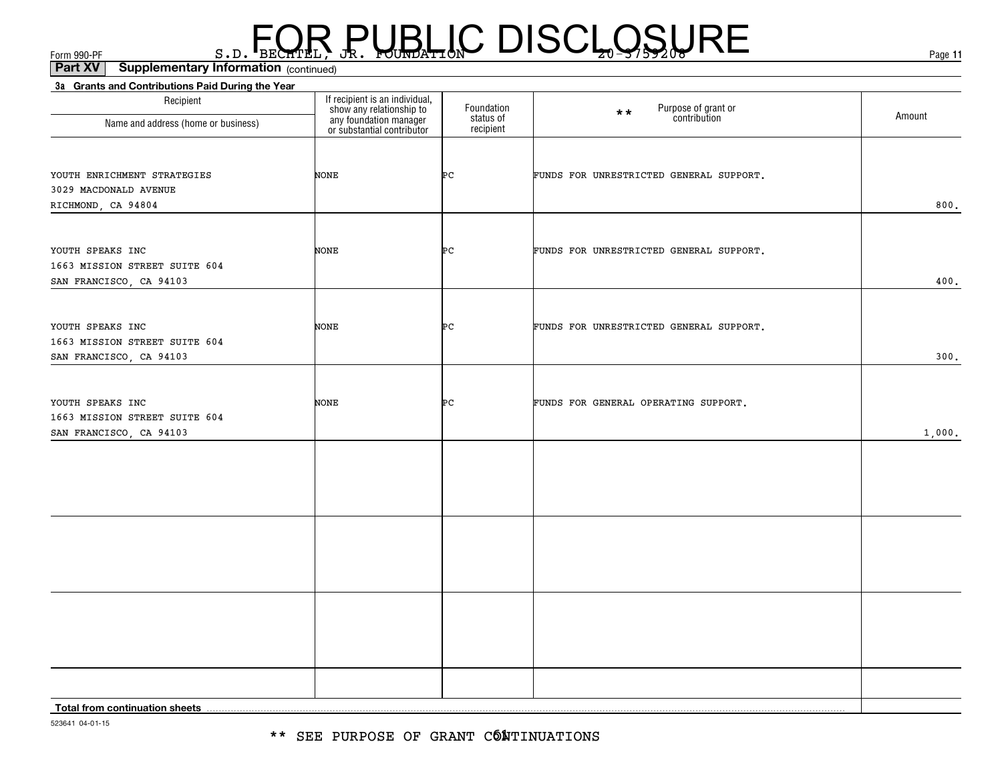(continued)**Part XV Supplementary Information**

| Recipient                                                | If recipient is an individual,<br>show any relationship to<br>any foundation manager<br>or substantial contributor |                                      |                                                     |        |
|----------------------------------------------------------|--------------------------------------------------------------------------------------------------------------------|--------------------------------------|-----------------------------------------------------|--------|
| Name and address (home or business)                      |                                                                                                                    | Foundation<br>status of<br>recipient | Purpose of grant or<br>contribution<br>$\star\star$ | Amount |
|                                                          |                                                                                                                    |                                      |                                                     |        |
| YOUTH ENRICHMENT STRATEGIES                              | NONE                                                                                                               | ÞС                                   | FUNDS FOR UNRESTRICTED GENERAL SUPPORT.             |        |
| 3029 MACDONALD AVENUE                                    |                                                                                                                    |                                      |                                                     |        |
| RICHMOND, CA 94804                                       |                                                                                                                    |                                      |                                                     | 800.   |
| YOUTH SPEAKS INC                                         | NONE                                                                                                               | ÞС                                   | FUNDS FOR UNRESTRICTED GENERAL SUPPORT.             |        |
| 1663 MISSION STREET SUITE 604                            |                                                                                                                    |                                      |                                                     |        |
| SAN FRANCISCO, CA 94103                                  |                                                                                                                    |                                      |                                                     | 400.   |
|                                                          |                                                                                                                    |                                      |                                                     |        |
| YOUTH SPEAKS INC                                         | NONE                                                                                                               | ÞС                                   | FUNDS FOR UNRESTRICTED GENERAL SUPPORT.             |        |
| 1663 MISSION STREET SUITE 604<br>SAN FRANCISCO, CA 94103 |                                                                                                                    |                                      |                                                     | 300.   |
|                                                          |                                                                                                                    |                                      |                                                     |        |
| YOUTH SPEAKS INC                                         | NONE                                                                                                               | ÞС                                   | FUNDS FOR GENERAL OPERATING SUPPORT.                |        |
| 1663 MISSION STREET SUITE 604                            |                                                                                                                    |                                      |                                                     |        |
| SAN FRANCISCO, CA 94103                                  |                                                                                                                    |                                      |                                                     | 1,000. |
|                                                          |                                                                                                                    |                                      |                                                     |        |
|                                                          |                                                                                                                    |                                      |                                                     |        |
|                                                          |                                                                                                                    |                                      |                                                     |        |
|                                                          |                                                                                                                    |                                      |                                                     |        |
|                                                          |                                                                                                                    |                                      |                                                     |        |
|                                                          |                                                                                                                    |                                      |                                                     |        |
|                                                          |                                                                                                                    |                                      |                                                     |        |
|                                                          |                                                                                                                    |                                      |                                                     |        |
|                                                          |                                                                                                                    |                                      |                                                     |        |
|                                                          |                                                                                                                    |                                      |                                                     |        |
| Total from continuation sheets                           |                                                                                                                    |                                      |                                                     |        |

523641 04-01-15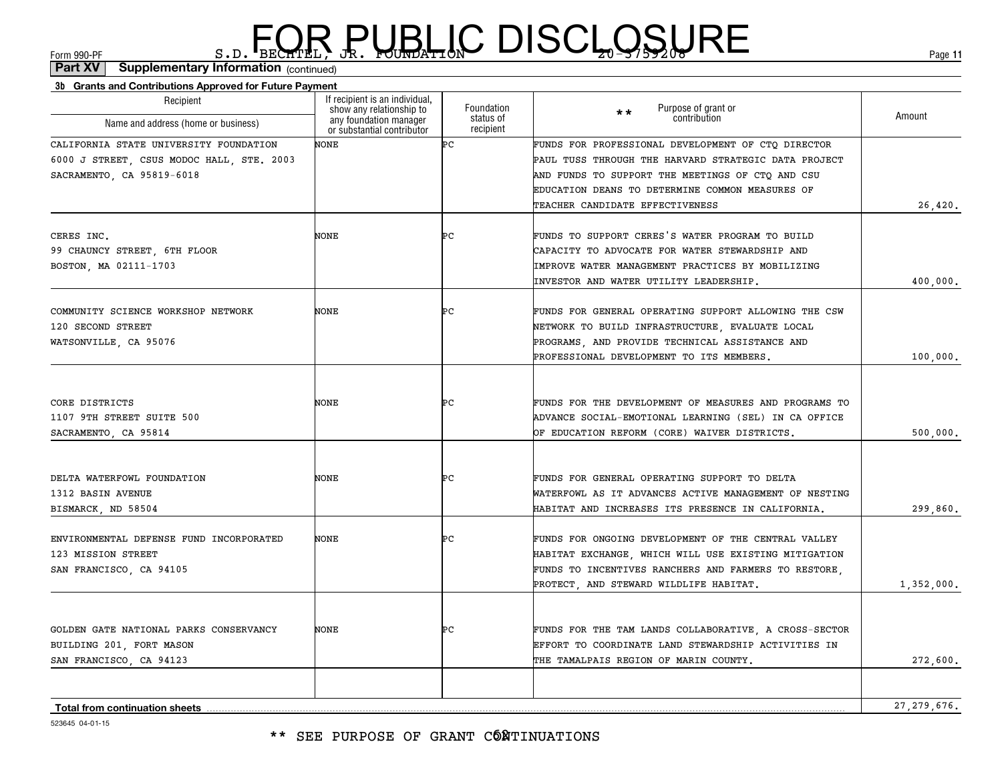#### \*\* SEE PURPOSE OF GRANT CÓÑTINUATIONS

| Recipient                                                                                                        | If recipient is an individual,<br>show any relationship to<br>any foundation manager | Foundation<br>status of | Purpose of grant or<br>$**$<br>contribution                                                                                                                                                                                                          | Amount        |
|------------------------------------------------------------------------------------------------------------------|--------------------------------------------------------------------------------------|-------------------------|------------------------------------------------------------------------------------------------------------------------------------------------------------------------------------------------------------------------------------------------------|---------------|
| Name and address (home or business)                                                                              | or substantial contributor                                                           | recipient               |                                                                                                                                                                                                                                                      |               |
| CALIFORNIA STATE UNIVERSITY FOUNDATION<br>6000 J STREET, CSUS MODOC HALL, STE. 2003<br>SACRAMENTO, CA 95819-6018 | NONE                                                                                 | Þс                      | FUNDS FOR PROFESSIONAL DEVELOPMENT OF CTQ DIRECTOR<br>PAUL TUSS THROUGH THE HARVARD STRATEGIC DATA PROJECT<br>AND FUNDS TO SUPPORT THE MEETINGS OF CTQ AND CSU<br>EDUCATION DEANS TO DETERMINE COMMON MEASURES OF<br>TEACHER CANDIDATE EFFECTIVENESS | 26,420.       |
| CERES INC.<br>99 CHAUNCY STREET, 6TH FLOOR<br>BOSTON, MA 02111-1703                                              | NONE                                                                                 | Þс                      | FUNDS TO SUPPORT CERES'S WATER PROGRAM TO BUILD<br>CAPACITY TO ADVOCATE FOR WATER STEWARDSHIP AND<br>IMPROVE WATER MANAGEMENT PRACTICES BY MOBILIZING<br>INVESTOR AND WATER UTILITY LEADERSHIP.                                                      | 400,000.      |
| COMMUNITY SCIENCE WORKSHOP NETWORK<br>120 SECOND STREET<br>WATSONVILLE, CA 95076                                 | NONE                                                                                 | ÞС                      | FUNDS FOR GENERAL OPERATING SUPPORT ALLOWING THE CSW<br>NETWORK TO BUILD INFRASTRUCTURE, EVALUATE LOCAL<br>PROGRAMS, AND PROVIDE TECHNICAL ASSISTANCE AND<br>PROFESSIONAL DEVELOPMENT TO ITS MEMBERS.                                                | 100,000.      |
| CORE DISTRICTS<br>1107 9TH STREET SUITE 500<br>SACRAMENTO, CA 95814                                              | NONE                                                                                 | ÞС                      | FUNDS FOR THE DEVELOPMENT OF MEASURES AND PROGRAMS TO<br>ADVANCE SOCIAL-EMOTIONAL LEARNING (SEL) IN CA OFFICE<br>OF EDUCATION REFORM (CORE) WAIVER DISTRICTS.                                                                                        | 500,000.      |
| DELTA WATERFOWL FOUNDATION<br>1312 BASIN AVENUE<br>BISMARCK, ND 58504                                            | NONE                                                                                 | ÞС                      | FUNDS FOR GENERAL OPERATING SUPPORT TO DELTA<br>WATERFOWL AS IT ADVANCES ACTIVE MANAGEMENT OF NESTING<br>HABITAT AND INCREASES ITS PRESENCE IN CALIFORNIA.                                                                                           | 299,860.      |
| ENVIRONMENTAL DEFENSE FUND INCORPORATED<br>123 MISSION STREET<br>SAN FRANCISCO, CA 94105                         | NONE                                                                                 | ÞС                      | FUNDS FOR ONGOING DEVELOPMENT OF THE CENTRAL VALLEY<br>HABITAT EXCHANGE, WHICH WILL USE EXISTING MITIGATION<br>FUNDS TO INCENTIVES RANCHERS AND FARMERS TO RESTORE,<br>PROTECT, AND STEWARD WILDLIFE HABITAT.                                        | 1,352,000.    |
| GOLDEN GATE NATIONAL PARKS CONSERVANCY<br>BUILDING 201, FORT MASON<br>SAN FRANCISCO, CA 94123                    | NONE                                                                                 | ÞС                      | FUNDS FOR THE TAM LANDS COLLABORATIVE, A CROSS-SECTOR<br>EFFORT TO COORDINATE LAND STEWARDSHIP ACTIVITIES IN<br>THE TAMALPAIS REGION OF MARIN COUNTY.                                                                                                | 272,600.      |
| <b>Total from continuation sheets</b>                                                                            |                                                                                      |                         |                                                                                                                                                                                                                                                      | 27, 279, 676. |

**3b Grants and Contributions Approved for Future Payment** (continued)**Part XV Supplementary Information**

**11** $F_{\text{GCD}}$   $\text{F}_{\text{BEC}}$   $\text{F}_{\text{BEC}}$   $\text{F}_{\text{BEC}}$   $\text{F}_{\text{CUE}}$   $\text{G}_{\text{AFL}}$   $\text{G}_{\text{A}}$   $\text{G}_{\text{B}}$   $\text{G}_{\text{B}}$   $\text{G}_{\text{B}}$   $\text{G}_{\text{B}}$   $\text{G}_{\text{B}}$   $\text{G}_{\text{B}}$   $\text{G}_{\text{B}}$   $\text{G}_{\text{B}}$   $\text{G}_{\text{B}}$   $\text{G}_{\text{B$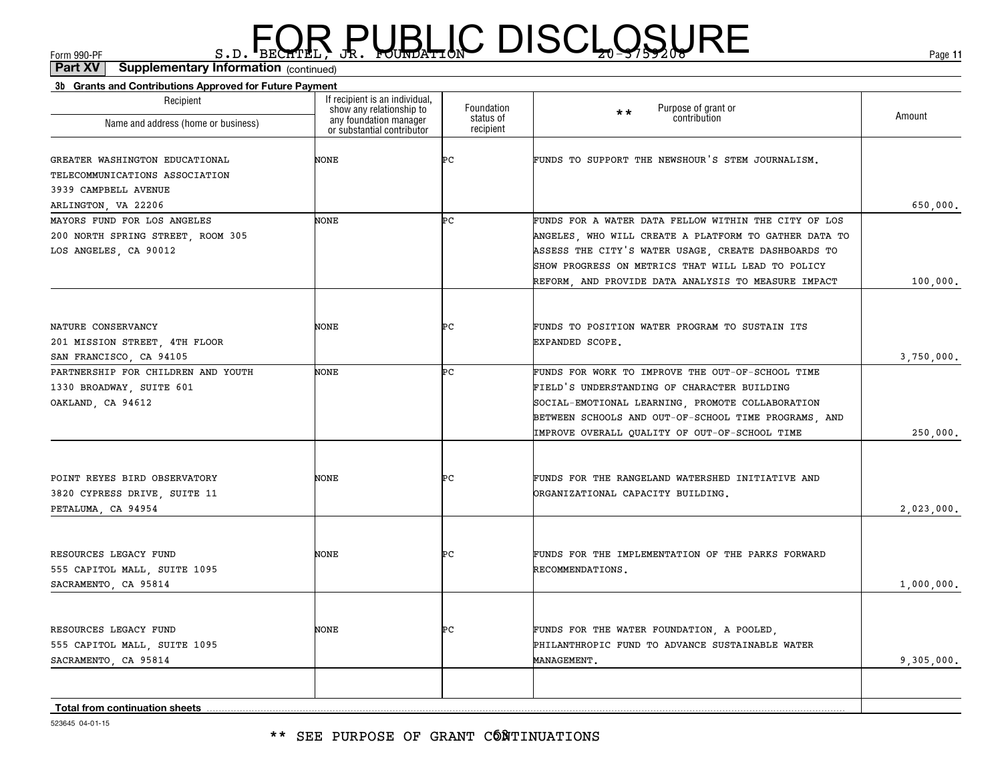#### \*\* SEE PURPOSE OF GRANT CÓÑTINUATIONS

523645 04-01-15

#### **3b Grants and Contributions Approved for Future Payment** (continued)**Part XV Supplementary Information**

| 00 Chanto and Obitanodabile ripproved for ratare ray<br>Recipient<br>Name and address (home or business) | If recipient is an individual,<br>show any relationship to<br>any foundation manager<br>or substantial contributor | Foundation<br>status of<br>recipient | Purpose of grant or<br>contribution<br>$\star \star$                                                                                                                                                                                                         | Amount     |
|----------------------------------------------------------------------------------------------------------|--------------------------------------------------------------------------------------------------------------------|--------------------------------------|--------------------------------------------------------------------------------------------------------------------------------------------------------------------------------------------------------------------------------------------------------------|------------|
| GREATER WASHINGTON EDUCATIONAL<br>TELECOMMUNICATIONS ASSOCIATION<br>3939 CAMPBELL AVENUE                 | NONE                                                                                                               | ÞС                                   | FUNDS TO SUPPORT THE NEWSHOUR'S STEM JOURNALISM.                                                                                                                                                                                                             |            |
| ARLINGTON, VA 22206<br>MAYORS FUND FOR LOS ANGELES<br>200 NORTH SPRING STREET, ROOM 305                  | NONE                                                                                                               | Þс                                   | FUNDS FOR A WATER DATA FELLOW WITHIN THE CITY OF LOS<br>ANGELES, WHO WILL CREATE A PLATFORM TO GATHER DATA TO                                                                                                                                                | 650,000.   |
| LOS ANGELES, CA 90012                                                                                    |                                                                                                                    |                                      | ASSESS THE CITY'S WATER USAGE, CREATE DASHBOARDS TO<br>SHOW PROGRESS ON METRICS THAT WILL LEAD TO POLICY<br>REFORM, AND PROVIDE DATA ANALYSIS TO MEASURE IMPACT                                                                                              | 100,000.   |
| NATURE CONSERVANCY<br>201 MISSION STREET, 4TH FLOOR<br>SAN FRANCISCO, CA 94105                           | NONE                                                                                                               | ÞС                                   | FUNDS TO POSITION WATER PROGRAM TO SUSTAIN ITS<br>EXPANDED SCOPE.                                                                                                                                                                                            | 3,750,000. |
| PARTNERSHIP FOR CHILDREN AND YOUTH<br>1330 BROADWAY, SUITE 601<br>OAKLAND, CA 94612                      | NONE                                                                                                               | Þс                                   | FUNDS FOR WORK TO IMPROVE THE OUT-OF-SCHOOL TIME<br>FIELD'S UNDERSTANDING OF CHARACTER BUILDING<br>SOCIAL-EMOTIONAL LEARNING, PROMOTE COLLABORATION<br>BETWEEN SCHOOLS AND OUT-OF-SCHOOL TIME PROGRAMS, AND<br>IMPROVE OVERALL QUALITY OF OUT-OF-SCHOOL TIME | 250,000.   |
| POINT REYES BIRD OBSERVATORY<br>3820 CYPRESS DRIVE, SUITE 11<br>PETALUMA, CA 94954                       | NONE                                                                                                               | ÞС                                   | FUNDS FOR THE RANGELAND WATERSHED INITIATIVE AND<br>ORGANIZATIONAL CAPACITY BUILDING.                                                                                                                                                                        | 2,023,000. |
| RESOURCES LEGACY FUND<br>555 CAPITOL MALL, SUITE 1095<br>SACRAMENTO, CA 95814                            | NONE                                                                                                               | ÞС                                   | FUNDS FOR THE IMPLEMENTATION OF THE PARKS FORWARD<br>RECOMMENDATIONS.                                                                                                                                                                                        | 1,000,000. |
| RESOURCES LEGACY FUND<br>555 CAPITOL MALL, SUITE 1095<br>SACRAMENTO, CA 95814                            | NONE                                                                                                               | ÞС                                   | FUNDS FOR THE WATER FOUNDATION, A POOLED,<br>PHILANTHROPIC FUND TO ADVANCE SUSTAINABLE WATER<br>MANAGEMENT.                                                                                                                                                  | 9,305,000. |
| <b>Total from continuation sheets</b>                                                                    |                                                                                                                    |                                      |                                                                                                                                                                                                                                                              |            |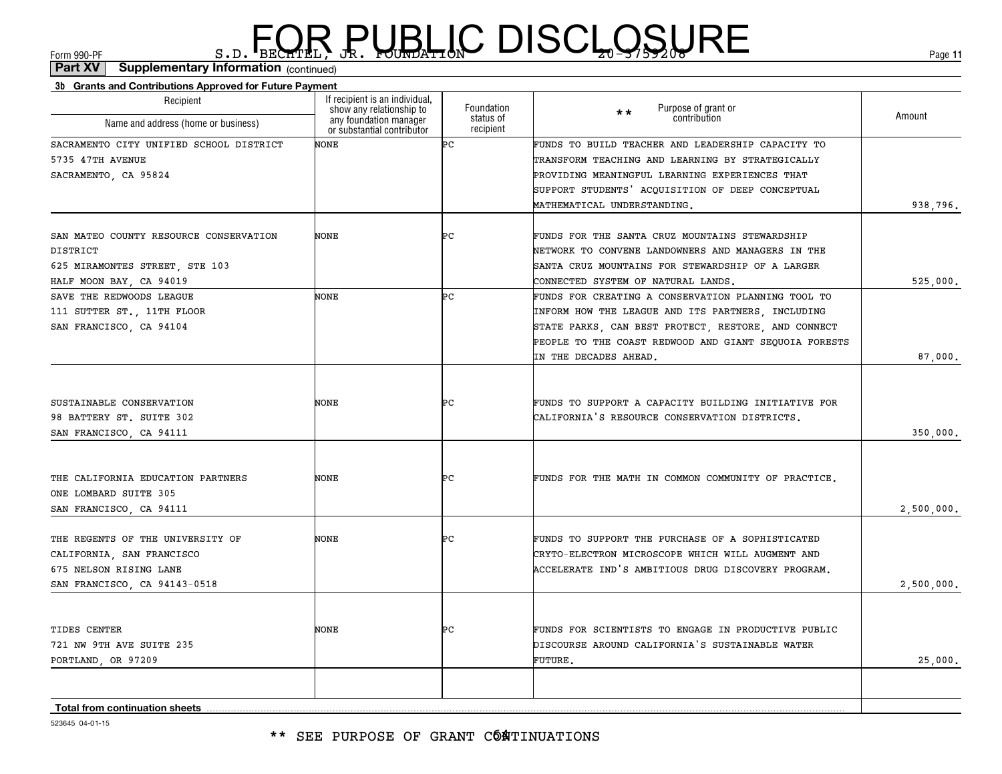#### \*\* SEE PURPOSE OF GRANT CÓATINUATIONS

| 523645 04-01-15 |
|-----------------|
|                 |

| Name and address (home or business)     | any foundation manager<br>or substantial contributor | sialus of<br>recipient | COTTLE IDULIOIT                                                                |            |
|-----------------------------------------|------------------------------------------------------|------------------------|--------------------------------------------------------------------------------|------------|
| SACRAMENTO CITY UNIFIED SCHOOL DISTRICT | NONE                                                 | Þс                     | FUNDS TO BUILD TEACHER AND LEADERSHIP CAPACITY TO                              |            |
| 5735 47TH AVENUE                        |                                                      |                        | TRANSFORM TEACHING AND LEARNING BY STRATEGICALLY                               |            |
| SACRAMENTO, CA 95824                    |                                                      |                        | PROVIDING MEANINGFUL LEARNING EXPERIENCES THAT                                 |            |
|                                         |                                                      |                        | SUPPORT STUDENTS' ACQUISITION OF DEEP CONCEPTUAL                               |            |
|                                         |                                                      |                        | MATHEMATICAL UNDERSTANDING.                                                    | 938,796.   |
| SAN MATEO COUNTY RESOURCE CONSERVATION  | NONE                                                 | ÞС                     | FUNDS FOR THE SANTA CRUZ MOUNTAINS STEWARDSHIP                                 |            |
| DISTRICT                                |                                                      |                        | NETWORK TO CONVENE LANDOWNERS AND MANAGERS IN THE                              |            |
| 625 MIRAMONTES STREET, STE 103          |                                                      |                        | SANTA CRUZ MOUNTAINS FOR STEWARDSHIP OF A LARGER                               |            |
| HALF MOON BAY, CA 94019                 |                                                      |                        | CONNECTED SYSTEM OF NATURAL LANDS.                                             | 525,000.   |
| SAVE THE REDWOODS LEAGUE                | NONE                                                 | Þс                     | FUNDS FOR CREATING A CONSERVATION PLANNING TOOL TO                             |            |
| 111 SUTTER ST., 11TH FLOOR              |                                                      |                        | INFORM HOW THE LEAGUE AND ITS PARTNERS, INCLUDING                              |            |
| SAN FRANCISCO, CA 94104                 |                                                      |                        | STATE PARKS, CAN BEST PROTECT, RESTORE, AND CONNECT                            |            |
|                                         |                                                      |                        |                                                                                |            |
|                                         |                                                      |                        | PEOPLE TO THE COAST REDWOOD AND GIANT SEQUOIA FORESTS<br>IN THE DECADES AHEAD. | 87,000.    |
|                                         |                                                      |                        |                                                                                |            |
| SUSTAINABLE CONSERVATION                | NONE                                                 | ÞС                     | FUNDS TO SUPPORT A CAPACITY BUILDING INITIATIVE FOR                            |            |
| 98 BATTERY ST. SUITE 302                |                                                      |                        | CALIFORNIA'S RESOURCE CONSERVATION DISTRICTS.                                  |            |
| SAN FRANCISCO, CA 94111                 |                                                      |                        |                                                                                | 350,000.   |
|                                         |                                                      |                        |                                                                                |            |
| THE CALIFORNIA EDUCATION PARTNERS       | NONE                                                 | ÞС                     | FUNDS FOR THE MATH IN COMMON COMMUNITY OF PRACTICE.                            |            |
| ONE LOMBARD SUITE 305                   |                                                      |                        |                                                                                |            |
| SAN FRANCISCO, CA 94111                 |                                                      |                        |                                                                                | 2,500,000. |
| THE REGENTS OF THE UNIVERSITY OF        | NONE                                                 | ÞС                     | FUNDS TO SUPPORT THE PURCHASE OF A SOPHISTICATED                               |            |
| CALIFORNIA, SAN FRANCISCO               |                                                      |                        | CRYTO-ELECTRON MICROSCOPE WHICH WILL AUGMENT AND                               |            |
| 675 NELSON RISING LANE                  |                                                      |                        | ACCELERATE IND'S AMBITIOUS DRUG DISCOVERY PROGRAM.                             |            |
| SAN FRANCISCO, CA 94143-0518            |                                                      |                        |                                                                                | 2,500,000. |
|                                         |                                                      |                        |                                                                                |            |
| TIDES CENTER                            | NONE                                                 | ÞС                     | FUNDS FOR SCIENTISTS TO ENGAGE IN PRODUCTIVE PUBLIC                            |            |
| 721 NW 9TH AVE SUITE 235                |                                                      |                        | DISCOURSE AROUND CALIFORNIA'S SUSTAINABLE WATER                                |            |
| PORTLAND, OR 97209                      |                                                      |                        | FUTURE.                                                                        | 25,000.    |
|                                         |                                                      |                        |                                                                                |            |
| Total from continuation sheets          |                                                      |                        |                                                                                |            |

Foundationstatus of

#### **3b Grants and Contributions Approved for Future Payment** (continued)**Part XV Supplementary Information**

Recipient

 $F_{\text{GCD}}$   $\text{F}_{\text{BEC}}$   $\text{F}_{\text{BEC}}$   $\text{F}_{\text{BEC}}$   $\text{F}_{\text{CUE}}$   $\text{G}_{\text{AFL}}$   $\text{G}_{\text{A}}$   $\text{G}_{\text{B}}$   $\text{G}_{\text{B}}$   $\text{G}_{\text{B}}$   $\text{G}_{\text{B}}$   $\text{G}_{\text{B}}$   $\text{G}_{\text{B}}$   $\text{G}_{\text{B}}$   $\text{G}_{\text{B}}$   $\text{G}_{\text{B}}$   $\text{G}_{\text{B$ 

If recipient is an individual, show any relationship to any foundation manager

Purpose of grant or **contribution** 

\*\*

Amount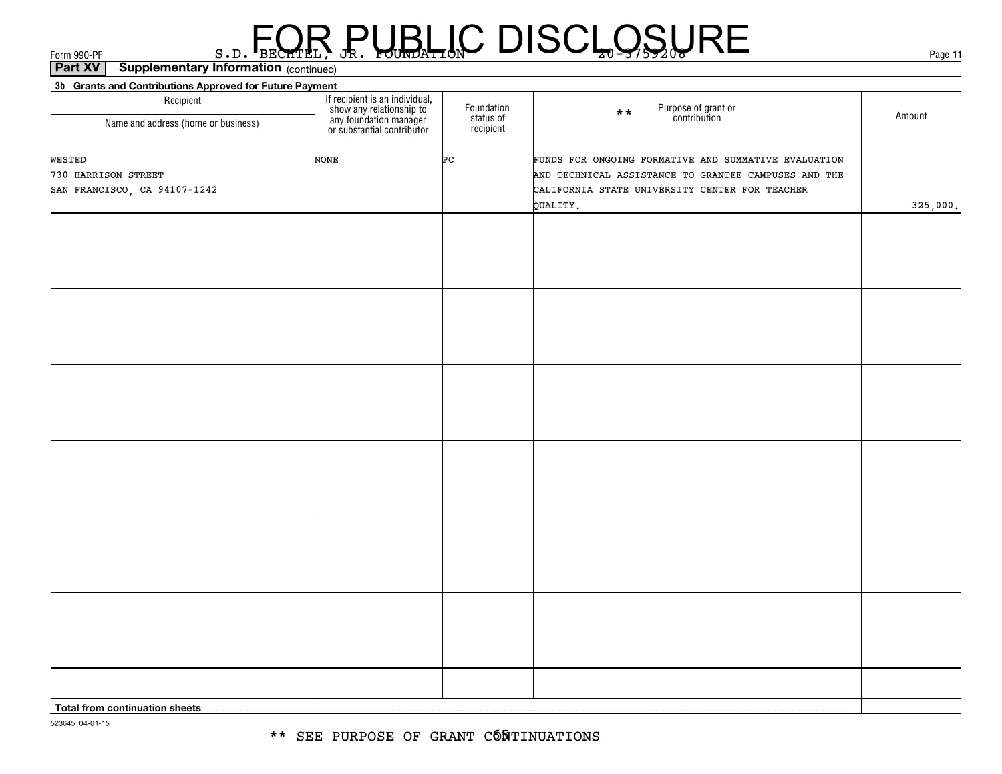**3b Grants and Contributions Approved for Future Payment** (continued)**Part XV Supplementary Information**

| $\frac{1}{2}$<br>$-1$<br>Recipient                            | If recipient is an individual,<br>show any relationship to<br>any foundation manager<br>or substantial contributor | Foundation<br>status of<br>recipient | Purpose of grant or<br>contribution<br>$\star \star$                                                                                                                       | Amount   |
|---------------------------------------------------------------|--------------------------------------------------------------------------------------------------------------------|--------------------------------------|----------------------------------------------------------------------------------------------------------------------------------------------------------------------------|----------|
| Name and address (home or business)                           |                                                                                                                    |                                      |                                                                                                                                                                            |          |
| WESTED<br>730 HARRISON STREET<br>SAN FRANCISCO, CA 94107-1242 | NONE                                                                                                               | Þс                                   | FUNDS FOR ONGOING FORMATIVE AND SUMMATIVE EVALUATION<br>AND TECHNICAL ASSISTANCE TO GRANTEE CAMPUSES AND THE<br>CALIFORNIA STATE UNIVERSITY CENTER FOR TEACHER<br>QUALITY. | 325,000. |
|                                                               |                                                                                                                    |                                      |                                                                                                                                                                            |          |
|                                                               |                                                                                                                    |                                      |                                                                                                                                                                            |          |
|                                                               |                                                                                                                    |                                      |                                                                                                                                                                            |          |
|                                                               |                                                                                                                    |                                      |                                                                                                                                                                            |          |
|                                                               |                                                                                                                    |                                      |                                                                                                                                                                            |          |
|                                                               |                                                                                                                    |                                      |                                                                                                                                                                            |          |
|                                                               |                                                                                                                    |                                      |                                                                                                                                                                            |          |
|                                                               |                                                                                                                    |                                      |                                                                                                                                                                            |          |
|                                                               |                                                                                                                    |                                      |                                                                                                                                                                            |          |
|                                                               |                                                                                                                    |                                      |                                                                                                                                                                            |          |
|                                                               |                                                                                                                    |                                      |                                                                                                                                                                            |          |
|                                                               |                                                                                                                    |                                      |                                                                                                                                                                            |          |
|                                                               |                                                                                                                    |                                      |                                                                                                                                                                            |          |
|                                                               |                                                                                                                    |                                      |                                                                                                                                                                            |          |
|                                                               |                                                                                                                    |                                      |                                                                                                                                                                            |          |
|                                                               |                                                                                                                    |                                      |                                                                                                                                                                            |          |
|                                                               |                                                                                                                    |                                      |                                                                                                                                                                            |          |
|                                                               |                                                                                                                    |                                      |                                                                                                                                                                            |          |
|                                                               |                                                                                                                    |                                      |                                                                                                                                                                            |          |
|                                                               |                                                                                                                    |                                      |                                                                                                                                                                            |          |
|                                                               |                                                                                                                    |                                      |                                                                                                                                                                            |          |
|                                                               |                                                                                                                    |                                      |                                                                                                                                                                            |          |
|                                                               |                                                                                                                    |                                      |                                                                                                                                                                            |          |
|                                                               |                                                                                                                    |                                      |                                                                                                                                                                            |          |
| <b>Total from continuation sheets</b>                         |                                                                                                                    |                                      |                                                                                                                                                                            |          |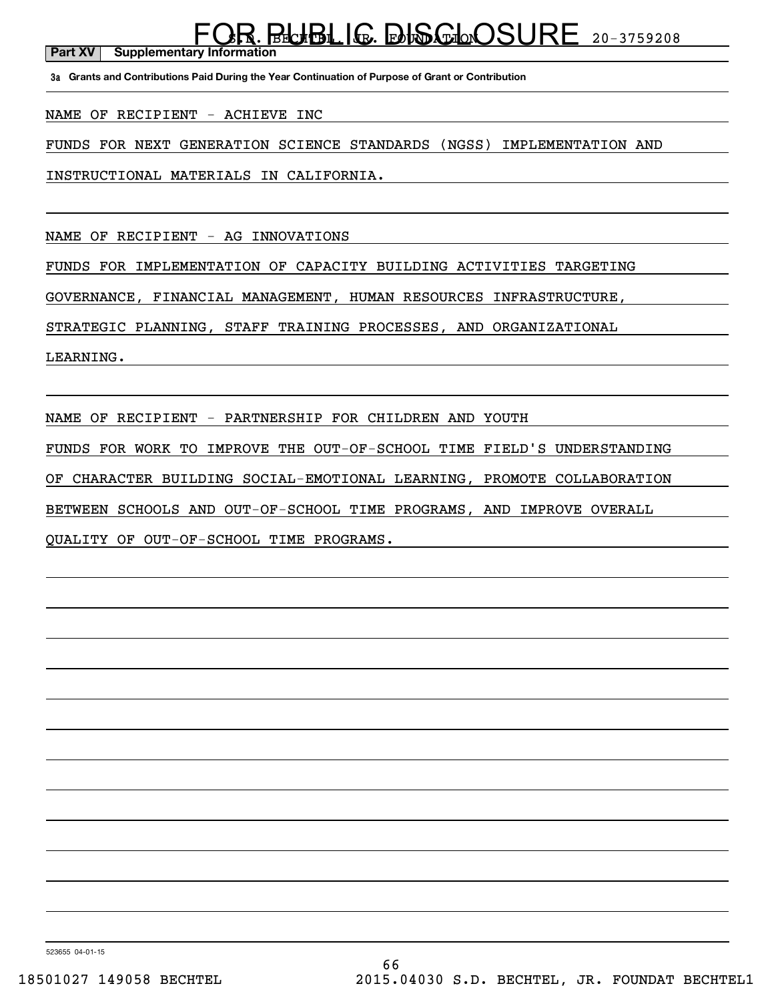**Part XV** Supplementary Information FOR BLUBLIG. DISCLOSURE 20-3759208

**3a Grants and Contributions Paid During the Year Continuation of Purpose of Grant or Contribution**

NAME OF RECIPIENT - ACHIEVE INC

FUNDS FOR NEXT GENERATION SCIENCE STANDARDS (NGSS) IMPLEMENTATION AND

INSTRUCTIONAL MATERIALS IN CALIFORNIA.

NAME OF RECIPIENT - AG INNOVATIONS

FUNDS FOR IMPLEMENTATION OF CAPACITY BUILDING ACTIVITIES TARGETING

GOVERNANCE, FINANCIAL MANAGEMENT, HUMAN RESOURCES INFRASTRUCTURE,

STRATEGIC PLANNING, STAFF TRAINING PROCESSES, AND ORGANIZATIONAL

LEARNING.

NAME OF RECIPIENT - PARTNERSHIP FOR CHILDREN AND YOUTH

FUNDS FOR WORK TO IMPROVE THE OUT-OF-SCHOOL TIME FIELD'S UNDERSTANDING

OF CHARACTER BUILDING SOCIAL-EMOTIONAL LEARNING, PROMOTE COLLABORATION

BETWEEN SCHOOLS AND OUT-OF-SCHOOL TIME PROGRAMS, AND IMPROVE OVERALL

QUALITY OF OUT-OF-SCHOOL TIME PROGRAMS.

523655 04-01-15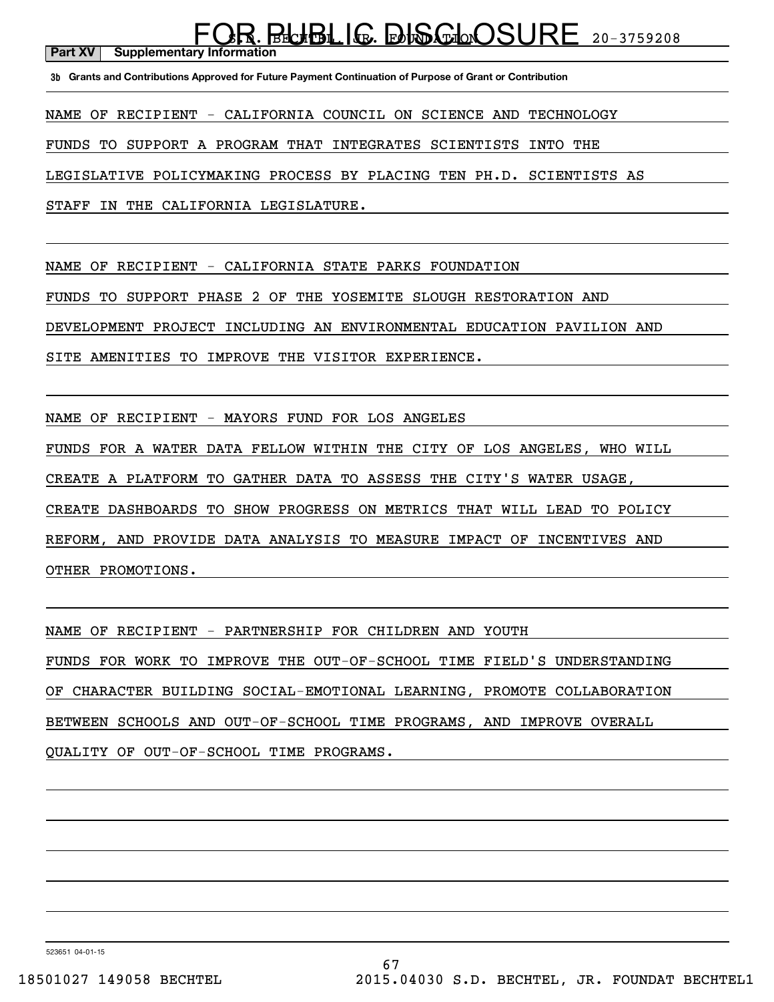#### FOR BLUBLIG. DISCLOSURE 20-3759208

**Part XV** | Supplementary Information

**3b Grants and Contributions Approved for Future Payment Continuation of Purpose of Grant or Contribution**

NAME OF RECIPIENT - CALIFORNIA COUNCIL ON SCIENCE AND TECHNOLOGY

FUNDS TO SUPPORT A PROGRAM THAT INTEGRATES SCIENTISTS INTO THE

LEGISLATIVE POLICYMAKING PROCESS BY PLACING TEN PH.D. SCIENTISTS AS

STAFF IN THE CALIFORNIA LEGISLATURE.

NAME OF RECIPIENT - CALIFORNIA STATE PARKS FOUNDATION

FUNDS TO SUPPORT PHASE 2 OF THE YOSEMITE SLOUGH RESTORATION AND

DEVELOPMENT PROJECT INCLUDING AN ENVIRONMENTAL EDUCATION PAVILION AND

SITE AMENITIES TO IMPROVE THE VISITOR EXPERIENCE.

NAME OF RECIPIENT - MAYORS FUND FOR LOS ANGELES

FUNDS FOR A WATER DATA FELLOW WITHIN THE CITY OF LOS ANGELES, WHO WILL

CREATE A PLATFORM TO GATHER DATA TO ASSESS THE CITY'S WATER USAGE,

CREATE DASHBOARDS TO SHOW PROGRESS ON METRICS THAT WILL LEAD TO POLICY

REFORM, AND PROVIDE DATA ANALYSIS TO MEASURE IMPACT OF INCENTIVES AND

OTHER PROMOTIONS.

NAME OF RECIPIENT - PARTNERSHIP FOR CHILDREN AND YOUTH FUNDS FOR WORK TO IMPROVE THE OUT-OF-SCHOOL TIME FIELD'S UNDERSTANDING OF CHARACTER BUILDING SOCIAL-EMOTIONAL LEARNING, PROMOTE COLLABORATION BETWEEN SCHOOLS AND OUT-OF-SCHOOL TIME PROGRAMS, AND IMPROVE OVERALL QUALITY OF OUT-OF-SCHOOL TIME PROGRAMS.

523651 04-01-15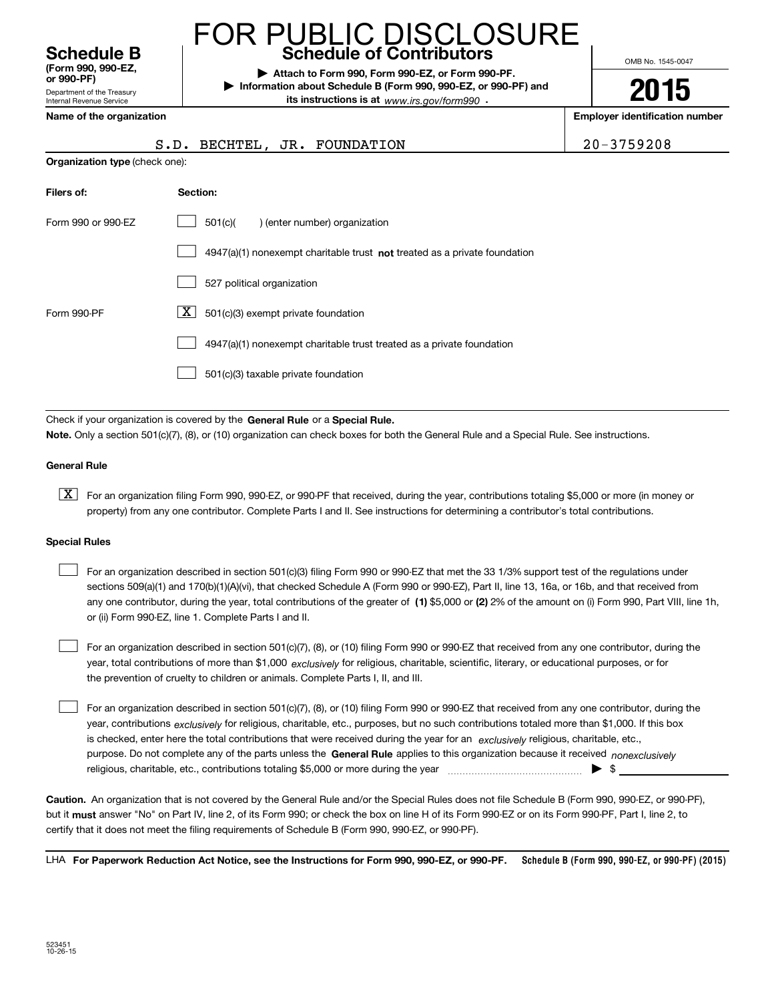Department of the Treasury Internal Revenue Service **(Form 990, 990-EZ, or 990-PF)**

#### **Schedule B Schedule of Contributors** FOR PUBLIC DISCLOSURE

**| Attach to Form 990, Form 990-EZ, or Form 990-PF. | Information about Schedule B (Form 990, 990-EZ, or 990-PF) and its instructions is at** www.irs.gov/form990  $\cdot$ 

S.D. BECHTEL, JR. FOUNDATION 2

OMB No. 1545-0047

**2015**

**Name of the organization Employer identification number**

| 0-3759208 |  |
|-----------|--|
|-----------|--|

|  |  |  |  | Name of the organization |
|--|--|--|--|--------------------------|
|--|--|--|--|--------------------------|

| <b>Organization type (check one):</b> |                                                                           |  |  |  |  |
|---------------------------------------|---------------------------------------------------------------------------|--|--|--|--|
| Filers of:                            | Section:                                                                  |  |  |  |  |
| Form 990 or 990-EZ                    | 501(c)(<br>) (enter number) organization                                  |  |  |  |  |
|                                       | 4947(a)(1) nonexempt charitable trust not treated as a private foundation |  |  |  |  |
|                                       | 527 political organization                                                |  |  |  |  |
| Form 990-PF                           | X <br>501(c)(3) exempt private foundation                                 |  |  |  |  |
|                                       | 4947(a)(1) nonexempt charitable trust treated as a private foundation     |  |  |  |  |
|                                       | 501(c)(3) taxable private foundation                                      |  |  |  |  |

Check if your organization is covered by the **General Rule** or a **Special Rule.**<br>Note Only a section 501(c)(7), (8), or (10) erganization can shock boxes for be **Note.**  Only a section 501(c)(7), (8), or (10) organization can check boxes for both the General Rule and a Special Rule. See instructions.

#### **General Rule**

 $\boxed{\textbf{X}}$  For an organization filing Form 990, 990-EZ, or 990-PF that received, during the year, contributions totaling \$5,000 or more (in money or property) from any one contributor. Complete Parts I and II. See instructions for determining a contributor's total contributions.

#### **Special Rules**

 $\mathcal{L}^{\text{max}}$ 

any one contributor, during the year, total contributions of the greater of  $\,$  (1) \$5,000 or (2) 2% of the amount on (i) Form 990, Part VIII, line 1h, For an organization described in section 501(c)(3) filing Form 990 or 990-EZ that met the 33 1/3% support test of the regulations under sections 509(a)(1) and 170(b)(1)(A)(vi), that checked Schedule A (Form 990 or 990-EZ), Part II, line 13, 16a, or 16b, and that received from or (ii) Form 990-EZ, line 1. Complete Parts I and II.  $\mathcal{L}^{\text{max}}$ 

year, total contributions of more than \$1,000 *exclusively* for religious, charitable, scientific, literary, or educational purposes, or for For an organization described in section 501(c)(7), (8), or (10) filing Form 990 or 990-EZ that received from any one contributor, during the the prevention of cruelty to children or animals. Complete Parts I, II, and III.  $\mathcal{L}^{\text{max}}$ 

purpose. Do not complete any of the parts unless the **General Rule** applies to this organization because it received *nonexclusively* year, contributions <sub>exclusively</sub> for religious, charitable, etc., purposes, but no such contributions totaled more than \$1,000. If this box is checked, enter here the total contributions that were received during the year for an  $\;$ exclusively religious, charitable, etc., For an organization described in section 501(c)(7), (8), or (10) filing Form 990 or 990-EZ that received from any one contributor, during the religious, charitable, etc., contributions totaling \$5,000 or more during the year  $\ldots$  $\ldots$  $\ldots$  $\ldots$  $\ldots$  $\ldots$ 

**Caution.**An organization that is not covered by the General Rule and/or the Special Rules does not file Schedule B (Form 990, 990-EZ, or 990-PF), but it **must** answer "No" on Part IV, line 2, of its Form 990; or check the box on line H of its Form 990-EZ or on its Form 990-PF, Part I, line 2, to<br>cotify that it does not meet the filing requirements of Schodule B (Fer certify that it does not meet the filing requirements of Schedule B (Form 990, 990-EZ, or 990-PF).

**Schedule B (Form 990, 990-EZ, or 990-PF) (2015) For Paperwork Reduction Act Notice, see the Instructions for Form 990, 990-EZ, or 990-PF.** LHA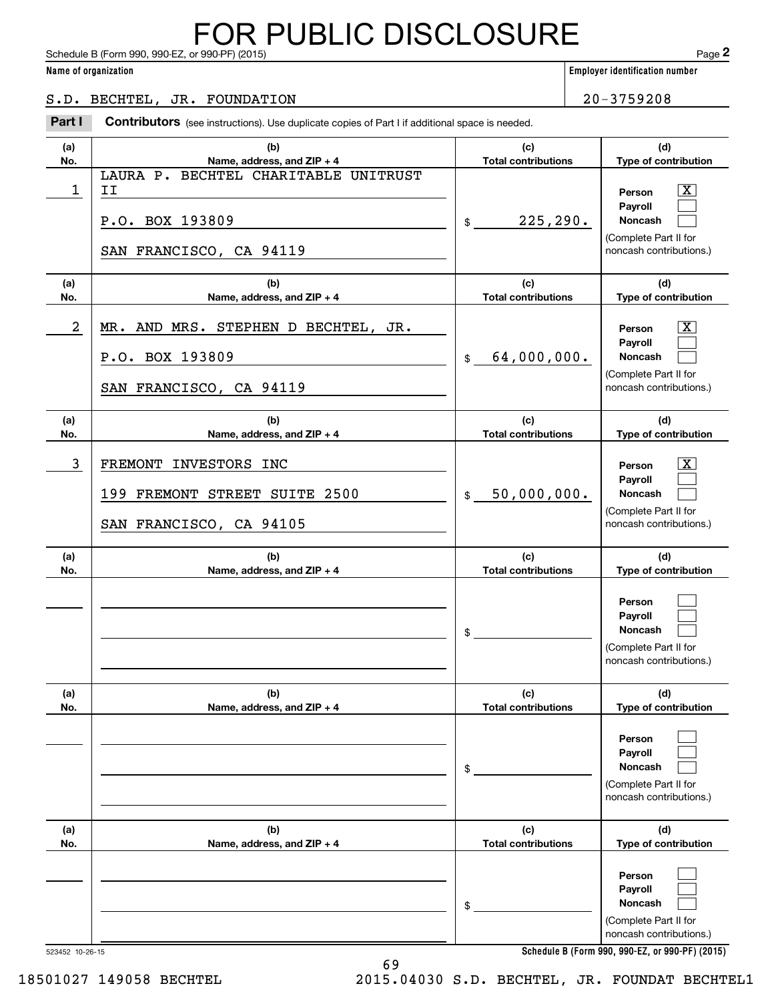Schedule B (Form 990, 990-EZ, or 990-PF) (2015) **Page 2** FOR PUBLIC DISCLOSURE

|                      | Schedule B (Form 990, 990-EZ, or 990-PF) (2015)                                                       |                                       |                | Page 2                                                                                           |
|----------------------|-------------------------------------------------------------------------------------------------------|---------------------------------------|----------------|--------------------------------------------------------------------------------------------------|
| Name of organization |                                                                                                       | <b>Employer identification number</b> |                |                                                                                                  |
|                      | S.D. BECHTEL, JR. FOUNDATION                                                                          |                                       | $20 - 3759208$ |                                                                                                  |
| Part I               | <b>Contributors</b> (see instructions). Use duplicate copies of Part I if additional space is needed. |                                       |                |                                                                                                  |
| (a)<br>No.           | (b)<br>Name, address, and ZIP + 4                                                                     | (c)<br><b>Total contributions</b>     |                | (d)<br>Type of contribution                                                                      |
| $\mathbf 1$          | LAURA P. BECHTEL CHARITABLE UNITRUST<br>II<br>P.O. BOX 193809<br>SAN FRANCISCO, CA 94119              | 225, 290.<br>\$                       |                | $\mathbf{X}$<br>Person<br>Payroll<br>Noncash<br>(Complete Part II for<br>noncash contributions.) |
| (a)<br>No.           | (b)<br>Name, address, and ZIP + 4                                                                     | (c)<br><b>Total contributions</b>     |                | (d)<br>Type of contribution                                                                      |
| $\overline{a}$       | MR. AND MRS. STEPHEN D BECHTEL, JR.<br>P.O. BOX 193809<br>SAN FRANCISCO, CA 94119                     | 64,000,000.<br>\$                     |                | $\mathbf{X}$<br>Person<br>Payroll<br>Noncash<br>(Complete Part II for<br>noncash contributions.) |
| (a)<br>No.           | (b)<br>Name, address, and ZIP + 4                                                                     | (c)<br><b>Total contributions</b>     |                | (d)<br>Type of contribution                                                                      |
| 3                    | FREMONT<br>INVESTORS INC<br>199 FREMONT STREET SUITE 2500<br>SAN FRANCISCO, CA 94105                  | 50,000,000.<br>\$                     |                | $\mathbf{X}$<br>Person<br>Payroll<br>Noncash<br>(Complete Part II for<br>noncash contributions.) |
| (a)<br>No.           | (b)<br>Name, address, and ZIP + 4                                                                     | (c)<br><b>Total contributions</b>     |                | (d)<br>Type of contribution                                                                      |
|                      |                                                                                                       | \$                                    |                | Person<br>Payroll<br>Noncash<br>(Complete Part II for<br>noncash contributions.)                 |
| (a)<br>No.           | (b)<br>Name, address, and ZIP + 4                                                                     | (c)<br><b>Total contributions</b>     |                | (d)<br>Type of contribution                                                                      |
|                      |                                                                                                       | \$                                    |                | Person<br>Payroll<br><b>Noncash</b><br>(Complete Part II for<br>noncash contributions.)          |
| (a)<br>No.           | (b)<br>Name, address, and ZIP + 4                                                                     | (c)<br><b>Total contributions</b>     |                | (d)<br>Type of contribution                                                                      |
|                      |                                                                                                       | \$                                    |                | Person<br>Payroll<br>Noncash<br>(Complete Part II for<br>noncash contributions.)                 |

**Schedule B (Form 990, 990-EZ, or 990-PF) (2015)**

523452 10-26-15

69 18501027 149058 BECHTEL 2015.04030 S.D. BECHTEL, JR. FOUNDAT BECHTEL1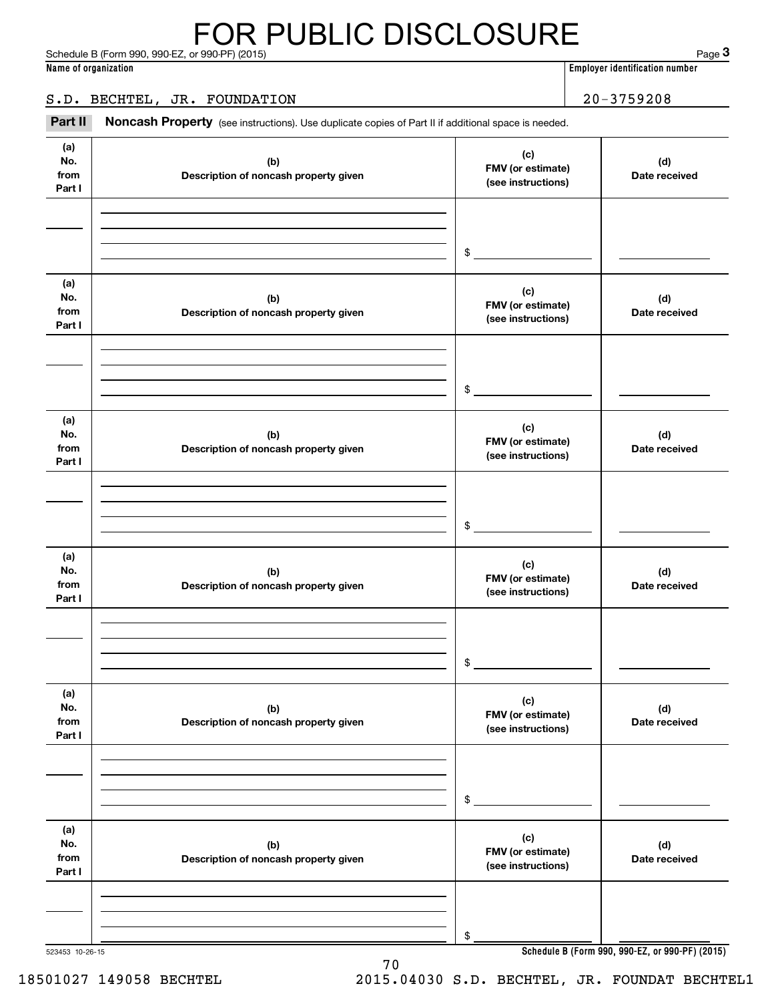#### Schedule B (Form 990, 990-EZ, or 990-PF) (2015) 2015 2015 12:00 12:00 12:00 12:00 12:00 12:00 12:00 12:00 12:00 12:00 12:00 12:00 12:00 12:00 12:00 12:00 12:00 12:00 12:00 12:00 12:00 12:00 12:00 12:00 12:00 12:00 12:00 12 FOR PUBLIC DISCLOSURE

**Name of organization Employer identification number**

#### S.D. BECHTEL, JR. FOUNDATION 20-3759208

Noncash Property (see instructions). Use duplicate copies of Part II if additional space is needed. Employer identification number<br> **3Part II**<br> **3Part II Noncash Property** (see instructions). Use duplicate copies of Part II if additional space is needed.<br> **Part II Noncash Property** (see instructions). Use duplicate c

| (a)<br>No.<br>from<br>Part I | (b)<br>Description of noncash property given | (c)<br>FMV (or estimate)<br>(see instructions) | (d)<br>Date received |
|------------------------------|----------------------------------------------|------------------------------------------------|----------------------|
|                              |                                              | \$                                             |                      |
| (a)<br>No.<br>from<br>Part I | (b)<br>Description of noncash property given | (c)<br>FMV (or estimate)<br>(see instructions) | (d)<br>Date received |
|                              |                                              | \$                                             |                      |
| (a)<br>No.<br>from<br>Part I | (b)<br>Description of noncash property given | (c)<br>FMV (or estimate)<br>(see instructions) | (d)<br>Date received |
|                              |                                              | \$                                             |                      |
| (a)<br>No.<br>from<br>Part I | (b)<br>Description of noncash property given | (c)<br>FMV (or estimate)<br>(see instructions) | (d)<br>Date received |
|                              |                                              | \$                                             |                      |
| (a)<br>No.<br>from<br>Part I | (b)<br>Description of noncash property given | (c)<br>FMV (or estimate)<br>(see instructions) | (d)<br>Date received |
|                              |                                              | \$                                             |                      |
| (a)<br>No.<br>from<br>Part I | (b)<br>Description of noncash property given | (c)<br>FMV (or estimate)<br>(see instructions) | (d)<br>Date received |
|                              |                                              | \$                                             |                      |

70

523453 10-26-15

**Schedule B (Form 990, 990-EZ, or 990-PF) (2015)**

18501027 149058 BECHTEL 2015.04030 S.D. BECHTEL, JR. FOUNDAT BECHTEL1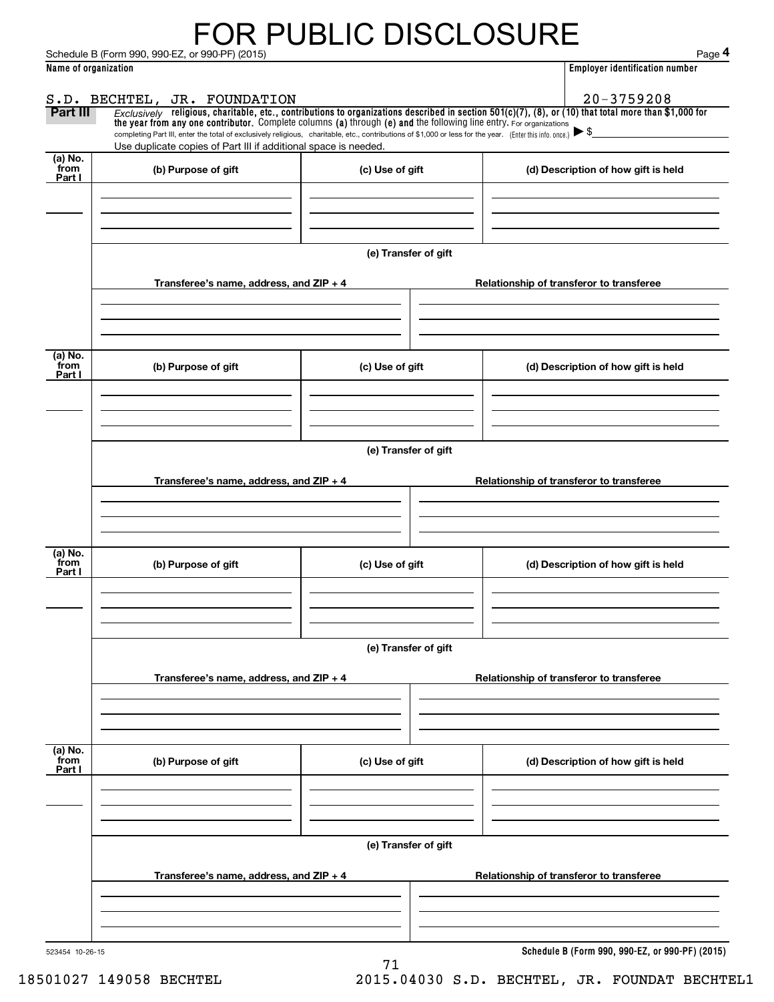# FOR PUBLIC DISCLOSURE

|                      | Schedule B (Form 990, 990-EZ, or 990-PF) (2015)                                                                                                                                                                                                                                 |                      | Page 4                                          |
|----------------------|---------------------------------------------------------------------------------------------------------------------------------------------------------------------------------------------------------------------------------------------------------------------------------|----------------------|-------------------------------------------------|
| Name of organization |                                                                                                                                                                                                                                                                                 |                      | <b>Employer identification number</b>           |
|                      | S.D. BECHTEL, JR. FOUNDATION                                                                                                                                                                                                                                                    |                      | $20 - 3759208$                                  |
| Part III             | Exclusively religious, charitable, etc., contributions to organizations described in section $501(c)(7)$ , (8), or (10) that total more than \$1,000 for<br>the year from any one contributor. Complete columns (a) through (e) and the following line entry. For organizations |                      |                                                 |
|                      | completing Part III, enter the total of exclusively religious, charitable, etc., contributions of \$1,000 or less for the year. (Enter this info. once.) $\blacktriangleright$ \$                                                                                               |                      |                                                 |
| (a) No.              | Use duplicate copies of Part III if additional space is needed.                                                                                                                                                                                                                 |                      |                                                 |
| from<br>Part I       | (b) Purpose of gift                                                                                                                                                                                                                                                             | (c) Use of gift      | (d) Description of how gift is held             |
|                      |                                                                                                                                                                                                                                                                                 |                      |                                                 |
|                      |                                                                                                                                                                                                                                                                                 |                      |                                                 |
|                      |                                                                                                                                                                                                                                                                                 |                      |                                                 |
|                      |                                                                                                                                                                                                                                                                                 | (e) Transfer of gift |                                                 |
|                      | Transferee's name, address, and ZIP + 4                                                                                                                                                                                                                                         |                      | Relationship of transferor to transferee        |
|                      |                                                                                                                                                                                                                                                                                 |                      |                                                 |
|                      |                                                                                                                                                                                                                                                                                 |                      |                                                 |
|                      |                                                                                                                                                                                                                                                                                 |                      |                                                 |
| (a) No.<br>from      | (b) Purpose of gift                                                                                                                                                                                                                                                             | (c) Use of gift      | (d) Description of how gift is held             |
| Part I               |                                                                                                                                                                                                                                                                                 |                      |                                                 |
|                      |                                                                                                                                                                                                                                                                                 |                      |                                                 |
|                      |                                                                                                                                                                                                                                                                                 |                      |                                                 |
|                      |                                                                                                                                                                                                                                                                                 | (e) Transfer of gift |                                                 |
|                      |                                                                                                                                                                                                                                                                                 |                      |                                                 |
|                      | Transferee's name, address, and ZIP + 4                                                                                                                                                                                                                                         |                      | Relationship of transferor to transferee        |
|                      |                                                                                                                                                                                                                                                                                 |                      |                                                 |
|                      |                                                                                                                                                                                                                                                                                 |                      |                                                 |
| (a) No.              |                                                                                                                                                                                                                                                                                 |                      |                                                 |
| from<br>Part I       | (b) Purpose of gift                                                                                                                                                                                                                                                             | (c) Use of gift      | (d) Description of how gift is held             |
|                      |                                                                                                                                                                                                                                                                                 |                      |                                                 |
|                      |                                                                                                                                                                                                                                                                                 |                      |                                                 |
|                      |                                                                                                                                                                                                                                                                                 |                      |                                                 |
|                      |                                                                                                                                                                                                                                                                                 | (e) Transfer of gift |                                                 |
|                      | Transferee's name, address, and $ZIP + 4$                                                                                                                                                                                                                                       |                      | Relationship of transferor to transferee        |
|                      |                                                                                                                                                                                                                                                                                 |                      |                                                 |
|                      |                                                                                                                                                                                                                                                                                 |                      |                                                 |
|                      |                                                                                                                                                                                                                                                                                 |                      |                                                 |
| (a) No.<br>from      | (b) Purpose of gift                                                                                                                                                                                                                                                             | (c) Use of gift      | (d) Description of how gift is held             |
| Part I               |                                                                                                                                                                                                                                                                                 |                      |                                                 |
|                      |                                                                                                                                                                                                                                                                                 |                      |                                                 |
|                      |                                                                                                                                                                                                                                                                                 |                      |                                                 |
|                      |                                                                                                                                                                                                                                                                                 | (e) Transfer of gift |                                                 |
|                      |                                                                                                                                                                                                                                                                                 |                      |                                                 |
|                      | Transferee's name, address, and $ZIP + 4$                                                                                                                                                                                                                                       |                      | Relationship of transferor to transferee        |
|                      |                                                                                                                                                                                                                                                                                 |                      |                                                 |
|                      |                                                                                                                                                                                                                                                                                 |                      |                                                 |
| 523454 10-26-15      |                                                                                                                                                                                                                                                                                 |                      | Schedule B (Form 990, 990-EZ, or 990-PF) (2015) |
|                      |                                                                                                                                                                                                                                                                                 | 71                   |                                                 |

18501027 149058 BECHTEL 2015.04030 S.D. BECHTEL, JR. FOUNDAT BECHTEL1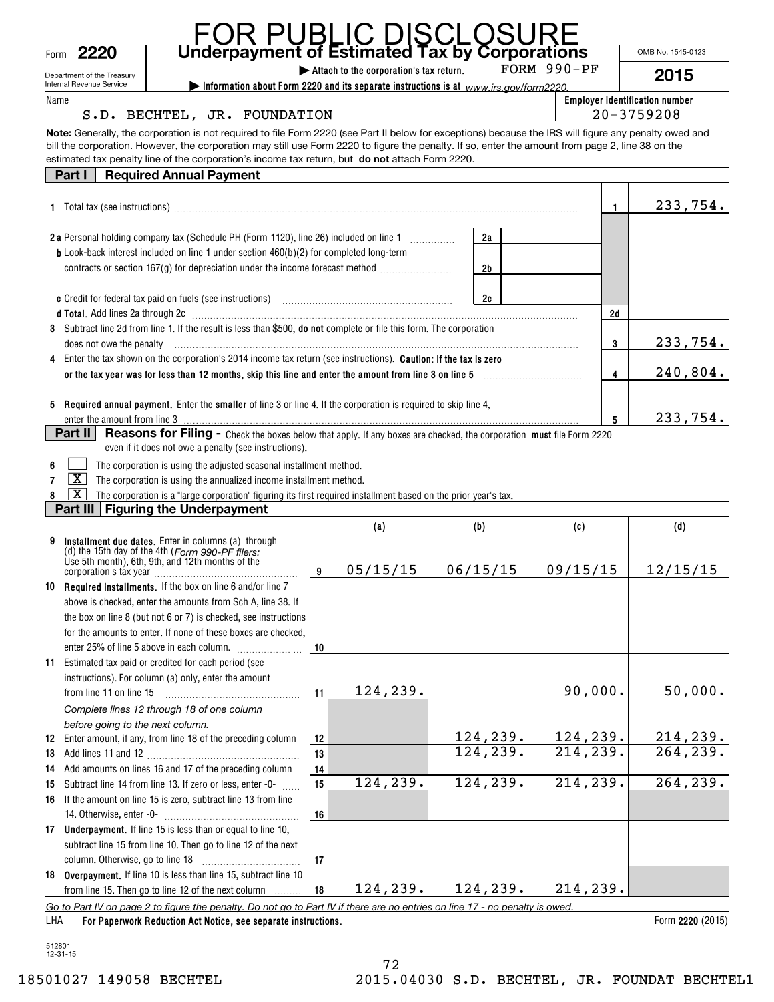| Form | 2220 | Undei |
|------|------|-------|
|      |      |       |

| Form | <b>FOR PUBLIC DISCLOSURE</b><br>Underpayment of Estimated Tax by Corporations<br>2220                                                                                                                                                                |           |                                         |          |             |    | OMB No. 1545-0123                     |
|------|------------------------------------------------------------------------------------------------------------------------------------------------------------------------------------------------------------------------------------------------------|-----------|-----------------------------------------|----------|-------------|----|---------------------------------------|
|      | Department of the Treasury                                                                                                                                                                                                                           |           | Attach to the corporation's tax return. |          | FORM 990-PF |    | 2015                                  |
| Name | Internal Revenue Service<br>Information about Form 2220 and its separate instructions is at www.irs.gov/form2220.                                                                                                                                    |           |                                         |          |             |    | <b>Employer identification number</b> |
|      | S.D. BECHTEL, JR. FOUNDATION                                                                                                                                                                                                                         |           |                                         |          |             |    | $20 - 3759208$                        |
|      | Note: Generally, the corporation is not required to file Form 2220 (see Part II below for exceptions) because the IRS will figure any penalty owed and                                                                                               |           |                                         |          |             |    |                                       |
|      | bill the corporation. However, the corporation may still use Form 2220 to figure the penalty. If so, enter the amount from page 2, line 38 on the<br>estimated tax penalty line of the corporation's income tax return, but do not attach Form 2220. |           |                                         |          |             |    |                                       |
|      | <b>Required Annual Payment</b><br>Part $\vert \vert$                                                                                                                                                                                                 |           |                                         |          |             |    |                                       |
|      |                                                                                                                                                                                                                                                      |           |                                         |          |             |    |                                       |
|      |                                                                                                                                                                                                                                                      |           |                                         |          |             | 1. | 233,754.                              |
|      | 2 a Personal holding company tax (Schedule PH (Form 1120), line 26) included on line 1                                                                                                                                                               |           |                                         |          |             |    |                                       |
|      | <b>b</b> Look-back interest included on line 1 under section 460(b)(2) for completed long-term                                                                                                                                                       |           |                                         | 2a       |             |    |                                       |
|      | contracts or section 167(g) for depreciation under the income forecast method <i></i>                                                                                                                                                                |           |                                         | 2b       |             |    |                                       |
|      |                                                                                                                                                                                                                                                      |           |                                         |          |             |    |                                       |
|      |                                                                                                                                                                                                                                                      |           |                                         | 2c       |             |    |                                       |
|      | d Total. Add lines 2a through 2c [11] March 1998 and Total Add lines 2a through 10 March 10 March 10 March 10                                                                                                                                        |           |                                         |          |             | 2d |                                       |
|      | 3 Subtract line 2d from line 1. If the result is less than \$500, do not complete or file this form. The corporation                                                                                                                                 |           |                                         |          |             |    |                                       |
|      | does not owe the penalty entropy and the control of the set of the set of the set of the set of the set of the set of the set of the set of the set of the set of the set of the set of the set of the set of the set of the s                       |           |                                         |          |             | 3  | 233,754.                              |
|      | 4 Enter the tax shown on the corporation's 2014 income tax return (see instructions). Caution: If the tax is zero                                                                                                                                    |           |                                         |          |             |    |                                       |
|      |                                                                                                                                                                                                                                                      |           |                                         |          |             | 4  | 240,804.                              |
|      |                                                                                                                                                                                                                                                      |           |                                         |          |             |    |                                       |
|      | 5 Required annual payment. Enter the smaller of line 3 or line 4. If the corporation is required to skip line 4,                                                                                                                                     |           |                                         |          |             |    |                                       |
|      | enter the amount from line 3                                                                                                                                                                                                                         |           |                                         |          |             | 5  | 233,754.                              |
|      | Part II<br>Reasons for Filing - Check the boxes below that apply. If any boxes are checked, the corporation must file Form 2220<br>even if it does not owe a penalty (see instructions).                                                             |           |                                         |          |             |    |                                       |
| 6    | The corporation is using the adjusted seasonal installment method.                                                                                                                                                                                   |           |                                         |          |             |    |                                       |
| 7    | $\mathbf{X}$<br>The corporation is using the annualized income installment method.                                                                                                                                                                   |           |                                         |          |             |    |                                       |
| 8    | x<br>The corporation is a "large corporation" figuring its first required installment based on the prior year's tax.                                                                                                                                 |           |                                         |          |             |    |                                       |
|      | <b>Figuring the Underpayment</b><br>Part III                                                                                                                                                                                                         |           |                                         |          |             |    |                                       |
|      |                                                                                                                                                                                                                                                      |           | (a)                                     | (b)      | (c)         |    | (d)                                   |
| 9    | Installment due dates. Enter in columns (a) through<br>(d) the 15th day of the 4th (Form 990-PF filers:<br>Use 5th month), 6th, 9th, and 12th months of the                                                                                          | 9         | 05/15/15                                | 06/15/15 | 09/15/15    |    | 12/15/15                              |
|      | 10 Required installments. If the box on line 6 and/or line 7                                                                                                                                                                                         |           |                                         |          |             |    |                                       |
|      | above is checked, enter the amounts from Sch A, line 38. If                                                                                                                                                                                          |           |                                         |          |             |    |                                       |
|      | the box on line 8 (but not 6 or 7) is checked, see instructions                                                                                                                                                                                      |           |                                         |          |             |    |                                       |
|      | for the amounts to enter. If none of these boxes are checked,                                                                                                                                                                                        |           |                                         |          |             |    |                                       |
|      | enter 25% of line 5 above in each column.                                                                                                                                                                                                            | 10        |                                         |          |             |    |                                       |
| 11   | Estimated tax paid or credited for each period (see                                                                                                                                                                                                  |           |                                         |          |             |    |                                       |
|      | instructions). For column (a) only, enter the amount                                                                                                                                                                                                 |           |                                         |          |             |    |                                       |
|      | from line 11 on line 15                                                                                                                                                                                                                              | 11        | 124, 239.                               |          | 90,000.     |    | 50,000.                               |
|      | Complete lines 12 through 18 of one column                                                                                                                                                                                                           |           |                                         |          |             |    |                                       |
|      | before going to the next column.                                                                                                                                                                                                                     |           |                                         |          |             |    |                                       |
|      | 12 Enter amount, if any, from line 18 of the preceding column                                                                                                                                                                                        | <u>12</u> |                                         | 124,239. | 124,239.    |    | 214,239.                              |
|      |                                                                                                                                                                                                                                                      | 13        |                                         | 124,239. | 214,239.    |    | 264, 239.                             |
|      | 14 Add amounts on lines 16 and 17 of the preceding column                                                                                                                                                                                            | 14        | 124,239.                                | 124,239. | 214,239.    |    | 264,239.                              |
| 15   | Subtract line 14 from line 13. If zero or less, enter -0-                                                                                                                                                                                            | 15        |                                         |          |             |    |                                       |
| 16   | If the amount on line 15 is zero, subtract line 13 from line                                                                                                                                                                                         |           |                                         |          |             |    |                                       |
|      |                                                                                                                                                                                                                                                      | 16        |                                         |          |             |    |                                       |
|      | 17 Underpayment. If line 15 is less than or equal to line 10,                                                                                                                                                                                        |           |                                         |          |             |    |                                       |
|      | subtract line 15 from line 10. Then go to line 12 of the next                                                                                                                                                                                        | 17        |                                         |          |             |    |                                       |
|      | 18 Overpayment. If line 10 is less than line 15, subtract line 10                                                                                                                                                                                    |           |                                         |          |             |    |                                       |
|      | from line 15. Then go to line 12 of the next column                                                                                                                                                                                                  | 18        | 124,239.                                | 124,239. | 214, 239.   |    |                                       |

*Go to Part IV on page 2 to figure the penalty. Do not go to Part IV if there are no entries on line 17 - no penalty is owed.*

**For Paperwork Reduction Act Notice, see separate instructions. 2220**  Form (2015) LHA

**18** from line 15. Then go to line 12 of the next column

512801 12-31-15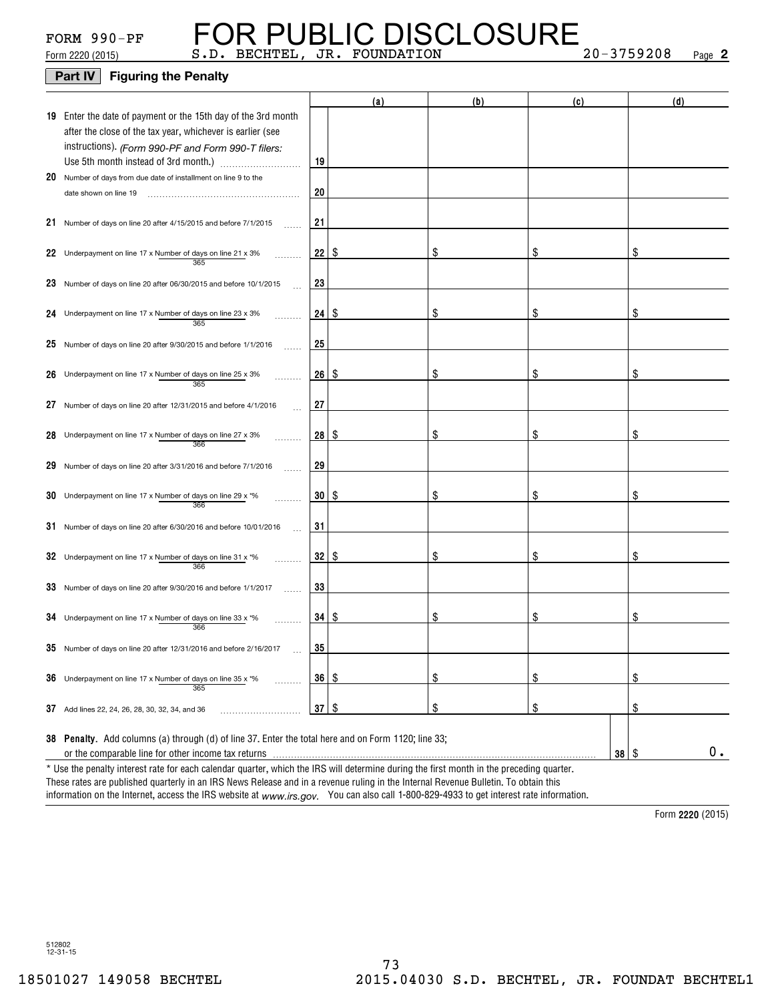### **Part IV** Figuring the Penalty

|    |                                                                                                                                                            |    | (a)  | (b)           | (c)           | (d) |
|----|------------------------------------------------------------------------------------------------------------------------------------------------------------|----|------|---------------|---------------|-----|
|    | 19 Enter the date of payment or the 15th day of the 3rd month<br>after the close of the tax year, whichever is earlier (see                                |    |      |               |               |     |
|    | instructions). (Form 990-PF and Form 990-T filers:                                                                                                         | 19 |      |               |               |     |
|    | 20 Number of days from due date of installment on line 9 to the<br>date shown on line 19                                                                   | 20 |      |               |               |     |
|    | 21 Number of days on line 20 after 4/15/2015 and before 7/1/2015                                                                                           | 21 |      |               |               |     |
|    | 22 Underpayment on line 17 x Number of days on line 21 x 3%<br>365                                                                                         | 22 | \$   | S             | \$            | \$  |
|    | 23 Number of days on line 20 after 06/30/2015 and before 10/1/2015                                                                                         | 23 |      |               |               |     |
|    | 24 Underpayment on line 17 x Number of days on line 23 x 3%<br>365                                                                                         | 24 | - \$ | S             | \$            | \$  |
|    | 25 Number of days on line 20 after 9/30/2015 and before 1/1/2016                                                                                           | 25 |      |               |               |     |
|    | 26 Underpayment on line 17 x Number of days on line 25 x 3%<br>365                                                                                         | 26 | -\$  | S             | \$            | \$  |
| 27 | Number of days on line 20 after 12/31/2015 and before 4/1/2016                                                                                             | 27 |      |               |               |     |
|    | 28 Underpayment on line 17 x Number of days on line 27 x 3%<br>366                                                                                         | 28 | -\$  | S             | \$            | \$  |
|    | 29 Number of days on line 20 after 3/31/2016 and before 7/1/2016                                                                                           | 29 |      |               |               |     |
|    | 30 Underpayment on line 17 x Number of days on line 29 x *%<br>366                                                                                         | 30 | \$   | S             | S             | \$  |
|    | 31 Number of days on line 20 after 6/30/2016 and before 10/01/2016                                                                                         | 31 |      |               |               |     |
|    | 32 Underpayment on line 17 x Number of days on line 31 x $*$ %<br>366                                                                                      | 32 | \$   | S             | \$            | \$  |
|    | 33 Number of days on line 20 after 9/30/2016 and before 1/1/2017                                                                                           | 33 |      |               |               |     |
|    | 34 Underpayment on line 17 x Number of days on line 33 x $*$ %<br>366                                                                                      | 34 | -\$  | \$            | \$            | \$  |
|    | $35$ Number of days on line 20 after 12/31/2016 and before 2/16/2017                                                                                       | 35 |      |               |               |     |
|    | 36 Underpayment on line 17 x Number of days on line 35 x *%<br>365                                                                                         | 36 | \$   | $\frac{1}{2}$ | $\frac{1}{2}$ | \$  |
|    | 37 Add lines 22, 24, 26, 28, 30, 32, 34, and 36                                                                                                            | 37 | \$   | \$            | \$            | \$  |
|    | 38 Penalty. Add columns (a) through (d) of line 37. Enter the total here and on Form 1120; line 33;<br>or the comparable line for other income tax returns |    |      |               | $38 \quad$    | 0.  |
|    | * Use the penalty interest rate for each calendar quarter, which the IRS will determine during the first month in the preceding quarter.                   |    |      |               |               |     |

These rates are published quarterly in an IRS News Release and in a revenue ruling in the Internal Revenue Bulletin. To obtain this

information on the Internet, access the IRS website at *www.irs.gov.* You can also call 1-800-829-4933 to get interest rate information.

**2220**  Form (2015)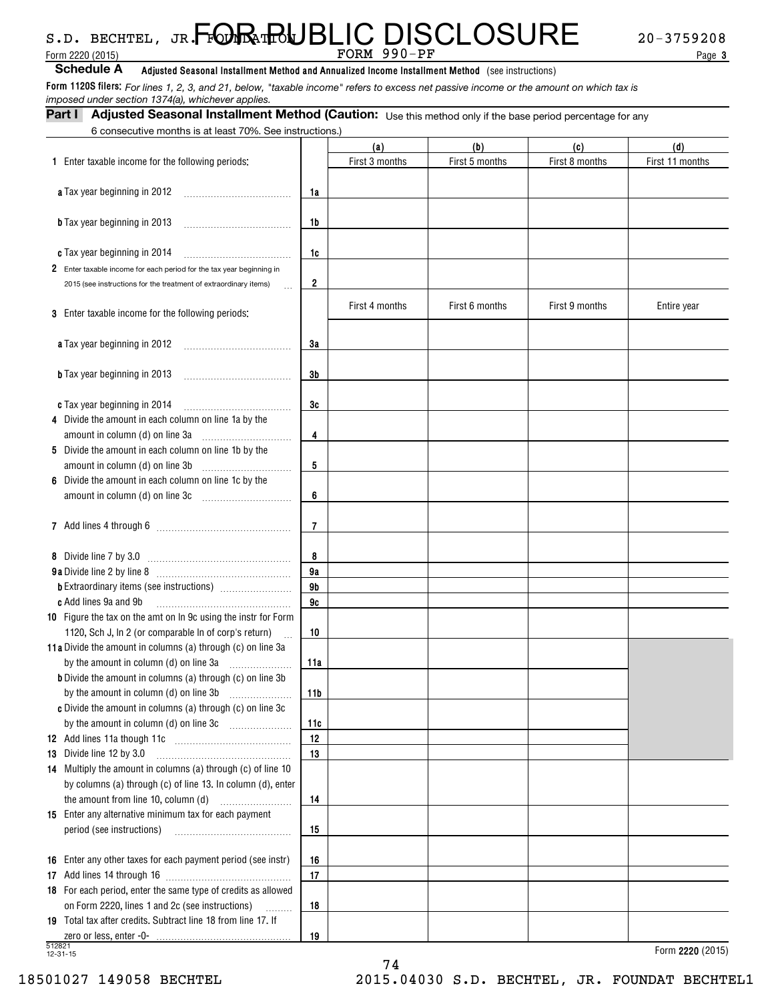## Form 2220 (2015)  $Page \rightarrow Page$ s.d. bechtel, jr**.FMR1RUBLIC DISCLOSURE** 20-3759208

### **Adjusted Seasonal Installment Method and Annualized Income Installment Method**  (see instructions) **Schedule A**

Form 1120S filers: *For lines 1, 2, 3, and 21, below, "taxable income" refers to excess net passive income or the amount on which tax is imposed under section 1374(a), whichever applies.*

|                                                                      |          | (a)            | (b)            | (c)            | (d)             |
|----------------------------------------------------------------------|----------|----------------|----------------|----------------|-----------------|
| 1 Enter taxable income for the following periods:                    |          | First 3 months | First 5 months | First 8 months | First 11 months |
|                                                                      |          |                |                |                |                 |
| a Tax year beginning in 2012                                         | 1a       |                |                |                |                 |
| <b>b</b> Tax year beginning in 2013                                  | 1b       |                |                |                |                 |
| c Tax year beginning in 2014                                         | 1c       |                |                |                |                 |
| 2 Enter taxable income for each period for the tax year beginning in |          |                |                |                |                 |
| 2015 (see instructions for the treatment of extraordinary items)     | 2        |                |                |                |                 |
| <b>3</b> Enter taxable income for the following periods:             |          | First 4 months | First 6 months | First 9 months | Entire year     |
| a Tax year beginning in 2012                                         | 3a       |                |                |                |                 |
| <b>b</b> Tax year beginning in 2013                                  | 3b       |                |                |                |                 |
| c Tax year beginning in 2014                                         | 3c       |                |                |                |                 |
| 4 Divide the amount in each column on line 1a by the                 |          |                |                |                |                 |
| amount in column (d) on line 3a                                      | 4        |                |                |                |                 |
| 5 Divide the amount in each column on line 1b by the                 |          |                |                |                |                 |
| amount in column (d) on line 3b                                      | 5        |                |                |                |                 |
| 6 Divide the amount in each column on line 1c by the                 |          |                |                |                |                 |
|                                                                      | 6        |                |                |                |                 |
|                                                                      |          |                |                |                |                 |
|                                                                      | 7        |                |                |                |                 |
|                                                                      | 8        |                |                |                |                 |
|                                                                      | 9a       |                |                |                |                 |
|                                                                      | 9b       |                |                |                |                 |
| c Add lines 9a and 9b                                                | 9c       |                |                |                |                 |
| 10 Figure the tax on the amt on In 9c using the instr for Form       |          |                |                |                |                 |
| 1120, Sch J, In 2 (or comparable In of corp's return)                | 10       |                |                |                |                 |
| 11a Divide the amount in columns (a) through (c) on line 3a          |          |                |                |                |                 |
| by the amount in column (d) on line 3a                               | 11a      |                |                |                |                 |
| <b>b</b> Divide the amount in columns (a) through (c) on line 3b     |          |                |                |                |                 |
| by the amount in column (d) on line 3b                               | 11b      |                |                |                |                 |
| c Divide the amount in columns (a) through (c) on line 3c            |          |                |                |                |                 |
|                                                                      | 11c      |                |                |                |                 |
|                                                                      | 12       |                |                |                |                 |
| 13 Divide line 12 by 3.0                                             | 13       |                |                |                |                 |
| 14 Multiply the amount in columns (a) through (c) of line 10         |          |                |                |                |                 |
| by columns (a) through (c) of line 13. In column (d), enter          |          |                |                |                |                 |
| the amount from line 10, column (d)                                  | 14       |                |                |                |                 |
| 15 Enter any alternative minimum tax for each payment                |          |                |                |                |                 |
| period (see instructions)                                            | 15       |                |                |                |                 |
|                                                                      |          |                |                |                |                 |
| 16 Enter any other taxes for each payment period (see instr)         | 16<br>17 |                |                |                |                 |
| 18 For each period, enter the same type of credits as allowed        |          |                |                |                |                 |
| on Form 2220, lines 1 and 2c (see instructions)                      | 18       |                |                |                |                 |
| .<br>19 Total tax after credits. Subtract line 18 from line 17. If   |          |                |                |                |                 |
|                                                                      | 19       |                |                |                |                 |

74

512821 12-31-15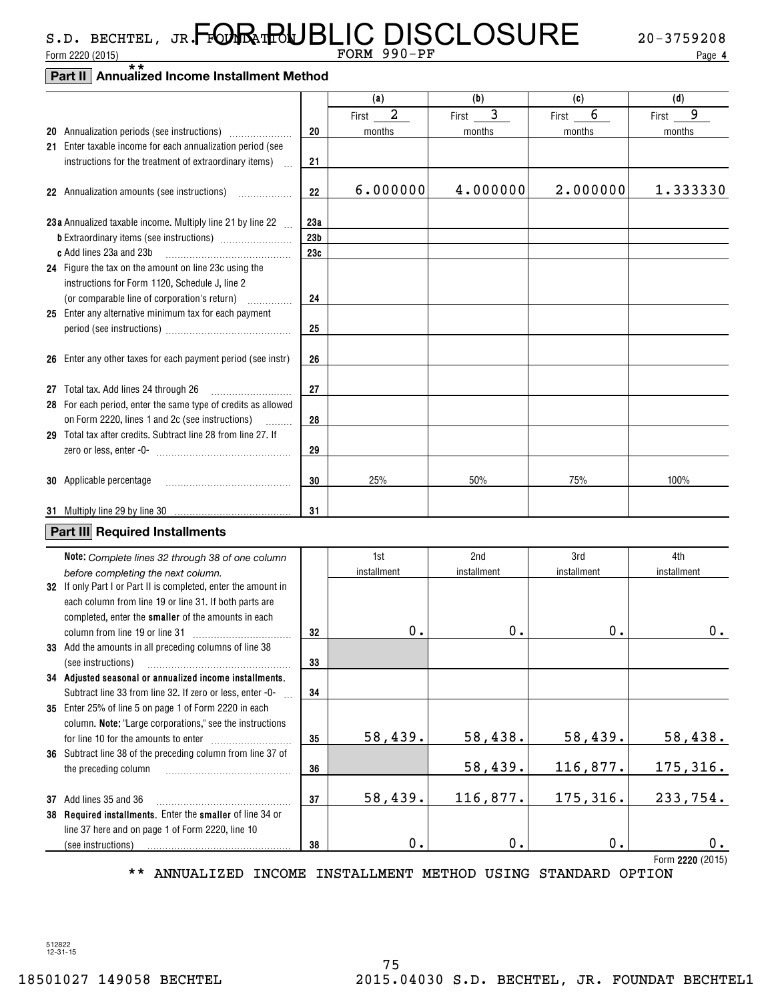## Form 2220 (2015)  $Page \rightarrow Page$ \*\*s.d. bechtel, jr**.FMR1RUBLIC DISCLOSURE** 20-3759208

**4**

## **Part II Annualized Income Installment Method**

|                                                                   |                 | (a)                     | (b)         | (c)         | (d)             |
|-------------------------------------------------------------------|-----------------|-------------------------|-------------|-------------|-----------------|
|                                                                   |                 | $\overline{a}$<br>First | 3<br>First  | 6<br>First  | 9<br>First      |
|                                                                   | 20              | months                  | months      | months      | months          |
| 21 Enter taxable income for each annualization period (see        |                 |                         |             |             |                 |
| instructions for the treatment of extraordinary items)            | 21              |                         |             |             |                 |
|                                                                   |                 |                         |             |             |                 |
| 22 Annualization amounts (see instructions)<br>.                  | 22              | 6.000000                | 4.000000    | 2.000000    | 1.333330        |
|                                                                   |                 |                         |             |             |                 |
| 23a Annualized taxable income. Multiply line 21 by line 22        | 23a             |                         |             |             |                 |
|                                                                   | 23 <sub>b</sub> |                         |             |             |                 |
| c Add lines 23a and 23b                                           | 23c             |                         |             |             |                 |
| 24 Figure the tax on the amount on line 23c using the             |                 |                         |             |             |                 |
| instructions for Form 1120, Schedule J, line 2                    |                 |                         |             |             |                 |
| (or comparable line of corporation's return)<br>.                 | 24              |                         |             |             |                 |
| 25 Enter any alternative minimum tax for each payment             |                 |                         |             |             |                 |
|                                                                   | 25              |                         |             |             |                 |
|                                                                   |                 |                         |             |             |                 |
| 26 Enter any other taxes for each payment period (see instr)      | 26              |                         |             |             |                 |
|                                                                   |                 |                         |             |             |                 |
| 27 Total tax. Add lines 24 through 26                             | 27              |                         |             |             |                 |
| 28 For each period, enter the same type of credits as allowed     |                 |                         |             |             |                 |
| on Form 2220, lines 1 and 2c (see instructions)<br><b>Barbara</b> | 28              |                         |             |             |                 |
| 29 Total tax after credits. Subtract line 28 from line 27. If     |                 |                         |             |             |                 |
|                                                                   | 29              |                         |             |             |                 |
|                                                                   |                 |                         |             |             |                 |
| 30 Applicable percentage                                          | 30              | 25%                     | 50%         | 75%         | 100%            |
|                                                                   |                 |                         |             |             |                 |
|                                                                   | 31              |                         |             |             |                 |
| Part III Required Installments                                    |                 |                         |             |             |                 |
|                                                                   |                 |                         |             |             |                 |
| Note: Complete lines 32 through 38 of one column                  |                 | 1st                     | 2nd         | 3rd         | 4th             |
| before completing the next column.                                |                 | installment             | installment | installment | installment     |
| 32 If only Part I or Part II is completed, enter the amount in    |                 |                         |             |             |                 |
| each column from line 19 or line 31. If both parts are            |                 |                         |             |             |                 |
| completed, enter the smaller of the amounts in each               |                 |                         |             |             |                 |
| column from line 19 or line 31                                    | 32              | 0.                      | 0.          | 0.          | 0.              |
| 33 Add the amounts in all preceding columns of line 38            |                 |                         |             |             |                 |
| (see instructions)                                                | 33              |                         |             |             |                 |
| 34 Adjusted seasonal or annualized income installments.           |                 |                         |             |             |                 |
| Subtract line 33 from line 32. If zero or less, enter -0-         | 34              |                         |             |             |                 |
| 35 Enter 25% of line 5 on page 1 of Form 2220 in each             |                 |                         |             |             |                 |
| column. Note: "Large corporations," see the instructions          |                 |                         |             |             |                 |
|                                                                   | 35              | 58, 439.                | 58,438.     | 58,439.     | 58,438.         |
| 36 Subtract line 38 of the preceding column from line 37 of       |                 |                         |             |             |                 |
| the preceding column                                              | 36              |                         | 58,439.     | 116,877.    | <u>175,316.</u> |
|                                                                   |                 |                         |             |             |                 |
| 37 Add lines 35 and 36                                            | 37              | 58,439.                 | 116,877.    | 175,316.    | 233,754.        |
| 38 Required installments. Enter the smaller of line 34 or         |                 |                         |             |             |                 |
| line 37 here and on page 1 of Form 2220, line 10                  |                 |                         |             |             |                 |

**2220**  Form (2015) \*\* ANNUALIZED INCOME INSTALLMENT METHOD USING STANDARD OPTION

**38**

512822 12-31-15

(see instructions)

0. 0. 0. 0. 0. 0.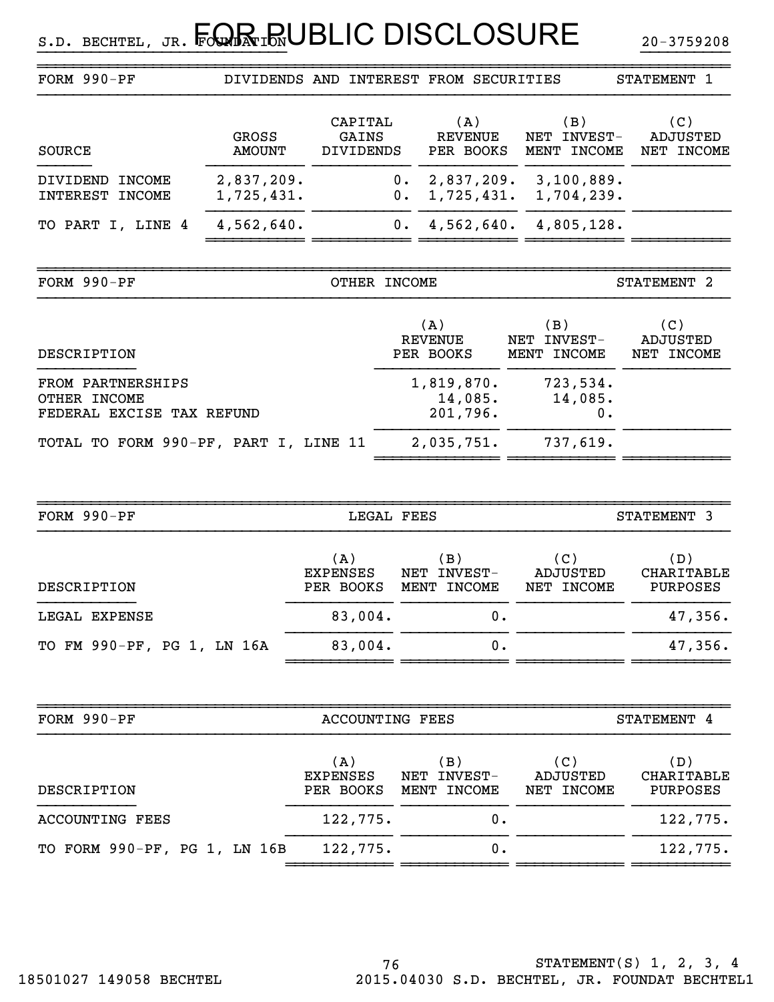| FORM 990-PF                                                    |                          |                                      |              | DIVIDENDS AND INTEREST FROM SECURITIES |    |                                   | STATEMENT 1                          |
|----------------------------------------------------------------|--------------------------|--------------------------------------|--------------|----------------------------------------|----|-----------------------------------|--------------------------------------|
| SOURCE                                                         | GROSS<br><b>AMOUNT</b>   | CAPITAL<br>GAINS<br><b>DIVIDENDS</b> |              | (A)<br><b>REVENUE</b><br>PER BOOKS     |    | (B)<br>NET INVEST-<br>MENT INCOME | (C)<br>ADJUSTED<br>NET INCOME        |
| <b>INCOME</b><br>DIVIDEND<br><b>INTEREST</b><br><b>INCOME</b>  | 2,837,209.<br>1,725,431. |                                      | 0.<br>$0$ .  | 2,837,209.<br>1,725,431.               |    | 3,100,889.<br>1,704,239.          |                                      |
| TO PART I, LINE 4                                              | 4,562,640.               |                                      | $0$ .        | 4,562,640.                             |    | 4,805,128.                        |                                      |
| FORM 990-PF                                                    |                          |                                      | OTHER INCOME |                                        |    |                                   | STATEMENT 2                          |
| DESCRIPTION                                                    |                          |                                      |              | (A)<br><b>REVENUE</b><br>PER BOOKS     |    | (B)<br>NET INVEST-<br>MENT INCOME | (C)<br><b>ADJUSTED</b><br>NET INCOME |
| FROM PARTNERSHIPS<br>OTHER INCOME<br>FEDERAL EXCISE TAX REFUND |                          |                                      |              | 1,819,870.<br>14,085.<br>201,796.      |    | 723,534.<br>14,085.<br>0.         |                                      |
| TOTAL TO FORM 990-PF, PART I, LINE 11                          |                          |                                      |              | 2,035,751.                             |    | 737,619.                          |                                      |
|                                                                |                          |                                      |              |                                        |    |                                   |                                      |
| FORM 990-PF                                                    |                          |                                      | LEGAL FEES   |                                        |    |                                   | STATEMENT 3                          |
| DESCRIPTION                                                    |                          | (A)<br><b>EXPENSES</b><br>PER BOOKS  |              | (B)<br>NET INVEST-<br>MENT INCOME      |    | (C)<br>ADJUSTED<br>NET INCOME     | (D)<br><b>CHARITABLE</b><br>PURPOSES |
| LEGAL EXPENSE                                                  |                          | 83,004.                              |              |                                        | 0. |                                   | 47,356.                              |
| TO FM 990-PF, PG 1, LN 16A                                     |                          | 83,004.                              |              |                                        | 0. |                                   | 47,356.                              |
| FORM 990-PF                                                    |                          | <b>ACCOUNTING FEES</b>               |              |                                        |    |                                   | STATEMENT 4                          |
| DESCRIPTION                                                    |                          | (A)<br><b>EXPENSES</b><br>PER BOOKS  |              | (B)<br>INVEST-<br>NET<br>MENT INCOME   |    | (C)<br>ADJUSTED<br>NET INCOME     | (D)<br>CHARITABLE<br>PURPOSES        |
| <b>ACCOUNTING FEES</b>                                         |                          | 122,775.                             |              |                                        | 0. |                                   | 122,775.                             |
| 122,775.<br>TO FORM 990-PF, PG 1, LN 16B                       |                          |                                      |              | 0.                                     |    | 122,775.                          |                                      |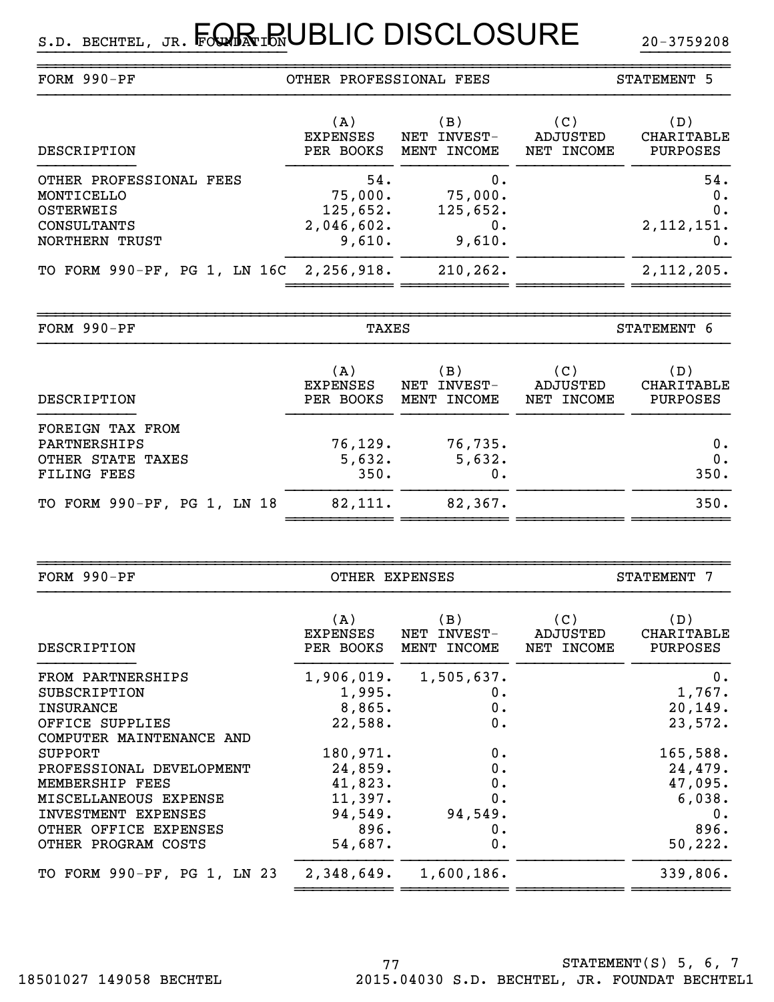| FORM 990-PF                                                                         | OTHER PROFESSIONAL FEES                            |                                           | STATEMENT 5                   |                                        |  |
|-------------------------------------------------------------------------------------|----------------------------------------------------|-------------------------------------------|-------------------------------|----------------------------------------|--|
| DESCRIPTION                                                                         | (A)<br><b>EXPENSES</b><br>PER BOOKS                | (B)<br>INVEST-<br>NET<br>MENT INCOME      | (C)<br>ADJUSTED<br>NET INCOME | (D)<br>CHARITABLE<br>PURPOSES          |  |
| OTHER PROFESSIONAL FEES<br>MONTICELLO<br>OSTERWEIS<br>CONSULTANTS<br>NORTHERN TRUST | 54.<br>75,000.<br>125,652.<br>2,046,602.<br>9,610. | 0.<br>75,000.<br>125,652.<br>0.<br>9,610. |                               | 54.<br>$0$ .<br>0.<br>2,112,151.<br>0. |  |
| TO FORM 990-PF, PG 1, LN 16C 2,256,918.                                             |                                                    | 210, 262.                                 |                               | 2,112,205.                             |  |

~~~~~~~~~~~~~~~~~~~~~~~~~~~~~~~~~~~~~~~~~~~~~~~~~~~~~~~~~~~~~~~~~~~~~~~~~~~~~~

| FORM 990-PF                                                                 | TAXES                               |                                      | STATEMENT 6                   |                               |  |
|-----------------------------------------------------------------------------|-------------------------------------|--------------------------------------|-------------------------------|-------------------------------|--|
| DESCRIPTION                                                                 | (A)<br><b>EXPENSES</b><br>PER BOOKS | (B)<br>INVEST-<br>NET<br>MENT INCOME | (C)<br>ADJUSTED<br>NET INCOME | (D)<br>CHARITABLE<br>PURPOSES |  |
| FOREIGN TAX FROM<br>PARTNERSHIPS<br>OTHER STATE TAXES<br><b>FILING FEES</b> | 76, 129.<br>5,632.<br>350.          | 76, 735.<br>5,632.<br>0.             |                               | 0.<br>0.<br>350.              |  |
| TO FORM 990-PF, PG 1, LN 18                                                 | 82,111.                             | 82,367.                              |                               | 350.                          |  |

|                        |                    |                                                                                                     | STATEMENT 7                   |  |  |
|------------------------|--------------------|-----------------------------------------------------------------------------------------------------|-------------------------------|--|--|
| (A)<br><b>EXPENSES</b> | (B)<br>NET INVEST- | (C)<br>ADJUSTED<br>NET INCOME                                                                       | (D)<br>CHARITABLE<br>PURPOSES |  |  |
|                        |                    |                                                                                                     | 0.                            |  |  |
|                        | 0.                 |                                                                                                     | 1,767.                        |  |  |
| 8,865.                 | 0.                 |                                                                                                     | 20, 149.                      |  |  |
| 22,588.                | 0.                 |                                                                                                     | 23,572.                       |  |  |
|                        |                    |                                                                                                     |                               |  |  |
| 180,971.               | 0.                 |                                                                                                     | 165,588.                      |  |  |
| 24,859.                | 0.                 |                                                                                                     | 24,479.                       |  |  |
| 41,823.                | 0.                 |                                                                                                     | 47,095.                       |  |  |
| 11,397.                | 0.                 |                                                                                                     | 6,038.                        |  |  |
|                        | 94,549.            |                                                                                                     | 0.                            |  |  |
| 896.                   | 0.                 |                                                                                                     | 896.                          |  |  |
| 54,687.                | 0.                 |                                                                                                     | 50,222.                       |  |  |
|                        | 1,600,186.         |                                                                                                     | 339,806.                      |  |  |
|                        |                    | OTHER EXPENSES<br>PER BOOKS MENT INCOME<br>1,906,019. 1,505,637.<br>1,995.<br>94,549.<br>2,348,649. |                               |  |  |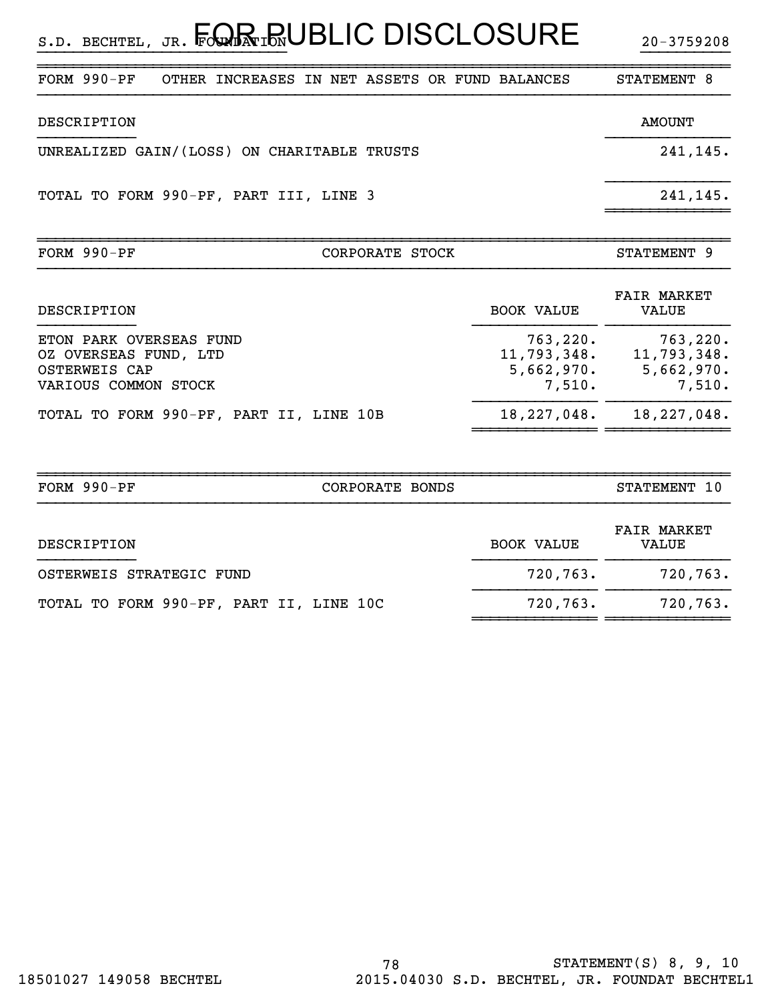$_{\texttt{s.b. BECHTEL, JR.}}$  Four in UBLIC DISCLOSURE  $_{\texttt{20-3759208}}$ 

| $FORM 990-PF$                               | OTHER INCREASES IN NET ASSETS OR FUND BALANCES |                 |  |                   | STATEMENT 8                 |  |
|---------------------------------------------|------------------------------------------------|-----------------|--|-------------------|-----------------------------|--|
| DESCRIPTION                                 |                                                |                 |  |                   | <b>AMOUNT</b>               |  |
| UNREALIZED GAIN/(LOSS) ON CHARITABLE TRUSTS |                                                |                 |  |                   | 241,145.                    |  |
| TOTAL TO FORM 990-PF, PART III, LINE 3      |                                                |                 |  |                   | 241,145.                    |  |
| FORM $990-PF$                               |                                                | CORPORATE STOCK |  |                   | STATEMENT 9                 |  |
| DESCRIPTION                                 |                                                |                 |  | <b>BOOK VALUE</b> | <b>FAIR MARKET</b><br>VALUE |  |
| ETON PARK OVERSEAS FUND                     |                                                |                 |  | 763,220.          | 763,220.                    |  |

}}}}}}}}}}}}}}}}}}}}}}}}}}}} }}}}}}}}}}

| OZ OVERSEAS FUND, LTD<br>OSTERWEIS CAP<br>VARIOUS COMMON STOCK | 11,793,348.<br>5,662,970.<br>7,510. | 11,793,348.<br>5,662,970.<br>7,510. |
|----------------------------------------------------------------|-------------------------------------|-------------------------------------|
| TOTAL TO FORM 990-PF, PART II, LINE 10B                        |                                     | $18, 227, 048.$ $18, 227, 048.$     |
|                                                                |                                     |                                     |

| FORM $990-PF$                           | CORPORATE BONDS |                   | STATEMENT 10                |
|-----------------------------------------|-----------------|-------------------|-----------------------------|
| DESCRIPTION                             |                 | <b>BOOK VALUE</b> | <b>FAIR MARKET</b><br>VALUE |
| OSTERWEIS STRATEGIC FUND                |                 | 720,763.          | 720,763.                    |
| TOTAL TO FORM 990-PF, PART II, LINE 10C |                 | 720,763.          | 720,763.                    |
|                                         |                 |                   |                             |

~~~~~~~~~~~~~~~~~~~~~~~~~~~~~~~~~~~~~~~~~~~~~~~~~~~~~~~~~~~~~~~~~~~~~~~~~~~~~~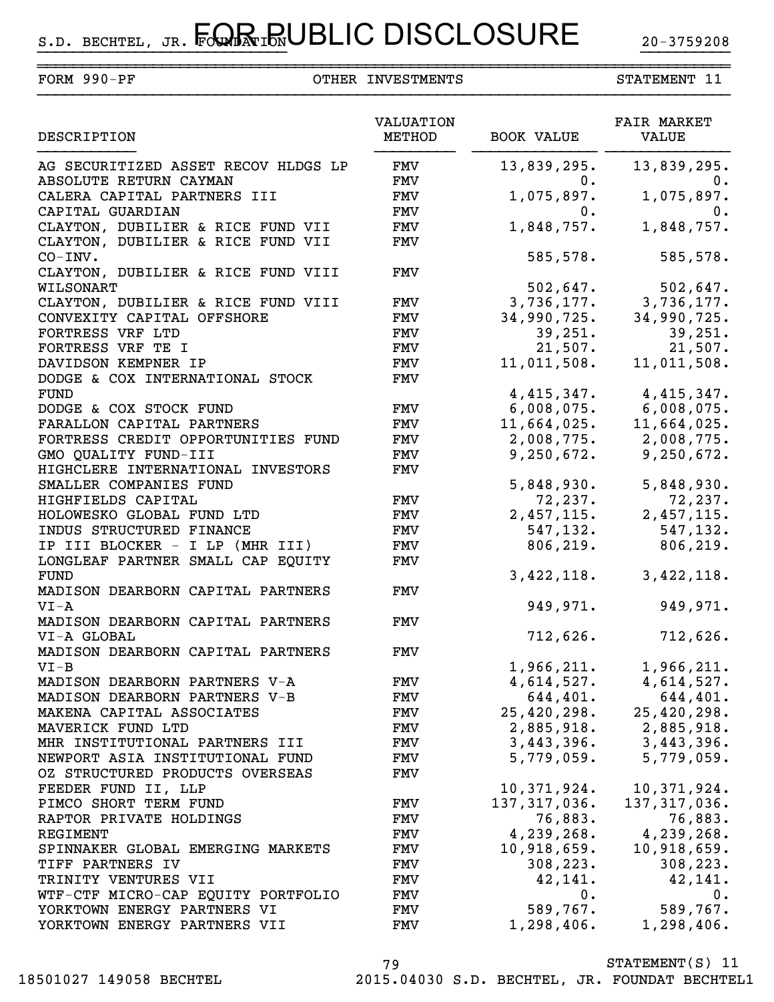~~~~~~~~~~~~~~~~~~~~~~~~~~~~~~~~~~~~~~~~~~~~~~~~~~~~~~~~~~~~~~~~~~~~~~~~~~~~~~

| FORM $990-PF$                                 | OTHER INVESTMENTS   |                   | STATEMENT 11                |
|-----------------------------------------------|---------------------|-------------------|-----------------------------|
| DESCRIPTION                                   | VALUATION<br>METHOD | <b>BOOK VALUE</b> | <b>FAIR MARKET</b><br>VALUE |
| AG SECURITIZED ASSET RECOV HLDGS LP           | FMV                 | 13,839,295.       | 13,839,295.                 |
| ABSOLUTE RETURN CAYMAN                        | FMV                 | $0$ .             | 0.                          |
| CALERA CAPITAL PARTNERS III                   | <b>FMV</b>          | 1,075,897.        | 1,075,897.                  |
| CAPITAL GUARDIAN                              | FMV                 | $0$ .             | 0.                          |
| CLAYTON, DUBILIER & RICE FUND VII             | <b>FMV</b>          | 1,848,757.        | 1,848,757.                  |
| CLAYTON, DUBILIER & RICE FUND VII<br>CO-INV.  | <b>FMV</b>          | 585,578.          | 585,578.                    |
| CLAYTON, DUBILIER & RICE FUND VIII            | FMV                 |                   |                             |
| WILSONART                                     |                     | 502,647.          | 502,647.                    |
| CLAYTON, DUBILIER & RICE FUND VIII            | FMV                 | 3,736,177.        | 3,736,177.                  |
| CONVEXITY CAPITAL OFFSHORE                    | <b>FMV</b>          | 34,990,725.       | 34,990,725.                 |
| FORTRESS VRF LTD                              | <b>FMV</b>          | 39,251.           | 39,251.                     |
| FORTRESS VRF TE I                             | <b>FMV</b>          | 21,507.           | 21,507.                     |
| DAVIDSON KEMPNER IP                           | <b>FMV</b>          | 11,011,508.       | 11,011,508.                 |
| DODGE & COX INTERNATIONAL STOCK               | <b>FMV</b>          |                   |                             |
| <b>FUND</b>                                   |                     | 4, 415, 347.      | 4,415,347.                  |
| DODGE & COX STOCK FUND                        | <b>FMV</b>          | 6,008,075.        | 6,008,075.                  |
| FARALLON CAPITAL PARTNERS                     | <b>FMV</b>          | 11,664,025.       | 11,664,025.                 |
| FORTRESS CREDIT OPPORTUNITIES FUND            | <b>FMV</b>          | 2,008,775.        | 2,008,775.                  |
| GMO QUALITY FUND-III                          | <b>FMV</b>          | 9,250,672.        | 9,250,672.                  |
| HIGHCLERE INTERNATIONAL INVESTORS             | <b>FMV</b>          |                   |                             |
| SMALLER COMPANIES FUND                        |                     | 5,848,930.        | 5,848,930.                  |
| HIGHFIELDS CAPITAL                            | <b>FMV</b>          | 72, 237.          | 72, 237.                    |
| HOLOWESKO GLOBAL FUND LTD                     | <b>FMV</b>          | 2,457,115.        | 2,457,115.                  |
| INDUS STRUCTURED FINANCE                      | FMV                 | 547, 132.         | 547,132.                    |
| IP III BLOCKER - I LP (MHR III)               | FMV                 | 806, 219.         | 806, 219.                   |
| LONGLEAF PARTNER SMALL CAP EQUITY             | <b>FMV</b>          |                   |                             |
| FUND                                          |                     | 3,422,118.        | 3,422,118.                  |
| MADISON DEARBORN CAPITAL PARTNERS<br>$VI - A$ | FMV                 | 949,971.          | 949,971.                    |
| MADISON DEARBORN CAPITAL PARTNERS             | FMV                 |                   |                             |
| VI-A GLOBAL                                   |                     | 712,626.          | 712,626.                    |
| MADISON DEARBORN CAPITAL PARTNERS             | FMV                 |                   |                             |
| $VI-B$                                        |                     | 1,966,211.        | 1,966,211.                  |
| MADISON DEARBORN PARTNERS V-A                 | FMV                 | 4,614,527.        | 4,614,527.                  |
| MADISON DEARBORN PARTNERS V-B                 | FMV                 | 644,401.          | 644,401.                    |
| MAKENA CAPITAL ASSOCIATES                     | <b>FMV</b>          | 25,420,298.       | 25,420,298.                 |
| MAVERICK FUND LTD                             | <b>FMV</b>          | 2,885,918.        | 2,885,918.                  |
| MHR INSTITUTIONAL PARTNERS III                | <b>FMV</b>          | 3,443,396.        | 3,443,396.                  |
| NEWPORT ASIA INSTITUTIONAL FUND               | FMV                 | 5,779,059.        | 5,779,059.                  |
| OZ STRUCTURED PRODUCTS OVERSEAS               | <b>FMV</b>          |                   |                             |
| FEEDER FUND II, LLP                           |                     | 10,371,924.       | 10,371,924.                 |
| PIMCO SHORT TERM FUND                         | FMV                 | 137, 317, 036.    | 137, 317, 036.              |
| RAPTOR PRIVATE HOLDINGS                       | <b>FMV</b>          | 76,883.           | 76,883.                     |
| REGIMENT                                      | <b>FMV</b>          | 4,239,268.        | 4,239,268.                  |
| SPINNAKER GLOBAL EMERGING MARKETS             | FMV                 | 10,918,659.       | 10,918,659.                 |
| TIFF PARTNERS IV                              | <b>FMV</b>          | 308, 223.         | 308, 223.                   |
| TRINITY VENTURES VII                          | <b>FMV</b>          | 42,141.           | 42,141.                     |
| WTF-CTF MICRO-CAP EQUITY PORTFOLIO            | <b>FMV</b>          | $0$ .             | 0.                          |
| YORKTOWN ENERGY PARTNERS VI                   | <b>FMV</b>          | 589,767.          | 589,767.                    |
| YORKTOWN ENERGY PARTNERS VII                  | <b>FMV</b>          | 1,298,406.        | 1,298,406.                  |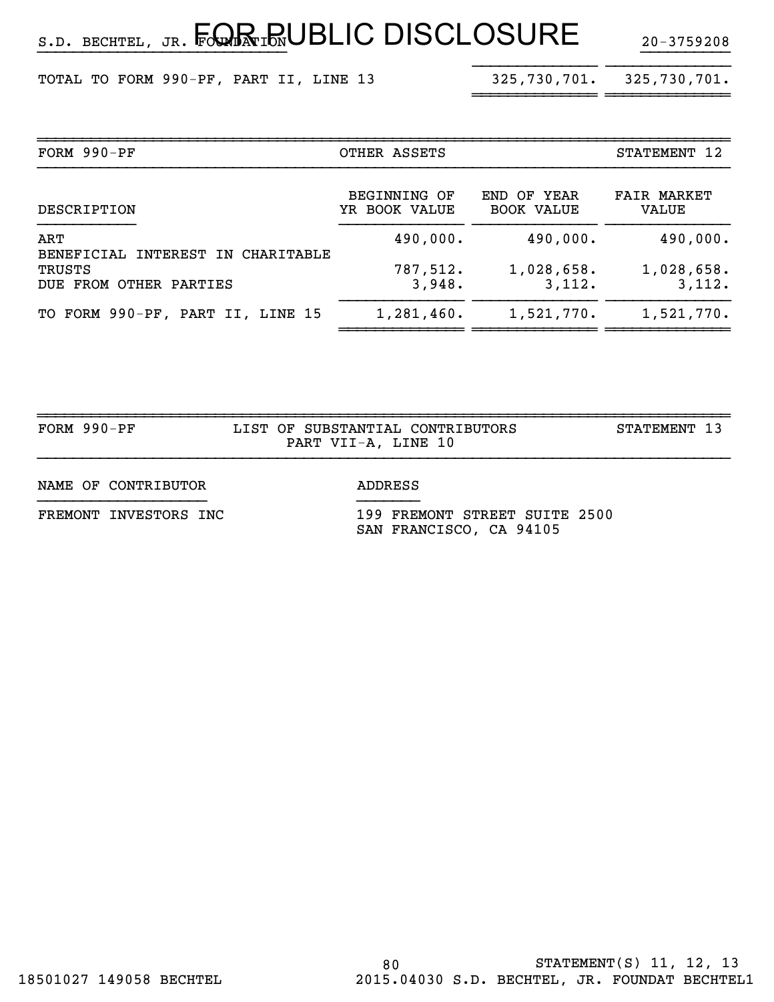$_{\texttt{s.b. BECHTEL, JR.}}$  Four in UBLIC DISCLOSURE  $_{\texttt{20-3759208}}$ 

TOTAL TO FORM 990-PF, PART II, LINE 13

}}}}}}}}}}}}}}

| FORM 990-PF                              | OTHER ASSETS                  |                                      | STATEMENT 12                |
|------------------------------------------|-------------------------------|--------------------------------------|-----------------------------|
| DESCRIPTION                              | BEGINNING OF<br>YR BOOK VALUE | OF YEAR<br>END.<br><b>BOOK VALUE</b> | <b>FAIR MARKET</b><br>VALUE |
| ART<br>BENEFICIAL INTEREST IN CHARITABLE | 490,000.                      | 490,000.                             | 490,000.                    |
| TRUSTS<br>DUE FROM OTHER PARTIES         | 787,512.<br>3,948.            | 1,028,658.<br>3,112.                 | 1,028,658.<br>3,112.        |
| TO FORM 990-PF, PART II, LINE 15         | 1,281,460.                    | 1,521,770.                           | 1,521,770.                  |

~~~~~~~~~~~~~~ ~~~~~~~~~~~~~~ ~~~~~~~~~~~~~~

}}}}}}}}}}}}}}}}}}}}}}}}}}}} }}}}}}}}}}

~~~~~~~~~~~~~~ ~~~~~~~~~~~~~~

| $FORM 990-PF$         | LIST OF SUBSTANTIAL CONTRIBUTORS<br>PART VII-A, LINE 10  | STATEMENT 13 |
|-----------------------|----------------------------------------------------------|--------------|
| NAME OF CONTRIBUTOR   | ADDRESS                                                  |              |
| FREMONT INVESTORS INC | 199 FREMONT STREET SUITE 2500<br>SAN FRANCISCO, CA 94105 |              |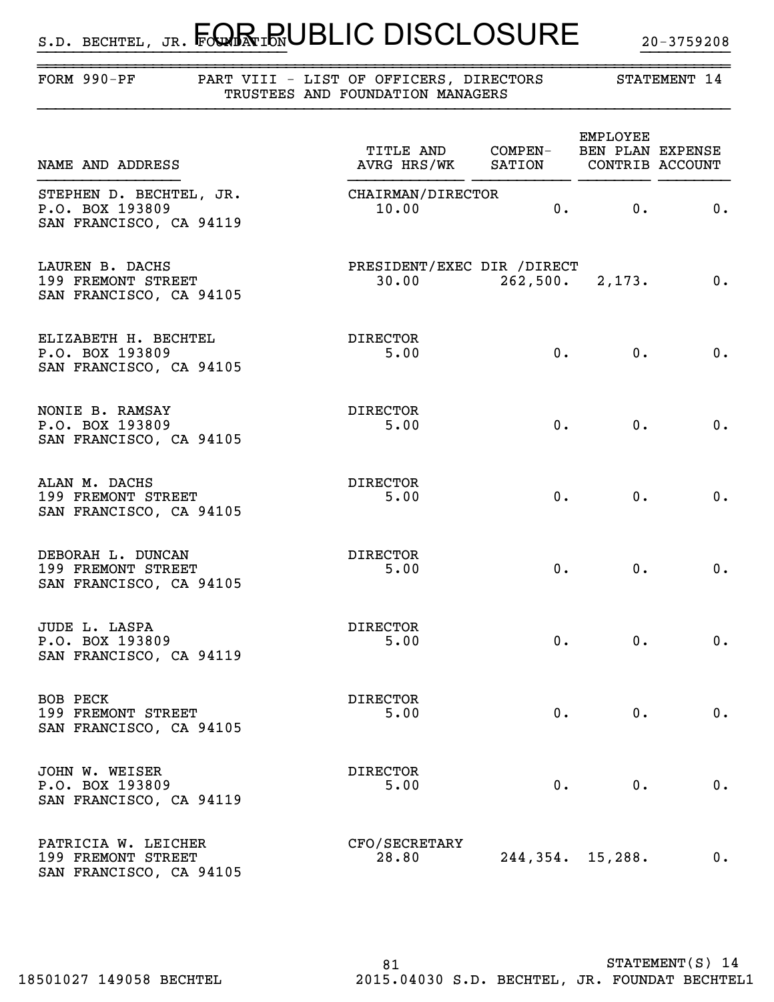# $_{\texttt{s.b. BECHTEL, JR.}}$  Four in UBLIC DISCLOSURE  $_{\texttt{20-3759208}}$

}}}}}}}}}}}}}}}}}}}}}}}}}}}} }}}}}}}}}}

| FORM $990-PF$                                                         |  | PART VIII - LIST OF OFFICERS, DIRECTORS<br>TRUSTEES AND FOUNDATION MANAGERS |                         |                      | STATEMENT 14             |
|-----------------------------------------------------------------------|--|-----------------------------------------------------------------------------|-------------------------|----------------------|--------------------------|
| NAME AND ADDRESS                                                      |  | TITLE AND COMPEN- BEN PLAN EXPENSE<br>AVRG HRS/WK SATION CONTRIB ACCOUNT    |                         | EMPLOYEE             |                          |
| STEPHEN D. BECHTEL, JR.<br>P.O. BOX 193809<br>SAN FRANCISCO, CA 94119 |  | CHAIRMAN/DIRECTOR<br>10.00                                                  |                         | 0.<br>$\mathbf{0}$ . | 0.                       |
| LAUREN B. DACHS<br>199 FREMONT STREET<br>SAN FRANCISCO, CA 94105      |  | PRESIDENT/EXEC DIR /DIRECT                                                  | $30.00$ 262,500. 2,173. |                      | $\overline{\phantom{a}}$ |
| ELIZABETH H. BECHTEL<br>P.O. BOX 193809<br>SAN FRANCISCO, CA 94105    |  | DIRECTOR<br>5.00                                                            | 0.                      | 0.                   | 0.                       |
| NONIE B. RAMSAY<br>P.O. BOX 193809<br>SAN FRANCISCO, CA 94105         |  | DIRECTOR<br>5.00                                                            | 0.                      | 0.                   | 0.                       |
| ALAN M. DACHS<br>199 FREMONT STREET<br>SAN FRANCISCO, CA 94105        |  | DIRECTOR<br>5.00                                                            | 0.                      | $0$ .                | 0.                       |
| DEBORAH L. DUNCAN<br>199 FREMONT STREET<br>SAN FRANCISCO, CA 94105    |  | DIRECTOR<br>5.00                                                            | 0.                      | 0.                   | 0.                       |
| JUDE L. LASPA<br>P.O. BOX 193809<br>SAN FRANCISCO, CA 94119           |  | <b>DIRECTOR</b><br>5.00                                                     | $0 \cdot$               | 0.                   | 0.                       |
| BOB PECK<br>199 FREMONT STREET<br>SAN FRANCISCO, CA 94105             |  | <b>DIRECTOR</b><br>5.00                                                     | 0.                      | 0.                   | 0.                       |
| JOHN W. WEISER<br>P.O. BOX 193809<br>SAN FRANCISCO, CA 94119          |  | <b>DIRECTOR</b><br>5.00                                                     | 0.                      | 0.                   | 0.                       |
| PATRICIA W. LEICHER<br>199 FREMONT STREET<br>SAN FRANCISCO, CA 94105  |  | CFO/SECRETARY<br>28.80                                                      | 244, 354. 15, 288.      |                      | 0.                       |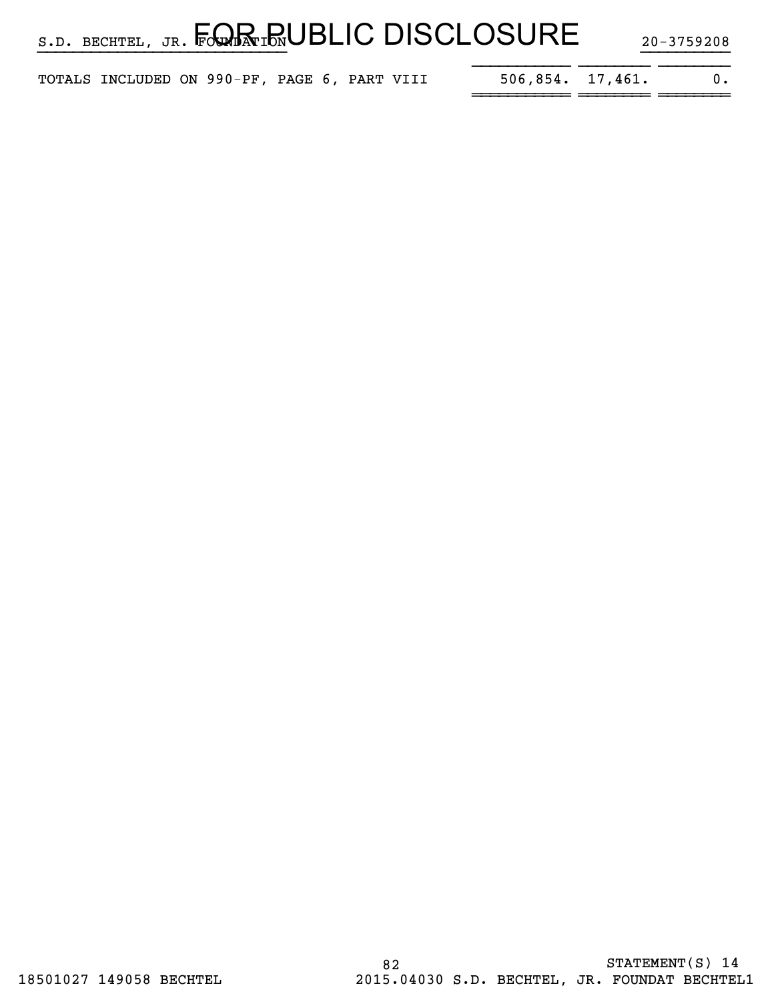|  |  |  | $_{\texttt{s.D. BECHTEL, JR.}}$ $_{\texttt{J.R.}}$ $_{\texttt{FQaR:IN}}$ UBLIC DISCLOSURE | 20-3759208 |
|--|--|--|-------------------------------------------------------------------------------------------|------------|
|  |  |  |                                                                                           |            |

| TOTALS INCLUDED ON 990-PF, PAGE 6, PART VIII |  |  |  | $506,854.$ 17,461. |  |
|----------------------------------------------|--|--|--|--------------------|--|
|                                              |  |  |  |                    |  |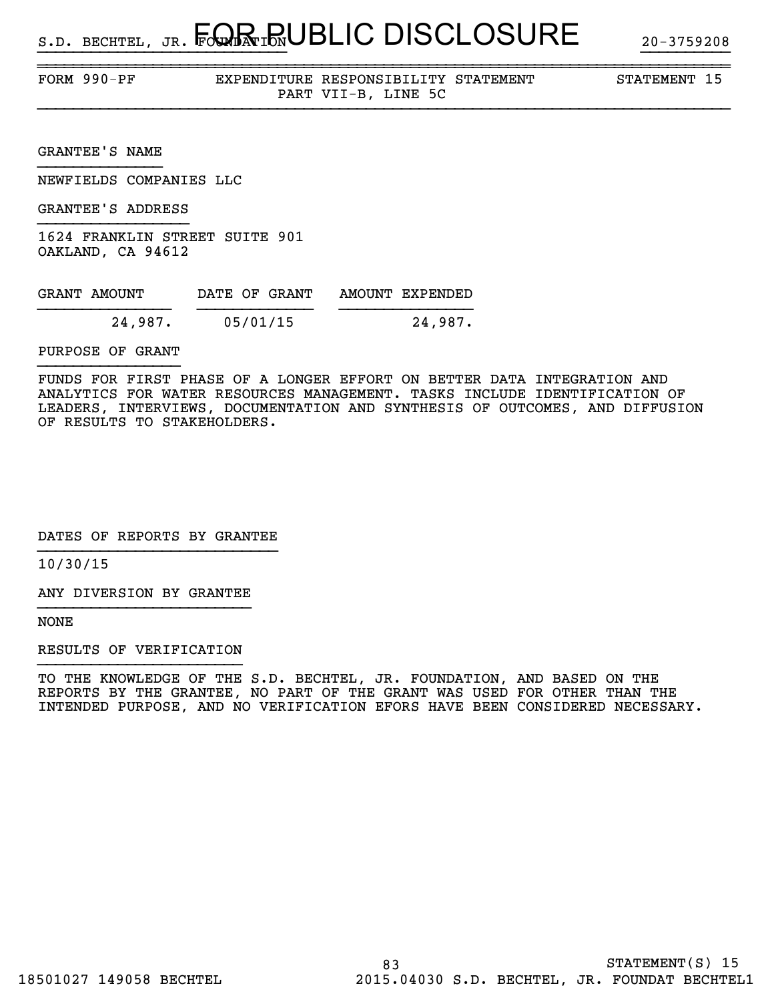~~~~~~~~~~~~~~~~~~~~~~~~~~~~~~~~~~~~~~~~~~~~~~~~~~~~~~~~~~~~~~~~~~~~~~~~~~~~~~FORM 990-PF EXPENDITURE RESPONSIBILITY STATEMENT STATEMENT 15 PART VII-B, LINE 5C

GRANTEE'S NAME

NEWFIELDS COMPANIES LLC

GRANTEE'S ADDRESS

1624 FRANKLIN STREET SUITE 901 OAKLAND, CA 94612

| GRANT AMOUNT | DATE OF GRANT | AMOUNT EXPENDED |
|--------------|---------------|-----------------|
| 24,987.      | 05/01/15      | 24,987.         |

PURPOSE OF GRANT

FUNDS FOR FIRST PHASE OF A LONGER EFFORT ON BETTER DATA INTEGRATION AND ANALYTICS FOR WATER RESOURCES MANAGEMENT. TASKS INCLUDE IDENTIFICATION OF LEADERS, INTERVIEWS, DOCUMENTATION AND SYNTHESIS OF OUTCOMES, AND DIFFUSION OF RESULTS TO STAKEHOLDERS.

DATES OF REPORTS BY GRANTEE

10/30/15

ANY DIVERSION BY GRANTEE }}}}}}}}}}}}}}}}}}}}}}}}

NONE

RESULTS OF VERIFICATION

TO THE KNOWLEDGE OF THE S.D. BECHTEL, JR. FOUNDATION, AND BASED ON THE REPORTS BY THE GRANTEE, NO PART OF THE GRANT WAS USED FOR OTHER THAN THE INTENDED PURPOSE, AND NO VERIFICATION EFORS HAVE BEEN CONSIDERED NECESSARY.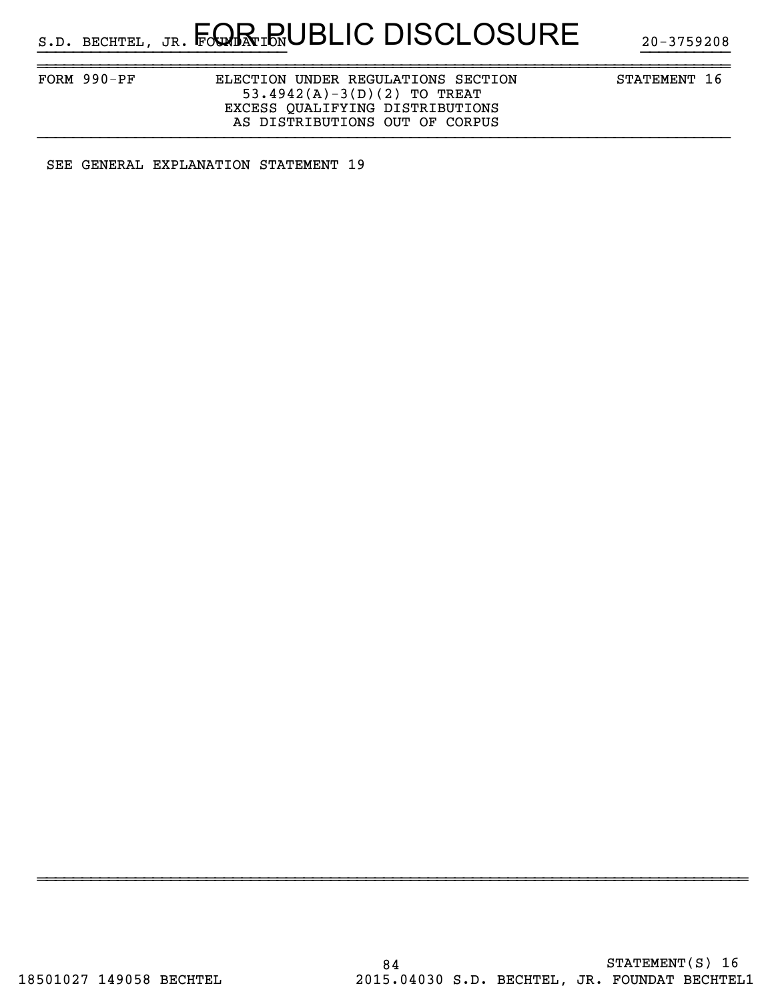FORM 990-PF ELECTION UNDER REGULATIONS SECTION STATEMENT 16 53.4942(A)-3(D)(2) TO TREAT EXCESS QUALIFYING DISTRIBUTIONS AS DISTRIBUTIONS OUT OF CORPUS

~~~~~~~~~~~~~~~~~~~~~~~~~~~~~~~~~~~~~~~~~~~~~~~~~~~~~~~~~~~~~~~~~~~~~~~~~~~~~~

~~~~~~~~~~~~~~~~~~~~~~~~~~~~~~~~~~~~~~~~~~~~~~~~~~~~~~~~~~~~~~~~~~~~~~~~~~~~~~~~

SEE GENERAL EXPLANATION STATEMENT 19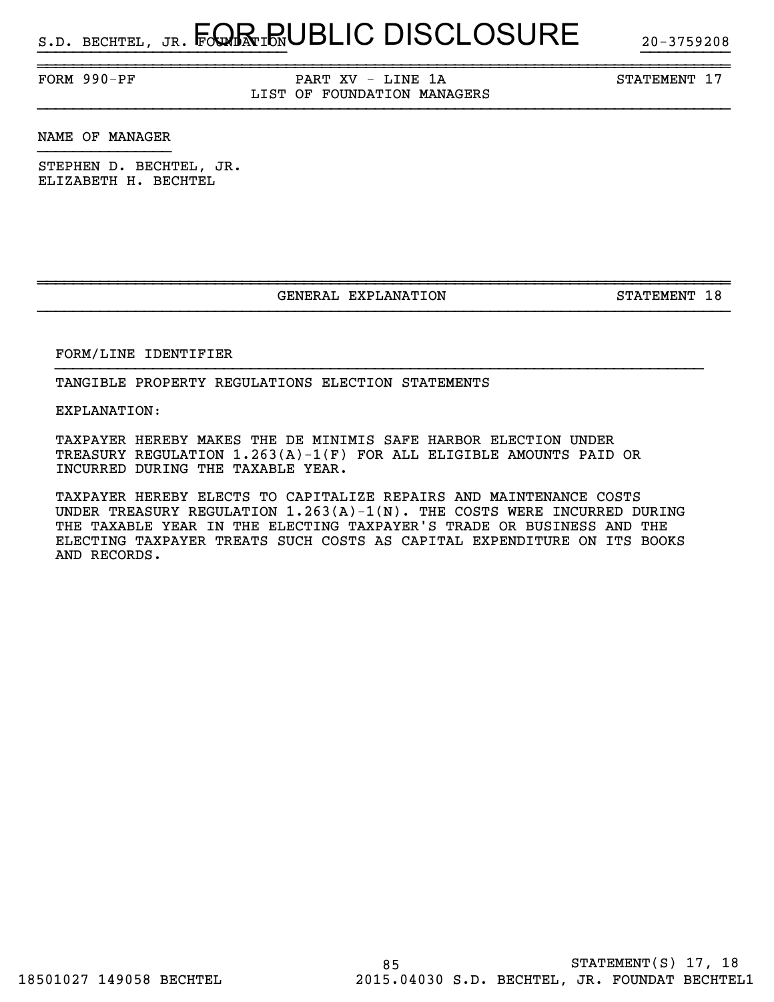FORM 990-PF PART XV - LINE 1A STATEMENT 17 LIST OF FOUNDATION MANAGERS

~~~~~~~~~~~~~~~~~~~~~~~~~~~~~~~~~~~~~~~~~~~~~~~~~~~~~~~~~~~~~~~~~~~~~~~~~~~~~~

NAME OF MANAGER

STEPHEN D. BECHTEL, JR. ELIZABETH H. BECHTEL

GENERAL EXPLANATION STATEMENT 18

~~~~~~~~~~~~~~~~~~~~~~~~~~~~~~~~~~~~~~~~~~~~~~~~~~~~~~~~~~~~~~~~~~~~~~~~~~~~~~

}}}}}}}}}}}}}}}}}}}}}}}}}}}}}}}}}}}}}}}}}}}}}}}}}}}}}}}}}}}}}}}}}}}}}}}}}

FORM/LINE IDENTIFIER

TANGIBLE PROPERTY REGULATIONS ELECTION STATEMENTS

EXPLANATION:

TAXPAYER HEREBY MAKES THE DE MINIMIS SAFE HARBOR ELECTION UNDER TREASURY REGULATION 1.263(A)-1(F) FOR ALL ELIGIBLE AMOUNTS PAID OR INCURRED DURING THE TAXABLE YEAR.

TAXPAYER HEREBY ELECTS TO CAPITALIZE REPAIRS AND MAINTENANCE COSTS UNDER TREASURY REGULATION  $1.263(A) - 1(N)$ . THE COSTS WERE INCURRED DURING THE TAXABLE YEAR IN THE ELECTING TAXPAYER'S TRADE OR BUSINESS AND THE ELECTING TAXPAYER TREATS SUCH COSTS AS CAPITAL EXPENDITURE ON ITS BOOKS AND RECORDS.